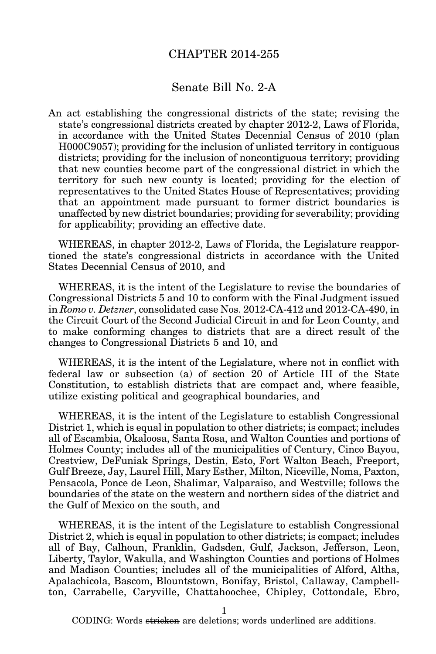## CHAPTER 2014-255

## Senate Bill No. 2-A

An act establishing the congressional districts of the state; revising the state's congressional districts created by chapter 2012-2, Laws of Florida, in accordance with the United States Decennial Census of 2010 (plan H000C9057); providing for the inclusion of unlisted territory in contiguous districts; providing for the inclusion of noncontiguous territory; providing that new counties become part of the congressional district in which the territory for such new county is located; providing for the election of representatives to the United States House of Representatives; providing that an appointment made pursuant to former district boundaries is unaffected by new district boundaries; providing for severability; providing for applicability; providing an effective date.

WHEREAS, in chapter 2012-2, Laws of Florida, the Legislature reapportioned the state's congressional districts in accordance with the United States Decennial Census of 2010, and

WHEREAS, it is the intent of the Legislature to revise the boundaries of Congressional Districts 5 and 10 to conform with the Final Judgment issued in Romo v. Detzner, consolidated case Nos. 2012-CA-412 and 2012-CA-490, in the Circuit Court of the Second Judicial Circuit in and for Leon County, and to make conforming changes to districts that are a direct result of the changes to Congressional Districts 5 and 10, and

WHEREAS, it is the intent of the Legislature, where not in conflict with federal law or subsection (a) of section 20 of Article III of the State Constitution, to establish districts that are compact and, where feasible, utilize existing political and geographical boundaries, and

WHEREAS, it is the intent of the Legislature to establish Congressional District 1, which is equal in population to other districts; is compact; includes all of Escambia, Okaloosa, Santa Rosa, and Walton Counties and portions of Holmes County; includes all of the municipalities of Century, Cinco Bayou, Crestview, DeFuniak Springs, Destin, Esto, Fort Walton Beach, Freeport, Gulf Breeze, Jay, Laurel Hill, Mary Esther, Milton, Niceville, Noma, Paxton, Pensacola, Ponce de Leon, Shalimar, Valparaiso, and Westville; follows the boundaries of the state on the western and northern sides of the district and the Gulf of Mexico on the south, and

WHEREAS, it is the intent of the Legislature to establish Congressional District 2, which is equal in population to other districts; is compact; includes all of Bay, Calhoun, Franklin, Gadsden, Gulf, Jackson, Jefferson, Leon, Liberty, Taylor, Wakulla, and Washington Counties and portions of Holmes and Madison Counties; includes all of the municipalities of Alford, Altha, Apalachicola, Bascom, Blountstown, Bonifay, Bristol, Callaway, Campbellton, Carrabelle, Caryville, Chattahoochee, Chipley, Cottondale, Ebro,

1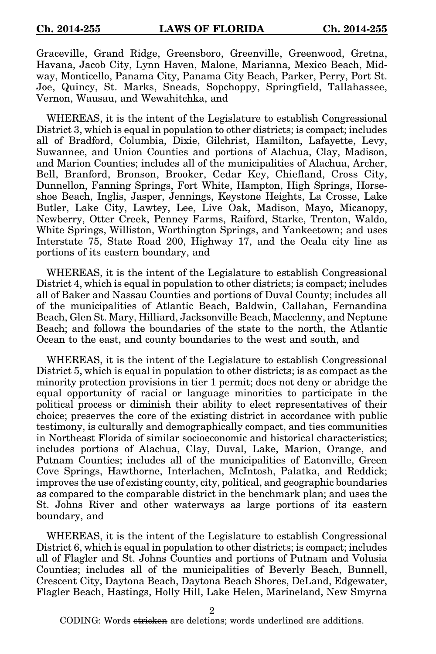Graceville, Grand Ridge, Greensboro, Greenville, Greenwood, Gretna, Havana, Jacob City, Lynn Haven, Malone, Marianna, Mexico Beach, Midway, Monticello, Panama City, Panama City Beach, Parker, Perry, Port St. Joe, Quincy, St. Marks, Sneads, Sopchoppy, Springfield, Tallahassee, Vernon, Wausau, and Wewahitchka, and

WHEREAS, it is the intent of the Legislature to establish Congressional District 3, which is equal in population to other districts; is compact; includes all of Bradford, Columbia, Dixie, Gilchrist, Hamilton, Lafayette, Levy, Suwannee, and Union Counties and portions of Alachua, Clay, Madison, and Marion Counties; includes all of the municipalities of Alachua, Archer, Bell, Branford, Bronson, Brooker, Cedar Key, Chiefland, Cross City, Dunnellon, Fanning Springs, Fort White, Hampton, High Springs, Horseshoe Beach, Inglis, Jasper, Jennings, Keystone Heights, La Crosse, Lake Butler, Lake City, Lawtey, Lee, Live Oak, Madison, Mayo, Micanopy, Newberry, Otter Creek, Penney Farms, Raiford, Starke, Trenton, Waldo, White Springs, Williston, Worthington Springs, and Yankeetown; and uses Interstate 75, State Road 200, Highway 17, and the Ocala city line as portions of its eastern boundary, and

WHEREAS, it is the intent of the Legislature to establish Congressional District 4, which is equal in population to other districts; is compact; includes all of Baker and Nassau Counties and portions of Duval County; includes all of the municipalities of Atlantic Beach, Baldwin, Callahan, Fernandina Beach, Glen St. Mary, Hilliard, Jacksonville Beach, Macclenny, and Neptune Beach; and follows the boundaries of the state to the north, the Atlantic Ocean to the east, and county boundaries to the west and south, and

WHEREAS, it is the intent of the Legislature to establish Congressional District 5, which is equal in population to other districts; is as compact as the minority protection provisions in tier 1 permit; does not deny or abridge the equal opportunity of racial or language minorities to participate in the political process or diminish their ability to elect representatives of their choice; preserves the core of the existing district in accordance with public testimony, is culturally and demographically compact, and ties communities in Northeast Florida of similar socioeconomic and historical characteristics; includes portions of Alachua, Clay, Duval, Lake, Marion, Orange, and Putnam Counties; includes all of the municipalities of Eatonville, Green Cove Springs, Hawthorne, Interlachen, McIntosh, Palatka, and Reddick; improves the use of existing county, city, political, and geographic boundaries as compared to the comparable district in the benchmark plan; and uses the St. Johns River and other waterways as large portions of its eastern boundary, and

WHEREAS, it is the intent of the Legislature to establish Congressional District 6, which is equal in population to other districts; is compact; includes all of Flagler and St. Johns Counties and portions of Putnam and Volusia Counties; includes all of the municipalities of Beverly Beach, Bunnell, Crescent City, Daytona Beach, Daytona Beach Shores, DeLand, Edgewater, Flagler Beach, Hastings, Holly Hill, Lake Helen, Marineland, New Smyrna

2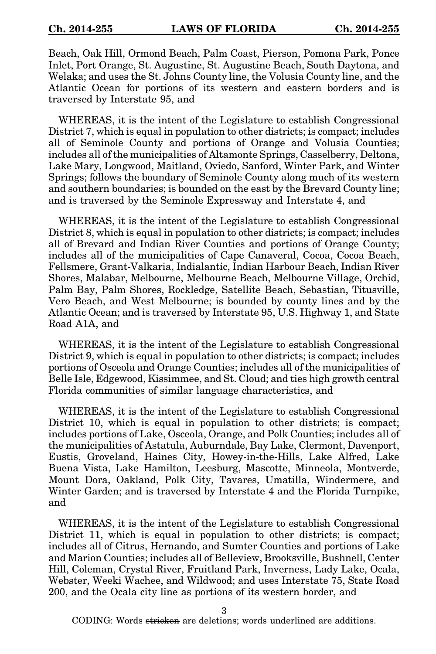Beach, Oak Hill, Ormond Beach, Palm Coast, Pierson, Pomona Park, Ponce Inlet, Port Orange, St. Augustine, St. Augustine Beach, South Daytona, and Welaka; and uses the St. Johns County line, the Volusia County line, and the Atlantic Ocean for portions of its western and eastern borders and is traversed by Interstate 95, and

WHEREAS, it is the intent of the Legislature to establish Congressional District 7, which is equal in population to other districts; is compact; includes all of Seminole County and portions of Orange and Volusia Counties; includes all of the municipalities of Altamonte Springs, Casselberry, Deltona, Lake Mary, Longwood, Maitland, Oviedo, Sanford, Winter Park, and Winter Springs; follows the boundary of Seminole County along much of its western and southern boundaries; is bounded on the east by the Brevard County line; and is traversed by the Seminole Expressway and Interstate 4, and

WHEREAS, it is the intent of the Legislature to establish Congressional District 8, which is equal in population to other districts; is compact; includes all of Brevard and Indian River Counties and portions of Orange County; includes all of the municipalities of Cape Canaveral, Cocoa, Cocoa Beach, Fellsmere, Grant-Valkaria, Indialantic, Indian Harbour Beach, Indian River Shores, Malabar, Melbourne, Melbourne Beach, Melbourne Village, Orchid, Palm Bay, Palm Shores, Rockledge, Satellite Beach, Sebastian, Titusville, Vero Beach, and West Melbourne; is bounded by county lines and by the Atlantic Ocean; and is traversed by Interstate 95, U.S. Highway 1, and State Road A1A, and

WHEREAS, it is the intent of the Legislature to establish Congressional District 9, which is equal in population to other districts; is compact; includes portions of Osceola and Orange Counties; includes all of the municipalities of Belle Isle, Edgewood, Kissimmee, and St. Cloud; and ties high growth central Florida communities of similar language characteristics, and

WHEREAS, it is the intent of the Legislature to establish Congressional District 10, which is equal in population to other districts; is compact; includes portions of Lake, Osceola, Orange, and Polk Counties; includes all of the municipalities of Astatula, Auburndale, Bay Lake, Clermont, Davenport, Eustis, Groveland, Haines City, Howey-in-the-Hills, Lake Alfred, Lake Buena Vista, Lake Hamilton, Leesburg, Mascotte, Minneola, Montverde, Mount Dora, Oakland, Polk City, Tavares, Umatilla, Windermere, and Winter Garden; and is traversed by Interstate 4 and the Florida Turnpike, and

WHEREAS, it is the intent of the Legislature to establish Congressional District 11, which is equal in population to other districts; is compact; includes all of Citrus, Hernando, and Sumter Counties and portions of Lake and Marion Counties; includes all of Belleview, Brooksville, Bushnell, Center Hill, Coleman, Crystal River, Fruitland Park, Inverness, Lady Lake, Ocala, Webster, Weeki Wachee, and Wildwood; and uses Interstate 75, State Road 200, and the Ocala city line as portions of its western border, and

3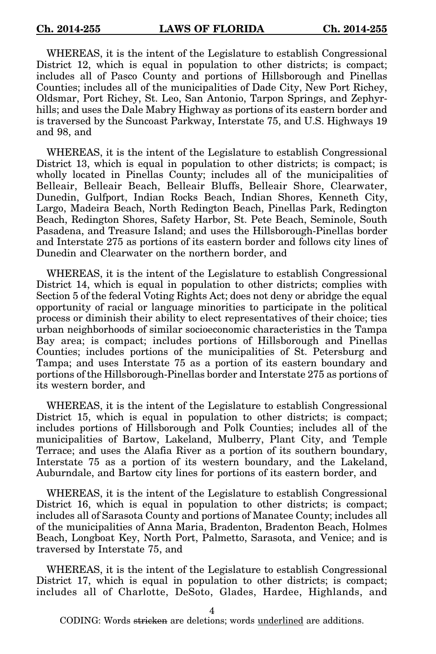WHEREAS, it is the intent of the Legislature to establish Congressional District 12, which is equal in population to other districts; is compact; includes all of Pasco County and portions of Hillsborough and Pinellas Counties; includes all of the municipalities of Dade City, New Port Richey, Oldsmar, Port Richey, St. Leo, San Antonio, Tarpon Springs, and Zephyrhills; and uses the Dale Mabry Highway as portions of its eastern border and is traversed by the Suncoast Parkway, Interstate 75, and U.S. Highways 19 and 98, and

WHEREAS, it is the intent of the Legislature to establish Congressional District 13, which is equal in population to other districts; is compact; is wholly located in Pinellas County; includes all of the municipalities of Belleair, Belleair Beach, Belleair Bluffs, Belleair Shore, Clearwater, Dunedin, Gulfport, Indian Rocks Beach, Indian Shores, Kenneth City, Largo, Madeira Beach, North Redington Beach, Pinellas Park, Redington Beach, Redington Shores, Safety Harbor, St. Pete Beach, Seminole, South Pasadena, and Treasure Island; and uses the Hillsborough-Pinellas border and Interstate 275 as portions of its eastern border and follows city lines of Dunedin and Clearwater on the northern border, and

WHEREAS, it is the intent of the Legislature to establish Congressional District 14, which is equal in population to other districts; complies with Section 5 of the federal Voting Rights Act; does not deny or abridge the equal opportunity of racial or language minorities to participate in the political process or diminish their ability to elect representatives of their choice; ties urban neighborhoods of similar socioeconomic characteristics in the Tampa Bay area; is compact; includes portions of Hillsborough and Pinellas Counties; includes portions of the municipalities of St. Petersburg and Tampa; and uses Interstate 75 as a portion of its eastern boundary and portions of the Hillsborough-Pinellas border and Interstate 275 as portions of its western border, and

WHEREAS, it is the intent of the Legislature to establish Congressional District 15, which is equal in population to other districts; is compact; includes portions of Hillsborough and Polk Counties; includes all of the municipalities of Bartow, Lakeland, Mulberry, Plant City, and Temple Terrace; and uses the Alafia River as a portion of its southern boundary, Interstate 75 as a portion of its western boundary, and the Lakeland, Auburndale, and Bartow city lines for portions of its eastern border, and

WHEREAS, it is the intent of the Legislature to establish Congressional District 16, which is equal in population to other districts; is compact; includes all of Sarasota County and portions of Manatee County; includes all of the municipalities of Anna Maria, Bradenton, Bradenton Beach, Holmes Beach, Longboat Key, North Port, Palmetto, Sarasota, and Venice; and is traversed by Interstate 75, and

WHEREAS, it is the intent of the Legislature to establish Congressional District 17, which is equal in population to other districts; is compact; includes all of Charlotte, DeSoto, Glades, Hardee, Highlands, and

4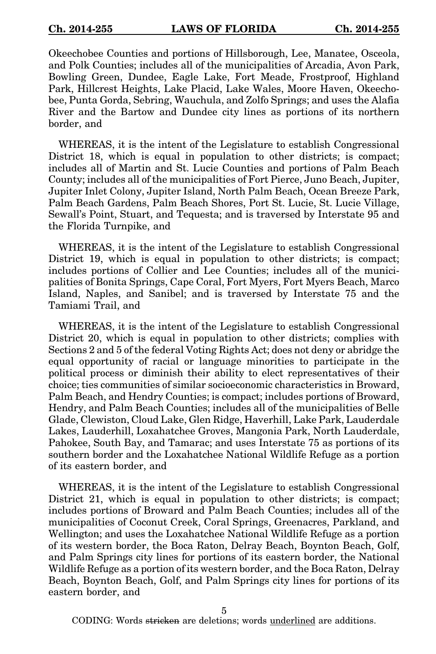Okeechobee Counties and portions of Hillsborough, Lee, Manatee, Osceola, and Polk Counties; includes all of the municipalities of Arcadia, Avon Park, Bowling Green, Dundee, Eagle Lake, Fort Meade, Frostproof, Highland Park, Hillcrest Heights, Lake Placid, Lake Wales, Moore Haven, Okeechobee, Punta Gorda, Sebring, Wauchula, and Zolfo Springs; and uses the Alafia River and the Bartow and Dundee city lines as portions of its northern border, and

WHEREAS, it is the intent of the Legislature to establish Congressional District 18, which is equal in population to other districts; is compact; includes all of Martin and St. Lucie Counties and portions of Palm Beach County; includes all of the municipalities of Fort Pierce, Juno Beach, Jupiter, Jupiter Inlet Colony, Jupiter Island, North Palm Beach, Ocean Breeze Park, Palm Beach Gardens, Palm Beach Shores, Port St. Lucie, St. Lucie Village, Sewall's Point, Stuart, and Tequesta; and is traversed by Interstate 95 and the Florida Turnpike, and

WHEREAS, it is the intent of the Legislature to establish Congressional District 19, which is equal in population to other districts; is compact; includes portions of Collier and Lee Counties; includes all of the municipalities of Bonita Springs, Cape Coral, Fort Myers, Fort Myers Beach, Marco Island, Naples, and Sanibel; and is traversed by Interstate 75 and the Tamiami Trail, and

WHEREAS, it is the intent of the Legislature to establish Congressional District 20, which is equal in population to other districts; complies with Sections 2 and 5 of the federal Voting Rights Act; does not deny or abridge the equal opportunity of racial or language minorities to participate in the political process or diminish their ability to elect representatives of their choice; ties communities of similar socioeconomic characteristics in Broward, Palm Beach, and Hendry Counties; is compact; includes portions of Broward, Hendry, and Palm Beach Counties; includes all of the municipalities of Belle Glade, Clewiston, Cloud Lake, Glen Ridge, Haverhill, Lake Park, Lauderdale Lakes, Lauderhill, Loxahatchee Groves, Mangonia Park, North Lauderdale, Pahokee, South Bay, and Tamarac; and uses Interstate 75 as portions of its southern border and the Loxahatchee National Wildlife Refuge as a portion of its eastern border, and

WHEREAS, it is the intent of the Legislature to establish Congressional District 21, which is equal in population to other districts; is compact; includes portions of Broward and Palm Beach Counties; includes all of the municipalities of Coconut Creek, Coral Springs, Greenacres, Parkland, and Wellington; and uses the Loxahatchee National Wildlife Refuge as a portion of its western border, the Boca Raton, Delray Beach, Boynton Beach, Golf, and Palm Springs city lines for portions of its eastern border, the National Wildlife Refuge as a portion of its western border, and the Boca Raton, Delray Beach, Boynton Beach, Golf, and Palm Springs city lines for portions of its eastern border, and

5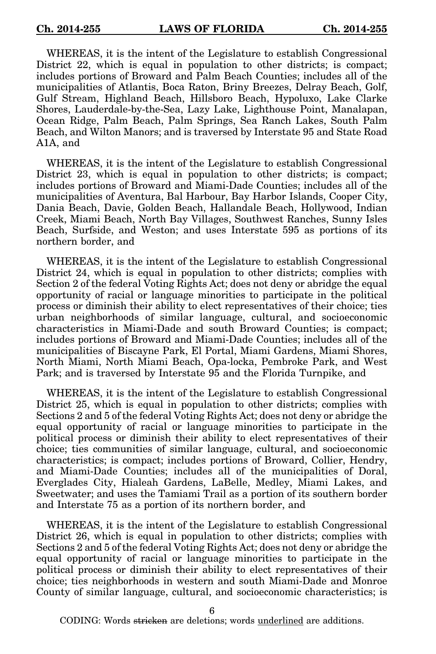WHEREAS, it is the intent of the Legislature to establish Congressional District 22, which is equal in population to other districts; is compact; includes portions of Broward and Palm Beach Counties; includes all of the municipalities of Atlantis, Boca Raton, Briny Breezes, Delray Beach, Golf, Gulf Stream, Highland Beach, Hillsboro Beach, Hypoluxo, Lake Clarke Shores, Lauderdale-by-the-Sea, Lazy Lake, Lighthouse Point, Manalapan, Ocean Ridge, Palm Beach, Palm Springs, Sea Ranch Lakes, South Palm Beach, and Wilton Manors; and is traversed by Interstate 95 and State Road A1A, and

WHEREAS, it is the intent of the Legislature to establish Congressional District 23, which is equal in population to other districts; is compact; includes portions of Broward and Miami-Dade Counties; includes all of the municipalities of Aventura, Bal Harbour, Bay Harbor Islands, Cooper City, Dania Beach, Davie, Golden Beach, Hallandale Beach, Hollywood, Indian Creek, Miami Beach, North Bay Villages, Southwest Ranches, Sunny Isles Beach, Surfside, and Weston; and uses Interstate 595 as portions of its northern border, and

WHEREAS, it is the intent of the Legislature to establish Congressional District 24, which is equal in population to other districts; complies with Section 2 of the federal Voting Rights Act; does not deny or abridge the equal opportunity of racial or language minorities to participate in the political process or diminish their ability to elect representatives of their choice; ties urban neighborhoods of similar language, cultural, and socioeconomic characteristics in Miami-Dade and south Broward Counties; is compact; includes portions of Broward and Miami-Dade Counties; includes all of the municipalities of Biscayne Park, El Portal, Miami Gardens, Miami Shores, North Miami, North Miami Beach, Opa-locka, Pembroke Park, and West Park; and is traversed by Interstate 95 and the Florida Turnpike, and

WHEREAS, it is the intent of the Legislature to establish Congressional District 25, which is equal in population to other districts; complies with Sections 2 and 5 of the federal Voting Rights Act; does not deny or abridge the equal opportunity of racial or language minorities to participate in the political process or diminish their ability to elect representatives of their choice; ties communities of similar language, cultural, and socioeconomic characteristics; is compact; includes portions of Broward, Collier, Hendry, and Miami-Dade Counties; includes all of the municipalities of Doral, Everglades City, Hialeah Gardens, LaBelle, Medley, Miami Lakes, and Sweetwater; and uses the Tamiami Trail as a portion of its southern border and Interstate 75 as a portion of its northern border, and

WHEREAS, it is the intent of the Legislature to establish Congressional District 26, which is equal in population to other districts; complies with Sections 2 and 5 of the federal Voting Rights Act; does not deny or abridge the equal opportunity of racial or language minorities to participate in the political process or diminish their ability to elect representatives of their choice; ties neighborhoods in western and south Miami-Dade and Monroe County of similar language, cultural, and socioeconomic characteristics; is

6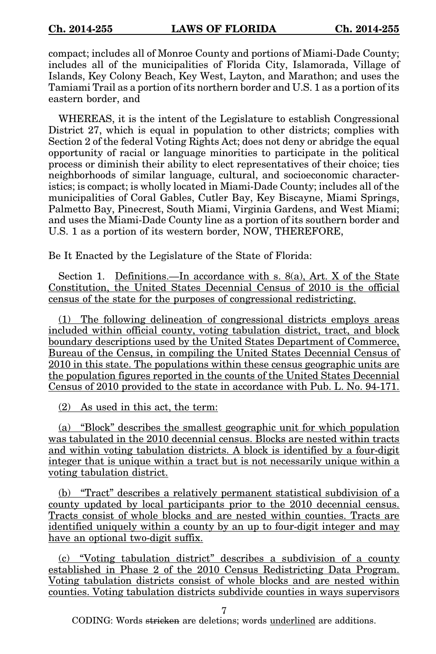compact; includes all of Monroe County and portions of Miami-Dade County; includes all of the municipalities of Florida City, Islamorada, Village of Islands, Key Colony Beach, Key West, Layton, and Marathon; and uses the Tamiami Trail as a portion of its northern border and U.S. 1 as a portion of its eastern border, and

WHEREAS, it is the intent of the Legislature to establish Congressional District 27, which is equal in population to other districts; complies with Section 2 of the federal Voting Rights Act; does not deny or abridge the equal opportunity of racial or language minorities to participate in the political process or diminish their ability to elect representatives of their choice; ties neighborhoods of similar language, cultural, and socioeconomic characteristics; is compact; is wholly located in Miami-Dade County; includes all of the municipalities of Coral Gables, Cutler Bay, Key Biscayne, Miami Springs, Palmetto Bay, Pinecrest, South Miami, Virginia Gardens, and West Miami; and uses the Miami-Dade County line as a portion of its southern border and U.S. 1 as a portion of its western border, NOW, THEREFORE,

Be It Enacted by the Legislature of the State of Florida:

Section 1. Definitions.—In accordance with s.  $8(a)$ , Art. X of the State Constitution, the United States Decennial Census of 2010 is the official census of the state for the purposes of congressional redistricting.

(1) The following delineation of congressional districts employs areas included within official county, voting tabulation district, tract, and block boundary descriptions used by the United States Department of Commerce, Bureau of the Census, in compiling the United States Decennial Census of 2010 in this state. The populations within these census geographic units are the population figures reported in the counts of the United States Decennial Census of 2010 provided to the state in accordance with Pub. L. No. 94-171.

(2) As used in this act, the term:

(a) "Block" describes the smallest geographic unit for which population was tabulated in the 2010 decennial census. Blocks are nested within tracts and within voting tabulation districts. A block is identified by a four-digit integer that is unique within a tract but is not necessarily unique within a voting tabulation district.

(b) "Tract" describes a relatively permanent statistical subdivision of a county updated by local participants prior to the 2010 decennial census. Tracts consist of whole blocks and are nested within counties. Tracts are identified uniquely within a county by an up to four-digit integer and may have an optional two-digit suffix.

(c) "Voting tabulation district" describes a subdivision of a county established in Phase 2 of the 2010 Census Redistricting Data Program. Voting tabulation districts consist of whole blocks and are nested within counties. Voting tabulation districts subdivide counties in ways supervisors

7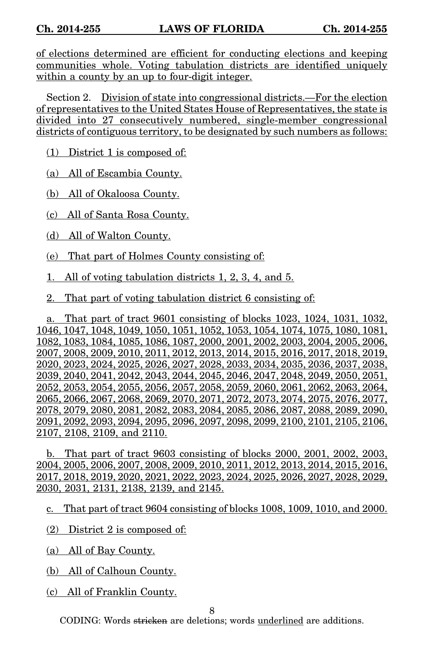of elections determined are efficient for conducting elections and keeping communities whole. Voting tabulation districts are identified uniquely within a county by an up to four-digit integer.

Section 2. Division of state into congressional districts.—For the election of representatives to the United States House of Representatives, the state is divided into 27 consecutively numbered, single-member congressional districts of contiguous territory, to be designated by such numbers as follows:

(1) District 1 is composed of:

(a) All of Escambia County.

(b) All of Okaloosa County.

(c) All of Santa Rosa County.

(d) All of Walton County.

(e) That part of Holmes County consisting of:

1. All of voting tabulation districts 1, 2, 3, 4, and 5.

2. That part of voting tabulation district 6 consisting of:

a. That part of tract 9601 consisting of blocks 1023, 1024, 1031, 1032, 1046, 1047, 1048, 1049, 1050, 1051, 1052, 1053, 1054, 1074, 1075, 1080, 1081, 1082, 1083, 1084, 1085, 1086, 1087, 2000, 2001, 2002, 2003, 2004, 2005, 2006, 2007, 2008, 2009, 2010, 2011, 2012, 2013, 2014, 2015, 2016, 2017, 2018, 2019, 2020, 2023, 2024, 2025, 2026, 2027, 2028, 2033, 2034, 2035, 2036, 2037, 2038, 2039, 2040, 2041, 2042, 2043, 2044, 2045, 2046, 2047, 2048, 2049, 2050, 2051, 2052, 2053, 2054, 2055, 2056, 2057, 2058, 2059, 2060, 2061, 2062, 2063, 2064, 2065, 2066, 2067, 2068, 2069, 2070, 2071, 2072, 2073, 2074, 2075, 2076, 2077, 2078, 2079, 2080, 2081, 2082, 2083, 2084, 2085, 2086, 2087, 2088, 2089, 2090, 2091, 2092, 2093, 2094, 2095, 2096, 2097, 2098, 2099, 2100, 2101, 2105, 2106, 2107, 2108, 2109, and 2110.

b. That part of tract 9603 consisting of blocks 2000, 2001, 2002, 2003, 2004, 2005, 2006, 2007, 2008, 2009, 2010, 2011, 2012, 2013, 2014, 2015, 2016, 2017, 2018, 2019, 2020, 2021, 2022, 2023, 2024, 2025, 2026, 2027, 2028, 2029, 2030, 2031, 2131, 2138, 2139, and 2145.

c. That part of tract 9604 consisting of blocks 1008, 1009, 1010, and 2000.

(2) District 2 is composed of:

(a) All of Bay County.

(b) All of Calhoun County.

(c) All of Franklin County.

8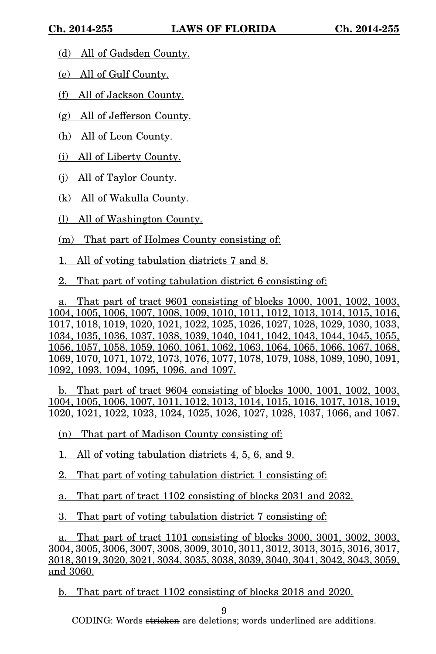(d) All of Gadsden County.

(e) All of Gulf County.

(f) All of Jackson County.

(g) All of Jefferson County.

(h) All of Leon County.

(i) All of Liberty County.

(j) All of Taylor County.

(k) All of Wakulla County.

(l) All of Washington County.

(m) That part of Holmes County consisting of:

1. All of voting tabulation districts 7 and 8.

2. That part of voting tabulation district 6 consisting of:

a. That part of tract 9601 consisting of blocks 1000, 1001, 1002, 1003, 1004, 1005, 1006, 1007, 1008, 1009, 1010, 1011, 1012, 1013, 1014, 1015, 1016, 1017, 1018, 1019, 1020, 1021, 1022, 1025, 1026, 1027, 1028, 1029, 1030, 1033, 1034, 1035, 1036, 1037, 1038, 1039, 1040, 1041, 1042, 1043, 1044, 1045, 1055, 1056, 1057, 1058, 1059, 1060, 1061, 1062, 1063, 1064, 1065, 1066, 1067, 1068, 1069, 1070, 1071, 1072, 1073, 1076, 1077, 1078, 1079, 1088, 1089, 1090, 1091, 1092, 1093, 1094, 1095, 1096, and 1097.

b. That part of tract 9604 consisting of blocks 1000, 1001, 1002, 1003, 1004, 1005, 1006, 1007, 1011, 1012, 1013, 1014, 1015, 1016, 1017, 1018, 1019, 1020, 1021, 1022, 1023, 1024, 1025, 1026, 1027, 1028, 1037, 1066, and 1067.

(n) That part of Madison County consisting of:

1. All of voting tabulation districts 4, 5, 6, and 9.

2. That part of voting tabulation district 1 consisting of:

a. That part of tract 1102 consisting of blocks 2031 and 2032.

3. That part of voting tabulation district 7 consisting of:

That part of tract 1101 consisting of blocks 3000, 3001, 3002, 3003, 3004, 3005, 3006, 3007, 3008, 3009, 3010, 3011, 3012, 3013, 3015, 3016, 3017, 3018, 3019, 3020, 3021, 3034, 3035, 3038, 3039, 3040, 3041, 3042, 3043, 3059, and 3060.

b. That part of tract 1102 consisting of blocks 2018 and 2020.

9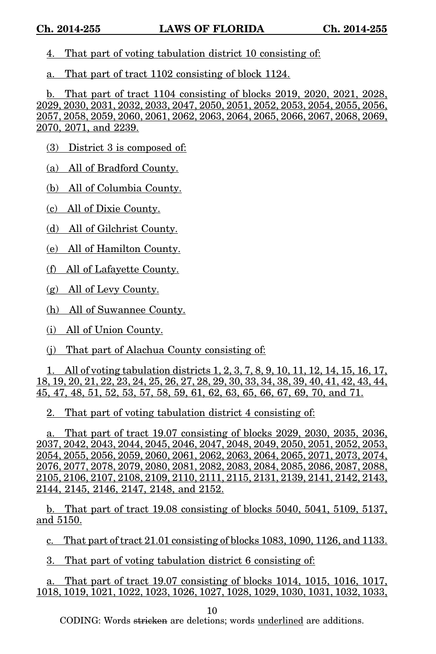4. That part of voting tabulation district 10 consisting of:

a. That part of tract 1102 consisting of block 1124.

b. That part of tract 1104 consisting of blocks 2019, 2020, 2021, 2028, 2029, 2030, 2031, 2032, 2033, 2047, 2050, 2051, 2052, 2053, 2054, 2055, 2056, 2057, 2058, 2059, 2060, 2061, 2062, 2063, 2064, 2065, 2066, 2067, 2068, 2069, 2070, 2071, and 2239.

(3) District 3 is composed of:

(a) All of Bradford County.

(b) All of Columbia County.

(c) All of Dixie County.

(d) All of Gilchrist County.

(e) All of Hamilton County.

(f) All of Lafayette County.

(g) All of Levy County.

(h) All of Suwannee County.

(i) All of Union County.

(j) That part of Alachua County consisting of:

1. All of voting tabulation districts 1, 2, 3, 7, 8, 9, 10, 11, 12, 14, 15, 16, 17, 18, 19, 20, 21, 22, 23, 24, 25, 26, 27, 28, 29, 30, 33, 34, 38, 39, 40, 41, 42, 43, 44, 45, 47, 48, 51, 52, 53, 57, 58, 59, 61, 62, 63, 65, 66, 67, 69, 70, and 71.

2. That part of voting tabulation district 4 consisting of:

a. That part of tract 19.07 consisting of blocks 2029, 2030, 2035, 2036, 2037, 2042, 2043, 2044, 2045, 2046, 2047, 2048, 2049, 2050, 2051, 2052, 2053, 2054, 2055, 2056, 2059, 2060, 2061, 2062, 2063, 2064, 2065, 2071, 2073, 2074, 2076, 2077, 2078, 2079, 2080, 2081, 2082, 2083, 2084, 2085, 2086, 2087, 2088, 2105, 2106, 2107, 2108, 2109, 2110, 2111, 2115, 2131, 2139, 2141, 2142, 2143, 2144, 2145, 2146, 2147, 2148, and 2152.

b. That part of tract 19.08 consisting of blocks 5040, 5041, 5109, 5137, and 5150.

c. That part of tract 21.01 consisting of blocks 1083, 1090, 1126, and 1133.

3. That part of voting tabulation district 6 consisting of:

That part of tract 19.07 consisting of blocks 1014, 1015, 1016, 1017, 1018, 1019, 1021, 1022, 1023, 1026, 1027, 1028, 1029, 1030, 1031, 1032, 1033,

10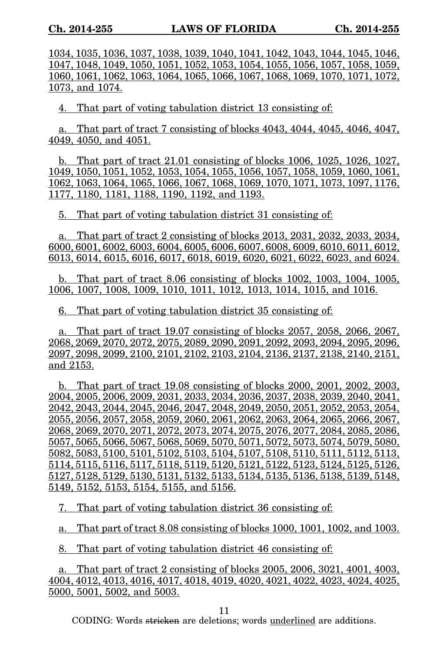1034, 1035, 1036, 1037, 1038, 1039, 1040, 1041, 1042, 1043, 1044, 1045, 1046, 1047, 1048, 1049, 1050, 1051, 1052, 1053, 1054, 1055, 1056, 1057, 1058, 1059, 1060, 1061, 1062, 1063, 1064, 1065, 1066, 1067, 1068, 1069, 1070, 1071, 1072, 1073, and 1074.

4. That part of voting tabulation district 13 consisting of:

a. That part of tract 7 consisting of blocks 4043, 4044, 4045, 4046, 4047, 4049, 4050, and 4051.

b. That part of tract 21.01 consisting of blocks 1006, 1025, 1026, 1027, 1049, 1050, 1051, 1052, 1053, 1054, 1055, 1056, 1057, 1058, 1059, 1060, 1061, 1062, 1063, 1064, 1065, 1066, 1067, 1068, 1069, 1070, 1071, 1073, 1097, 1176, 1177, 1180, 1181, 1188, 1190, 1192, and 1193.

5. That part of voting tabulation district 31 consisting of:

a. That part of tract 2 consisting of blocks 2013, 2031, 2032, 2033, 2034, 6000, 6001, 6002, 6003, 6004, 6005, 6006, 6007, 6008, 6009, 6010, 6011, 6012, 6013, 6014, 6015, 6016, 6017, 6018, 6019, 6020, 6021, 6022, 6023, and 6024.

b. That part of tract 8.06 consisting of blocks 1002, 1003, 1004, 1005, 1006, 1007, 1008, 1009, 1010, 1011, 1012, 1013, 1014, 1015, and 1016.

6. That part of voting tabulation district 35 consisting of:

a. That part of tract 19.07 consisting of blocks 2057, 2058, 2066, 2067, 2068, 2069, 2070, 2072, 2075, 2089, 2090, 2091, 2092, 2093, 2094, 2095, 2096, 2097, 2098, 2099, 2100, 2101, 2102, 2103, 2104, 2136, 2137, 2138, 2140, 2151, and 2153.

b. That part of tract 19.08 consisting of blocks 2000, 2001, 2002, 2003, 2004, 2005, 2006, 2009, 2031, 2033, 2034, 2036, 2037, 2038, 2039, 2040, 2041, 2042, 2043, 2044, 2045, 2046, 2047, 2048, 2049, 2050, 2051, 2052, 2053, 2054, 2055, 2056, 2057, 2058, 2059, 2060, 2061, 2062, 2063, 2064, 2065, 2066, 2067, 2068, 2069, 2070, 2071, 2072, 2073, 2074, 2075, 2076, 2077, 2084, 2085, 2086, 5057, 5065, 5066, 5067, 5068, 5069, 5070, 5071, 5072, 5073, 5074, 5079, 5080, 5082, 5083, 5100, 5101, 5102, 5103, 5104, 5107, 5108, 5110, 5111, 5112, 5113, 5114, 5115, 5116, 5117, 5118, 5119, 5120, 5121, 5122, 5123, 5124, 5125, 5126, 5127, 5128, 5129, 5130, 5131, 5132, 5133, 5134, 5135, 5136, 5138, 5139, 5148, 5149, 5152, 5153, 5154, 5155, and 5156.

7. That part of voting tabulation district 36 consisting of:

a. That part of tract 8.08 consisting of blocks 1000, 1001, 1002, and 1003.

8. That part of voting tabulation district 46 consisting of:

a. That part of tract 2 consisting of blocks 2005, 2006, 3021, 4001, 4003, 4004, 4012, 4013, 4016, 4017, 4018, 4019, 4020, 4021, 4022, 4023, 4024, 4025, 5000, 5001, 5002, and 5003.

11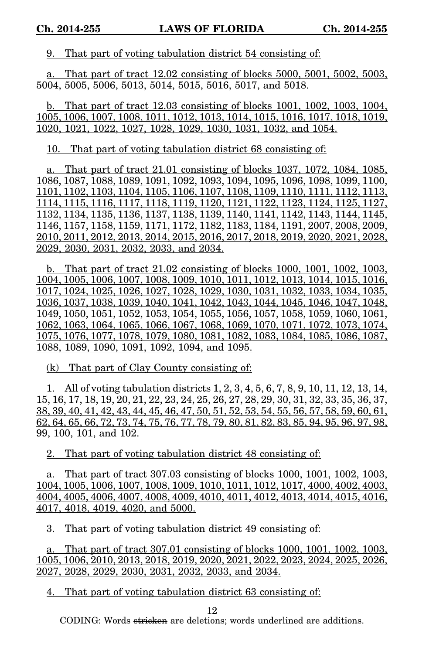9. That part of voting tabulation district 54 consisting of:

a. That part of tract 12.02 consisting of blocks 5000, 5001, 5002, 5003, 5004, 5005, 5006, 5013, 5014, 5015, 5016, 5017, and 5018.

b. That part of tract 12.03 consisting of blocks 1001, 1002, 1003, 1004, 1005, 1006, 1007, 1008, 1011, 1012, 1013, 1014, 1015, 1016, 1017, 1018, 1019, 1020, 1021, 1022, 1027, 1028, 1029, 1030, 1031, 1032, and 1054.

10. That part of voting tabulation district 68 consisting of:

a. That part of tract 21.01 consisting of blocks 1037, 1072, 1084, 1085, 1086, 1087, 1088, 1089, 1091, 1092, 1093, 1094, 1095, 1096, 1098, 1099, 1100, 1101, 1102, 1103, 1104, 1105, 1106, 1107, 1108, 1109, 1110, 1111, 1112, 1113, 1114, 1115, 1116, 1117, 1118, 1119, 1120, 1121, 1122, 1123, 1124, 1125, 1127, 1132, 1134, 1135, 1136, 1137, 1138, 1139, 1140, 1141, 1142, 1143, 1144, 1145, 1146, 1157, 1158, 1159, 1171, 1172, 1182, 1183, 1184, 1191, 2007, 2008, 2009, 2010, 2011, 2012, 2013, 2014, 2015, 2016, 2017, 2018, 2019, 2020, 2021, 2028, 2029, 2030, 2031, 2032, 2033, and 2034.

b. That part of tract 21.02 consisting of blocks 1000, 1001, 1002, 1003, 1004, 1005, 1006, 1007, 1008, 1009, 1010, 1011, 1012, 1013, 1014, 1015, 1016, 1017, 1024, 1025, 1026, 1027, 1028, 1029, 1030, 1031, 1032, 1033, 1034, 1035, 1036, 1037, 1038, 1039, 1040, 1041, 1042, 1043, 1044, 1045, 1046, 1047, 1048, 1049, 1050, 1051, 1052, 1053, 1054, 1055, 1056, 1057, 1058, 1059, 1060, 1061, 1062, 1063, 1064, 1065, 1066, 1067, 1068, 1069, 1070, 1071, 1072, 1073, 1074, 1075, 1076, 1077, 1078, 1079, 1080, 1081, 1082, 1083, 1084, 1085, 1086, 1087, 1088, 1089, 1090, 1091, 1092, 1094, and 1095.

(k) That part of Clay County consisting of:

1. All of voting tabulation districts 1, 2, 3, 4, 5, 6, 7, 8, 9, 10, 11, 12, 13, 14, 15, 16, 17, 18, 19, 20, 21, 22, 23, 24, 25, 26, 27, 28, 29, 30, 31, 32, 33, 35, 36, 37, 38, 39, 40, 41, 42, 43, 44, 45, 46, 47, 50, 51, 52, 53, 54, 55, 56, 57, 58, 59, 60, 61, 62, 64, 65, 66, 72, 73, 74, 75, 76, 77, 78, 79, 80, 81, 82, 83, 85, 94, 95, 96, 97, 98, 99, 100, 101, and 102.

2. That part of voting tabulation district 48 consisting of:

That part of tract 307.03 consisting of blocks 1000, 1001, 1002, 1003, 1004, 1005, 1006, 1007, 1008, 1009, 1010, 1011, 1012, 1017, 4000, 4002, 4003, 4004, 4005, 4006, 4007, 4008, 4009, 4010, 4011, 4012, 4013, 4014, 4015, 4016, 4017, 4018, 4019, 4020, and 5000.

3. That part of voting tabulation district 49 consisting of:

a. That part of tract 307.01 consisting of blocks 1000, 1001, 1002, 1003, 1005, 1006, 2010, 2013, 2018, 2019, 2020, 2021, 2022, 2023, 2024, 2025, 2026, 2027, 2028, 2029, 2030, 2031, 2032, 2033, and 2034.

4. That part of voting tabulation district 63 consisting of:

12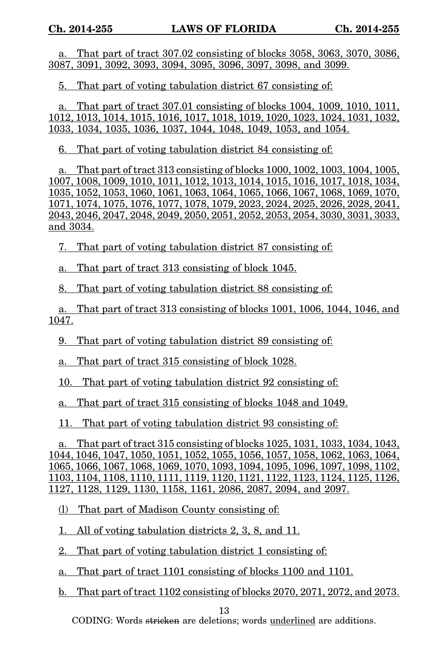a. That part of tract 307.02 consisting of blocks 3058, 3063, 3070, 3086, 3087, 3091, 3092, 3093, 3094, 3095, 3096, 3097, 3098, and 3099.

5. That part of voting tabulation district 67 consisting of:

a. That part of tract 307.01 consisting of blocks 1004, 1009, 1010, 1011, 1012, 1013, 1014, 1015, 1016, 1017, 1018, 1019, 1020, 1023, 1024, 1031, 1032, 1033, 1034, 1035, 1036, 1037, 1044, 1048, 1049, 1053, and 1054.

6. That part of voting tabulation district 84 consisting of:

a. That part of tract 313 consisting of blocks 1000, 1002, 1003, 1004, 1005, 1007, 1008, 1009, 1010, 1011, 1012, 1013, 1014, 1015, 1016, 1017, 1018, 1034, 1035, 1052, 1053, 1060, 1061, 1063, 1064, 1065, 1066, 1067, 1068, 1069, 1070, 1071, 1074, 1075, 1076, 1077, 1078, 1079, 2023, 2024, 2025, 2026, 2028, 2041, 2043, 2046, 2047, 2048, 2049, 2050, 2051, 2052, 2053, 2054, 3030, 3031, 3033, and 3034.

7. That part of voting tabulation district 87 consisting of:

a. That part of tract 313 consisting of block 1045.

8. That part of voting tabulation district 88 consisting of:

a. That part of tract 313 consisting of blocks 1001, 1006, 1044, 1046, and 1047.

9. That part of voting tabulation district 89 consisting of:

a. That part of tract 315 consisting of block 1028.

10. That part of voting tabulation district 92 consisting of:

a. That part of tract 315 consisting of blocks 1048 and 1049.

11. That part of voting tabulation district 93 consisting of:

a. That part of tract 315 consisting of blocks 1025, 1031, 1033, 1034, 1043, 1044, 1046, 1047, 1050, 1051, 1052, 1055, 1056, 1057, 1058, 1062, 1063, 1064, 1065, 1066, 1067, 1068, 1069, 1070, 1093, 1094, 1095, 1096, 1097, 1098, 1102, 1103, 1104, 1108, 1110, 1111, 1119, 1120, 1121, 1122, 1123, 1124, 1125, 1126, 1127, 1128, 1129, 1130, 1158, 1161, 2086, 2087, 2094, and 2097.

(l) That part of Madison County consisting of:

1. All of voting tabulation districts 2, 3, 8, and 11.

2. That part of voting tabulation district 1 consisting of:

a. That part of tract 1101 consisting of blocks 1100 and 1101.

b. That part of tract 1102 consisting of blocks 2070, 2071, 2072, and 2073.

13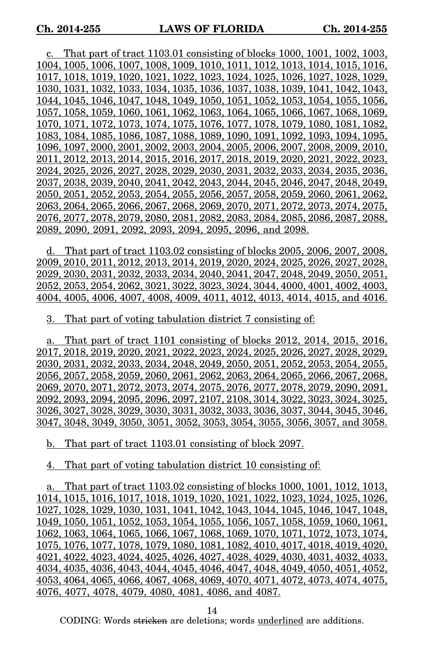That part of tract 1103.01 consisting of blocks 1000, 1001, 1002, 1003, 1004, 1005, 1006, 1007, 1008, 1009, 1010, 1011, 1012, 1013, 1014, 1015, 1016, 1017, 1018, 1019, 1020, 1021, 1022, 1023, 1024, 1025, 1026, 1027, 1028, 1029, 1030, 1031, 1032, 1033, 1034, 1035, 1036, 1037, 1038, 1039, 1041, 1042, 1043, 1044, 1045, 1046, 1047, 1048, 1049, 1050, 1051, 1052, 1053, 1054, 1055, 1056, 1057, 1058, 1059, 1060, 1061, 1062, 1063, 1064, 1065, 1066, 1067, 1068, 1069, 1070, 1071, 1072, 1073, 1074, 1075, 1076, 1077, 1078, 1079, 1080, 1081, 1082, 1083, 1084, 1085, 1086, 1087, 1088, 1089, 1090, 1091, 1092, 1093, 1094, 1095, 1096, 1097, 2000, 2001, 2002, 2003, 2004, 2005, 2006, 2007, 2008, 2009, 2010, 2011, 2012, 2013, 2014, 2015, 2016, 2017, 2018, 2019, 2020, 2021, 2022, 2023, 2024, 2025, 2026, 2027, 2028, 2029, 2030, 2031, 2032, 2033, 2034, 2035, 2036, 2037, 2038, 2039, 2040, 2041, 2042, 2043, 2044, 2045, 2046, 2047, 2048, 2049, 2050, 2051, 2052, 2053, 2054, 2055, 2056, 2057, 2058, 2059, 2060, 2061, 2062, 2063, 2064, 2065, 2066, 2067, 2068, 2069, 2070, 2071, 2072, 2073, 2074, 2075, 2076, 2077, 2078, 2079, 2080, 2081, 2082, 2083, 2084, 2085, 2086, 2087, 2088, 2089, 2090, 2091, 2092, 2093, 2094, 2095, 2096, and 2098.

d. That part of tract 1103.02 consisting of blocks 2005, 2006, 2007, 2008, 2009, 2010, 2011, 2012, 2013, 2014, 2019, 2020, 2024, 2025, 2026, 2027, 2028, 2029, 2030, 2031, 2032, 2033, 2034, 2040, 2041, 2047, 2048, 2049, 2050, 2051, 2052, 2053, 2054, 2062, 3021, 3022, 3023, 3024, 3044, 4000, 4001, 4002, 4003, 4004, 4005, 4006, 4007, 4008, 4009, 4011, 4012, 4013, 4014, 4015, and 4016.

3. That part of voting tabulation district 7 consisting of:

a. That part of tract 1101 consisting of blocks 2012, 2014, 2015, 2016, 2017, 2018, 2019, 2020, 2021, 2022, 2023, 2024, 2025, 2026, 2027, 2028, 2029, 2030, 2031, 2032, 2033, 2034, 2048, 2049, 2050, 2051, 2052, 2053, 2054, 2055, 2056, 2057, 2058, 2059, 2060, 2061, 2062, 2063, 2064, 2065, 2066, 2067, 2068, 2069, 2070, 2071, 2072, 2073, 2074, 2075, 2076, 2077, 2078, 2079, 2090, 2091, 2092, 2093, 2094, 2095, 2096, 2097, 2107, 2108, 3014, 3022, 3023, 3024, 3025, 3026, 3027, 3028, 3029, 3030, 3031, 3032, 3033, 3036, 3037, 3044, 3045, 3046, 3047, 3048, 3049, 3050, 3051, 3052, 3053, 3054, 3055, 3056, 3057, and 3058.

b. That part of tract 1103.01 consisting of block 2097.

4. That part of voting tabulation district 10 consisting of:

a. That part of tract 1103.02 consisting of blocks 1000, 1001, 1012, 1013, 1014, 1015, 1016, 1017, 1018, 1019, 1020, 1021, 1022, 1023, 1024, 1025, 1026, 1027, 1028, 1029, 1030, 1031, 1041, 1042, 1043, 1044, 1045, 1046, 1047, 1048, 1049, 1050, 1051, 1052, 1053, 1054, 1055, 1056, 1057, 1058, 1059, 1060, 1061, 1062, 1063, 1064, 1065, 1066, 1067, 1068, 1069, 1070, 1071, 1072, 1073, 1074, 1075, 1076, 1077, 1078, 1079, 1080, 1081, 1082, 4010, 4017, 4018, 4019, 4020, 4021, 4022, 4023, 4024, 4025, 4026, 4027, 4028, 4029, 4030, 4031, 4032, 4033, 4034, 4035, 4036, 4043, 4044, 4045, 4046, 4047, 4048, 4049, 4050, 4051, 4052, 4053, 4064, 4065, 4066, 4067, 4068, 4069, 4070, 4071, 4072, 4073, 4074, 4075, 4076, 4077, 4078, 4079, 4080, 4081, 4086, and 4087.

14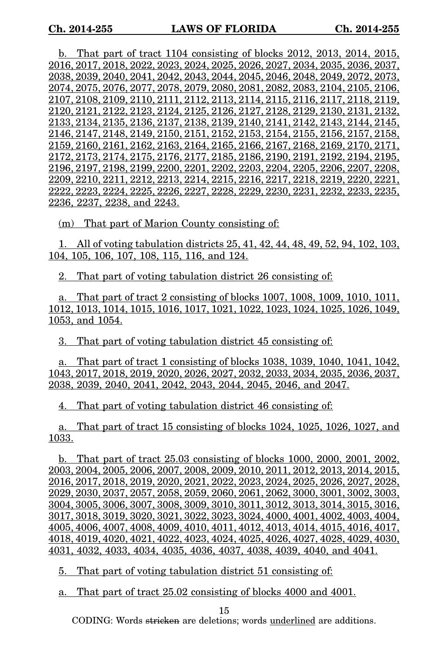b. That part of tract 1104 consisting of blocks 2012, 2013, 2014, 2015, 2016, 2017, 2018, 2022, 2023, 2024, 2025, 2026, 2027, 2034, 2035, 2036, 2037, 2038, 2039, 2040, 2041, 2042, 2043, 2044, 2045, 2046, 2048, 2049, 2072, 2073, 2074, 2075, 2076, 2077, 2078, 2079, 2080, 2081, 2082, 2083, 2104, 2105, 2106, 2107, 2108, 2109, 2110, 2111, 2112, 2113, 2114, 2115, 2116, 2117, 2118, 2119, 2120, 2121, 2122, 2123, 2124, 2125, 2126, 2127, 2128, 2129, 2130, 2131, 2132, 2133, 2134, 2135, 2136, 2137, 2138, 2139, 2140, 2141, 2142, 2143, 2144, 2145, 2146, 2147, 2148, 2149, 2150, 2151, 2152, 2153, 2154, 2155, 2156, 2157, 2158, 2159, 2160, 2161, 2162, 2163, 2164, 2165, 2166, 2167, 2168, 2169, 2170, 2171, 2172, 2173, 2174, 2175, 2176, 2177, 2185, 2186, 2190, 2191, 2192, 2194, 2195, 2196, 2197, 2198, 2199, 2200, 2201, 2202, 2203, 2204, 2205, 2206, 2207, 2208, 2209, 2210, 2211, 2212, 2213, 2214, 2215, 2216, 2217, 2218, 2219, 2220, 2221, 2222, 2223, 2224, 2225, 2226, 2227, 2228, 2229, 2230, 2231, 2232, 2233, 2235, 2236, 2237, 2238, and 2243.

(m) That part of Marion County consisting of:

1. All of voting tabulation districts 25, 41, 42, 44, 48, 49, 52, 94, 102, 103, 104, 105, 106, 107, 108, 115, 116, and 124.

2. That part of voting tabulation district 26 consisting of:

That part of tract 2 consisting of blocks 1007, 1008, 1009, 1010, 1011, 1012, 1013, 1014, 1015, 1016, 1017, 1021, 1022, 1023, 1024, 1025, 1026, 1049, 1053, and 1054.

3. That part of voting tabulation district 45 consisting of:

a. That part of tract 1 consisting of blocks 1038, 1039, 1040, 1041, 1042, 1043, 2017, 2018, 2019, 2020, 2026, 2027, 2032, 2033, 2034, 2035, 2036, 2037, 2038, 2039, 2040, 2041, 2042, 2043, 2044, 2045, 2046, and 2047.

4. That part of voting tabulation district 46 consisting of:

a. That part of tract 15 consisting of blocks 1024, 1025, 1026, 1027, and 1033.

b. That part of tract 25.03 consisting of blocks 1000, 2000, 2001, 2002, 2003, 2004, 2005, 2006, 2007, 2008, 2009, 2010, 2011, 2012, 2013, 2014, 2015, 2016, 2017, 2018, 2019, 2020, 2021, 2022, 2023, 2024, 2025, 2026, 2027, 2028, 2029, 2030, 2037, 2057, 2058, 2059, 2060, 2061, 2062, 3000, 3001, 3002, 3003, 3004, 3005, 3006, 3007, 3008, 3009, 3010, 3011, 3012, 3013, 3014, 3015, 3016, 3017, 3018, 3019, 3020, 3021, 3022, 3023, 3024, 4000, 4001, 4002, 4003, 4004, 4005, 4006, 4007, 4008, 4009, 4010, 4011, 4012, 4013, 4014, 4015, 4016, 4017, 4018, 4019, 4020, 4021, 4022, 4023, 4024, 4025, 4026, 4027, 4028, 4029, 4030, 4031, 4032, 4033, 4034, 4035, 4036, 4037, 4038, 4039, 4040, and 4041.

5. That part of voting tabulation district 51 consisting of:

a. That part of tract 25.02 consisting of blocks 4000 and 4001.

15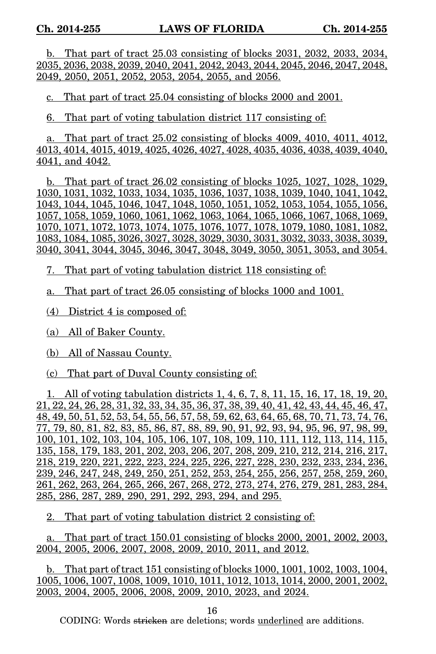b. That part of tract 25.03 consisting of blocks 2031, 2032, 2033, 2034, 2035, 2036, 2038, 2039, 2040, 2041, 2042, 2043, 2044, 2045, 2046, 2047, 2048, 2049, 2050, 2051, 2052, 2053, 2054, 2055, and 2056.

c. That part of tract 25.04 consisting of blocks 2000 and 2001.

6. That part of voting tabulation district 117 consisting of:

a. That part of tract 25.02 consisting of blocks 4009, 4010, 4011, 4012, 4013, 4014, 4015, 4019, 4025, 4026, 4027, 4028, 4035, 4036, 4038, 4039, 4040, 4041, and 4042.

b. That part of tract 26.02 consisting of blocks 1025, 1027, 1028, 1029, 1030, 1031, 1032, 1033, 1034, 1035, 1036, 1037, 1038, 1039, 1040, 1041, 1042, 1043, 1044, 1045, 1046, 1047, 1048, 1050, 1051, 1052, 1053, 1054, 1055, 1056, 1057, 1058, 1059, 1060, 1061, 1062, 1063, 1064, 1065, 1066, 1067, 1068, 1069, 1070, 1071, 1072, 1073, 1074, 1075, 1076, 1077, 1078, 1079, 1080, 1081, 1082, 1083, 1084, 1085, 3026, 3027, 3028, 3029, 3030, 3031, 3032, 3033, 3038, 3039, 3040, 3041, 3044, 3045, 3046, 3047, 3048, 3049, 3050, 3051, 3053, and 3054.

7. That part of voting tabulation district 118 consisting of:

a. That part of tract 26.05 consisting of blocks 1000 and 1001.

(4) District 4 is composed of:

(a) All of Baker County.

(b) All of Nassau County.

(c) That part of Duval County consisting of:

1. All of voting tabulation districts 1, 4, 6, 7, 8, 11, 15, 16, 17, 18, 19, 20, 21, 22, 24, 26, 28, 31, 32, 33, 34, 35, 36, 37, 38, 39, 40, 41, 42, 43, 44, 45, 46, 47, 48, 49, 50, 51, 52, 53, 54, 55, 56, 57, 58, 59, 62, 63, 64, 65, 68, 70, 71, 73, 74, 76, 77, 79, 80, 81, 82, 83, 85, 86, 87, 88, 89, 90, 91, 92, 93, 94, 95, 96, 97, 98, 99, 100, 101, 102, 103, 104, 105, 106, 107, 108, 109, 110, 111, 112, 113, 114, 115, 135, 158, 179, 183, 201, 202, 203, 206, 207, 208, 209, 210, 212, 214, 216, 217, 218, 219, 220, 221, 222, 223, 224, 225, 226, 227, 228, 230, 232, 233, 234, 236, 239, 246, 247, 248, 249, 250, 251, 252, 253, 254, 255, 256, 257, 258, 259, 260, 261, 262, 263, 264, 265, 266, 267, 268, 272, 273, 274, 276, 279, 281, 283, 284, 285, 286, 287, 289, 290, 291, 292, 293, 294, and 295.

2. That part of voting tabulation district 2 consisting of:

That part of tract 150.01 consisting of blocks 2000, 2001, 2002, 2003, 2004, 2005, 2006, 2007, 2008, 2009, 2010, 2011, and 2012.

b. That part of tract 151 consisting of blocks 1000, 1001, 1002, 1003, 1004, 1005, 1006, 1007, 1008, 1009, 1010, 1011, 1012, 1013, 1014, 2000, 2001, 2002, 2003, 2004, 2005, 2006, 2008, 2009, 2010, 2023, and 2024.

16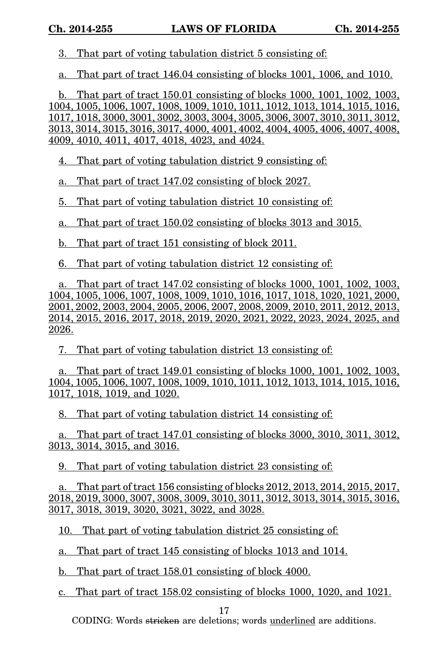3. That part of voting tabulation district 5 consisting of:

a. That part of tract 146.04 consisting of blocks 1001, 1006, and 1010.

b. That part of tract 150.01 consisting of blocks 1000, 1001, 1002, 1003, 1004, 1005, 1006, 1007, 1008, 1009, 1010, 1011, 1012, 1013, 1014, 1015, 1016, 1017, 1018, 3000, 3001, 3002, 3003, 3004, 3005, 3006, 3007, 3010, 3011, 3012, 3013, 3014, 3015, 3016, 3017, 4000, 4001, 4002, 4004, 4005, 4006, 4007, 4008, 4009, 4010, 4011, 4017, 4018, 4023, and 4024.

4. That part of voting tabulation district 9 consisting of:

a. That part of tract 147.02 consisting of block 2027.

5. That part of voting tabulation district 10 consisting of:

a. That part of tract 150.02 consisting of blocks 3013 and 3015.

b. That part of tract 151 consisting of block 2011.

6. That part of voting tabulation district 12 consisting of:

a. That part of tract 147.02 consisting of blocks 1000, 1001, 1002, 1003, 1004, 1005, 1006, 1007, 1008, 1009, 1010, 1016, 1017, 1018, 1020, 1021, 2000, 2001, 2002, 2003, 2004, 2005, 2006, 2007, 2008, 2009, 2010, 2011, 2012, 2013, 2014, 2015, 2016, 2017, 2018, 2019, 2020, 2021, 2022, 2023, 2024, 2025, and 2026.

7. That part of voting tabulation district 13 consisting of:

a. That part of tract 149.01 consisting of blocks 1000, 1001, 1002, 1003, 1004, 1005, 1006, 1007, 1008, 1009, 1010, 1011, 1012, 1013, 1014, 1015, 1016, 1017, 1018, 1019, and 1020.

8. That part of voting tabulation district 14 consisting of:

a. That part of tract 147.01 consisting of blocks 3000, 3010, 3011, 3012, 3013, 3014, 3015, and 3016.

9. That part of voting tabulation district 23 consisting of:

a. That part of tract 156 consisting of blocks 2012, 2013, 2014, 2015, 2017, 2018, 2019, 3000, 3007, 3008, 3009, 3010, 3011, 3012, 3013, 3014, 3015, 3016, 3017, 3018, 3019, 3020, 3021, 3022, and 3028.

10. That part of voting tabulation district 25 consisting of:

a. That part of tract 145 consisting of blocks 1013 and 1014.

b. That part of tract 158.01 consisting of block 4000.

c. That part of tract 158.02 consisting of blocks 1000, 1020, and 1021.

17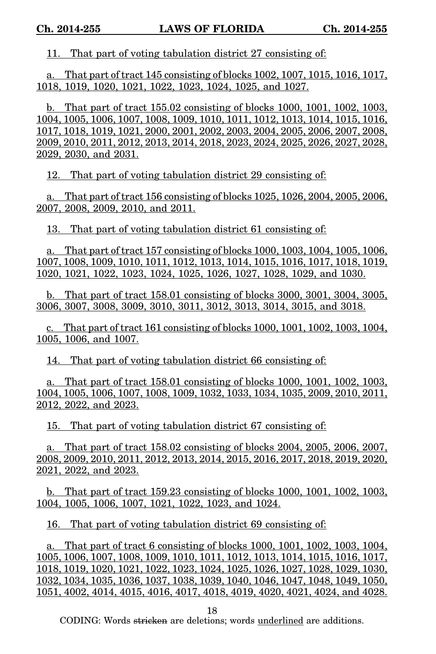11. That part of voting tabulation district 27 consisting of:

a. That part of tract 145 consisting of blocks 1002, 1007, 1015, 1016, 1017, 1018, 1019, 1020, 1021, 1022, 1023, 1024, 1025, and 1027.

b. That part of tract 155.02 consisting of blocks 1000, 1001, 1002, 1003, 1004, 1005, 1006, 1007, 1008, 1009, 1010, 1011, 1012, 1013, 1014, 1015, 1016, 1017, 1018, 1019, 1021, 2000, 2001, 2002, 2003, 2004, 2005, 2006, 2007, 2008, 2009, 2010, 2011, 2012, 2013, 2014, 2018, 2023, 2024, 2025, 2026, 2027, 2028, 2029, 2030, and 2031.

12. That part of voting tabulation district 29 consisting of:

a. That part of tract 156 consisting of blocks 1025, 1026, 2004, 2005, 2006, 2007, 2008, 2009, 2010, and 2011.

13. That part of voting tabulation district 61 consisting of:

a. That part of tract 157 consisting of blocks 1000, 1003, 1004, 1005, 1006, 1007, 1008, 1009, 1010, 1011, 1012, 1013, 1014, 1015, 1016, 1017, 1018, 1019, 1020, 1021, 1022, 1023, 1024, 1025, 1026, 1027, 1028, 1029, and 1030.

b. That part of tract 158.01 consisting of blocks 3000, 3001, 3004, 3005, 3006, 3007, 3008, 3009, 3010, 3011, 3012, 3013, 3014, 3015, and 3018.

c. That part of tract 161 consisting of blocks 1000, 1001, 1002, 1003, 1004, 1005, 1006, and 1007.

14. That part of voting tabulation district 66 consisting of:

a. That part of tract 158.01 consisting of blocks 1000, 1001, 1002, 1003, 1004, 1005, 1006, 1007, 1008, 1009, 1032, 1033, 1034, 1035, 2009, 2010, 2011, 2012, 2022, and 2023.

15. That part of voting tabulation district 67 consisting of:

a. That part of tract 158.02 consisting of blocks 2004, 2005, 2006, 2007, 2008, 2009, 2010, 2011, 2012, 2013, 2014, 2015, 2016, 2017, 2018, 2019, 2020, 2021, 2022, and 2023.

b. That part of tract 159.23 consisting of blocks 1000, 1001, 1002, 1003, 1004, 1005, 1006, 1007, 1021, 1022, 1023, and 1024.

16. That part of voting tabulation district 69 consisting of:

a. That part of tract 6 consisting of blocks 1000, 1001, 1002, 1003, 1004, 1005, 1006, 1007, 1008, 1009, 1010, 1011, 1012, 1013, 1014, 1015, 1016, 1017, 1018, 1019, 1020, 1021, 1022, 1023, 1024, 1025, 1026, 1027, 1028, 1029, 1030, 1032, 1034, 1035, 1036, 1037, 1038, 1039, 1040, 1046, 1047, 1048, 1049, 1050, 1051, 4002, 4014, 4015, 4016, 4017, 4018, 4019, 4020, 4021, 4024, and 4028.

18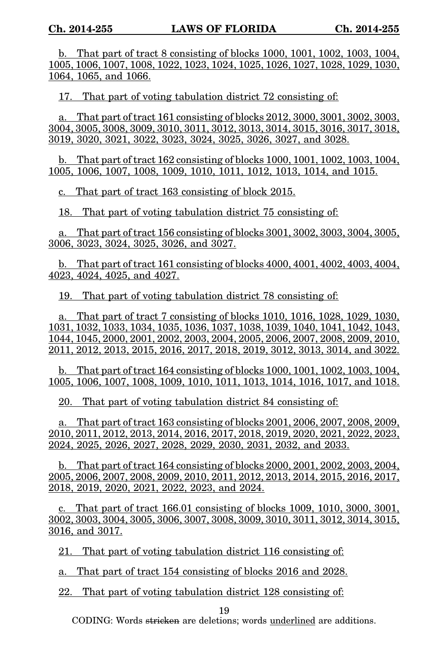b. That part of tract 8 consisting of blocks 1000, 1001, 1002, 1003, 1004, 1005, 1006, 1007, 1008, 1022, 1023, 1024, 1025, 1026, 1027, 1028, 1029, 1030, 1064, 1065, and 1066.

17. That part of voting tabulation district 72 consisting of:

a. That part of tract 161 consisting of blocks 2012, 3000, 3001, 3002, 3003, 3004, 3005, 3008, 3009, 3010, 3011, 3012, 3013, 3014, 3015, 3016, 3017, 3018, 3019, 3020, 3021, 3022, 3023, 3024, 3025, 3026, 3027, and 3028.

b. That part of tract 162 consisting of blocks 1000, 1001, 1002, 1003, 1004, 1005, 1006, 1007, 1008, 1009, 1010, 1011, 1012, 1013, 1014, and 1015.

c. That part of tract 163 consisting of block 2015.

18. That part of voting tabulation district 75 consisting of:

a. That part of tract 156 consisting of blocks 3001, 3002, 3003, 3004, 3005, 3006, 3023, 3024, 3025, 3026, and 3027.

b. That part of tract 161 consisting of blocks 4000, 4001, 4002, 4003, 4004, 4023, 4024, 4025, and 4027.

19. That part of voting tabulation district 78 consisting of:

a. That part of tract 7 consisting of blocks 1010, 1016, 1028, 1029, 1030, 1031, 1032, 1033, 1034, 1035, 1036, 1037, 1038, 1039, 1040, 1041, 1042, 1043, 1044, 1045, 2000, 2001, 2002, 2003, 2004, 2005, 2006, 2007, 2008, 2009, 2010, 2011, 2012, 2013, 2015, 2016, 2017, 2018, 2019, 3012, 3013, 3014, and 3022.

b. That part of tract 164 consisting of blocks 1000, 1001, 1002, 1003, 1004, 1005, 1006, 1007, 1008, 1009, 1010, 1011, 1013, 1014, 1016, 1017, and 1018.

20. That part of voting tabulation district 84 consisting of:

a. That part of tract 163 consisting of blocks 2001, 2006, 2007, 2008, 2009, 2010, 2011, 2012, 2013, 2014, 2016, 2017, 2018, 2019, 2020, 2021, 2022, 2023, 2024, 2025, 2026, 2027, 2028, 2029, 2030, 2031, 2032, and 2033.

b. That part of tract 164 consisting of blocks 2000, 2001, 2002, 2003, 2004, 2005, 2006, 2007, 2008, 2009, 2010, 2011, 2012, 2013, 2014, 2015, 2016, 2017, 2018, 2019, 2020, 2021, 2022, 2023, and 2024.

c. That part of tract 166.01 consisting of blocks 1009, 1010, 3000, 3001, 3002, 3003, 3004, 3005, 3006, 3007, 3008, 3009, 3010, 3011, 3012, 3014, 3015, 3016, and 3017.

21. That part of voting tabulation district 116 consisting of:

a. That part of tract 154 consisting of blocks 2016 and 2028.

22. That part of voting tabulation district 128 consisting of:

19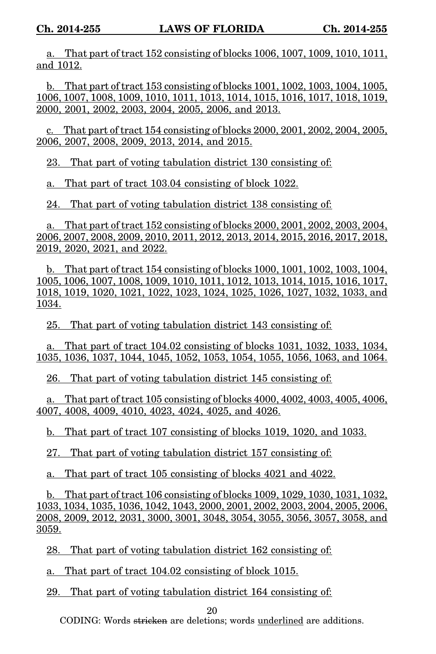a. That part of tract 152 consisting of blocks 1006, 1007, 1009, 1010, 1011, and 1012.

b. That part of tract 153 consisting of blocks 1001, 1002, 1003, 1004, 1005, 1006, 1007, 1008, 1009, 1010, 1011, 1013, 1014, 1015, 1016, 1017, 1018, 1019, 2000, 2001, 2002, 2003, 2004, 2005, 2006, and 2013.

c. That part of tract 154 consisting of blocks 2000, 2001, 2002, 2004, 2005, 2006, 2007, 2008, 2009, 2013, 2014, and 2015.

23. That part of voting tabulation district 130 consisting of:

a. That part of tract 103.04 consisting of block 1022.

24. That part of voting tabulation district 138 consisting of:

a. That part of tract 152 consisting of blocks 2000, 2001, 2002, 2003, 2004, 2006, 2007, 2008, 2009, 2010, 2011, 2012, 2013, 2014, 2015, 2016, 2017, 2018, 2019, 2020, 2021, and 2022.

b. That part of tract 154 consisting of blocks 1000, 1001, 1002, 1003, 1004, 1005, 1006, 1007, 1008, 1009, 1010, 1011, 1012, 1013, 1014, 1015, 1016, 1017, 1018, 1019, 1020, 1021, 1022, 1023, 1024, 1025, 1026, 1027, 1032, 1033, and 1034.

25. That part of voting tabulation district 143 consisting of:

a. That part of tract 104.02 consisting of blocks 1031, 1032, 1033, 1034, 1035, 1036, 1037, 1044, 1045, 1052, 1053, 1054, 1055, 1056, 1063, and 1064.

26. That part of voting tabulation district 145 consisting of:

a. That part of tract 105 consisting of blocks 4000, 4002, 4003, 4005, 4006, 4007, 4008, 4009, 4010, 4023, 4024, 4025, and 4026.

b. That part of tract 107 consisting of blocks 1019, 1020, and 1033.

27. That part of voting tabulation district 157 consisting of:

a. That part of tract 105 consisting of blocks 4021 and 4022.

b. That part of tract 106 consisting of blocks 1009, 1029, 1030, 1031, 1032, 1033, 1034, 1035, 1036, 1042, 1043, 2000, 2001, 2002, 2003, 2004, 2005, 2006, 2008, 2009, 2012, 2031, 3000, 3001, 3048, 3054, 3055, 3056, 3057, 3058, and 3059.

28. That part of voting tabulation district 162 consisting of:

a. That part of tract 104.02 consisting of block 1015.

29. That part of voting tabulation district 164 consisting of:

20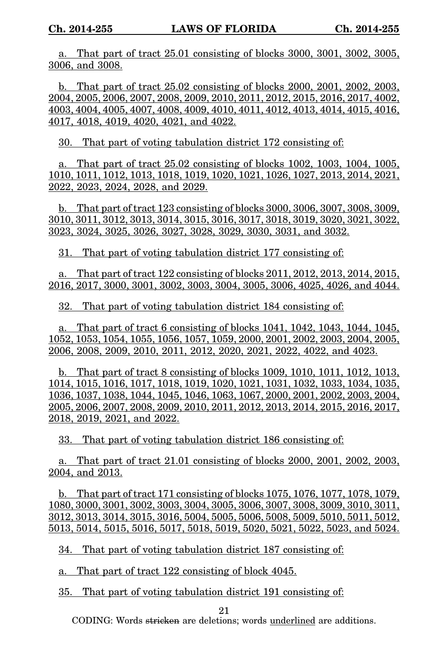That part of tract 25.01 consisting of blocks 3000, 3001, 3002, 3005, 3006, and 3008.

b. That part of tract 25.02 consisting of blocks 2000, 2001, 2002, 2003, 2004, 2005, 2006, 2007, 2008, 2009, 2010, 2011, 2012, 2015, 2016, 2017, 4002, 4003, 4004, 4005, 4007, 4008, 4009, 4010, 4011, 4012, 4013, 4014, 4015, 4016, 4017, 4018, 4019, 4020, 4021, and 4022.

30. That part of voting tabulation district 172 consisting of:

a. That part of tract 25.02 consisting of blocks 1002, 1003, 1004, 1005, 1010, 1011, 1012, 1013, 1018, 1019, 1020, 1021, 1026, 1027, 2013, 2014, 2021, 2022, 2023, 2024, 2028, and 2029.

b. That part of tract 123 consisting of blocks 3000, 3006, 3007, 3008, 3009, 3010, 3011, 3012, 3013, 3014, 3015, 3016, 3017, 3018, 3019, 3020, 3021, 3022, 3023, 3024, 3025, 3026, 3027, 3028, 3029, 3030, 3031, and 3032.

31. That part of voting tabulation district 177 consisting of:

a. That part of tract 122 consisting of blocks 2011, 2012, 2013, 2014, 2015, 2016, 2017, 3000, 3001, 3002, 3003, 3004, 3005, 3006, 4025, 4026, and 4044.

32. That part of voting tabulation district 184 consisting of:

a. That part of tract 6 consisting of blocks 1041, 1042, 1043, 1044, 1045, 1052, 1053, 1054, 1055, 1056, 1057, 1059, 2000, 2001, 2002, 2003, 2004, 2005, 2006, 2008, 2009, 2010, 2011, 2012, 2020, 2021, 2022, 4022, and 4023.

b. That part of tract 8 consisting of blocks 1009, 1010, 1011, 1012, 1013, 1014, 1015, 1016, 1017, 1018, 1019, 1020, 1021, 1031, 1032, 1033, 1034, 1035, 1036, 1037, 1038, 1044, 1045, 1046, 1063, 1067, 2000, 2001, 2002, 2003, 2004, 2005, 2006, 2007, 2008, 2009, 2010, 2011, 2012, 2013, 2014, 2015, 2016, 2017, 2018, 2019, 2021, and 2022.

33. That part of voting tabulation district 186 consisting of:

a. That part of tract 21.01 consisting of blocks 2000, 2001, 2002, 2003, 2004, and 2013.

b. That part of tract 171 consisting of blocks 1075, 1076, 1077, 1078, 1079, 1080, 3000, 3001, 3002, 3003, 3004, 3005, 3006, 3007, 3008, 3009, 3010, 3011, 3012, 3013, 3014, 3015, 3016, 5004, 5005, 5006, 5008, 5009, 5010, 5011, 5012, 5013, 5014, 5015, 5016, 5017, 5018, 5019, 5020, 5021, 5022, 5023, and 5024.

34. That part of voting tabulation district 187 consisting of:

a. That part of tract 122 consisting of block 4045.

35. That part of voting tabulation district 191 consisting of:

21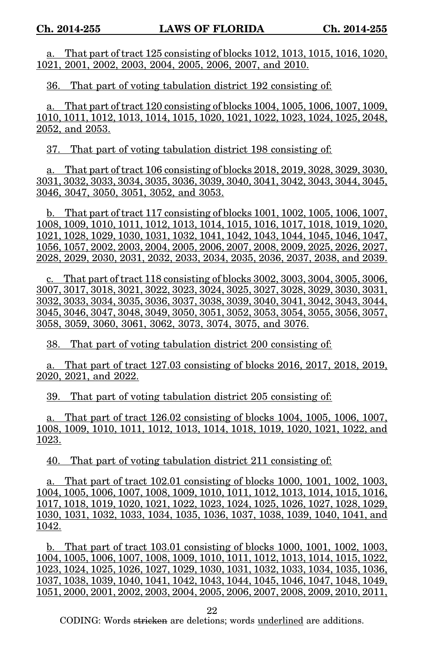That part of tract 125 consisting of blocks 1012, 1013, 1015, 1016, 1020, 1021, 2001, 2002, 2003, 2004, 2005, 2006, 2007, and 2010.

36. That part of voting tabulation district 192 consisting of:

a. That part of tract 120 consisting of blocks 1004, 1005, 1006, 1007, 1009, 1010, 1011, 1012, 1013, 1014, 1015, 1020, 1021, 1022, 1023, 1024, 1025, 2048, 2052, and 2053.

37. That part of voting tabulation district 198 consisting of:

a. That part of tract 106 consisting of blocks 2018, 2019, 3028, 3029, 3030, 3031, 3032, 3033, 3034, 3035, 3036, 3039, 3040, 3041, 3042, 3043, 3044, 3045, 3046, 3047, 3050, 3051, 3052, and 3053.

b. That part of tract 117 consisting of blocks 1001, 1002, 1005, 1006, 1007, 1008, 1009, 1010, 1011, 1012, 1013, 1014, 1015, 1016, 1017, 1018, 1019, 1020, 1021, 1028, 1029, 1030, 1031, 1032, 1041, 1042, 1043, 1044, 1045, 1046, 1047, 1056, 1057, 2002, 2003, 2004, 2005, 2006, 2007, 2008, 2009, 2025, 2026, 2027, 2028, 2029, 2030, 2031, 2032, 2033, 2034, 2035, 2036, 2037, 2038, and 2039.

c. That part of tract 118 consisting of blocks 3002, 3003, 3004, 3005, 3006, 3007, 3017, 3018, 3021, 3022, 3023, 3024, 3025, 3027, 3028, 3029, 3030, 3031, 3032, 3033, 3034, 3035, 3036, 3037, 3038, 3039, 3040, 3041, 3042, 3043, 3044, 3045, 3046, 3047, 3048, 3049, 3050, 3051, 3052, 3053, 3054, 3055, 3056, 3057, 3058, 3059, 3060, 3061, 3062, 3073, 3074, 3075, and 3076.

38. That part of voting tabulation district 200 consisting of:

a. That part of tract 127.03 consisting of blocks 2016, 2017, 2018, 2019, 2020, 2021, and 2022.

39. That part of voting tabulation district 205 consisting of:

a. That part of tract 126.02 consisting of blocks 1004, 1005, 1006, 1007, 1008, 1009, 1010, 1011, 1012, 1013, 1014, 1018, 1019, 1020, 1021, 1022, and 1023.

40. That part of voting tabulation district 211 consisting of:

a. That part of tract 102.01 consisting of blocks 1000, 1001, 1002, 1003, 1004, 1005, 1006, 1007, 1008, 1009, 1010, 1011, 1012, 1013, 1014, 1015, 1016, 1017, 1018, 1019, 1020, 1021, 1022, 1023, 1024, 1025, 1026, 1027, 1028, 1029, 1030, 1031, 1032, 1033, 1034, 1035, 1036, 1037, 1038, 1039, 1040, 1041, and 1042.

b. That part of tract 103.01 consisting of blocks 1000, 1001, 1002, 1003, 1004, 1005, 1006, 1007, 1008, 1009, 1010, 1011, 1012, 1013, 1014, 1015, 1022, 1023, 1024, 1025, 1026, 1027, 1029, 1030, 1031, 1032, 1033, 1034, 1035, 1036, 1037, 1038, 1039, 1040, 1041, 1042, 1043, 1044, 1045, 1046, 1047, 1048, 1049, 1051, 2000, 2001, 2002, 2003, 2004, 2005, 2006, 2007, 2008, 2009, 2010, 2011,

22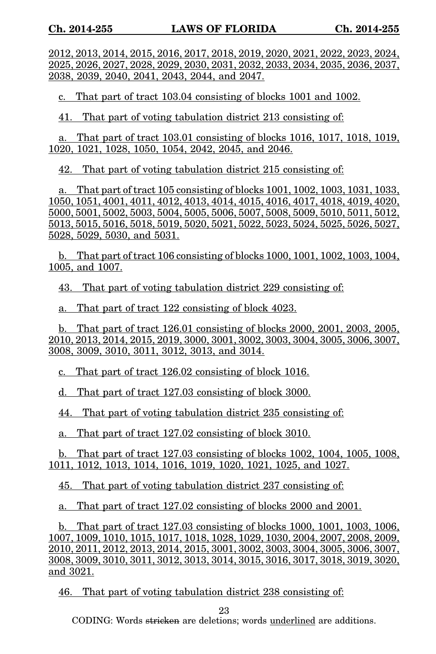2012, 2013, 2014, 2015, 2016, 2017, 2018, 2019, 2020, 2021, 2022, 2023, 2024, 2025, 2026, 2027, 2028, 2029, 2030, 2031, 2032, 2033, 2034, 2035, 2036, 2037, 2038, 2039, 2040, 2041, 2043, 2044, and 2047.

c. That part of tract 103.04 consisting of blocks 1001 and 1002.

41. That part of voting tabulation district 213 consisting of:

a. That part of tract 103.01 consisting of blocks 1016, 1017, 1018, 1019, 1020, 1021, 1028, 1050, 1054, 2042, 2045, and 2046.

42. That part of voting tabulation district 215 consisting of:

a. That part of tract 105 consisting of blocks 1001, 1002, 1003, 1031, 1033, 1050, 1051, 4001, 4011, 4012, 4013, 4014, 4015, 4016, 4017, 4018, 4019, 4020, 5000, 5001, 5002, 5003, 5004, 5005, 5006, 5007, 5008, 5009, 5010, 5011, 5012, 5013, 5015, 5016, 5018, 5019, 5020, 5021, 5022, 5023, 5024, 5025, 5026, 5027, 5028, 5029, 5030, and 5031.

b. That part of tract 106 consisting of blocks 1000, 1001, 1002, 1003, 1004, 1005, and 1007.

43. That part of voting tabulation district 229 consisting of:

a. That part of tract 122 consisting of block 4023.

b. That part of tract 126.01 consisting of blocks 2000, 2001, 2003, 2005, 2010, 2013, 2014, 2015, 2019, 3000, 3001, 3002, 3003, 3004, 3005, 3006, 3007, 3008, 3009, 3010, 3011, 3012, 3013, and 3014.

c. That part of tract 126.02 consisting of block 1016.

d. That part of tract 127.03 consisting of block 3000.

44. That part of voting tabulation district 235 consisting of:

a. That part of tract 127.02 consisting of block 3010.

b. That part of tract 127.03 consisting of blocks 1002, 1004, 1005, 1008, 1011, 1012, 1013, 1014, 1016, 1019, 1020, 1021, 1025, and 1027.

45. That part of voting tabulation district 237 consisting of:

a. That part of tract 127.02 consisting of blocks 2000 and 2001.

b. That part of tract 127.03 consisting of blocks 1000, 1001, 1003, 1006, 1007, 1009, 1010, 1015, 1017, 1018, 1028, 1029, 1030, 2004, 2007, 2008, 2009, 2010, 2011, 2012, 2013, 2014, 2015, 3001, 3002, 3003, 3004, 3005, 3006, 3007, 3008, 3009, 3010, 3011, 3012, 3013, 3014, 3015, 3016, 3017, 3018, 3019, 3020, and 3021.

46. That part of voting tabulation district 238 consisting of:

23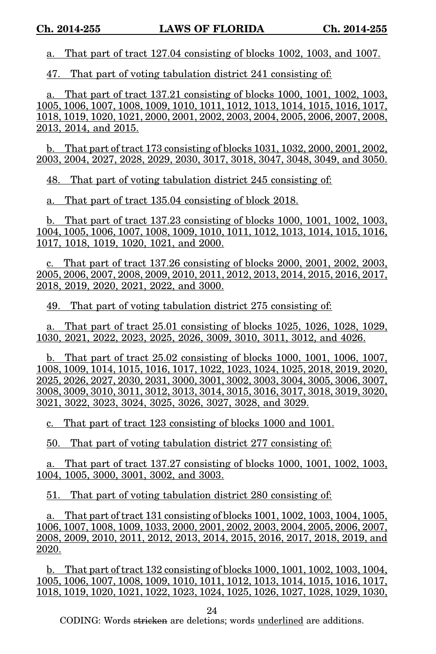a. That part of tract 127.04 consisting of blocks 1002, 1003, and 1007.

47. That part of voting tabulation district 241 consisting of:

a. That part of tract 137.21 consisting of blocks 1000, 1001, 1002, 1003, 1005, 1006, 1007, 1008, 1009, 1010, 1011, 1012, 1013, 1014, 1015, 1016, 1017, 1018, 1019, 1020, 1021, 2000, 2001, 2002, 2003, 2004, 2005, 2006, 2007, 2008, 2013, 2014, and 2015.

b. That part of tract 173 consisting of blocks 1031, 1032, 2000, 2001, 2002, 2003, 2004, 2027, 2028, 2029, 2030, 3017, 3018, 3047, 3048, 3049, and 3050.

48. That part of voting tabulation district 245 consisting of:

a. That part of tract 135.04 consisting of block 2018.

b. That part of tract 137.23 consisting of blocks 1000, 1001, 1002, 1003, 1004, 1005, 1006, 1007, 1008, 1009, 1010, 1011, 1012, 1013, 1014, 1015, 1016, 1017, 1018, 1019, 1020, 1021, and 2000.

c. That part of tract 137.26 consisting of blocks 2000, 2001, 2002, 2003, 2005, 2006, 2007, 2008, 2009, 2010, 2011, 2012, 2013, 2014, 2015, 2016, 2017, 2018, 2019, 2020, 2021, 2022, and 3000.

49. That part of voting tabulation district 275 consisting of:

a. That part of tract 25.01 consisting of blocks 1025, 1026, 1028, 1029, 1030, 2021, 2022, 2023, 2025, 2026, 3009, 3010, 3011, 3012, and 4026.

b. That part of tract 25.02 consisting of blocks 1000, 1001, 1006, 1007, 1008, 1009, 1014, 1015, 1016, 1017, 1022, 1023, 1024, 1025, 2018, 2019, 2020, 2025, 2026, 2027, 2030, 2031, 3000, 3001, 3002, 3003, 3004, 3005, 3006, 3007, 3008, 3009, 3010, 3011, 3012, 3013, 3014, 3015, 3016, 3017, 3018, 3019, 3020, 3021, 3022, 3023, 3024, 3025, 3026, 3027, 3028, and 3029.

c. That part of tract 123 consisting of blocks 1000 and 1001.

50. That part of voting tabulation district 277 consisting of:

a. That part of tract 137.27 consisting of blocks 1000, 1001, 1002, 1003, 1004, 1005, 3000, 3001, 3002, and 3003.

51. That part of voting tabulation district 280 consisting of:

a. That part of tract 131 consisting of blocks 1001, 1002, 1003, 1004, 1005, 1006, 1007, 1008, 1009, 1033, 2000, 2001, 2002, 2003, 2004, 2005, 2006, 2007, 2008, 2009, 2010, 2011, 2012, 2013, 2014, 2015, 2016, 2017, 2018, 2019, and 2020.

b. That part of tract 132 consisting of blocks 1000, 1001, 1002, 1003, 1004, 1005, 1006, 1007, 1008, 1009, 1010, 1011, 1012, 1013, 1014, 1015, 1016, 1017, 1018, 1019, 1020, 1021, 1022, 1023, 1024, 1025, 1026, 1027, 1028, 1029, 1030,

24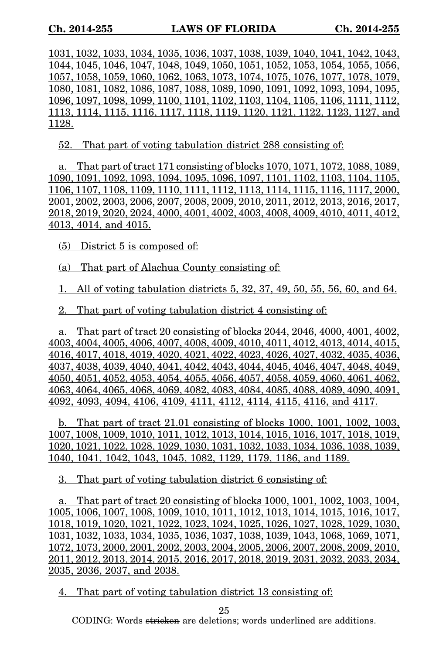1031, 1032, 1033, 1034, 1035, 1036, 1037, 1038, 1039, 1040, 1041, 1042, 1043, 1044, 1045, 1046, 1047, 1048, 1049, 1050, 1051, 1052, 1053, 1054, 1055, 1056, 1057, 1058, 1059, 1060, 1062, 1063, 1073, 1074, 1075, 1076, 1077, 1078, 1079, 1080, 1081, 1082, 1086, 1087, 1088, 1089, 1090, 1091, 1092, 1093, 1094, 1095, 1096, 1097, 1098, 1099, 1100, 1101, 1102, 1103, 1104, 1105, 1106, 1111, 1112, 1113, 1114, 1115, 1116, 1117, 1118, 1119, 1120, 1121, 1122, 1123, 1127, and 1128.

52. That part of voting tabulation district 288 consisting of:

a. That part of tract 171 consisting of blocks 1070, 1071, 1072, 1088, 1089, 1090, 1091, 1092, 1093, 1094, 1095, 1096, 1097, 1101, 1102, 1103, 1104, 1105, 1106, 1107, 1108, 1109, 1110, 1111, 1112, 1113, 1114, 1115, 1116, 1117, 2000, 2001, 2002, 2003, 2006, 2007, 2008, 2009, 2010, 2011, 2012, 2013, 2016, 2017, 2018, 2019, 2020, 2024, 4000, 4001, 4002, 4003, 4008, 4009, 4010, 4011, 4012, 4013, 4014, and 4015.

(5) District 5 is composed of:

(a) That part of Alachua County consisting of:

1. All of voting tabulation districts 5, 32, 37, 49, 50, 55, 56, 60, and 64.

2. That part of voting tabulation district 4 consisting of:

a. That part of tract 20 consisting of blocks 2044, 2046, 4000, 4001, 4002, 4003, 4004, 4005, 4006, 4007, 4008, 4009, 4010, 4011, 4012, 4013, 4014, 4015, 4016, 4017, 4018, 4019, 4020, 4021, 4022, 4023, 4026, 4027, 4032, 4035, 4036, 4037, 4038, 4039, 4040, 4041, 4042, 4043, 4044, 4045, 4046, 4047, 4048, 4049, 4050, 4051, 4052, 4053, 4054, 4055, 4056, 4057, 4058, 4059, 4060, 4061, 4062, 4063, 4064, 4065, 4068, 4069, 4082, 4083, 4084, 4085, 4088, 4089, 4090, 4091, 4092, 4093, 4094, 4106, 4109, 4111, 4112, 4114, 4115, 4116, and 4117.

b. That part of tract 21.01 consisting of blocks 1000, 1001, 1002, 1003, 1007, 1008, 1009, 1010, 1011, 1012, 1013, 1014, 1015, 1016, 1017, 1018, 1019, 1020, 1021, 1022, 1028, 1029, 1030, 1031, 1032, 1033, 1034, 1036, 1038, 1039, 1040, 1041, 1042, 1043, 1045, 1082, 1129, 1179, 1186, and 1189.

3. That part of voting tabulation district 6 consisting of:

a. That part of tract 20 consisting of blocks 1000, 1001, 1002, 1003, 1004, 1005, 1006, 1007, 1008, 1009, 1010, 1011, 1012, 1013, 1014, 1015, 1016, 1017, 1018, 1019, 1020, 1021, 1022, 1023, 1024, 1025, 1026, 1027, 1028, 1029, 1030, 1031, 1032, 1033, 1034, 1035, 1036, 1037, 1038, 1039, 1043, 1068, 1069, 1071, 1072, 1073, 2000, 2001, 2002, 2003, 2004, 2005, 2006, 2007, 2008, 2009, 2010, 2011, 2012, 2013, 2014, 2015, 2016, 2017, 2018, 2019, 2031, 2032, 2033, 2034, 2035, 2036, 2037, and 2038.

4. That part of voting tabulation district 13 consisting of:

25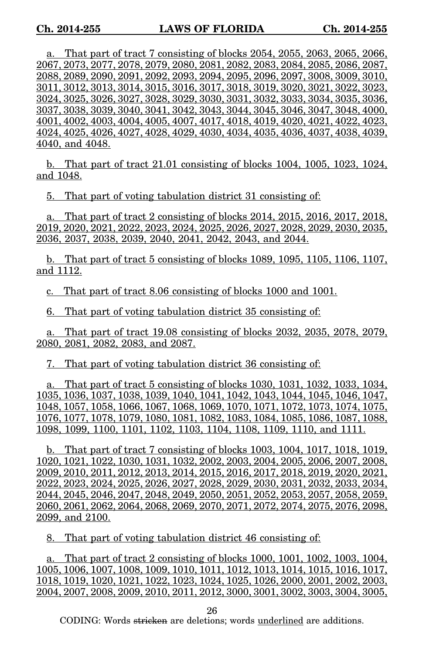That part of tract 7 consisting of blocks 2054, 2055, 2063, 2065, 2066, 2067, 2073, 2077, 2078, 2079, 2080, 2081, 2082, 2083, 2084, 2085, 2086, 2087, 2088, 2089, 2090, 2091, 2092, 2093, 2094, 2095, 2096, 2097, 3008, 3009, 3010, 3011, 3012, 3013, 3014, 3015, 3016, 3017, 3018, 3019, 3020, 3021, 3022, 3023, 3024, 3025, 3026, 3027, 3028, 3029, 3030, 3031, 3032, 3033, 3034, 3035, 3036, 3037, 3038, 3039, 3040, 3041, 3042, 3043, 3044, 3045, 3046, 3047, 3048, 4000, 4001, 4002, 4003, 4004, 4005, 4007, 4017, 4018, 4019, 4020, 4021, 4022, 4023, 4024, 4025, 4026, 4027, 4028, 4029, 4030, 4034, 4035, 4036, 4037, 4038, 4039, 4040, and 4048.

b. That part of tract 21.01 consisting of blocks 1004, 1005, 1023, 1024, and 1048.

5. That part of voting tabulation district 31 consisting of:

a. That part of tract 2 consisting of blocks 2014, 2015, 2016, 2017, 2018, 2019, 2020, 2021, 2022, 2023, 2024, 2025, 2026, 2027, 2028, 2029, 2030, 2035, 2036, 2037, 2038, 2039, 2040, 2041, 2042, 2043, and 2044.

b. That part of tract 5 consisting of blocks 1089, 1095, 1105, 1106, 1107, and 1112.

c. That part of tract 8.06 consisting of blocks 1000 and 1001.

6. That part of voting tabulation district 35 consisting of:

a. That part of tract 19.08 consisting of blocks 2032, 2035, 2078, 2079, 2080, 2081, 2082, 2083, and 2087.

7. That part of voting tabulation district 36 consisting of:

a. That part of tract 5 consisting of blocks 1030, 1031, 1032, 1033, 1034, 1035, 1036, 1037, 1038, 1039, 1040, 1041, 1042, 1043, 1044, 1045, 1046, 1047, 1048, 1057, 1058, 1066, 1067, 1068, 1069, 1070, 1071, 1072, 1073, 1074, 1075, 1076, 1077, 1078, 1079, 1080, 1081, 1082, 1083, 1084, 1085, 1086, 1087, 1088, 1098, 1099, 1100, 1101, 1102, 1103, 1104, 1108, 1109, 1110, and 1111.

b. That part of tract 7 consisting of blocks 1003, 1004, 1017, 1018, 1019, 1020, 1021, 1022, 1030, 1031, 1032, 2002, 2003, 2004, 2005, 2006, 2007, 2008, 2009, 2010, 2011, 2012, 2013, 2014, 2015, 2016, 2017, 2018, 2019, 2020, 2021, 2022, 2023, 2024, 2025, 2026, 2027, 2028, 2029, 2030, 2031, 2032, 2033, 2034, 2044, 2045, 2046, 2047, 2048, 2049, 2050, 2051, 2052, 2053, 2057, 2058, 2059, 2060, 2061, 2062, 2064, 2068, 2069, 2070, 2071, 2072, 2074, 2075, 2076, 2098, 2099, and 2100.

8. That part of voting tabulation district 46 consisting of:

a. That part of tract 2 consisting of blocks 1000, 1001, 1002, 1003, 1004, 1005, 1006, 1007, 1008, 1009, 1010, 1011, 1012, 1013, 1014, 1015, 1016, 1017, 1018, 1019, 1020, 1021, 1022, 1023, 1024, 1025, 1026, 2000, 2001, 2002, 2003, 2004, 2007, 2008, 2009, 2010, 2011, 2012, 3000, 3001, 3002, 3003, 3004, 3005,

26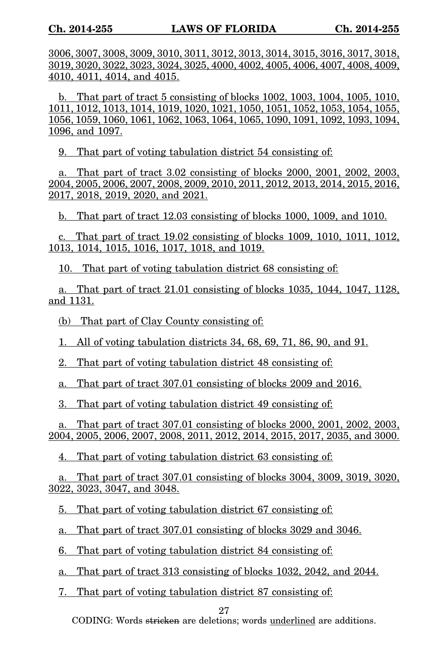3006, 3007, 3008, 3009, 3010, 3011, 3012, 3013, 3014, 3015, 3016, 3017, 3018, 3019, 3020, 3022, 3023, 3024, 3025, 4000, 4002, 4005, 4006, 4007, 4008, 4009, 4010, 4011, 4014, and 4015.

b. That part of tract 5 consisting of blocks 1002, 1003, 1004, 1005, 1010, 1011, 1012, 1013, 1014, 1019, 1020, 1021, 1050, 1051, 1052, 1053, 1054, 1055, 1056, 1059, 1060, 1061, 1062, 1063, 1064, 1065, 1090, 1091, 1092, 1093, 1094, 1096, and 1097.

9. That part of voting tabulation district 54 consisting of:

a. That part of tract 3.02 consisting of blocks 2000, 2001, 2002, 2003, 2004, 2005, 2006, 2007, 2008, 2009, 2010, 2011, 2012, 2013, 2014, 2015, 2016, 2017, 2018, 2019, 2020, and 2021.

b. That part of tract 12.03 consisting of blocks 1000, 1009, and 1010.

That part of tract 19.02 consisting of blocks 1009, 1010, 1011, 1012, 1013, 1014, 1015, 1016, 1017, 1018, and 1019.

10. That part of voting tabulation district 68 consisting of:

a. That part of tract 21.01 consisting of blocks 1035, 1044, 1047, 1128, and 1131.

(b) That part of Clay County consisting of:

1. All of voting tabulation districts 34, 68, 69, 71, 86, 90, and 91.

2. That part of voting tabulation district 48 consisting of:

a. That part of tract 307.01 consisting of blocks 2009 and 2016.

3. That part of voting tabulation district 49 consisting of:

a. That part of tract 307.01 consisting of blocks 2000, 2001, 2002, 2003, 2004, 2005, 2006, 2007, 2008, 2011, 2012, 2014, 2015, 2017, 2035, and 3000.

4. That part of voting tabulation district 63 consisting of:

a. That part of tract 307.01 consisting of blocks 3004, 3009, 3019, 3020, 3022, 3023, 3047, and 3048.

5. That part of voting tabulation district 67 consisting of:

a. That part of tract 307.01 consisting of blocks 3029 and 3046.

6. That part of voting tabulation district 84 consisting of:

a. That part of tract 313 consisting of blocks 1032, 2042, and 2044.

7. That part of voting tabulation district 87 consisting of:

27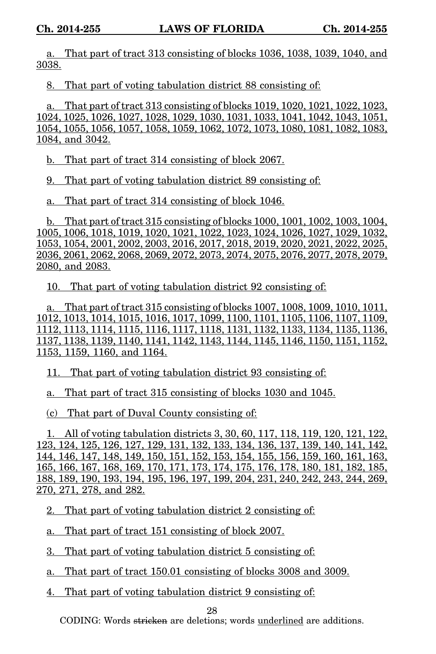That part of tract 313 consisting of blocks 1036, 1038, 1039, 1040, and 3038.

8. That part of voting tabulation district 88 consisting of:

That part of tract 313 consisting of blocks 1019, 1020, 1021, 1022, 1023, 1024, 1025, 1026, 1027, 1028, 1029, 1030, 1031, 1033, 1041, 1042, 1043, 1051, 1054, 1055, 1056, 1057, 1058, 1059, 1062, 1072, 1073, 1080, 1081, 1082, 1083, 1084, and 3042.

b. That part of tract 314 consisting of block 2067.

9. That part of voting tabulation district 89 consisting of:

a. That part of tract 314 consisting of block 1046.

b. That part of tract 315 consisting of blocks 1000, 1001, 1002, 1003, 1004, 1005, 1006, 1018, 1019, 1020, 1021, 1022, 1023, 1024, 1026, 1027, 1029, 1032, 1053, 1054, 2001, 2002, 2003, 2016, 2017, 2018, 2019, 2020, 2021, 2022, 2025, 2036, 2061, 2062, 2068, 2069, 2072, 2073, 2074, 2075, 2076, 2077, 2078, 2079, 2080, and 2083.

10. That part of voting tabulation district 92 consisting of:

a. That part of tract 315 consisting of blocks 1007, 1008, 1009, 1010, 1011, 1012, 1013, 1014, 1015, 1016, 1017, 1099, 1100, 1101, 1105, 1106, 1107, 1109, 1112, 1113, 1114, 1115, 1116, 1117, 1118, 1131, 1132, 1133, 1134, 1135, 1136, 1137, 1138, 1139, 1140, 1141, 1142, 1143, 1144, 1145, 1146, 1150, 1151, 1152, 1153, 1159, 1160, and 1164.

11. That part of voting tabulation district 93 consisting of:

a. That part of tract 315 consisting of blocks 1030 and 1045.

(c) That part of Duval County consisting of:

1. All of voting tabulation districts 3, 30, 60, 117, 118, 119, 120, 121, 122, 123, 124, 125, 126, 127, 129, 131, 132, 133, 134, 136, 137, 139, 140, 141, 142, 144, 146, 147, 148, 149, 150, 151, 152, 153, 154, 155, 156, 159, 160, 161, 163, 165, 166, 167, 168, 169, 170, 171, 173, 174, 175, 176, 178, 180, 181, 182, 185, 188, 189, 190, 193, 194, 195, 196, 197, 199, 204, 231, 240, 242, 243, 244, 269, 270, 271, 278, and 282.

2. That part of voting tabulation district 2 consisting of:

a. That part of tract 151 consisting of block 2007.

3. That part of voting tabulation district 5 consisting of:

a. That part of tract 150.01 consisting of blocks 3008 and 3009.

4. That part of voting tabulation district 9 consisting of:

28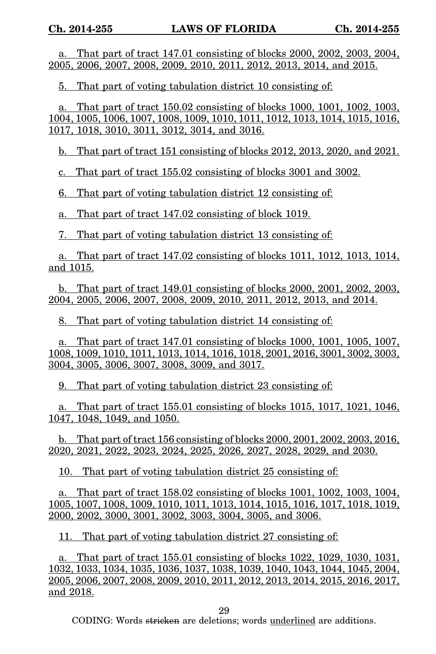That part of tract 147.01 consisting of blocks 2000, 2002, 2003, 2004, 2005, 2006, 2007, 2008, 2009, 2010, 2011, 2012, 2013, 2014, and 2015.

5. That part of voting tabulation district 10 consisting of:

a. That part of tract 150.02 consisting of blocks 1000, 1001, 1002, 1003, 1004, 1005, 1006, 1007, 1008, 1009, 1010, 1011, 1012, 1013, 1014, 1015, 1016, 1017, 1018, 3010, 3011, 3012, 3014, and 3016.

b. That part of tract 151 consisting of blocks 2012, 2013, 2020, and 2021.

c. That part of tract 155.02 consisting of blocks 3001 and 3002.

6. That part of voting tabulation district 12 consisting of:

a. That part of tract 147.02 consisting of block 1019.

7. That part of voting tabulation district 13 consisting of:

a. That part of tract 147.02 consisting of blocks 1011, 1012, 1013, 1014, and 1015.

b. That part of tract 149.01 consisting of blocks 2000, 2001, 2002, 2003, 2004, 2005, 2006, 2007, 2008, 2009, 2010, 2011, 2012, 2013, and 2014.

8. That part of voting tabulation district 14 consisting of:

a. That part of tract 147.01 consisting of blocks 1000, 1001, 1005, 1007, 1008, 1009, 1010, 1011, 1013, 1014, 1016, 1018, 2001, 2016, 3001, 3002, 3003, 3004, 3005, 3006, 3007, 3008, 3009, and 3017.

9. That part of voting tabulation district 23 consisting of:

a. That part of tract 155.01 consisting of blocks 1015, 1017, 1021, 1046, 1047, 1048, 1049, and 1050.

b. That part of tract 156 consisting of blocks 2000, 2001, 2002, 2003, 2016, 2020, 2021, 2022, 2023, 2024, 2025, 2026, 2027, 2028, 2029, and 2030.

10. That part of voting tabulation district 25 consisting of:

a. That part of tract 158.02 consisting of blocks 1001, 1002, 1003, 1004, 1005, 1007, 1008, 1009, 1010, 1011, 1013, 1014, 1015, 1016, 1017, 1018, 1019, 2000, 2002, 3000, 3001, 3002, 3003, 3004, 3005, and 3006.

11. That part of voting tabulation district 27 consisting of:

a. That part of tract 155.01 consisting of blocks 1022, 1029, 1030, 1031, 1032, 1033, 1034, 1035, 1036, 1037, 1038, 1039, 1040, 1043, 1044, 1045, 2004, 2005, 2006, 2007, 2008, 2009, 2010, 2011, 2012, 2013, 2014, 2015, 2016, 2017, and 2018.

29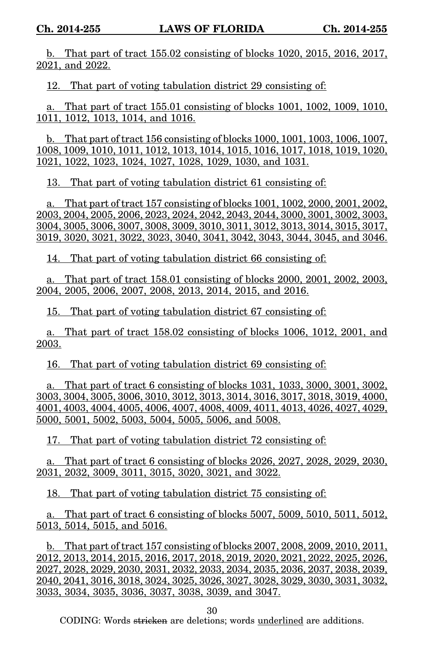b. That part of tract 155.02 consisting of blocks 1020, 2015, 2016, 2017, 2021, and 2022.

12. That part of voting tabulation district 29 consisting of:

a. That part of tract 155.01 consisting of blocks 1001, 1002, 1009, 1010, 1011, 1012, 1013, 1014, and 1016.

b. That part of tract 156 consisting of blocks 1000, 1001, 1003, 1006, 1007, 1008, 1009, 1010, 1011, 1012, 1013, 1014, 1015, 1016, 1017, 1018, 1019, 1020, 1021, 1022, 1023, 1024, 1027, 1028, 1029, 1030, and 1031.

13. That part of voting tabulation district 61 consisting of:

a. That part of tract 157 consisting of blocks 1001, 1002, 2000, 2001, 2002, 2003, 2004, 2005, 2006, 2023, 2024, 2042, 2043, 2044, 3000, 3001, 3002, 3003, 3004, 3005, 3006, 3007, 3008, 3009, 3010, 3011, 3012, 3013, 3014, 3015, 3017, 3019, 3020, 3021, 3022, 3023, 3040, 3041, 3042, 3043, 3044, 3045, and 3046.

14. That part of voting tabulation district 66 consisting of:

a. That part of tract 158.01 consisting of blocks 2000, 2001, 2002, 2003, 2004, 2005, 2006, 2007, 2008, 2013, 2014, 2015, and 2016.

15. That part of voting tabulation district 67 consisting of:

a. That part of tract 158.02 consisting of blocks 1006, 1012, 2001, and 2003.

16. That part of voting tabulation district 69 consisting of:

That part of tract 6 consisting of blocks 1031, 1033, 3000, 3001, 3002, 3003, 3004, 3005, 3006, 3010, 3012, 3013, 3014, 3016, 3017, 3018, 3019, 4000, 4001, 4003, 4004, 4005, 4006, 4007, 4008, 4009, 4011, 4013, 4026, 4027, 4029, 5000, 5001, 5002, 5003, 5004, 5005, 5006, and 5008.

17. That part of voting tabulation district 72 consisting of:

a. That part of tract 6 consisting of blocks 2026, 2027, 2028, 2029, 2030, 2031, 2032, 3009, 3011, 3015, 3020, 3021, and 3022.

18. That part of voting tabulation district 75 consisting of:

a. That part of tract 6 consisting of blocks 5007, 5009, 5010, 5011, 5012, 5013, 5014, 5015, and 5016.

b. That part of tract 157 consisting of blocks 2007, 2008, 2009, 2010, 2011, 2012, 2013, 2014, 2015, 2016, 2017, 2018, 2019, 2020, 2021, 2022, 2025, 2026, 2027, 2028, 2029, 2030, 2031, 2032, 2033, 2034, 2035, 2036, 2037, 2038, 2039, 2040, 2041, 3016, 3018, 3024, 3025, 3026, 3027, 3028, 3029, 3030, 3031, 3032, 3033, 3034, 3035, 3036, 3037, 3038, 3039, and 3047.

30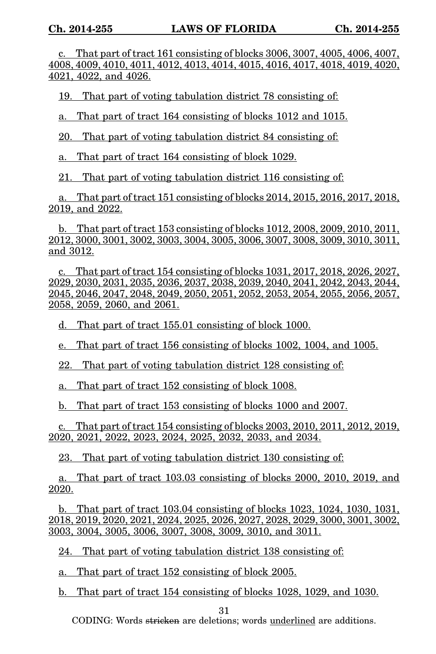c. That part of tract 161 consisting of blocks 3006, 3007, 4005, 4006, 4007, 4008, 4009, 4010, 4011, 4012, 4013, 4014, 4015, 4016, 4017, 4018, 4019, 4020, 4021, 4022, and 4026.

19. That part of voting tabulation district 78 consisting of:

a. That part of tract 164 consisting of blocks 1012 and 1015.

20. That part of voting tabulation district 84 consisting of:

a. That part of tract 164 consisting of block 1029.

21. That part of voting tabulation district 116 consisting of:

a. That part of tract 151 consisting of blocks 2014, 2015, 2016, 2017, 2018, 2019, and 2022.

b. That part of tract 153 consisting of blocks 1012, 2008, 2009, 2010, 2011, 2012, 3000, 3001, 3002, 3003, 3004, 3005, 3006, 3007, 3008, 3009, 3010, 3011, and 3012.

That part of tract 154 consisting of blocks 1031, 2017, 2018, 2026, 2027, 2029, 2030, 2031, 2035, 2036, 2037, 2038, 2039, 2040, 2041, 2042, 2043, 2044, 2045, 2046, 2047, 2048, 2049, 2050, 2051, 2052, 2053, 2054, 2055, 2056, 2057, 2058, 2059, 2060, and 2061.

d. That part of tract 155.01 consisting of block 1000.

e. That part of tract 156 consisting of blocks 1002, 1004, and 1005.

22. That part of voting tabulation district 128 consisting of:

a. That part of tract 152 consisting of block 1008.

b. That part of tract 153 consisting of blocks 1000 and 2007.

c. That part of tract 154 consisting of blocks 2003, 2010, 2011, 2012, 2019, 2020, 2021, 2022, 2023, 2024, 2025, 2032, 2033, and 2034.

23. That part of voting tabulation district 130 consisting of:

a. That part of tract 103.03 consisting of blocks 2000, 2010, 2019, and 2020.

b. That part of tract 103.04 consisting of blocks 1023, 1024, 1030, 1031, 2018, 2019, 2020, 2021, 2024, 2025, 2026, 2027, 2028, 2029, 3000, 3001, 3002, 3003, 3004, 3005, 3006, 3007, 3008, 3009, 3010, and 3011.

24. That part of voting tabulation district 138 consisting of:

a. That part of tract 152 consisting of block 2005.

b. That part of tract 154 consisting of blocks 1028, 1029, and 1030.

31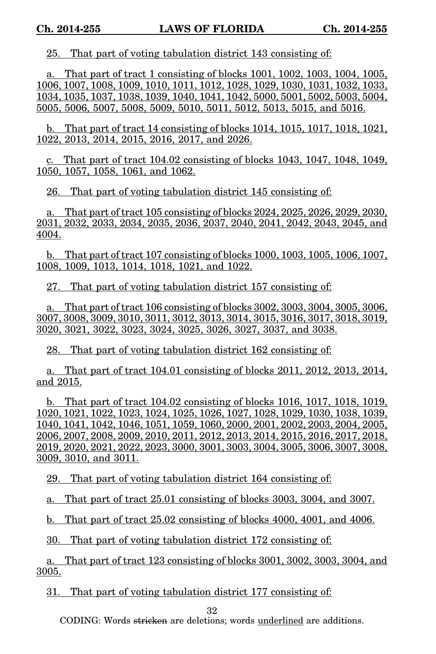25. That part of voting tabulation district 143 consisting of:

a. That part of tract 1 consisting of blocks 1001, 1002, 1003, 1004, 1005, 1006, 1007, 1008, 1009, 1010, 1011, 1012, 1028, 1029, 1030, 1031, 1032, 1033, 1034, 1035, 1037, 1038, 1039, 1040, 1041, 1042, 5000, 5001, 5002, 5003, 5004, 5005, 5006, 5007, 5008, 5009, 5010, 5011, 5012, 5013, 5015, and 5016.

b. That part of tract 14 consisting of blocks 1014, 1015, 1017, 1018, 1021, 1022, 2013, 2014, 2015, 2016, 2017, and 2026.

That part of tract 104.02 consisting of blocks 1043, 1047, 1048, 1049, 1050, 1057, 1058, 1061, and 1062.

26. That part of voting tabulation district 145 consisting of:

a. That part of tract 105 consisting of blocks 2024, 2025, 2026, 2029, 2030, 2031, 2032, 2033, 2034, 2035, 2036, 2037, 2040, 2041, 2042, 2043, 2045, and 4004.

b. That part of tract 107 consisting of blocks 1000, 1003, 1005, 1006, 1007, 1008, 1009, 1013, 1014, 1018, 1021, and 1022.

27. That part of voting tabulation district 157 consisting of:

a. That part of tract 106 consisting of blocks 3002, 3003, 3004, 3005, 3006, 3007, 3008, 3009, 3010, 3011, 3012, 3013, 3014, 3015, 3016, 3017, 3018, 3019, 3020, 3021, 3022, 3023, 3024, 3025, 3026, 3027, 3037, and 3038.

28. That part of voting tabulation district 162 consisting of:

a. That part of tract 104.01 consisting of blocks 2011, 2012, 2013, 2014, and 2015.

b. That part of tract 104.02 consisting of blocks 1016, 1017, 1018, 1019, 1020, 1021, 1022, 1023, 1024, 1025, 1026, 1027, 1028, 1029, 1030, 1038, 1039, 1040, 1041, 1042, 1046, 1051, 1059, 1060, 2000, 2001, 2002, 2003, 2004, 2005, 2006, 2007, 2008, 2009, 2010, 2011, 2012, 2013, 2014, 2015, 2016, 2017, 2018, 2019, 2020, 2021, 2022, 2023, 3000, 3001, 3003, 3004, 3005, 3006, 3007, 3008, 3009, 3010, and 3011.

29. That part of voting tabulation district 164 consisting of:

a. That part of tract 25.01 consisting of blocks 3003, 3004, and 3007.

b. That part of tract 25.02 consisting of blocks 4000, 4001, and 4006.

30. That part of voting tabulation district 172 consisting of:

a. That part of tract 123 consisting of blocks 3001, 3002, 3003, 3004, and 3005.

31. That part of voting tabulation district 177 consisting of:

32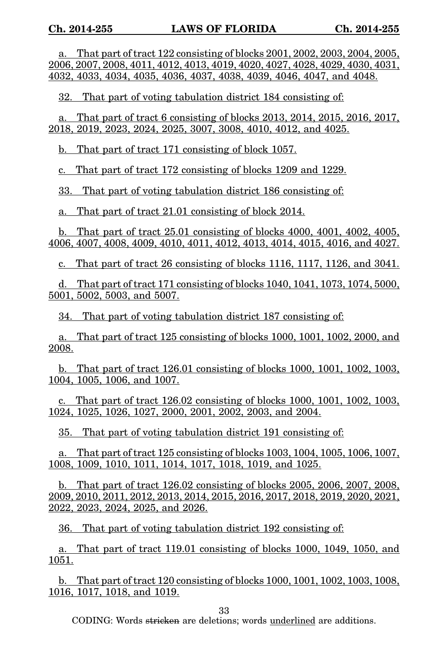That part of tract 122 consisting of blocks 2001, 2002, 2003, 2004, 2005, 2006, 2007, 2008, 4011, 4012, 4013, 4019, 4020, 4027, 4028, 4029, 4030, 4031, 4032, 4033, 4034, 4035, 4036, 4037, 4038, 4039, 4046, 4047, and 4048.

32. That part of voting tabulation district 184 consisting of:

a. That part of tract 6 consisting of blocks 2013, 2014, 2015, 2016, 2017, 2018, 2019, 2023, 2024, 2025, 3007, 3008, 4010, 4012, and 4025.

b. That part of tract 171 consisting of block 1057.

c. That part of tract 172 consisting of blocks 1209 and 1229.

33. That part of voting tabulation district 186 consisting of:

a. That part of tract 21.01 consisting of block 2014.

b. That part of tract 25.01 consisting of blocks 4000, 4001, 4002, 4005, 4006, 4007, 4008, 4009, 4010, 4011, 4012, 4013, 4014, 4015, 4016, and 4027.

c. That part of tract 26 consisting of blocks 1116, 1117, 1126, and 3041.

d. That part of tract 171 consisting of blocks 1040, 1041, 1073, 1074, 5000, 5001, 5002, 5003, and 5007.

34. That part of voting tabulation district 187 consisting of:

a. That part of tract 125 consisting of blocks 1000, 1001, 1002, 2000, and 2008.

b. That part of tract 126.01 consisting of blocks 1000, 1001, 1002, 1003, 1004, 1005, 1006, and 1007.

c. That part of tract 126.02 consisting of blocks 1000, 1001, 1002, 1003, 1024, 1025, 1026, 1027, 2000, 2001, 2002, 2003, and 2004.

35. That part of voting tabulation district 191 consisting of:

a. That part of tract 125 consisting of blocks 1003, 1004, 1005, 1006, 1007, 1008, 1009, 1010, 1011, 1014, 1017, 1018, 1019, and 1025.

b. That part of tract 126.02 consisting of blocks 2005, 2006, 2007, 2008, 2009, 2010, 2011, 2012, 2013, 2014, 2015, 2016, 2017, 2018, 2019, 2020, 2021, 2022, 2023, 2024, 2025, and 2026.

36. That part of voting tabulation district 192 consisting of:

a. That part of tract 119.01 consisting of blocks 1000, 1049, 1050, and 1051.

b. That part of tract 120 consisting of blocks 1000, 1001, 1002, 1003, 1008, 1016, 1017, 1018, and 1019.

33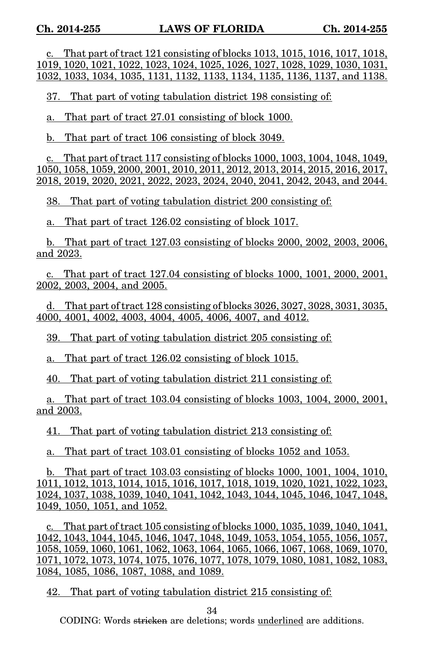c. That part of tract 121 consisting of blocks 1013, 1015, 1016, 1017, 1018, 1019, 1020, 1021, 1022, 1023, 1024, 1025, 1026, 1027, 1028, 1029, 1030, 1031, 1032, 1033, 1034, 1035, 1131, 1132, 1133, 1134, 1135, 1136, 1137, and 1138.

37. That part of voting tabulation district 198 consisting of:

a. That part of tract 27.01 consisting of block 1000.

b. That part of tract 106 consisting of block 3049.

c. That part of tract 117 consisting of blocks 1000, 1003, 1004, 1048, 1049, 1050, 1058, 1059, 2000, 2001, 2010, 2011, 2012, 2013, 2014, 2015, 2016, 2017, 2018, 2019, 2020, 2021, 2022, 2023, 2024, 2040, 2041, 2042, 2043, and 2044.

38. That part of voting tabulation district 200 consisting of:

a. That part of tract 126.02 consisting of block 1017.

b. That part of tract 127.03 consisting of blocks 2000, 2002, 2003, 2006, and 2023.

c. That part of tract 127.04 consisting of blocks 1000, 1001, 2000, 2001, 2002, 2003, 2004, and 2005.

d. That part of tract 128 consisting of blocks 3026, 3027, 3028, 3031, 3035, 4000, 4001, 4002, 4003, 4004, 4005, 4006, 4007, and 4012.

39. That part of voting tabulation district 205 consisting of:

a. That part of tract 126.02 consisting of block 1015.

40. That part of voting tabulation district 211 consisting of:

a. That part of tract 103.04 consisting of blocks 1003, 1004, 2000, 2001, and 2003.

41. That part of voting tabulation district 213 consisting of:

a. That part of tract 103.01 consisting of blocks 1052 and 1053.

b. That part of tract 103.03 consisting of blocks 1000, 1001, 1004, 1010, 1011, 1012, 1013, 1014, 1015, 1016, 1017, 1018, 1019, 1020, 1021, 1022, 1023, 1024, 1037, 1038, 1039, 1040, 1041, 1042, 1043, 1044, 1045, 1046, 1047, 1048, 1049, 1050, 1051, and 1052.

c. That part of tract 105 consisting of blocks 1000, 1035, 1039, 1040, 1041, 1042, 1043, 1044, 1045, 1046, 1047, 1048, 1049, 1053, 1054, 1055, 1056, 1057, 1058, 1059, 1060, 1061, 1062, 1063, 1064, 1065, 1066, 1067, 1068, 1069, 1070, 1071, 1072, 1073, 1074, 1075, 1076, 1077, 1078, 1079, 1080, 1081, 1082, 1083, 1084, 1085, 1086, 1087, 1088, and 1089.

42. That part of voting tabulation district 215 consisting of:

34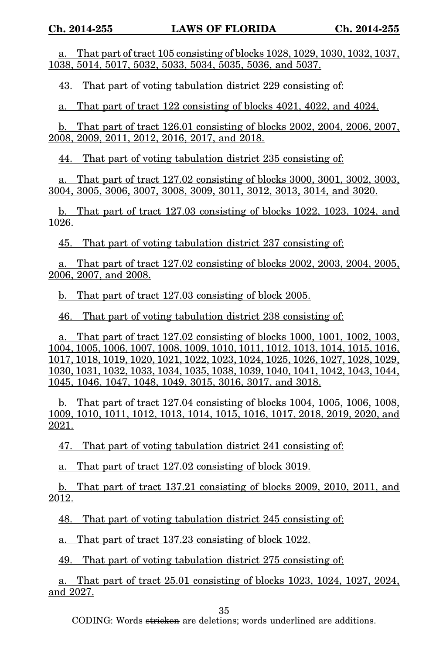That part of tract 105 consisting of blocks 1028, 1029, 1030, 1032, 1037, 1038, 5014, 5017, 5032, 5033, 5034, 5035, 5036, and 5037.

43. That part of voting tabulation district 229 consisting of:

a. That part of tract 122 consisting of blocks 4021, 4022, and 4024.

b. That part of tract 126.01 consisting of blocks 2002, 2004, 2006, 2007, 2008, 2009, 2011, 2012, 2016, 2017, and 2018.

44. That part of voting tabulation district 235 consisting of:

a. That part of tract 127.02 consisting of blocks 3000, 3001, 3002, 3003, 3004, 3005, 3006, 3007, 3008, 3009, 3011, 3012, 3013, 3014, and 3020.

b. That part of tract 127.03 consisting of blocks 1022, 1023, 1024, and 1026.

45. That part of voting tabulation district 237 consisting of:

a. That part of tract 127.02 consisting of blocks 2002, 2003, 2004, 2005, 2006, 2007, and 2008.

b. That part of tract 127.03 consisting of block 2005.

46. That part of voting tabulation district 238 consisting of:

a. That part of tract 127.02 consisting of blocks 1000, 1001, 1002, 1003, 1004, 1005, 1006, 1007, 1008, 1009, 1010, 1011, 1012, 1013, 1014, 1015, 1016, 1017, 1018, 1019, 1020, 1021, 1022, 1023, 1024, 1025, 1026, 1027, 1028, 1029, 1030, 1031, 1032, 1033, 1034, 1035, 1038, 1039, 1040, 1041, 1042, 1043, 1044, 1045, 1046, 1047, 1048, 1049, 3015, 3016, 3017, and 3018.

b. That part of tract 127.04 consisting of blocks 1004, 1005, 1006, 1008, 1009, 1010, 1011, 1012, 1013, 1014, 1015, 1016, 1017, 2018, 2019, 2020, and 2021.

47. That part of voting tabulation district 241 consisting of:

a. That part of tract 127.02 consisting of block 3019.

b. That part of tract 137.21 consisting of blocks 2009, 2010, 2011, and 2012.

48. That part of voting tabulation district 245 consisting of:

a. That part of tract 137.23 consisting of block 1022.

49. That part of voting tabulation district 275 consisting of:

a. That part of tract 25.01 consisting of blocks 1023, 1024, 1027, 2024, and 2027.

35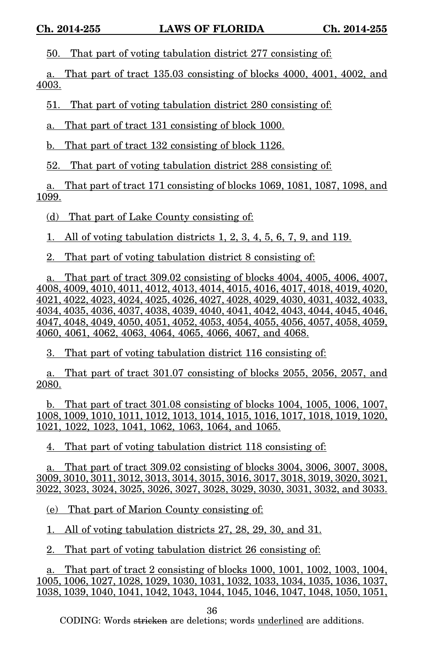50. That part of voting tabulation district 277 consisting of:

a. That part of tract 135.03 consisting of blocks 4000, 4001, 4002, and 4003.

51. That part of voting tabulation district 280 consisting of:

a. That part of tract 131 consisting of block 1000.

b. That part of tract 132 consisting of block 1126.

52. That part of voting tabulation district 288 consisting of:

a. That part of tract 171 consisting of blocks 1069, 1081, 1087, 1098, and 1099.

(d) That part of Lake County consisting of:

1. All of voting tabulation districts 1, 2, 3, 4, 5, 6, 7, 9, and 119.

2. That part of voting tabulation district 8 consisting of:

a. That part of tract 309.02 consisting of blocks 4004, 4005, 4006, 4007, 4008, 4009, 4010, 4011, 4012, 4013, 4014, 4015, 4016, 4017, 4018, 4019, 4020, 4021, 4022, 4023, 4024, 4025, 4026, 4027, 4028, 4029, 4030, 4031, 4032, 4033, 4034, 4035, 4036, 4037, 4038, 4039, 4040, 4041, 4042, 4043, 4044, 4045, 4046, 4047, 4048, 4049, 4050, 4051, 4052, 4053, 4054, 4055, 4056, 4057, 4058, 4059, 4060, 4061, 4062, 4063, 4064, 4065, 4066, 4067, and 4068.

3. That part of voting tabulation district 116 consisting of:

a. That part of tract 301.07 consisting of blocks 2055, 2056, 2057, and 2080.

b. That part of tract 301.08 consisting of blocks 1004, 1005, 1006, 1007, 1008, 1009, 1010, 1011, 1012, 1013, 1014, 1015, 1016, 1017, 1018, 1019, 1020, 1021, 1022, 1023, 1041, 1062, 1063, 1064, and 1065.

4. That part of voting tabulation district 118 consisting of:

That part of tract 309.02 consisting of blocks 3004, 3006, 3007, 3008, 3009, 3010, 3011, 3012, 3013, 3014, 3015, 3016, 3017, 3018, 3019, 3020, 3021, 3022, 3023, 3024, 3025, 3026, 3027, 3028, 3029, 3030, 3031, 3032, and 3033.

(e) That part of Marion County consisting of:

1. All of voting tabulation districts 27, 28, 29, 30, and 31.

2. That part of voting tabulation district 26 consisting of:

a. That part of tract 2 consisting of blocks 1000, 1001, 1002, 1003, 1004, 1005, 1006, 1027, 1028, 1029, 1030, 1031, 1032, 1033, 1034, 1035, 1036, 1037, 1038, 1039, 1040, 1041, 1042, 1043, 1044, 1045, 1046, 1047, 1048, 1050, 1051,

36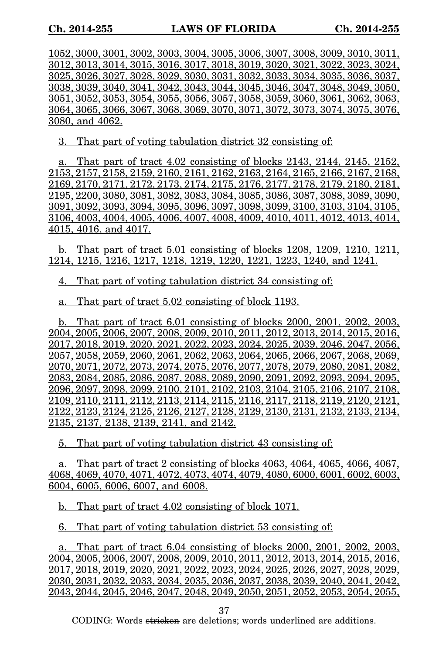1052, 3000, 3001, 3002, 3003, 3004, 3005, 3006, 3007, 3008, 3009, 3010, 3011, 3012, 3013, 3014, 3015, 3016, 3017, 3018, 3019, 3020, 3021, 3022, 3023, 3024, 3025, 3026, 3027, 3028, 3029, 3030, 3031, 3032, 3033, 3034, 3035, 3036, 3037, 3038, 3039, 3040, 3041, 3042, 3043, 3044, 3045, 3046, 3047, 3048, 3049, 3050, 3051, 3052, 3053, 3054, 3055, 3056, 3057, 3058, 3059, 3060, 3061, 3062, 3063, 3064, 3065, 3066, 3067, 3068, 3069, 3070, 3071, 3072, 3073, 3074, 3075, 3076, 3080, and 4062.

3. That part of voting tabulation district 32 consisting of:

a. That part of tract 4.02 consisting of blocks 2143, 2144, 2145, 2152, 2153, 2157, 2158, 2159, 2160, 2161, 2162, 2163, 2164, 2165, 2166, 2167, 2168, 2169, 2170, 2171, 2172, 2173, 2174, 2175, 2176, 2177, 2178, 2179, 2180, 2181, 2195, 2200, 3080, 3081, 3082, 3083, 3084, 3085, 3086, 3087, 3088, 3089, 3090, 3091, 3092, 3093, 3094, 3095, 3096, 3097, 3098, 3099, 3100, 3103, 3104, 3105, 3106, 4003, 4004, 4005, 4006, 4007, 4008, 4009, 4010, 4011, 4012, 4013, 4014, 4015, 4016, and 4017.

b. That part of tract 5.01 consisting of blocks 1208, 1209, 1210, 1211, 1214, 1215, 1216, 1217, 1218, 1219, 1220, 1221, 1223, 1240, and 1241.

4. That part of voting tabulation district 34 consisting of:

a. That part of tract 5.02 consisting of block 1193.

b. That part of tract 6.01 consisting of blocks 2000, 2001, 2002, 2003, 2004, 2005, 2006, 2007, 2008, 2009, 2010, 2011, 2012, 2013, 2014, 2015, 2016, 2017, 2018, 2019, 2020, 2021, 2022, 2023, 2024, 2025, 2039, 2046, 2047, 2056, 2057, 2058, 2059, 2060, 2061, 2062, 2063, 2064, 2065, 2066, 2067, 2068, 2069, 2070, 2071, 2072, 2073, 2074, 2075, 2076, 2077, 2078, 2079, 2080, 2081, 2082, 2083, 2084, 2085, 2086, 2087, 2088, 2089, 2090, 2091, 2092, 2093, 2094, 2095, 2096, 2097, 2098, 2099, 2100, 2101, 2102, 2103, 2104, 2105, 2106, 2107, 2108, 2109, 2110, 2111, 2112, 2113, 2114, 2115, 2116, 2117, 2118, 2119, 2120, 2121, 2122, 2123, 2124, 2125, 2126, 2127, 2128, 2129, 2130, 2131, 2132, 2133, 2134, 2135, 2137, 2138, 2139, 2141, and 2142.

5. That part of voting tabulation district 43 consisting of:

a. That part of tract 2 consisting of blocks 4063, 4064, 4065, 4066, 4067, 4068, 4069, 4070, 4071, 4072, 4073, 4074, 4079, 4080, 6000, 6001, 6002, 6003, 6004, 6005, 6006, 6007, and 6008.

b. That part of tract 4.02 consisting of block 1071.

6. That part of voting tabulation district 53 consisting of:

a. That part of tract 6.04 consisting of blocks 2000, 2001, 2002, 2003, 2004, 2005, 2006, 2007, 2008, 2009, 2010, 2011, 2012, 2013, 2014, 2015, 2016, 2017, 2018, 2019, 2020, 2021, 2022, 2023, 2024, 2025, 2026, 2027, 2028, 2029, 2030, 2031, 2032, 2033, 2034, 2035, 2036, 2037, 2038, 2039, 2040, 2041, 2042, 2043, 2044, 2045, 2046, 2047, 2048, 2049, 2050, 2051, 2052, 2053, 2054, 2055,

37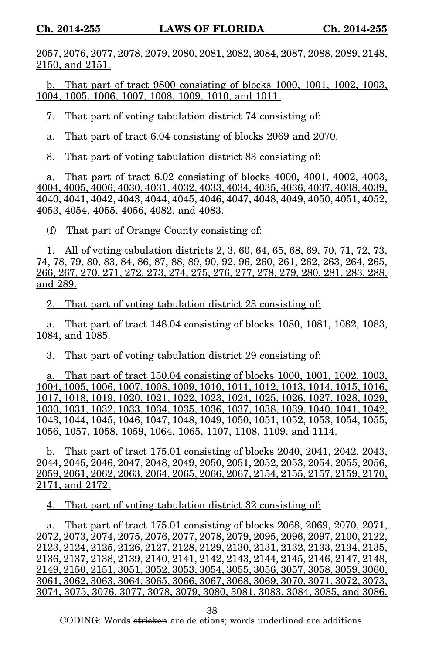2057, 2076, 2077, 2078, 2079, 2080, 2081, 2082, 2084, 2087, 2088, 2089, 2148, 2150, and 2151.

b. That part of tract 9800 consisting of blocks 1000, 1001, 1002, 1003, 1004, 1005, 1006, 1007, 1008, 1009, 1010, and 1011.

7. That part of voting tabulation district 74 consisting of:

a. That part of tract 6.04 consisting of blocks 2069 and 2070.

8. That part of voting tabulation district 83 consisting of:

a. That part of tract 6.02 consisting of blocks 4000, 4001, 4002, 4003, 4004, 4005, 4006, 4030, 4031, 4032, 4033, 4034, 4035, 4036, 4037, 4038, 4039, 4040, 4041, 4042, 4043, 4044, 4045, 4046, 4047, 4048, 4049, 4050, 4051, 4052, 4053, 4054, 4055, 4056, 4082, and 4083.

(f) That part of Orange County consisting of:

1. All of voting tabulation districts 2, 3, 60, 64, 65, 68, 69, 70, 71, 72, 73, 74, 78, 79, 80, 83, 84, 86, 87, 88, 89, 90, 92, 96, 260, 261, 262, 263, 264, 265, 266, 267, 270, 271, 272, 273, 274, 275, 276, 277, 278, 279, 280, 281, 283, 288, and 289.

2. That part of voting tabulation district 23 consisting of:

a. That part of tract 148.04 consisting of blocks 1080, 1081, 1082, 1083, 1084, and 1085.

3. That part of voting tabulation district 29 consisting of:

a. That part of tract 150.04 consisting of blocks 1000, 1001, 1002, 1003, 1004, 1005, 1006, 1007, 1008, 1009, 1010, 1011, 1012, 1013, 1014, 1015, 1016, 1017, 1018, 1019, 1020, 1021, 1022, 1023, 1024, 1025, 1026, 1027, 1028, 1029, 1030, 1031, 1032, 1033, 1034, 1035, 1036, 1037, 1038, 1039, 1040, 1041, 1042, 1043, 1044, 1045, 1046, 1047, 1048, 1049, 1050, 1051, 1052, 1053, 1054, 1055, 1056, 1057, 1058, 1059, 1064, 1065, 1107, 1108, 1109, and 1114.

b. That part of tract 175.01 consisting of blocks 2040, 2041, 2042, 2043, 2044, 2045, 2046, 2047, 2048, 2049, 2050, 2051, 2052, 2053, 2054, 2055, 2056, 2059, 2061, 2062, 2063, 2064, 2065, 2066, 2067, 2154, 2155, 2157, 2159, 2170, 2171, and 2172.

4. That part of voting tabulation district 32 consisting of:

a. That part of tract 175.01 consisting of blocks 2068, 2069, 2070, 2071, 2072, 2073, 2074, 2075, 2076, 2077, 2078, 2079, 2095, 2096, 2097, 2100, 2122, 2123, 2124, 2125, 2126, 2127, 2128, 2129, 2130, 2131, 2132, 2133, 2134, 2135, 2136, 2137, 2138, 2139, 2140, 2141, 2142, 2143, 2144, 2145, 2146, 2147, 2148, 2149, 2150, 2151, 3051, 3052, 3053, 3054, 3055, 3056, 3057, 3058, 3059, 3060, 3061, 3062, 3063, 3064, 3065, 3066, 3067, 3068, 3069, 3070, 3071, 3072, 3073, 3074, 3075, 3076, 3077, 3078, 3079, 3080, 3081, 3083, 3084, 3085, and 3086.

38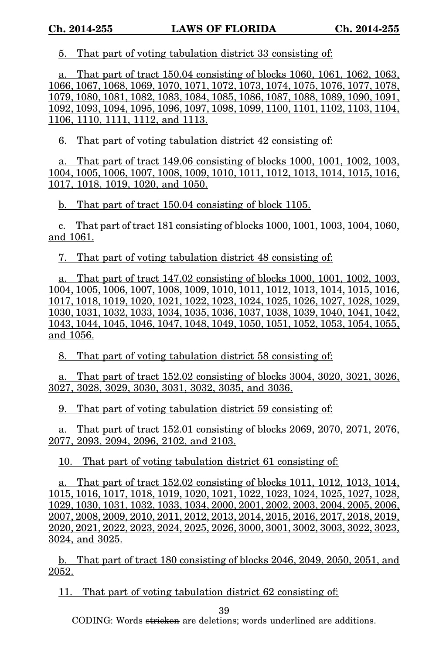5. That part of voting tabulation district 33 consisting of:

a. That part of tract 150.04 consisting of blocks 1060, 1061, 1062, 1063, 1066, 1067, 1068, 1069, 1070, 1071, 1072, 1073, 1074, 1075, 1076, 1077, 1078, 1079, 1080, 1081, 1082, 1083, 1084, 1085, 1086, 1087, 1088, 1089, 1090, 1091, 1092, 1093, 1094, 1095, 1096, 1097, 1098, 1099, 1100, 1101, 1102, 1103, 1104, 1106, 1110, 1111, 1112, and 1113.

6. That part of voting tabulation district 42 consisting of:

a. That part of tract 149.06 consisting of blocks 1000, 1001, 1002, 1003, 1004, 1005, 1006, 1007, 1008, 1009, 1010, 1011, 1012, 1013, 1014, 1015, 1016, 1017, 1018, 1019, 1020, and 1050.

b. That part of tract 150.04 consisting of block 1105.

c. That part of tract 181 consisting of blocks 1000, 1001, 1003, 1004, 1060, and 1061.

7. That part of voting tabulation district 48 consisting of:

a. That part of tract 147.02 consisting of blocks 1000, 1001, 1002, 1003, 1004, 1005, 1006, 1007, 1008, 1009, 1010, 1011, 1012, 1013, 1014, 1015, 1016, 1017, 1018, 1019, 1020, 1021, 1022, 1023, 1024, 1025, 1026, 1027, 1028, 1029, 1030, 1031, 1032, 1033, 1034, 1035, 1036, 1037, 1038, 1039, 1040, 1041, 1042, 1043, 1044, 1045, 1046, 1047, 1048, 1049, 1050, 1051, 1052, 1053, 1054, 1055, and 1056.

8. That part of voting tabulation district 58 consisting of:

a. That part of tract 152.02 consisting of blocks 3004, 3020, 3021, 3026, 3027, 3028, 3029, 3030, 3031, 3032, 3035, and 3036.

9. That part of voting tabulation district 59 consisting of:

a. That part of tract 152.01 consisting of blocks 2069, 2070, 2071, 2076, 2077, 2093, 2094, 2096, 2102, and 2103.

10. That part of voting tabulation district 61 consisting of:

a. That part of tract 152.02 consisting of blocks 1011, 1012, 1013, 1014, 1015, 1016, 1017, 1018, 1019, 1020, 1021, 1022, 1023, 1024, 1025, 1027, 1028, 1029, 1030, 1031, 1032, 1033, 1034, 2000, 2001, 2002, 2003, 2004, 2005, 2006, 2007, 2008, 2009, 2010, 2011, 2012, 2013, 2014, 2015, 2016, 2017, 2018, 2019, 2020, 2021, 2022, 2023, 2024, 2025, 2026, 3000, 3001, 3002, 3003, 3022, 3023, 3024, and 3025.

b. That part of tract 180 consisting of blocks 2046, 2049, 2050, 2051, and 2052.

11. That part of voting tabulation district 62 consisting of:

39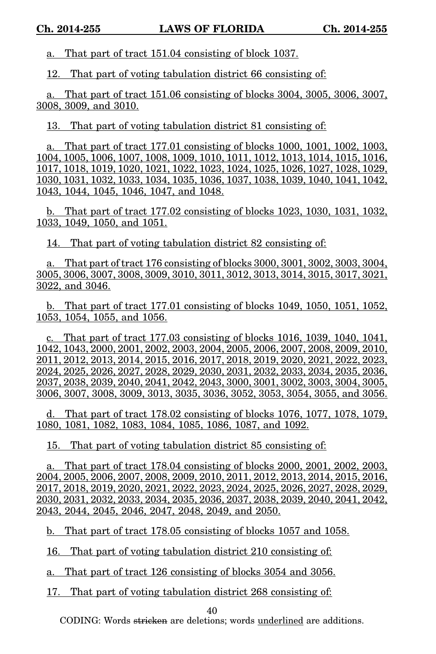a. That part of tract 151.04 consisting of block 1037.

12. That part of voting tabulation district 66 consisting of:

a. That part of tract 151.06 consisting of blocks 3004, 3005, 3006, 3007, 3008, 3009, and 3010.

13. That part of voting tabulation district 81 consisting of:

a. That part of tract 177.01 consisting of blocks 1000, 1001, 1002, 1003, 1004, 1005, 1006, 1007, 1008, 1009, 1010, 1011, 1012, 1013, 1014, 1015, 1016, 1017, 1018, 1019, 1020, 1021, 1022, 1023, 1024, 1025, 1026, 1027, 1028, 1029, 1030, 1031, 1032, 1033, 1034, 1035, 1036, 1037, 1038, 1039, 1040, 1041, 1042, 1043, 1044, 1045, 1046, 1047, and 1048.

b. That part of tract 177.02 consisting of blocks 1023, 1030, 1031, 1032, 1033, 1049, 1050, and 1051.

14. That part of voting tabulation district 82 consisting of:

a. That part of tract 176 consisting of blocks 3000, 3001, 3002, 3003, 3004, 3005, 3006, 3007, 3008, 3009, 3010, 3011, 3012, 3013, 3014, 3015, 3017, 3021, 3022, and 3046.

b. That part of tract 177.01 consisting of blocks 1049, 1050, 1051, 1052, 1053, 1054, 1055, and 1056.

c. That part of tract 177.03 consisting of blocks 1016, 1039, 1040, 1041, 1042, 1043, 2000, 2001, 2002, 2003, 2004, 2005, 2006, 2007, 2008, 2009, 2010, 2011, 2012, 2013, 2014, 2015, 2016, 2017, 2018, 2019, 2020, 2021, 2022, 2023, 2024, 2025, 2026, 2027, 2028, 2029, 2030, 2031, 2032, 2033, 2034, 2035, 2036, 2037, 2038, 2039, 2040, 2041, 2042, 2043, 3000, 3001, 3002, 3003, 3004, 3005, 3006, 3007, 3008, 3009, 3013, 3035, 3036, 3052, 3053, 3054, 3055, and 3056.

d. That part of tract 178.02 consisting of blocks 1076, 1077, 1078, 1079, 1080, 1081, 1082, 1083, 1084, 1085, 1086, 1087, and 1092.

15. That part of voting tabulation district 85 consisting of:

a. That part of tract 178.04 consisting of blocks 2000, 2001, 2002, 2003, 2004, 2005, 2006, 2007, 2008, 2009, 2010, 2011, 2012, 2013, 2014, 2015, 2016, 2017, 2018, 2019, 2020, 2021, 2022, 2023, 2024, 2025, 2026, 2027, 2028, 2029, 2030, 2031, 2032, 2033, 2034, 2035, 2036, 2037, 2038, 2039, 2040, 2041, 2042, 2043, 2044, 2045, 2046, 2047, 2048, 2049, and 2050.

b. That part of tract 178.05 consisting of blocks 1057 and 1058.

16. That part of voting tabulation district 210 consisting of:

a. That part of tract 126 consisting of blocks 3054 and 3056.

17. That part of voting tabulation district 268 consisting of:

40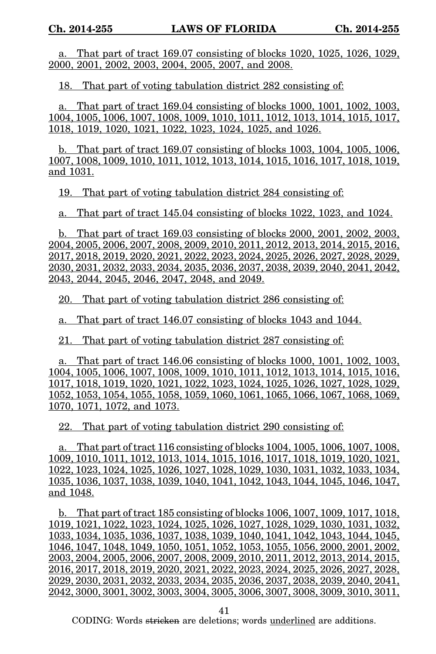That part of tract 169.07 consisting of blocks 1020, 1025, 1026, 1029, 2000, 2001, 2002, 2003, 2004, 2005, 2007, and 2008.

18. That part of voting tabulation district 282 consisting of:

a. That part of tract 169.04 consisting of blocks 1000, 1001, 1002, 1003, 1004, 1005, 1006, 1007, 1008, 1009, 1010, 1011, 1012, 1013, 1014, 1015, 1017, 1018, 1019, 1020, 1021, 1022, 1023, 1024, 1025, and 1026.

b. That part of tract 169.07 consisting of blocks 1003, 1004, 1005, 1006, 1007, 1008, 1009, 1010, 1011, 1012, 1013, 1014, 1015, 1016, 1017, 1018, 1019, and 1031.

19. That part of voting tabulation district 284 consisting of:

a. That part of tract 145.04 consisting of blocks 1022, 1023, and 1024.

b. That part of tract 169.03 consisting of blocks 2000, 2001, 2002, 2003, 2004, 2005, 2006, 2007, 2008, 2009, 2010, 2011, 2012, 2013, 2014, 2015, 2016, 2017, 2018, 2019, 2020, 2021, 2022, 2023, 2024, 2025, 2026, 2027, 2028, 2029, 2030, 2031, 2032, 2033, 2034, 2035, 2036, 2037, 2038, 2039, 2040, 2041, 2042, 2043, 2044, 2045, 2046, 2047, 2048, and 2049.

20. That part of voting tabulation district 286 consisting of:

a. That part of tract 146.07 consisting of blocks 1043 and 1044.

21. That part of voting tabulation district 287 consisting of:

a. That part of tract 146.06 consisting of blocks 1000, 1001, 1002, 1003, 1004, 1005, 1006, 1007, 1008, 1009, 1010, 1011, 1012, 1013, 1014, 1015, 1016, 1017, 1018, 1019, 1020, 1021, 1022, 1023, 1024, 1025, 1026, 1027, 1028, 1029, 1052, 1053, 1054, 1055, 1058, 1059, 1060, 1061, 1065, 1066, 1067, 1068, 1069, 1070, 1071, 1072, and 1073.

22. That part of voting tabulation district 290 consisting of:

a. That part of tract 116 consisting of blocks 1004, 1005, 1006, 1007, 1008, 1009, 1010, 1011, 1012, 1013, 1014, 1015, 1016, 1017, 1018, 1019, 1020, 1021, 1022, 1023, 1024, 1025, 1026, 1027, 1028, 1029, 1030, 1031, 1032, 1033, 1034, 1035, 1036, 1037, 1038, 1039, 1040, 1041, 1042, 1043, 1044, 1045, 1046, 1047, and 1048.

b. That part of tract 185 consisting of blocks 1006, 1007, 1009, 1017, 1018, 1019, 1021, 1022, 1023, 1024, 1025, 1026, 1027, 1028, 1029, 1030, 1031, 1032, 1033, 1034, 1035, 1036, 1037, 1038, 1039, 1040, 1041, 1042, 1043, 1044, 1045, 1046, 1047, 1048, 1049, 1050, 1051, 1052, 1053, 1055, 1056, 2000, 2001, 2002, 2003, 2004, 2005, 2006, 2007, 2008, 2009, 2010, 2011, 2012, 2013, 2014, 2015, 2016, 2017, 2018, 2019, 2020, 2021, 2022, 2023, 2024, 2025, 2026, 2027, 2028, 2029, 2030, 2031, 2032, 2033, 2034, 2035, 2036, 2037, 2038, 2039, 2040, 2041, 2042, 3000, 3001, 3002, 3003, 3004, 3005, 3006, 3007, 3008, 3009, 3010, 3011,

41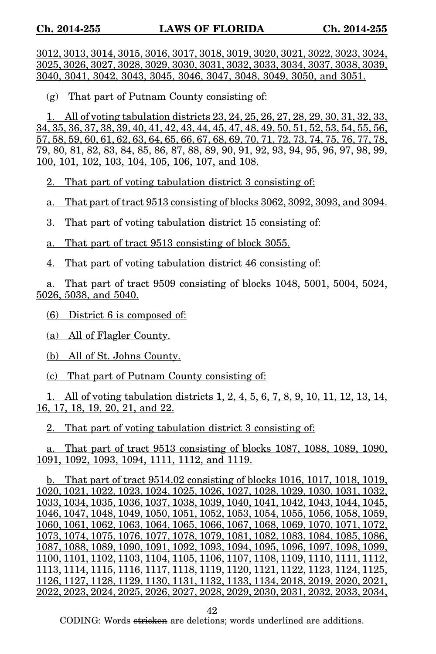3012, 3013, 3014, 3015, 3016, 3017, 3018, 3019, 3020, 3021, 3022, 3023, 3024, 3025, 3026, 3027, 3028, 3029, 3030, 3031, 3032, 3033, 3034, 3037, 3038, 3039, 3040, 3041, 3042, 3043, 3045, 3046, 3047, 3048, 3049, 3050, and 3051.

(g) That part of Putnam County consisting of:

1. All of voting tabulation districts 23, 24, 25, 26, 27, 28, 29, 30, 31, 32, 33, 34, 35, 36, 37, 38, 39, 40, 41, 42, 43, 44, 45, 47, 48, 49, 50, 51, 52, 53, 54, 55, 56, 57, 58, 59, 60, 61, 62, 63, 64, 65, 66, 67, 68, 69, 70, 71, 72, 73, 74, 75, 76, 77, 78, 79, 80, 81, 82, 83, 84, 85, 86, 87, 88, 89, 90, 91, 92, 93, 94, 95, 96, 97, 98, 99, 100, 101, 102, 103, 104, 105, 106, 107, and 108.

2. That part of voting tabulation district 3 consisting of:

a. That part of tract 9513 consisting of blocks 3062, 3092, 3093, and 3094.

3. That part of voting tabulation district 15 consisting of:

a. That part of tract 9513 consisting of block 3055.

4. That part of voting tabulation district 46 consisting of:

a. That part of tract 9509 consisting of blocks 1048, 5001, 5004, 5024, 5026, 5038, and 5040.

(6) District 6 is composed of:

(a) All of Flagler County.

(b) All of St. Johns County.

(c) That part of Putnam County consisting of:

1. All of voting tabulation districts 1, 2, 4, 5, 6, 7, 8, 9, 10, 11, 12, 13, 14, 16, 17, 18, 19, 20, 21, and 22.

2. That part of voting tabulation district 3 consisting of:

a. That part of tract 9513 consisting of blocks 1087, 1088, 1089, 1090, 1091, 1092, 1093, 1094, 1111, 1112, and 1119.

b. That part of tract 9514.02 consisting of blocks 1016, 1017, 1018, 1019, 1020, 1021, 1022, 1023, 1024, 1025, 1026, 1027, 1028, 1029, 1030, 1031, 1032, 1033, 1034, 1035, 1036, 1037, 1038, 1039, 1040, 1041, 1042, 1043, 1044, 1045, 1046, 1047, 1048, 1049, 1050, 1051, 1052, 1053, 1054, 1055, 1056, 1058, 1059, 1060, 1061, 1062, 1063, 1064, 1065, 1066, 1067, 1068, 1069, 1070, 1071, 1072, 1073, 1074, 1075, 1076, 1077, 1078, 1079, 1081, 1082, 1083, 1084, 1085, 1086, 1087, 1088, 1089, 1090, 1091, 1092, 1093, 1094, 1095, 1096, 1097, 1098, 1099, 1100, 1101, 1102, 1103, 1104, 1105, 1106, 1107, 1108, 1109, 1110, 1111, 1112, 1113, 1114, 1115, 1116, 1117, 1118, 1119, 1120, 1121, 1122, 1123, 1124, 1125, 1126, 1127, 1128, 1129, 1130, 1131, 1132, 1133, 1134, 2018, 2019, 2020, 2021, 2022, 2023, 2024, 2025, 2026, 2027, 2028, 2029, 2030, 2031, 2032, 2033, 2034,

42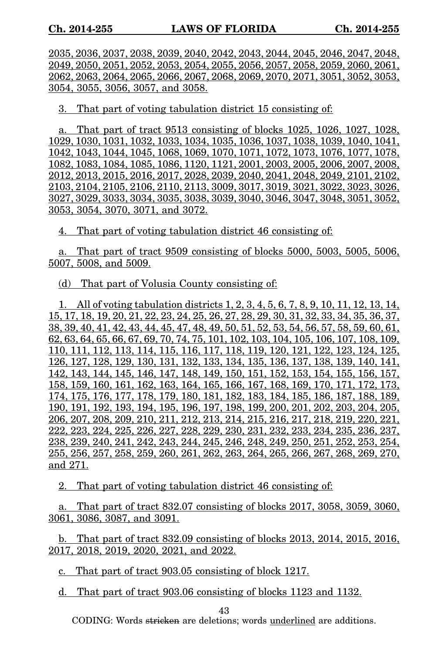2035, 2036, 2037, 2038, 2039, 2040, 2042, 2043, 2044, 2045, 2046, 2047, 2048, 2049, 2050, 2051, 2052, 2053, 2054, 2055, 2056, 2057, 2058, 2059, 2060, 2061, 2062, 2063, 2064, 2065, 2066, 2067, 2068, 2069, 2070, 2071, 3051, 3052, 3053, 3054, 3055, 3056, 3057, and 3058.

3. That part of voting tabulation district 15 consisting of:

a. That part of tract 9513 consisting of blocks 1025, 1026, 1027, 1028, 1029, 1030, 1031, 1032, 1033, 1034, 1035, 1036, 1037, 1038, 1039, 1040, 1041, 1042, 1043, 1044, 1045, 1068, 1069, 1070, 1071, 1072, 1073, 1076, 1077, 1078, 1082, 1083, 1084, 1085, 1086, 1120, 1121, 2001, 2003, 2005, 2006, 2007, 2008, 2012, 2013, 2015, 2016, 2017, 2028, 2039, 2040, 2041, 2048, 2049, 2101, 2102, 2103, 2104, 2105, 2106, 2110, 2113, 3009, 3017, 3019, 3021, 3022, 3023, 3026, 3027, 3029, 3033, 3034, 3035, 3038, 3039, 3040, 3046, 3047, 3048, 3051, 3052, 3053, 3054, 3070, 3071, and 3072.

4. That part of voting tabulation district 46 consisting of:

a. That part of tract 9509 consisting of blocks 5000, 5003, 5005, 5006, 5007, 5008, and 5009.

(d) That part of Volusia County consisting of:

1. All of voting tabulation districts 1, 2, 3, 4, 5, 6, 7, 8, 9, 10, 11, 12, 13, 14, 15, 17, 18, 19, 20, 21, 22, 23, 24, 25, 26, 27, 28, 29, 30, 31, 32, 33, 34, 35, 36, 37, 38, 39, 40, 41, 42, 43, 44, 45, 47, 48, 49, 50, 51, 52, 53, 54, 56, 57, 58, 59, 60, 61, 62, 63, 64, 65, 66, 67, 69, 70, 74, 75, 101, 102, 103, 104, 105, 106, 107, 108, 109, 110, 111, 112, 113, 114, 115, 116, 117, 118, 119, 120, 121, 122, 123, 124, 125, 126, 127, 128, 129, 130, 131, 132, 133, 134, 135, 136, 137, 138, 139, 140, 141, 142, 143, 144, 145, 146, 147, 148, 149, 150, 151, 152, 153, 154, 155, 156, 157, 158, 159, 160, 161, 162, 163, 164, 165, 166, 167, 168, 169, 170, 171, 172, 173, 174, 175, 176, 177, 178, 179, 180, 181, 182, 183, 184, 185, 186, 187, 188, 189, 190, 191, 192, 193, 194, 195, 196, 197, 198, 199, 200, 201, 202, 203, 204, 205, 206, 207, 208, 209, 210, 211, 212, 213, 214, 215, 216, 217, 218, 219, 220, 221, 222, 223, 224, 225, 226, 227, 228, 229, 230, 231, 232, 233, 234, 235, 236, 237, 238, 239, 240, 241, 242, 243, 244, 245, 246, 248, 249, 250, 251, 252, 253, 254, 255, 256, 257, 258, 259, 260, 261, 262, 263, 264, 265, 266, 267, 268, 269, 270, and 271.

2. That part of voting tabulation district 46 consisting of:

That part of tract 832.07 consisting of blocks 2017, 3058, 3059, 3060, 3061, 3086, 3087, and 3091.

b. That part of tract 832.09 consisting of blocks 2013, 2014, 2015, 2016, 2017, 2018, 2019, 2020, 2021, and 2022.

c. That part of tract 903.05 consisting of block 1217.

d. That part of tract 903.06 consisting of blocks 1123 and 1132.

43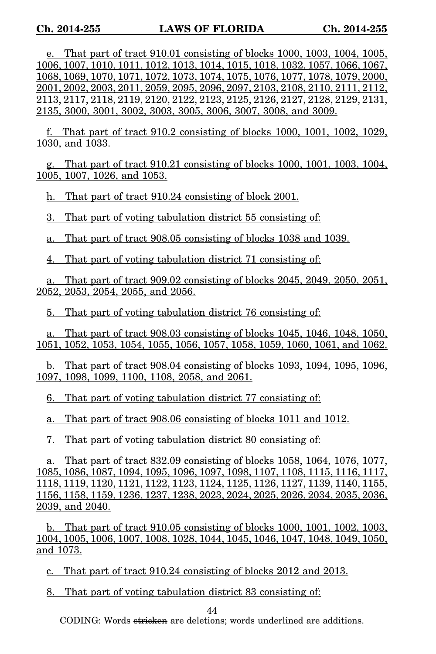e. That part of tract 910.01 consisting of blocks 1000, 1003, 1004, 1005, 1006, 1007, 1010, 1011, 1012, 1013, 1014, 1015, 1018, 1032, 1057, 1066, 1067, 1068, 1069, 1070, 1071, 1072, 1073, 1074, 1075, 1076, 1077, 1078, 1079, 2000, 2001, 2002, 2003, 2011, 2059, 2095, 2096, 2097, 2103, 2108, 2110, 2111, 2112, 2113, 2117, 2118, 2119, 2120, 2122, 2123, 2125, 2126, 2127, 2128, 2129, 2131, 2135, 3000, 3001, 3002, 3003, 3005, 3006, 3007, 3008, and 3009.

f. That part of tract 910.2 consisting of blocks 1000, 1001, 1002, 1029, 1030, and 1033.

g. That part of tract 910.21 consisting of blocks 1000, 1001, 1003, 1004, 1005, 1007, 1026, and 1053.

h. That part of tract 910.24 consisting of block 2001.

3. That part of voting tabulation district 55 consisting of:

a. That part of tract 908.05 consisting of blocks 1038 and 1039.

4. That part of voting tabulation district 71 consisting of:

That part of tract 909.02 consisting of blocks 2045, 2049, 2050, 2051, 2052, 2053, 2054, 2055, and 2056.

5. That part of voting tabulation district 76 consisting of:

a. That part of tract 908.03 consisting of blocks 1045, 1046, 1048, 1050, 1051, 1052, 1053, 1054, 1055, 1056, 1057, 1058, 1059, 1060, 1061, and 1062.

b. That part of tract 908.04 consisting of blocks 1093, 1094, 1095, 1096, 1097, 1098, 1099, 1100, 1108, 2058, and 2061.

6. That part of voting tabulation district 77 consisting of:

a. That part of tract 908.06 consisting of blocks 1011 and 1012.

7. That part of voting tabulation district 80 consisting of:

a. That part of tract 832.09 consisting of blocks 1058, 1064, 1076, 1077, 1085, 1086, 1087, 1094, 1095, 1096, 1097, 1098, 1107, 1108, 1115, 1116, 1117, 1118, 1119, 1120, 1121, 1122, 1123, 1124, 1125, 1126, 1127, 1139, 1140, 1155, 1156, 1158, 1159, 1236, 1237, 1238, 2023, 2024, 2025, 2026, 2034, 2035, 2036, 2039, and 2040.

b. That part of tract 910.05 consisting of blocks 1000, 1001, 1002, 1003, 1004, 1005, 1006, 1007, 1008, 1028, 1044, 1045, 1046, 1047, 1048, 1049, 1050, and 1073.

c. That part of tract 910.24 consisting of blocks 2012 and 2013.

8. That part of voting tabulation district 83 consisting of:

44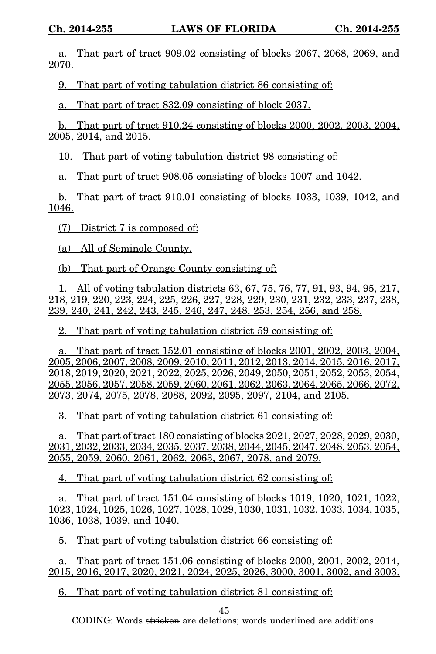That part of tract 909.02 consisting of blocks 2067, 2068, 2069, and 2070.

9. That part of voting tabulation district 86 consisting of:

a. That part of tract 832.09 consisting of block 2037.

b. That part of tract 910.24 consisting of blocks 2000, 2002, 2003, 2004, 2005, 2014, and 2015.

10. That part of voting tabulation district 98 consisting of:

a. That part of tract 908.05 consisting of blocks 1007 and 1042.

b. That part of tract 910.01 consisting of blocks 1033, 1039, 1042, and 1046.

(7) District 7 is composed of:

(a) All of Seminole County.

(b) That part of Orange County consisting of:

1. All of voting tabulation districts 63, 67, 75, 76, 77, 91, 93, 94, 95, 217, 218, 219, 220, 223, 224, 225, 226, 227, 228, 229, 230, 231, 232, 233, 237, 238, 239, 240, 241, 242, 243, 245, 246, 247, 248, 253, 254, 256, and 258.

2. That part of voting tabulation district 59 consisting of:

That part of tract  $152.01$  consisting of blocks  $2001, 2002, 2003, 2004,$ 2005, 2006, 2007, 2008, 2009, 2010, 2011, 2012, 2013, 2014, 2015, 2016, 2017, 2018, 2019, 2020, 2021, 2022, 2025, 2026, 2049, 2050, 2051, 2052, 2053, 2054, 2055, 2056, 2057, 2058, 2059, 2060, 2061, 2062, 2063, 2064, 2065, 2066, 2072, 2073, 2074, 2075, 2078, 2088, 2092, 2095, 2097, 2104, and 2105.

3. That part of voting tabulation district 61 consisting of:

a. That part of tract 180 consisting of blocks 2021, 2027, 2028, 2029, 2030, 2031, 2032, 2033, 2034, 2035, 2037, 2038, 2044, 2045, 2047, 2048, 2053, 2054, 2055, 2059, 2060, 2061, 2062, 2063, 2067, 2078, and 2079.

4. That part of voting tabulation district 62 consisting of:

That part of tract 151.04 consisting of blocks 1019, 1020, 1021, 1022, 1023, 1024, 1025, 1026, 1027, 1028, 1029, 1030, 1031, 1032, 1033, 1034, 1035, 1036, 1038, 1039, and 1040.

5. That part of voting tabulation district 66 consisting of:

a. That part of tract 151.06 consisting of blocks 2000, 2001, 2002, 2014, 2015, 2016, 2017, 2020, 2021, 2024, 2025, 2026, 3000, 3001, 3002, and 3003.

6. That part of voting tabulation district 81 consisting of:

45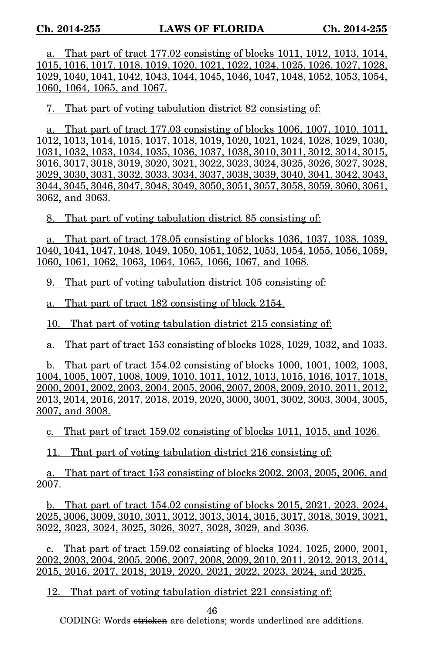That part of tract 177.02 consisting of blocks 1011, 1012, 1013, 1014, 1015, 1016, 1017, 1018, 1019, 1020, 1021, 1022, 1024, 1025, 1026, 1027, 1028, 1029, 1040, 1041, 1042, 1043, 1044, 1045, 1046, 1047, 1048, 1052, 1053, 1054, 1060, 1064, 1065, and 1067.

7. That part of voting tabulation district 82 consisting of:

a. That part of tract 177.03 consisting of blocks 1006, 1007, 1010, 1011, 1012, 1013, 1014, 1015, 1017, 1018, 1019, 1020, 1021, 1024, 1028, 1029, 1030, 1031, 1032, 1033, 1034, 1035, 1036, 1037, 1038, 3010, 3011, 3012, 3014, 3015, 3016, 3017, 3018, 3019, 3020, 3021, 3022, 3023, 3024, 3025, 3026, 3027, 3028, 3029, 3030, 3031, 3032, 3033, 3034, 3037, 3038, 3039, 3040, 3041, 3042, 3043, 3044, 3045, 3046, 3047, 3048, 3049, 3050, 3051, 3057, 3058, 3059, 3060, 3061, 3062, and 3063.

8. That part of voting tabulation district 85 consisting of:

a. That part of tract 178.05 consisting of blocks 1036, 1037, 1038, 1039, 1040, 1041, 1047, 1048, 1049, 1050, 1051, 1052, 1053, 1054, 1055, 1056, 1059, 1060, 1061, 1062, 1063, 1064, 1065, 1066, 1067, and 1068.

9. That part of voting tabulation district 105 consisting of:

a. That part of tract 182 consisting of block 2154.

10. That part of voting tabulation district 215 consisting of:

a. That part of tract 153 consisting of blocks 1028, 1029, 1032, and 1033.

b. That part of tract 154.02 consisting of blocks 1000, 1001, 1002, 1003, 1004, 1005, 1007, 1008, 1009, 1010, 1011, 1012, 1013, 1015, 1016, 1017, 1018, 2000, 2001, 2002, 2003, 2004, 2005, 2006, 2007, 2008, 2009, 2010, 2011, 2012, 2013, 2014, 2016, 2017, 2018, 2019, 2020, 3000, 3001, 3002, 3003, 3004, 3005, 3007, and 3008.

c. That part of tract 159.02 consisting of blocks 1011, 1015, and 1026.

11. That part of voting tabulation district 216 consisting of:

a. That part of tract 153 consisting of blocks 2002, 2003, 2005, 2006, and 2007.

b. That part of tract 154.02 consisting of blocks 2015, 2021, 2023, 2024, 2025, 3006, 3009, 3010, 3011, 3012, 3013, 3014, 3015, 3017, 3018, 3019, 3021, 3022, 3023, 3024, 3025, 3026, 3027, 3028, 3029, and 3036.

c. That part of tract 159.02 consisting of blocks 1024, 1025, 2000, 2001, 2002, 2003, 2004, 2005, 2006, 2007, 2008, 2009, 2010, 2011, 2012, 2013, 2014, 2015, 2016, 2017, 2018, 2019, 2020, 2021, 2022, 2023, 2024, and 2025.

12. That part of voting tabulation district 221 consisting of:

46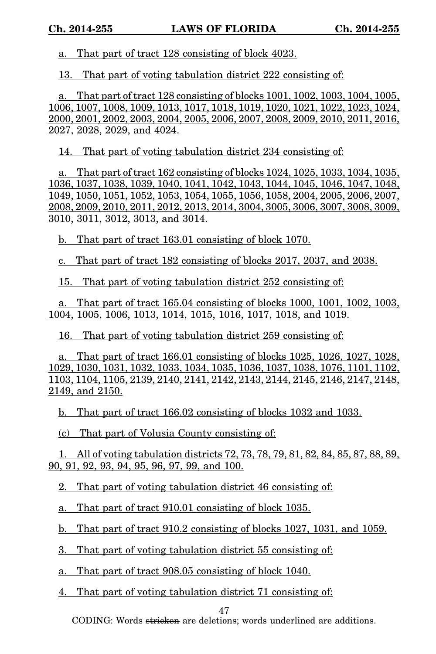a. That part of tract 128 consisting of block 4023.

13. That part of voting tabulation district 222 consisting of:

a. That part of tract 128 consisting of blocks 1001, 1002, 1003, 1004, 1005, 1006, 1007, 1008, 1009, 1013, 1017, 1018, 1019, 1020, 1021, 1022, 1023, 1024, 2000, 2001, 2002, 2003, 2004, 2005, 2006, 2007, 2008, 2009, 2010, 2011, 2016, 2027, 2028, 2029, and 4024.

14. That part of voting tabulation district 234 consisting of:

a. That part of tract 162 consisting of blocks 1024, 1025, 1033, 1034, 1035, 1036, 1037, 1038, 1039, 1040, 1041, 1042, 1043, 1044, 1045, 1046, 1047, 1048, 1049, 1050, 1051, 1052, 1053, 1054, 1055, 1056, 1058, 2004, 2005, 2006, 2007, 2008, 2009, 2010, 2011, 2012, 2013, 2014, 3004, 3005, 3006, 3007, 3008, 3009, 3010, 3011, 3012, 3013, and 3014.

b. That part of tract 163.01 consisting of block 1070.

c. That part of tract 182 consisting of blocks 2017, 2037, and 2038.

15. That part of voting tabulation district 252 consisting of:

a. That part of tract 165.04 consisting of blocks 1000, 1001, 1002, 1003, 1004, 1005, 1006, 1013, 1014, 1015, 1016, 1017, 1018, and 1019.

16. That part of voting tabulation district 259 consisting of:

a. That part of tract 166.01 consisting of blocks 1025, 1026, 1027, 1028, 1029, 1030, 1031, 1032, 1033, 1034, 1035, 1036, 1037, 1038, 1076, 1101, 1102, 1103, 1104, 1105, 2139, 2140, 2141, 2142, 2143, 2144, 2145, 2146, 2147, 2148, 2149, and 2150.

b. That part of tract 166.02 consisting of blocks 1032 and 1033.

(c) That part of Volusia County consisting of:

1. All of voting tabulation districts 72, 73, 78, 79, 81, 82, 84, 85, 87, 88, 89, 90, 91, 92, 93, 94, 95, 96, 97, 99, and 100.

2. That part of voting tabulation district 46 consisting of:

a. That part of tract 910.01 consisting of block 1035.

b. That part of tract 910.2 consisting of blocks 1027, 1031, and 1059.

3. That part of voting tabulation district 55 consisting of:

a. That part of tract 908.05 consisting of block 1040.

4. That part of voting tabulation district 71 consisting of:

47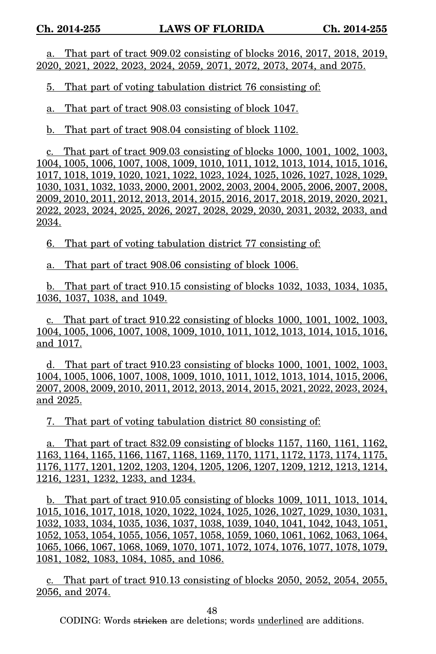That part of tract 909.02 consisting of blocks 2016, 2017, 2018, 2019, 2020, 2021, 2022, 2023, 2024, 2059, 2071, 2072, 2073, 2074, and 2075.

5. That part of voting tabulation district 76 consisting of:

a. That part of tract 908.03 consisting of block 1047.

b. That part of tract 908.04 consisting of block 1102.

c. That part of tract 909.03 consisting of blocks 1000, 1001, 1002, 1003, 1004, 1005, 1006, 1007, 1008, 1009, 1010, 1011, 1012, 1013, 1014, 1015, 1016, 1017, 1018, 1019, 1020, 1021, 1022, 1023, 1024, 1025, 1026, 1027, 1028, 1029, 1030, 1031, 1032, 1033, 2000, 2001, 2002, 2003, 2004, 2005, 2006, 2007, 2008, 2009, 2010, 2011, 2012, 2013, 2014, 2015, 2016, 2017, 2018, 2019, 2020, 2021, 2022, 2023, 2024, 2025, 2026, 2027, 2028, 2029, 2030, 2031, 2032, 2033, and 2034.

6. That part of voting tabulation district 77 consisting of:

a. That part of tract 908.06 consisting of block 1006.

b. That part of tract 910.15 consisting of blocks 1032, 1033, 1034, 1035, 1036, 1037, 1038, and 1049.

c. That part of tract 910.22 consisting of blocks 1000, 1001, 1002, 1003, 1004, 1005, 1006, 1007, 1008, 1009, 1010, 1011, 1012, 1013, 1014, 1015, 1016, and 1017.

d. That part of tract 910.23 consisting of blocks 1000, 1001, 1002, 1003, 1004, 1005, 1006, 1007, 1008, 1009, 1010, 1011, 1012, 1013, 1014, 1015, 2006, 2007, 2008, 2009, 2010, 2011, 2012, 2013, 2014, 2015, 2021, 2022, 2023, 2024, and 2025.

7. That part of voting tabulation district 80 consisting of:

a. That part of tract 832.09 consisting of blocks 1157, 1160, 1161, 1162, 1163, 1164, 1165, 1166, 1167, 1168, 1169, 1170, 1171, 1172, 1173, 1174, 1175, 1176, 1177, 1201, 1202, 1203, 1204, 1205, 1206, 1207, 1209, 1212, 1213, 1214, 1216, 1231, 1232, 1233, and 1234.

b. That part of tract 910.05 consisting of blocks 1009, 1011, 1013, 1014, 1015, 1016, 1017, 1018, 1020, 1022, 1024, 1025, 1026, 1027, 1029, 1030, 1031, 1032, 1033, 1034, 1035, 1036, 1037, 1038, 1039, 1040, 1041, 1042, 1043, 1051, 1052, 1053, 1054, 1055, 1056, 1057, 1058, 1059, 1060, 1061, 1062, 1063, 1064, 1065, 1066, 1067, 1068, 1069, 1070, 1071, 1072, 1074, 1076, 1077, 1078, 1079, 1081, 1082, 1083, 1084, 1085, and 1086.

c. That part of tract 910.13 consisting of blocks 2050, 2052, 2054, 2055, 2056, and 2074.

48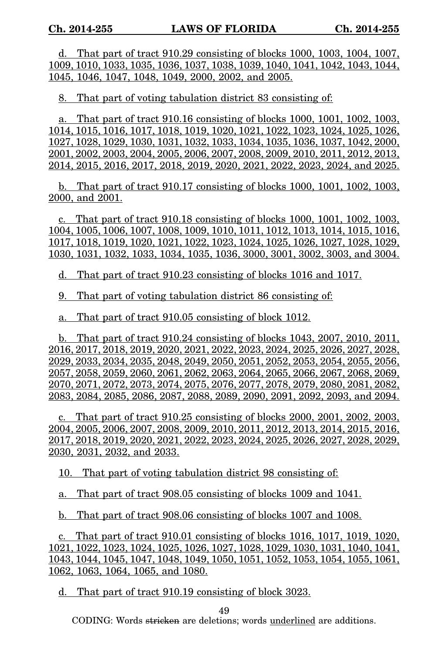That part of tract 910.29 consisting of blocks 1000, 1003, 1004, 1007, 1009, 1010, 1033, 1035, 1036, 1037, 1038, 1039, 1040, 1041, 1042, 1043, 1044, 1045, 1046, 1047, 1048, 1049, 2000, 2002, and 2005.

8. That part of voting tabulation district 83 consisting of:

a. That part of tract 910.16 consisting of blocks 1000, 1001, 1002, 1003, 1014, 1015, 1016, 1017, 1018, 1019, 1020, 1021, 1022, 1023, 1024, 1025, 1026, 1027, 1028, 1029, 1030, 1031, 1032, 1033, 1034, 1035, 1036, 1037, 1042, 2000, 2001, 2002, 2003, 2004, 2005, 2006, 2007, 2008, 2009, 2010, 2011, 2012, 2013, 2014, 2015, 2016, 2017, 2018, 2019, 2020, 2021, 2022, 2023, 2024, and 2025.

b. That part of tract 910.17 consisting of blocks 1000, 1001, 1002, 1003, 2000, and 2001.

c. That part of tract 910.18 consisting of blocks 1000, 1001, 1002, 1003, 1004, 1005, 1006, 1007, 1008, 1009, 1010, 1011, 1012, 1013, 1014, 1015, 1016, 1017, 1018, 1019, 1020, 1021, 1022, 1023, 1024, 1025, 1026, 1027, 1028, 1029, 1030, 1031, 1032, 1033, 1034, 1035, 1036, 3000, 3001, 3002, 3003, and 3004.

d. That part of tract 910.23 consisting of blocks 1016 and 1017.

9. That part of voting tabulation district 86 consisting of:

a. That part of tract 910.05 consisting of block 1012.

b. That part of tract 910.24 consisting of blocks 1043, 2007, 2010, 2011, 2016, 2017, 2018, 2019, 2020, 2021, 2022, 2023, 2024, 2025, 2026, 2027, 2028, 2029, 2033, 2034, 2035, 2048, 2049, 2050, 2051, 2052, 2053, 2054, 2055, 2056, 2057, 2058, 2059, 2060, 2061, 2062, 2063, 2064, 2065, 2066, 2067, 2068, 2069, 2070, 2071, 2072, 2073, 2074, 2075, 2076, 2077, 2078, 2079, 2080, 2081, 2082, 2083, 2084, 2085, 2086, 2087, 2088, 2089, 2090, 2091, 2092, 2093, and 2094.

c. That part of tract 910.25 consisting of blocks 2000, 2001, 2002, 2003, 2004, 2005, 2006, 2007, 2008, 2009, 2010, 2011, 2012, 2013, 2014, 2015, 2016, 2017, 2018, 2019, 2020, 2021, 2022, 2023, 2024, 2025, 2026, 2027, 2028, 2029, 2030, 2031, 2032, and 2033.

10. That part of voting tabulation district 98 consisting of:

a. That part of tract 908.05 consisting of blocks 1009 and 1041.

b. That part of tract 908.06 consisting of blocks 1007 and 1008.

c. That part of tract 910.01 consisting of blocks 1016, 1017, 1019, 1020, 1021, 1022, 1023, 1024, 1025, 1026, 1027, 1028, 1029, 1030, 1031, 1040, 1041, 1043, 1044, 1045, 1047, 1048, 1049, 1050, 1051, 1052, 1053, 1054, 1055, 1061, 1062, 1063, 1064, 1065, and 1080.

d. That part of tract 910.19 consisting of block 3023.

49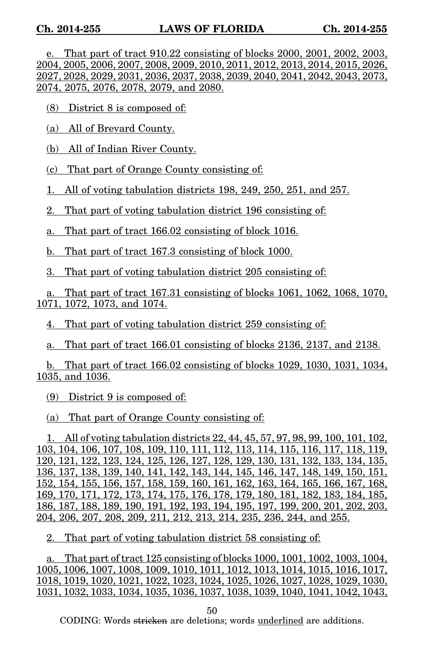That part of tract 910.22 consisting of blocks 2000, 2001, 2002, 2003, 2004, 2005, 2006, 2007, 2008, 2009, 2010, 2011, 2012, 2013, 2014, 2015, 2026, 2027, 2028, 2029, 2031, 2036, 2037, 2038, 2039, 2040, 2041, 2042, 2043, 2073, 2074, 2075, 2076, 2078, 2079, and 2080.

(8) District 8 is composed of:

(a) All of Brevard County.

(b) All of Indian River County.

(c) That part of Orange County consisting of:

1. All of voting tabulation districts 198, 249, 250, 251, and 257.

2. That part of voting tabulation district 196 consisting of:

a. That part of tract 166.02 consisting of block 1016.

b. That part of tract 167.3 consisting of block 1000.

3. That part of voting tabulation district 205 consisting of:

a. That part of tract 167.31 consisting of blocks 1061, 1062, 1068, 1070, 1071, 1072, 1073, and 1074.

4. That part of voting tabulation district 259 consisting of:

a. That part of tract 166.01 consisting of blocks 2136, 2137, and 2138.

b. That part of tract 166.02 consisting of blocks 1029, 1030, 1031, 1034, 1035, and 1036.

(9) District 9 is composed of:

(a) That part of Orange County consisting of:

1. All of voting tabulation districts 22, 44, 45, 57, 97, 98, 99, 100, 101, 102, 103, 104, 106, 107, 108, 109, 110, 111, 112, 113, 114, 115, 116, 117, 118, 119, 120, 121, 122, 123, 124, 125, 126, 127, 128, 129, 130, 131, 132, 133, 134, 135, 136, 137, 138, 139, 140, 141, 142, 143, 144, 145, 146, 147, 148, 149, 150, 151, 152, 154, 155, 156, 157, 158, 159, 160, 161, 162, 163, 164, 165, 166, 167, 168, 169, 170, 171, 172, 173, 174, 175, 176, 178, 179, 180, 181, 182, 183, 184, 185, 186, 187, 188, 189, 190, 191, 192, 193, 194, 195, 197, 199, 200, 201, 202, 203, 204, 206, 207, 208, 209, 211, 212, 213, 214, 235, 236, 244, and 255.

2. That part of voting tabulation district 58 consisting of:

a. That part of tract 125 consisting of blocks 1000, 1001, 1002, 1003, 1004, 1005, 1006, 1007, 1008, 1009, 1010, 1011, 1012, 1013, 1014, 1015, 1016, 1017, 1018, 1019, 1020, 1021, 1022, 1023, 1024, 1025, 1026, 1027, 1028, 1029, 1030, 1031, 1032, 1033, 1034, 1035, 1036, 1037, 1038, 1039, 1040, 1041, 1042, 1043,

50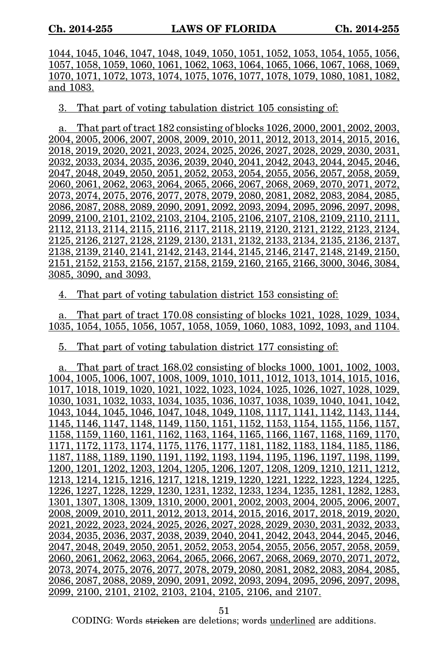1044, 1045, 1046, 1047, 1048, 1049, 1050, 1051, 1052, 1053, 1054, 1055, 1056, 1057, 1058, 1059, 1060, 1061, 1062, 1063, 1064, 1065, 1066, 1067, 1068, 1069, 1070, 1071, 1072, 1073, 1074, 1075, 1076, 1077, 1078, 1079, 1080, 1081, 1082, and 1083.

3. That part of voting tabulation district 105 consisting of:

a. That part of tract 182 consisting of blocks 1026, 2000, 2001, 2002, 2003, 2004, 2005, 2006, 2007, 2008, 2009, 2010, 2011, 2012, 2013, 2014, 2015, 2016, 2018, 2019, 2020, 2021, 2023, 2024, 2025, 2026, 2027, 2028, 2029, 2030, 2031, 2032, 2033, 2034, 2035, 2036, 2039, 2040, 2041, 2042, 2043, 2044, 2045, 2046, 2047, 2048, 2049, 2050, 2051, 2052, 2053, 2054, 2055, 2056, 2057, 2058, 2059, 2060, 2061, 2062, 2063, 2064, 2065, 2066, 2067, 2068, 2069, 2070, 2071, 2072, 2073, 2074, 2075, 2076, 2077, 2078, 2079, 2080, 2081, 2082, 2083, 2084, 2085, 2086, 2087, 2088, 2089, 2090, 2091, 2092, 2093, 2094, 2095, 2096, 2097, 2098, 2099, 2100, 2101, 2102, 2103, 2104, 2105, 2106, 2107, 2108, 2109, 2110, 2111, 2112, 2113, 2114, 2115, 2116, 2117, 2118, 2119, 2120, 2121, 2122, 2123, 2124, 2125, 2126, 2127, 2128, 2129, 2130, 2131, 2132, 2133, 2134, 2135, 2136, 2137, 2138, 2139, 2140, 2141, 2142, 2143, 2144, 2145, 2146, 2147, 2148, 2149, 2150, 2151, 2152, 2153, 2156, 2157, 2158, 2159, 2160, 2165, 2166, 3000, 3046, 3084, 3085, 3090, and 3093.

4. That part of voting tabulation district 153 consisting of:

That part of tract 170.08 consisting of blocks  $1021, 1028, 1029, 1034,$ 1035, 1054, 1055, 1056, 1057, 1058, 1059, 1060, 1083, 1092, 1093, and 1104.

5. That part of voting tabulation district 177 consisting of:

a. That part of tract 168.02 consisting of blocks 1000, 1001, 1002, 1003, 1004, 1005, 1006, 1007, 1008, 1009, 1010, 1011, 1012, 1013, 1014, 1015, 1016, 1017, 1018, 1019, 1020, 1021, 1022, 1023, 1024, 1025, 1026, 1027, 1028, 1029, 1030, 1031, 1032, 1033, 1034, 1035, 1036, 1037, 1038, 1039, 1040, 1041, 1042, 1043, 1044, 1045, 1046, 1047, 1048, 1049, 1108, 1117, 1141, 1142, 1143, 1144, 1145, 1146, 1147, 1148, 1149, 1150, 1151, 1152, 1153, 1154, 1155, 1156, 1157, 1158, 1159, 1160, 1161, 1162, 1163, 1164, 1165, 1166, 1167, 1168, 1169, 1170, 1171, 1172, 1173, 1174, 1175, 1176, 1177, 1181, 1182, 1183, 1184, 1185, 1186, 1187, 1188, 1189, 1190, 1191, 1192, 1193, 1194, 1195, 1196, 1197, 1198, 1199, 1200, 1201, 1202, 1203, 1204, 1205, 1206, 1207, 1208, 1209, 1210, 1211, 1212, 1213, 1214, 1215, 1216, 1217, 1218, 1219, 1220, 1221, 1222, 1223, 1224, 1225, 1226, 1227, 1228, 1229, 1230, 1231, 1232, 1233, 1234, 1235, 1281, 1282, 1283, 1301, 1307, 1308, 1309, 1310, 2000, 2001, 2002, 2003, 2004, 2005, 2006, 2007, 2008, 2009, 2010, 2011, 2012, 2013, 2014, 2015, 2016, 2017, 2018, 2019, 2020, 2021, 2022, 2023, 2024, 2025, 2026, 2027, 2028, 2029, 2030, 2031, 2032, 2033, 2034, 2035, 2036, 2037, 2038, 2039, 2040, 2041, 2042, 2043, 2044, 2045, 2046, 2047, 2048, 2049, 2050, 2051, 2052, 2053, 2054, 2055, 2056, 2057, 2058, 2059, 2060, 2061, 2062, 2063, 2064, 2065, 2066, 2067, 2068, 2069, 2070, 2071, 2072, 2073, 2074, 2075, 2076, 2077, 2078, 2079, 2080, 2081, 2082, 2083, 2084, 2085, 2086, 2087, 2088, 2089, 2090, 2091, 2092, 2093, 2094, 2095, 2096, 2097, 2098, 2099, 2100, 2101, 2102, 2103, 2104, 2105, 2106, and 2107.

51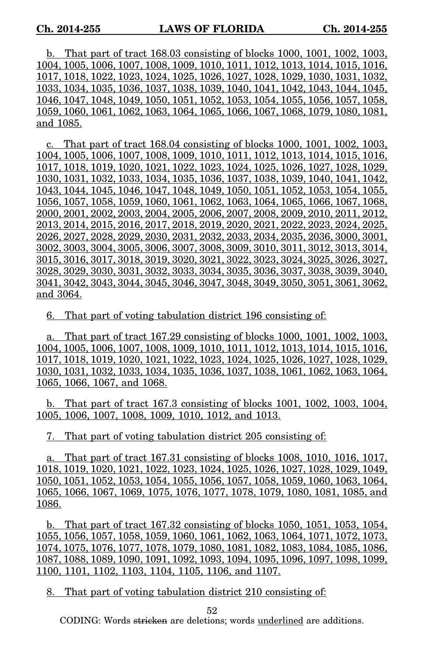b. That part of tract 168.03 consisting of blocks 1000, 1001, 1002, 1003, 1004, 1005, 1006, 1007, 1008, 1009, 1010, 1011, 1012, 1013, 1014, 1015, 1016, 1017, 1018, 1022, 1023, 1024, 1025, 1026, 1027, 1028, 1029, 1030, 1031, 1032, 1033, 1034, 1035, 1036, 1037, 1038, 1039, 1040, 1041, 1042, 1043, 1044, 1045, 1046, 1047, 1048, 1049, 1050, 1051, 1052, 1053, 1054, 1055, 1056, 1057, 1058, 1059, 1060, 1061, 1062, 1063, 1064, 1065, 1066, 1067, 1068, 1079, 1080, 1081, and 1085.

c. That part of tract 168.04 consisting of blocks 1000, 1001, 1002, 1003, 1004, 1005, 1006, 1007, 1008, 1009, 1010, 1011, 1012, 1013, 1014, 1015, 1016, 1017, 1018, 1019, 1020, 1021, 1022, 1023, 1024, 1025, 1026, 1027, 1028, 1029, 1030, 1031, 1032, 1033, 1034, 1035, 1036, 1037, 1038, 1039, 1040, 1041, 1042, 1043, 1044, 1045, 1046, 1047, 1048, 1049, 1050, 1051, 1052, 1053, 1054, 1055, 1056, 1057, 1058, 1059, 1060, 1061, 1062, 1063, 1064, 1065, 1066, 1067, 1068, 2000, 2001, 2002, 2003, 2004, 2005, 2006, 2007, 2008, 2009, 2010, 2011, 2012, 2013, 2014, 2015, 2016, 2017, 2018, 2019, 2020, 2021, 2022, 2023, 2024, 2025, 2026, 2027, 2028, 2029, 2030, 2031, 2032, 2033, 2034, 2035, 2036, 3000, 3001, 3002, 3003, 3004, 3005, 3006, 3007, 3008, 3009, 3010, 3011, 3012, 3013, 3014, 3015, 3016, 3017, 3018, 3019, 3020, 3021, 3022, 3023, 3024, 3025, 3026, 3027, 3028, 3029, 3030, 3031, 3032, 3033, 3034, 3035, 3036, 3037, 3038, 3039, 3040, 3041, 3042, 3043, 3044, 3045, 3046, 3047, 3048, 3049, 3050, 3051, 3061, 3062, and 3064.

6. That part of voting tabulation district 196 consisting of:

a. That part of tract 167.29 consisting of blocks 1000, 1001, 1002, 1003, 1004, 1005, 1006, 1007, 1008, 1009, 1010, 1011, 1012, 1013, 1014, 1015, 1016, 1017, 1018, 1019, 1020, 1021, 1022, 1023, 1024, 1025, 1026, 1027, 1028, 1029, 1030, 1031, 1032, 1033, 1034, 1035, 1036, 1037, 1038, 1061, 1062, 1063, 1064, 1065, 1066, 1067, and 1068.

b. That part of tract 167.3 consisting of blocks 1001, 1002, 1003, 1004, 1005, 1006, 1007, 1008, 1009, 1010, 1012, and 1013.

7. That part of voting tabulation district 205 consisting of:

a. That part of tract 167.31 consisting of blocks 1008, 1010, 1016, 1017, 1018, 1019, 1020, 1021, 1022, 1023, 1024, 1025, 1026, 1027, 1028, 1029, 1049, 1050, 1051, 1052, 1053, 1054, 1055, 1056, 1057, 1058, 1059, 1060, 1063, 1064, 1065, 1066, 1067, 1069, 1075, 1076, 1077, 1078, 1079, 1080, 1081, 1085, and 1086.

b. That part of tract 167.32 consisting of blocks 1050, 1051, 1053, 1054, 1055, 1056, 1057, 1058, 1059, 1060, 1061, 1062, 1063, 1064, 1071, 1072, 1073, 1074, 1075, 1076, 1077, 1078, 1079, 1080, 1081, 1082, 1083, 1084, 1085, 1086, 1087, 1088, 1089, 1090, 1091, 1092, 1093, 1094, 1095, 1096, 1097, 1098, 1099, 1100, 1101, 1102, 1103, 1104, 1105, 1106, and 1107.

8. That part of voting tabulation district 210 consisting of:

52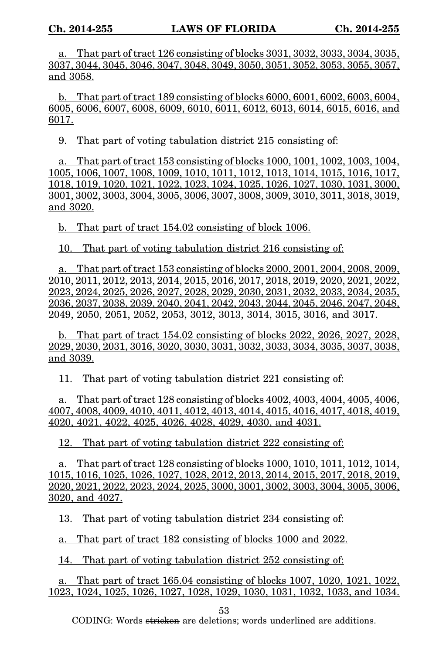a. That part of tract 126 consisting of blocks 3031, 3032, 3033, 3034, 3035, 3037, 3044, 3045, 3046, 3047, 3048, 3049, 3050, 3051, 3052, 3053, 3055, 3057, and 3058.

b. That part of tract 189 consisting of blocks 6000, 6001, 6002, 6003, 6004, 6005, 6006, 6007, 6008, 6009, 6010, 6011, 6012, 6013, 6014, 6015, 6016, and 6017.

9. That part of voting tabulation district 215 consisting of:

a. That part of tract 153 consisting of blocks 1000, 1001, 1002, 1003, 1004, 1005, 1006, 1007, 1008, 1009, 1010, 1011, 1012, 1013, 1014, 1015, 1016, 1017, 1018, 1019, 1020, 1021, 1022, 1023, 1024, 1025, 1026, 1027, 1030, 1031, 3000, 3001, 3002, 3003, 3004, 3005, 3006, 3007, 3008, 3009, 3010, 3011, 3018, 3019, and 3020.

b. That part of tract 154.02 consisting of block 1006.

10. That part of voting tabulation district 216 consisting of:

a. That part of tract 153 consisting of blocks 2000, 2001, 2004, 2008, 2009, 2010, 2011, 2012, 2013, 2014, 2015, 2016, 2017, 2018, 2019, 2020, 2021, 2022, 2023, 2024, 2025, 2026, 2027, 2028, 2029, 2030, 2031, 2032, 2033, 2034, 2035, 2036, 2037, 2038, 2039, 2040, 2041, 2042, 2043, 2044, 2045, 2046, 2047, 2048, 2049, 2050, 2051, 2052, 2053, 3012, 3013, 3014, 3015, 3016, and 3017.

b. That part of tract 154.02 consisting of blocks 2022, 2026, 2027, 2028, 2029, 2030, 2031, 3016, 3020, 3030, 3031, 3032, 3033, 3034, 3035, 3037, 3038, and 3039.

11. That part of voting tabulation district 221 consisting of:

a. That part of tract 128 consisting of blocks 4002, 4003, 4004, 4005, 4006, 4007, 4008, 4009, 4010, 4011, 4012, 4013, 4014, 4015, 4016, 4017, 4018, 4019, 4020, 4021, 4022, 4025, 4026, 4028, 4029, 4030, and 4031.

12. That part of voting tabulation district 222 consisting of:

a. That part of tract 128 consisting of blocks 1000, 1010, 1011, 1012, 1014, 1015, 1016, 1025, 1026, 1027, 1028, 2012, 2013, 2014, 2015, 2017, 2018, 2019, 2020, 2021, 2022, 2023, 2024, 2025, 3000, 3001, 3002, 3003, 3004, 3005, 3006, 3020, and 4027.

13. That part of voting tabulation district 234 consisting of:

a. That part of tract 182 consisting of blocks 1000 and 2022.

14. That part of voting tabulation district 252 consisting of:

a. That part of tract 165.04 consisting of blocks 1007, 1020, 1021, 1022, 1023, 1024, 1025, 1026, 1027, 1028, 1029, 1030, 1031, 1032, 1033, and 1034.

53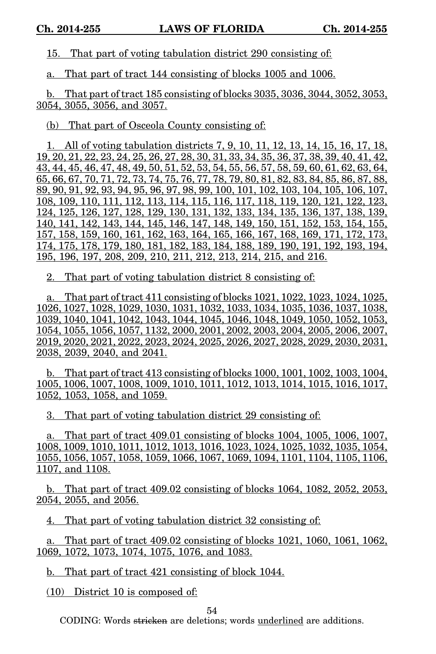15. That part of voting tabulation district 290 consisting of:

a. That part of tract 144 consisting of blocks 1005 and 1006.

b. That part of tract 185 consisting of blocks 3035, 3036, 3044, 3052, 3053, 3054, 3055, 3056, and 3057.

(b) That part of Osceola County consisting of:

1. All of voting tabulation districts 7, 9, 10, 11, 12, 13, 14, 15, 16, 17, 18, 19, 20, 21, 22, 23, 24, 25, 26, 27, 28, 30, 31, 33, 34, 35, 36, 37, 38, 39, 40, 41, 42, 43, 44, 45, 46, 47, 48, 49, 50, 51, 52, 53, 54, 55, 56, 57, 58, 59, 60, 61, 62, 63, 64, 65, 66, 67, 70, 71, 72, 73, 74, 75, 76, 77, 78, 79, 80, 81, 82, 83, 84, 85, 86, 87, 88, 89, 90, 91, 92, 93, 94, 95, 96, 97, 98, 99, 100, 101, 102, 103, 104, 105, 106, 107, 108, 109, 110, 111, 112, 113, 114, 115, 116, 117, 118, 119, 120, 121, 122, 123, 124, 125, 126, 127, 128, 129, 130, 131, 132, 133, 134, 135, 136, 137, 138, 139, 140, 141, 142, 143, 144, 145, 146, 147, 148, 149, 150, 151, 152, 153, 154, 155, 157, 158, 159, 160, 161, 162, 163, 164, 165, 166, 167, 168, 169, 171, 172, 173, 174, 175, 178, 179, 180, 181, 182, 183, 184, 188, 189, 190, 191, 192, 193, 194, 195, 196, 197, 208, 209, 210, 211, 212, 213, 214, 215, and 216.

2. That part of voting tabulation district 8 consisting of:

a. That part of tract 411 consisting of blocks 1021, 1022, 1023, 1024, 1025, 1026, 1027, 1028, 1029, 1030, 1031, 1032, 1033, 1034, 1035, 1036, 1037, 1038, 1039, 1040, 1041, 1042, 1043, 1044, 1045, 1046, 1048, 1049, 1050, 1052, 1053, 1054, 1055, 1056, 1057, 1132, 2000, 2001, 2002, 2003, 2004, 2005, 2006, 2007, 2019, 2020, 2021, 2022, 2023, 2024, 2025, 2026, 2027, 2028, 2029, 2030, 2031, 2038, 2039, 2040, and 2041.

b. That part of tract 413 consisting of blocks 1000, 1001, 1002, 1003, 1004, 1005, 1006, 1007, 1008, 1009, 1010, 1011, 1012, 1013, 1014, 1015, 1016, 1017, 1052, 1053, 1058, and 1059.

3. That part of voting tabulation district 29 consisting of:

a. That part of tract 409.01 consisting of blocks 1004, 1005, 1006, 1007, 1008, 1009, 1010, 1011, 1012, 1013, 1016, 1023, 1024, 1025, 1032, 1035, 1054, 1055, 1056, 1057, 1058, 1059, 1066, 1067, 1069, 1094, 1101, 1104, 1105, 1106, 1107, and 1108.

b. That part of tract 409.02 consisting of blocks 1064, 1082, 2052, 2053, 2054, 2055, and 2056.

4. That part of voting tabulation district 32 consisting of:

a. That part of tract 409.02 consisting of blocks 1021, 1060, 1061, 1062, 1069, 1072, 1073, 1074, 1075, 1076, and 1083.

b. That part of tract 421 consisting of block 1044.

(10) District 10 is composed of:

54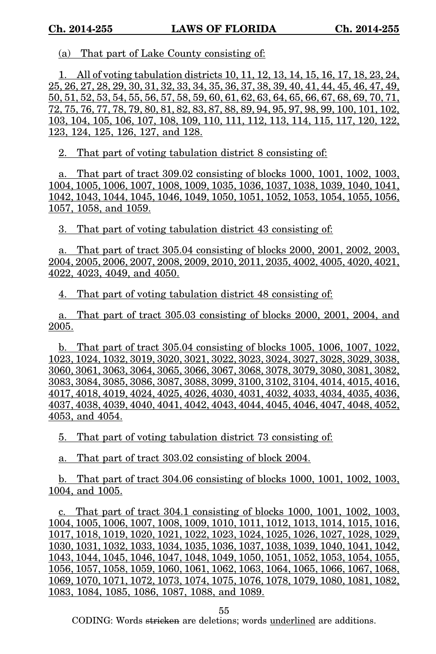(a) That part of Lake County consisting of:

1. All of voting tabulation districts 10, 11, 12, 13, 14, 15, 16, 17, 18, 23, 24, 25, 26, 27, 28, 29, 30, 31, 32, 33, 34, 35, 36, 37, 38, 39, 40, 41, 44, 45, 46, 47, 49, 50, 51, 52, 53, 54, 55, 56, 57, 58, 59, 60, 61, 62, 63, 64, 65, 66, 67, 68, 69, 70, 71, 72, 75, 76, 77, 78, 79, 80, 81, 82, 83, 87, 88, 89, 94, 95, 97, 98, 99, 100, 101, 102, 103, 104, 105, 106, 107, 108, 109, 110, 111, 112, 113, 114, 115, 117, 120, 122, 123, 124, 125, 126, 127, and 128.

2. That part of voting tabulation district 8 consisting of:

a. That part of tract 309.02 consisting of blocks 1000, 1001, 1002, 1003, 1004, 1005, 1006, 1007, 1008, 1009, 1035, 1036, 1037, 1038, 1039, 1040, 1041, 1042, 1043, 1044, 1045, 1046, 1049, 1050, 1051, 1052, 1053, 1054, 1055, 1056, 1057, 1058, and 1059.

3. That part of voting tabulation district 43 consisting of:

a. That part of tract 305.04 consisting of blocks 2000, 2001, 2002, 2003, 2004, 2005, 2006, 2007, 2008, 2009, 2010, 2011, 2035, 4002, 4005, 4020, 4021, 4022, 4023, 4049, and 4050.

4. That part of voting tabulation district 48 consisting of:

a. That part of tract 305.03 consisting of blocks 2000, 2001, 2004, and 2005.

b. That part of tract 305.04 consisting of blocks 1005, 1006, 1007, 1022, 1023, 1024, 1032, 3019, 3020, 3021, 3022, 3023, 3024, 3027, 3028, 3029, 3038, 3060, 3061, 3063, 3064, 3065, 3066, 3067, 3068, 3078, 3079, 3080, 3081, 3082, 3083, 3084, 3085, 3086, 3087, 3088, 3099, 3100, 3102, 3104, 4014, 4015, 4016, 4017, 4018, 4019, 4024, 4025, 4026, 4030, 4031, 4032, 4033, 4034, 4035, 4036, 4037, 4038, 4039, 4040, 4041, 4042, 4043, 4044, 4045, 4046, 4047, 4048, 4052, 4053, and 4054.

5. That part of voting tabulation district 73 consisting of:

a. That part of tract 303.02 consisting of block 2004.

b. That part of tract 304.06 consisting of blocks 1000, 1001, 1002, 1003, 1004, and 1005.

c. That part of tract 304.1 consisting of blocks 1000, 1001, 1002, 1003, 1004, 1005, 1006, 1007, 1008, 1009, 1010, 1011, 1012, 1013, 1014, 1015, 1016, 1017, 1018, 1019, 1020, 1021, 1022, 1023, 1024, 1025, 1026, 1027, 1028, 1029, 1030, 1031, 1032, 1033, 1034, 1035, 1036, 1037, 1038, 1039, 1040, 1041, 1042, 1043, 1044, 1045, 1046, 1047, 1048, 1049, 1050, 1051, 1052, 1053, 1054, 1055, 1056, 1057, 1058, 1059, 1060, 1061, 1062, 1063, 1064, 1065, 1066, 1067, 1068, 1069, 1070, 1071, 1072, 1073, 1074, 1075, 1076, 1078, 1079, 1080, 1081, 1082, 1083, 1084, 1085, 1086, 1087, 1088, and 1089.

55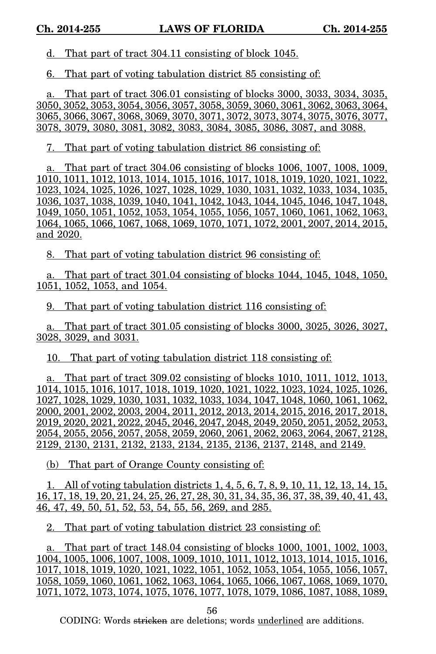d. That part of tract 304.11 consisting of block 1045.

6. That part of voting tabulation district 85 consisting of:

a. That part of tract 306.01 consisting of blocks 3000, 3033, 3034, 3035, 3050, 3052, 3053, 3054, 3056, 3057, 3058, 3059, 3060, 3061, 3062, 3063, 3064, 3065, 3066, 3067, 3068, 3069, 3070, 3071, 3072, 3073, 3074, 3075, 3076, 3077, 3078, 3079, 3080, 3081, 3082, 3083, 3084, 3085, 3086, 3087, and 3088.

7. That part of voting tabulation district 86 consisting of:

a. That part of tract 304.06 consisting of blocks 1006, 1007, 1008, 1009, 1010, 1011, 1012, 1013, 1014, 1015, 1016, 1017, 1018, 1019, 1020, 1021, 1022, 1023, 1024, 1025, 1026, 1027, 1028, 1029, 1030, 1031, 1032, 1033, 1034, 1035, 1036, 1037, 1038, 1039, 1040, 1041, 1042, 1043, 1044, 1045, 1046, 1047, 1048, 1049, 1050, 1051, 1052, 1053, 1054, 1055, 1056, 1057, 1060, 1061, 1062, 1063, 1064, 1065, 1066, 1067, 1068, 1069, 1070, 1071, 1072, 2001, 2007, 2014, 2015, and 2020.

8. That part of voting tabulation district 96 consisting of:

a. That part of tract 301.04 consisting of blocks 1044, 1045, 1048, 1050, 1051, 1052, 1053, and 1054.

9. That part of voting tabulation district 116 consisting of:

a. That part of tract 301.05 consisting of blocks 3000, 3025, 3026, 3027, 3028, 3029, and 3031.

10. That part of voting tabulation district 118 consisting of:

That part of tract 309.02 consisting of blocks 1010, 1011, 1012, 1013, 1014, 1015, 1016, 1017, 1018, 1019, 1020, 1021, 1022, 1023, 1024, 1025, 1026, 1027, 1028, 1029, 1030, 1031, 1032, 1033, 1034, 1047, 1048, 1060, 1061, 1062, 2000, 2001, 2002, 2003, 2004, 2011, 2012, 2013, 2014, 2015, 2016, 2017, 2018, 2019, 2020, 2021, 2022, 2045, 2046, 2047, 2048, 2049, 2050, 2051, 2052, 2053, 2054, 2055, 2056, 2057, 2058, 2059, 2060, 2061, 2062, 2063, 2064, 2067, 2128, 2129, 2130, 2131, 2132, 2133, 2134, 2135, 2136, 2137, 2148, and 2149.

(b) That part of Orange County consisting of:

1. All of voting tabulation districts 1, 4, 5, 6, 7, 8, 9, 10, 11, 12, 13, 14, 15, 16, 17, 18, 19, 20, 21, 24, 25, 26, 27, 28, 30, 31, 34, 35, 36, 37, 38, 39, 40, 41, 43, 46, 47, 49, 50, 51, 52, 53, 54, 55, 56, 269, and 285.

2. That part of voting tabulation district 23 consisting of:

a. That part of tract 148.04 consisting of blocks 1000, 1001, 1002, 1003, 1004, 1005, 1006, 1007, 1008, 1009, 1010, 1011, 1012, 1013, 1014, 1015, 1016, 1017, 1018, 1019, 1020, 1021, 1022, 1051, 1052, 1053, 1054, 1055, 1056, 1057, 1058, 1059, 1060, 1061, 1062, 1063, 1064, 1065, 1066, 1067, 1068, 1069, 1070, 1071, 1072, 1073, 1074, 1075, 1076, 1077, 1078, 1079, 1086, 1087, 1088, 1089,

56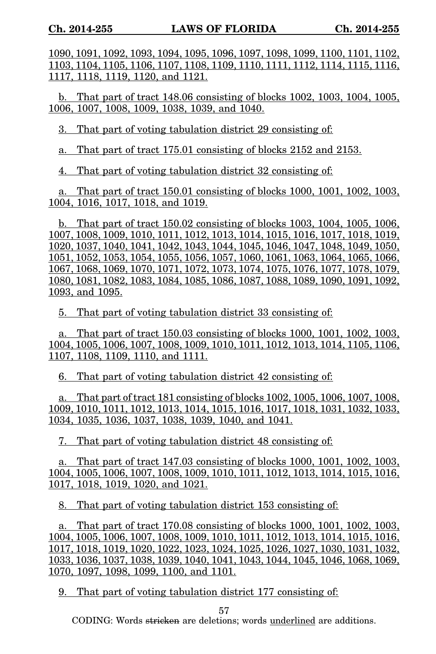1090, 1091, 1092, 1093, 1094, 1095, 1096, 1097, 1098, 1099, 1100, 1101, 1102, 1103, 1104, 1105, 1106, 1107, 1108, 1109, 1110, 1111, 1112, 1114, 1115, 1116, 1117, 1118, 1119, 1120, and 1121.

b. That part of tract 148.06 consisting of blocks 1002, 1003, 1004, 1005, 1006, 1007, 1008, 1009, 1038, 1039, and 1040.

3. That part of voting tabulation district 29 consisting of:

a. That part of tract 175.01 consisting of blocks 2152 and 2153.

4. That part of voting tabulation district 32 consisting of:

a. That part of tract 150.01 consisting of blocks 1000, 1001, 1002, 1003, 1004, 1016, 1017, 1018, and 1019.

b. That part of tract 150.02 consisting of blocks 1003, 1004, 1005, 1006, 1007, 1008, 1009, 1010, 1011, 1012, 1013, 1014, 1015, 1016, 1017, 1018, 1019, 1020, 1037, 1040, 1041, 1042, 1043, 1044, 1045, 1046, 1047, 1048, 1049, 1050, 1051, 1052, 1053, 1054, 1055, 1056, 1057, 1060, 1061, 1063, 1064, 1065, 1066, 1067, 1068, 1069, 1070, 1071, 1072, 1073, 1074, 1075, 1076, 1077, 1078, 1079, 1080, 1081, 1082, 1083, 1084, 1085, 1086, 1087, 1088, 1089, 1090, 1091, 1092, 1093, and 1095.

5. That part of voting tabulation district 33 consisting of:

a. That part of tract 150.03 consisting of blocks 1000, 1001, 1002, 1003, 1004, 1005, 1006, 1007, 1008, 1009, 1010, 1011, 1012, 1013, 1014, 1105, 1106, 1107, 1108, 1109, 1110, and 1111.

6. That part of voting tabulation district 42 consisting of:

a. That part of tract 181 consisting of blocks 1002, 1005, 1006, 1007, 1008, 1009, 1010, 1011, 1012, 1013, 1014, 1015, 1016, 1017, 1018, 1031, 1032, 1033, 1034, 1035, 1036, 1037, 1038, 1039, 1040, and 1041.

7. That part of voting tabulation district 48 consisting of:

a. That part of tract 147.03 consisting of blocks 1000, 1001, 1002, 1003, 1004, 1005, 1006, 1007, 1008, 1009, 1010, 1011, 1012, 1013, 1014, 1015, 1016, 1017, 1018, 1019, 1020, and 1021.

8. That part of voting tabulation district 153 consisting of:

a. That part of tract 170.08 consisting of blocks 1000, 1001, 1002, 1003, 1004, 1005, 1006, 1007, 1008, 1009, 1010, 1011, 1012, 1013, 1014, 1015, 1016, 1017, 1018, 1019, 1020, 1022, 1023, 1024, 1025, 1026, 1027, 1030, 1031, 1032, 1033, 1036, 1037, 1038, 1039, 1040, 1041, 1043, 1044, 1045, 1046, 1068, 1069, 1070, 1097, 1098, 1099, 1100, and 1101.

9. That part of voting tabulation district 177 consisting of:

57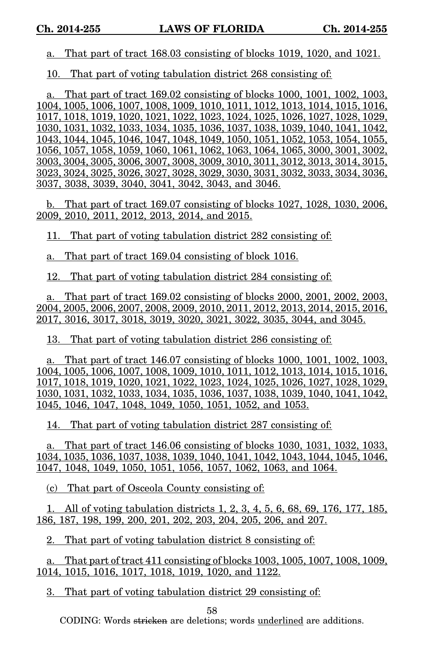a. That part of tract 168.03 consisting of blocks 1019, 1020, and 1021.

10. That part of voting tabulation district 268 consisting of:

a. That part of tract 169.02 consisting of blocks 1000, 1001, 1002, 1003, 1004, 1005, 1006, 1007, 1008, 1009, 1010, 1011, 1012, 1013, 1014, 1015, 1016, 1017, 1018, 1019, 1020, 1021, 1022, 1023, 1024, 1025, 1026, 1027, 1028, 1029, 1030, 1031, 1032, 1033, 1034, 1035, 1036, 1037, 1038, 1039, 1040, 1041, 1042, 1043, 1044, 1045, 1046, 1047, 1048, 1049, 1050, 1051, 1052, 1053, 1054, 1055, 1056, 1057, 1058, 1059, 1060, 1061, 1062, 1063, 1064, 1065, 3000, 3001, 3002, 3003, 3004, 3005, 3006, 3007, 3008, 3009, 3010, 3011, 3012, 3013, 3014, 3015, 3023, 3024, 3025, 3026, 3027, 3028, 3029, 3030, 3031, 3032, 3033, 3034, 3036, 3037, 3038, 3039, 3040, 3041, 3042, 3043, and 3046.

That part of tract 169.07 consisting of blocks 1027, 1028, 1030, 2006, 2009, 2010, 2011, 2012, 2013, 2014, and 2015.

11. That part of voting tabulation district 282 consisting of:

a. That part of tract 169.04 consisting of block 1016.

12. That part of voting tabulation district 284 consisting of:

a. That part of tract 169.02 consisting of blocks 2000, 2001, 2002, 2003, 2004, 2005, 2006, 2007, 2008, 2009, 2010, 2011, 2012, 2013, 2014, 2015, 2016, 2017, 3016, 3017, 3018, 3019, 3020, 3021, 3022, 3035, 3044, and 3045.

13. That part of voting tabulation district 286 consisting of:

a. That part of tract 146.07 consisting of blocks 1000, 1001, 1002, 1003, 1004, 1005, 1006, 1007, 1008, 1009, 1010, 1011, 1012, 1013, 1014, 1015, 1016, 1017, 1018, 1019, 1020, 1021, 1022, 1023, 1024, 1025, 1026, 1027, 1028, 1029, 1030, 1031, 1032, 1033, 1034, 1035, 1036, 1037, 1038, 1039, 1040, 1041, 1042, 1045, 1046, 1047, 1048, 1049, 1050, 1051, 1052, and 1053.

14. That part of voting tabulation district 287 consisting of:

a. That part of tract 146.06 consisting of blocks 1030, 1031, 1032, 1033, 1034, 1035, 1036, 1037, 1038, 1039, 1040, 1041, 1042, 1043, 1044, 1045, 1046, 1047, 1048, 1049, 1050, 1051, 1056, 1057, 1062, 1063, and 1064.

(c) That part of Osceola County consisting of:

1. All of voting tabulation districts 1, 2, 3, 4, 5, 6, 68, 69, 176, 177, 185, 186, 187, 198, 199, 200, 201, 202, 203, 204, 205, 206, and 207.

2. That part of voting tabulation district 8 consisting of:

a. That part of tract 411 consisting of blocks 1003, 1005, 1007, 1008, 1009, 1014, 1015, 1016, 1017, 1018, 1019, 1020, and 1122.

3. That part of voting tabulation district 29 consisting of:

58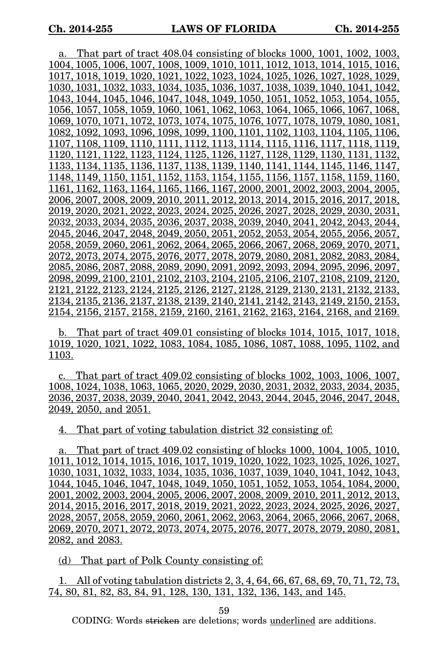That part of tract 408.04 consisting of blocks 1000, 1001, 1002, 1003, 1004, 1005, 1006, 1007, 1008, 1009, 1010, 1011, 1012, 1013, 1014, 1015, 1016, 1017, 1018, 1019, 1020, 1021, 1022, 1023, 1024, 1025, 1026, 1027, 1028, 1029, 1030, 1031, 1032, 1033, 1034, 1035, 1036, 1037, 1038, 1039, 1040, 1041, 1042, 1043, 1044, 1045, 1046, 1047, 1048, 1049, 1050, 1051, 1052, 1053, 1054, 1055, 1056, 1057, 1058, 1059, 1060, 1061, 1062, 1063, 1064, 1065, 1066, 1067, 1068, 1069, 1070, 1071, 1072, 1073, 1074, 1075, 1076, 1077, 1078, 1079, 1080, 1081, 1082, 1092, 1093, 1096, 1098, 1099, 1100, 1101, 1102, 1103, 1104, 1105, 1106, 1107, 1108, 1109, 1110, 1111, 1112, 1113, 1114, 1115, 1116, 1117, 1118, 1119, 1120, 1121, 1122, 1123, 1124, 1125, 1126, 1127, 1128, 1129, 1130, 1131, 1132, 1133, 1134, 1135, 1136, 1137, 1138, 1139, 1140, 1141, 1144, 1145, 1146, 1147, 1148, 1149, 1150, 1151, 1152, 1153, 1154, 1155, 1156, 1157, 1158, 1159, 1160, 1161, 1162, 1163, 1164, 1165, 1166, 1167, 2000, 2001, 2002, 2003, 2004, 2005, 2006, 2007, 2008, 2009, 2010, 2011, 2012, 2013, 2014, 2015, 2016, 2017, 2018, 2019, 2020, 2021, 2022, 2023, 2024, 2025, 2026, 2027, 2028, 2029, 2030, 2031, 2032, 2033, 2034, 2035, 2036, 2037, 2038, 2039, 2040, 2041, 2042, 2043, 2044, 2045, 2046, 2047, 2048, 2049, 2050, 2051, 2052, 2053, 2054, 2055, 2056, 2057, 2058, 2059, 2060, 2061, 2062, 2064, 2065, 2066, 2067, 2068, 2069, 2070, 2071, 2072, 2073, 2074, 2075, 2076, 2077, 2078, 2079, 2080, 2081, 2082, 2083, 2084, 2085, 2086, 2087, 2088, 2089, 2090, 2091, 2092, 2093, 2094, 2095, 2096, 2097, 2098, 2099, 2100, 2101, 2102, 2103, 2104, 2105, 2106, 2107, 2108, 2109, 2120, 2121, 2122, 2123, 2124, 2125, 2126, 2127, 2128, 2129, 2130, 2131, 2132, 2133, 2134, 2135, 2136, 2137, 2138, 2139, 2140, 2141, 2142, 2143, 2149, 2150, 2153, 2154, 2156, 2157, 2158, 2159, 2160, 2161, 2162, 2163, 2164, 2168, and 2169.

b. That part of tract 409.01 consisting of blocks 1014, 1015, 1017, 1018, 1019, 1020, 1021, 1022, 1083, 1084, 1085, 1086, 1087, 1088, 1095, 1102, and 1103.

That part of tract 409.02 consisting of blocks 1002, 1003, 1006, 1007, 1008, 1024, 1038, 1063, 1065, 2020, 2029, 2030, 2031, 2032, 2033, 2034, 2035, 2036, 2037, 2038, 2039, 2040, 2041, 2042, 2043, 2044, 2045, 2046, 2047, 2048, 2049, 2050, and 2051.

4. That part of voting tabulation district 32 consisting of:

That part of tract 409.02 consisting of blocks 1000, 1004, 1005, 1010, 1011, 1012, 1014, 1015, 1016, 1017, 1019, 1020, 1022, 1023, 1025, 1026, 1027, 1030, 1031, 1032, 1033, 1034, 1035, 1036, 1037, 1039, 1040, 1041, 1042, 1043, 1044, 1045, 1046, 1047, 1048, 1049, 1050, 1051, 1052, 1053, 1054, 1084, 2000, 2001, 2002, 2003, 2004, 2005, 2006, 2007, 2008, 2009, 2010, 2011, 2012, 2013, 2014, 2015, 2016, 2017, 2018, 2019, 2021, 2022, 2023, 2024, 2025, 2026, 2027, 2028, 2057, 2058, 2059, 2060, 2061, 2062, 2063, 2064, 2065, 2066, 2067, 2068, 2069, 2070, 2071, 2072, 2073, 2074, 2075, 2076, 2077, 2078, 2079, 2080, 2081, 2082, and 2083.

(d) That part of Polk County consisting of:

1. All of voting tabulation districts 2, 3, 4, 64, 66, 67, 68, 69, 70, 71, 72, 73, 74, 80, 81, 82, 83, 84, 91, 128, 130, 131, 132, 136, 143, and 145.

59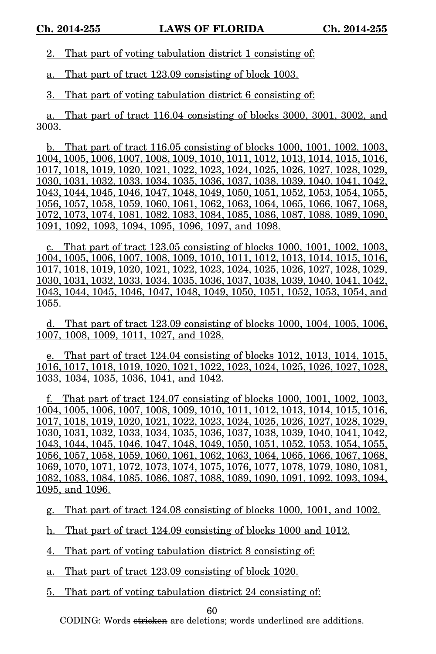2. That part of voting tabulation district 1 consisting of:

a. That part of tract 123.09 consisting of block 1003.

3. That part of voting tabulation district 6 consisting of:

a. That part of tract 116.04 consisting of blocks 3000, 3001, 3002, and 3003.

b. That part of tract 116.05 consisting of blocks 1000, 1001, 1002, 1003, 1004, 1005, 1006, 1007, 1008, 1009, 1010, 1011, 1012, 1013, 1014, 1015, 1016, 1017, 1018, 1019, 1020, 1021, 1022, 1023, 1024, 1025, 1026, 1027, 1028, 1029, 1030, 1031, 1032, 1033, 1034, 1035, 1036, 1037, 1038, 1039, 1040, 1041, 1042, 1043, 1044, 1045, 1046, 1047, 1048, 1049, 1050, 1051, 1052, 1053, 1054, 1055, 1056, 1057, 1058, 1059, 1060, 1061, 1062, 1063, 1064, 1065, 1066, 1067, 1068, 1072, 1073, 1074, 1081, 1082, 1083, 1084, 1085, 1086, 1087, 1088, 1089, 1090, 1091, 1092, 1093, 1094, 1095, 1096, 1097, and 1098.

c. That part of tract 123.05 consisting of blocks 1000, 1001, 1002, 1003, 1004, 1005, 1006, 1007, 1008, 1009, 1010, 1011, 1012, 1013, 1014, 1015, 1016, 1017, 1018, 1019, 1020, 1021, 1022, 1023, 1024, 1025, 1026, 1027, 1028, 1029, 1030, 1031, 1032, 1033, 1034, 1035, 1036, 1037, 1038, 1039, 1040, 1041, 1042, 1043, 1044, 1045, 1046, 1047, 1048, 1049, 1050, 1051, 1052, 1053, 1054, and 1055.

d. That part of tract 123.09 consisting of blocks 1000, 1004, 1005, 1006, 1007, 1008, 1009, 1011, 1027, and 1028.

e. That part of tract 124.04 consisting of blocks 1012, 1013, 1014, 1015, 1016, 1017, 1018, 1019, 1020, 1021, 1022, 1023, 1024, 1025, 1026, 1027, 1028, 1033, 1034, 1035, 1036, 1041, and 1042.

f. That part of tract 124.07 consisting of blocks 1000, 1001, 1002, 1003, 1004, 1005, 1006, 1007, 1008, 1009, 1010, 1011, 1012, 1013, 1014, 1015, 1016, 1017, 1018, 1019, 1020, 1021, 1022, 1023, 1024, 1025, 1026, 1027, 1028, 1029, 1030, 1031, 1032, 1033, 1034, 1035, 1036, 1037, 1038, 1039, 1040, 1041, 1042, 1043, 1044, 1045, 1046, 1047, 1048, 1049, 1050, 1051, 1052, 1053, 1054, 1055, 1056, 1057, 1058, 1059, 1060, 1061, 1062, 1063, 1064, 1065, 1066, 1067, 1068, 1069, 1070, 1071, 1072, 1073, 1074, 1075, 1076, 1077, 1078, 1079, 1080, 1081, 1082, 1083, 1084, 1085, 1086, 1087, 1088, 1089, 1090, 1091, 1092, 1093, 1094, 1095, and 1096.

g. That part of tract 124.08 consisting of blocks 1000, 1001, and 1002.

h. That part of tract 124.09 consisting of blocks 1000 and 1012.

4. That part of voting tabulation district 8 consisting of:

a. That part of tract 123.09 consisting of block 1020.

5. That part of voting tabulation district 24 consisting of:

60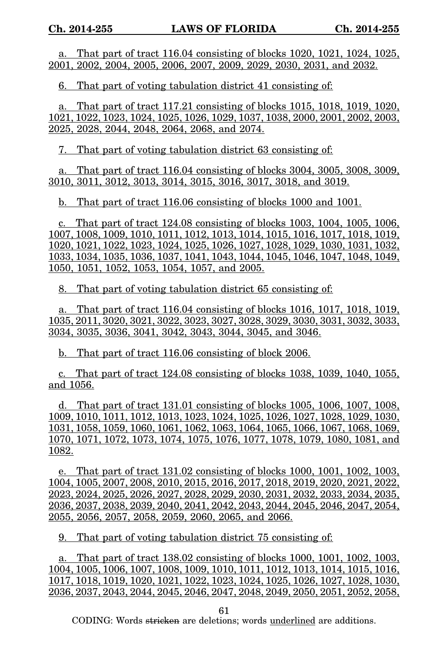That part of tract 116.04 consisting of blocks 1020, 1021, 1024, 1025, 2001, 2002, 2004, 2005, 2006, 2007, 2009, 2029, 2030, 2031, and 2032.

6. That part of voting tabulation district 41 consisting of:

a. That part of tract 117.21 consisting of blocks 1015, 1018, 1019, 1020, 1021, 1022, 1023, 1024, 1025, 1026, 1029, 1037, 1038, 2000, 2001, 2002, 2003, 2025, 2028, 2044, 2048, 2064, 2068, and 2074.

7. That part of voting tabulation district 63 consisting of:

a. That part of tract 116.04 consisting of blocks 3004, 3005, 3008, 3009, 3010, 3011, 3012, 3013, 3014, 3015, 3016, 3017, 3018, and 3019.

b. That part of tract 116.06 consisting of blocks 1000 and 1001.

c. That part of tract 124.08 consisting of blocks 1003, 1004, 1005, 1006, 1007, 1008, 1009, 1010, 1011, 1012, 1013, 1014, 1015, 1016, 1017, 1018, 1019, 1020, 1021, 1022, 1023, 1024, 1025, 1026, 1027, 1028, 1029, 1030, 1031, 1032, 1033, 1034, 1035, 1036, 1037, 1041, 1043, 1044, 1045, 1046, 1047, 1048, 1049, 1050, 1051, 1052, 1053, 1054, 1057, and 2005.

8. That part of voting tabulation district 65 consisting of:

a. That part of tract 116.04 consisting of blocks 1016, 1017, 1018, 1019, 1035, 2011, 3020, 3021, 3022, 3023, 3027, 3028, 3029, 3030, 3031, 3032, 3033, 3034, 3035, 3036, 3041, 3042, 3043, 3044, 3045, and 3046.

b. That part of tract 116.06 consisting of block 2006.

c. That part of tract 124.08 consisting of blocks 1038, 1039, 1040, 1055, and 1056.

d. That part of tract 131.01 consisting of blocks 1005, 1006, 1007, 1008, 1009, 1010, 1011, 1012, 1013, 1023, 1024, 1025, 1026, 1027, 1028, 1029, 1030, 1031, 1058, 1059, 1060, 1061, 1062, 1063, 1064, 1065, 1066, 1067, 1068, 1069, 1070, 1071, 1072, 1073, 1074, 1075, 1076, 1077, 1078, 1079, 1080, 1081, and 1082.

e. That part of tract 131.02 consisting of blocks 1000, 1001, 1002, 1003, 1004, 1005, 2007, 2008, 2010, 2015, 2016, 2017, 2018, 2019, 2020, 2021, 2022, 2023, 2024, 2025, 2026, 2027, 2028, 2029, 2030, 2031, 2032, 2033, 2034, 2035, 2036, 2037, 2038, 2039, 2040, 2041, 2042, 2043, 2044, 2045, 2046, 2047, 2054, 2055, 2056, 2057, 2058, 2059, 2060, 2065, and 2066.

9. That part of voting tabulation district 75 consisting of:

a. That part of tract 138.02 consisting of blocks 1000, 1001, 1002, 1003, 1004, 1005, 1006, 1007, 1008, 1009, 1010, 1011, 1012, 1013, 1014, 1015, 1016, 1017, 1018, 1019, 1020, 1021, 1022, 1023, 1024, 1025, 1026, 1027, 1028, 1030, 2036, 2037, 2043, 2044, 2045, 2046, 2047, 2048, 2049, 2050, 2051, 2052, 2058,

61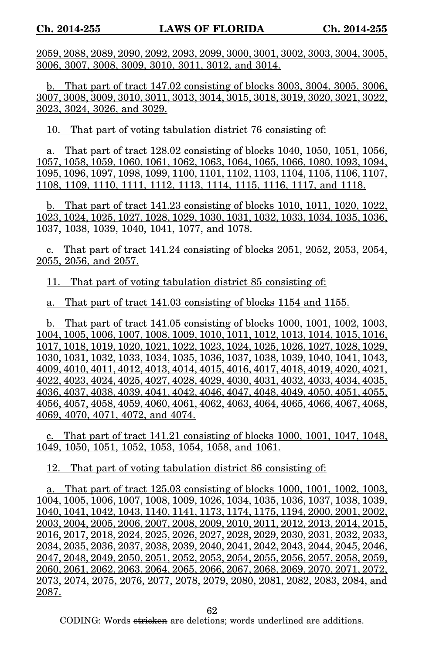2059, 2088, 2089, 2090, 2092, 2093, 2099, 3000, 3001, 3002, 3003, 3004, 3005, 3006, 3007, 3008, 3009, 3010, 3011, 3012, and 3014.

b. That part of tract 147.02 consisting of blocks 3003, 3004, 3005, 3006, 3007, 3008, 3009, 3010, 3011, 3013, 3014, 3015, 3018, 3019, 3020, 3021, 3022, 3023, 3024, 3026, and 3029.

10. That part of voting tabulation district 76 consisting of:

a. That part of tract 128.02 consisting of blocks 1040, 1050, 1051, 1056, 1057, 1058, 1059, 1060, 1061, 1062, 1063, 1064, 1065, 1066, 1080, 1093, 1094, 1095, 1096, 1097, 1098, 1099, 1100, 1101, 1102, 1103, 1104, 1105, 1106, 1107, 1108, 1109, 1110, 1111, 1112, 1113, 1114, 1115, 1116, 1117, and 1118.

b. That part of tract 141.23 consisting of blocks 1010, 1011, 1020, 1022, 1023, 1024, 1025, 1027, 1028, 1029, 1030, 1031, 1032, 1033, 1034, 1035, 1036, 1037, 1038, 1039, 1040, 1041, 1077, and 1078.

c. That part of tract 141.24 consisting of blocks 2051, 2052, 2053, 2054, 2055, 2056, and 2057.

11. That part of voting tabulation district 85 consisting of:

a. That part of tract 141.03 consisting of blocks 1154 and 1155.

b. That part of tract 141.05 consisting of blocks 1000, 1001, 1002, 1003, 1004, 1005, 1006, 1007, 1008, 1009, 1010, 1011, 1012, 1013, 1014, 1015, 1016, 1017, 1018, 1019, 1020, 1021, 1022, 1023, 1024, 1025, 1026, 1027, 1028, 1029, 1030, 1031, 1032, 1033, 1034, 1035, 1036, 1037, 1038, 1039, 1040, 1041, 1043, 4009, 4010, 4011, 4012, 4013, 4014, 4015, 4016, 4017, 4018, 4019, 4020, 4021, 4022, 4023, 4024, 4025, 4027, 4028, 4029, 4030, 4031, 4032, 4033, 4034, 4035, 4036, 4037, 4038, 4039, 4041, 4042, 4046, 4047, 4048, 4049, 4050, 4051, 4055, 4056, 4057, 4058, 4059, 4060, 4061, 4062, 4063, 4064, 4065, 4066, 4067, 4068, 4069, 4070, 4071, 4072, and 4074.

c. That part of tract 141.21 consisting of blocks 1000, 1001, 1047, 1048, 1049, 1050, 1051, 1052, 1053, 1054, 1058, and 1061.

12. That part of voting tabulation district 86 consisting of:

a. That part of tract 125.03 consisting of blocks 1000, 1001, 1002, 1003, 1004, 1005, 1006, 1007, 1008, 1009, 1026, 1034, 1035, 1036, 1037, 1038, 1039, 1040, 1041, 1042, 1043, 1140, 1141, 1173, 1174, 1175, 1194, 2000, 2001, 2002, 2003, 2004, 2005, 2006, 2007, 2008, 2009, 2010, 2011, 2012, 2013, 2014, 2015, 2016, 2017, 2018, 2024, 2025, 2026, 2027, 2028, 2029, 2030, 2031, 2032, 2033, 2034, 2035, 2036, 2037, 2038, 2039, 2040, 2041, 2042, 2043, 2044, 2045, 2046, 2047, 2048, 2049, 2050, 2051, 2052, 2053, 2054, 2055, 2056, 2057, 2058, 2059, 2060, 2061, 2062, 2063, 2064, 2065, 2066, 2067, 2068, 2069, 2070, 2071, 2072, 2073, 2074, 2075, 2076, 2077, 2078, 2079, 2080, 2081, 2082, 2083, 2084, and 2087.

62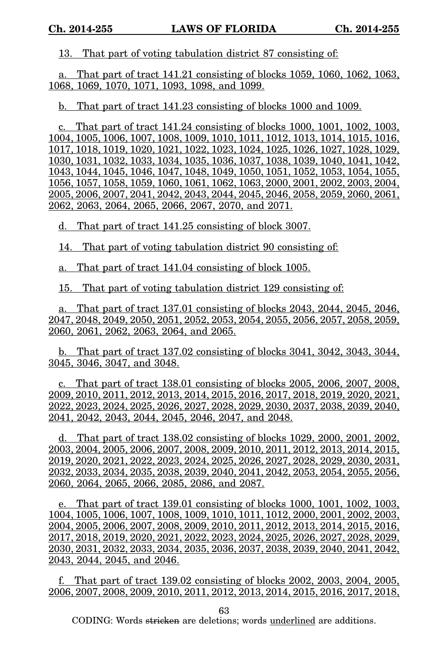13. That part of voting tabulation district 87 consisting of:

a. That part of tract 141.21 consisting of blocks 1059, 1060, 1062, 1063, 1068, 1069, 1070, 1071, 1093, 1098, and 1099.

b. That part of tract 141.23 consisting of blocks 1000 and 1009.

c. That part of tract 141.24 consisting of blocks 1000, 1001, 1002, 1003, 1004, 1005, 1006, 1007, 1008, 1009, 1010, 1011, 1012, 1013, 1014, 1015, 1016, 1017, 1018, 1019, 1020, 1021, 1022, 1023, 1024, 1025, 1026, 1027, 1028, 1029, 1030, 1031, 1032, 1033, 1034, 1035, 1036, 1037, 1038, 1039, 1040, 1041, 1042, 1043, 1044, 1045, 1046, 1047, 1048, 1049, 1050, 1051, 1052, 1053, 1054, 1055, 1056, 1057, 1058, 1059, 1060, 1061, 1062, 1063, 2000, 2001, 2002, 2003, 2004, 2005, 2006, 2007, 2041, 2042, 2043, 2044, 2045, 2046, 2058, 2059, 2060, 2061, 2062, 2063, 2064, 2065, 2066, 2067, 2070, and 2071.

d. That part of tract 141.25 consisting of block 3007.

14. That part of voting tabulation district 90 consisting of:

a. That part of tract 141.04 consisting of block 1005.

15. That part of voting tabulation district 129 consisting of:

a. That part of tract 137.01 consisting of blocks 2043, 2044, 2045, 2046, 2047, 2048, 2049, 2050, 2051, 2052, 2053, 2054, 2055, 2056, 2057, 2058, 2059, 2060, 2061, 2062, 2063, 2064, and 2065.

b. That part of tract 137.02 consisting of blocks 3041, 3042, 3043, 3044, 3045, 3046, 3047, and 3048.

c. That part of tract 138.01 consisting of blocks 2005, 2006, 2007, 2008, 2009, 2010, 2011, 2012, 2013, 2014, 2015, 2016, 2017, 2018, 2019, 2020, 2021, 2022, 2023, 2024, 2025, 2026, 2027, 2028, 2029, 2030, 2037, 2038, 2039, 2040, 2041, 2042, 2043, 2044, 2045, 2046, 2047, and 2048.

That part of tract  $138.02$  consisting of blocks  $1029, 2000, 2001, 2002$ . 2003, 2004, 2005, 2006, 2007, 2008, 2009, 2010, 2011, 2012, 2013, 2014, 2015, 2019, 2020, 2021, 2022, 2023, 2024, 2025, 2026, 2027, 2028, 2029, 2030, 2031, 2032, 2033, 2034, 2035, 2038, 2039, 2040, 2041, 2042, 2053, 2054, 2055, 2056, 2060, 2064, 2065, 2066, 2085, 2086, and 2087.

e. That part of tract 139.01 consisting of blocks 1000, 1001, 1002, 1003, 1004, 1005, 1006, 1007, 1008, 1009, 1010, 1011, 1012, 2000, 2001, 2002, 2003, 2004, 2005, 2006, 2007, 2008, 2009, 2010, 2011, 2012, 2013, 2014, 2015, 2016, 2017, 2018, 2019, 2020, 2021, 2022, 2023, 2024, 2025, 2026, 2027, 2028, 2029, 2030, 2031, 2032, 2033, 2034, 2035, 2036, 2037, 2038, 2039, 2040, 2041, 2042, 2043, 2044, 2045, and 2046.

f. That part of tract 139.02 consisting of blocks 2002, 2003, 2004, 2005, 2006, 2007, 2008, 2009, 2010, 2011, 2012, 2013, 2014, 2015, 2016, 2017, 2018,

63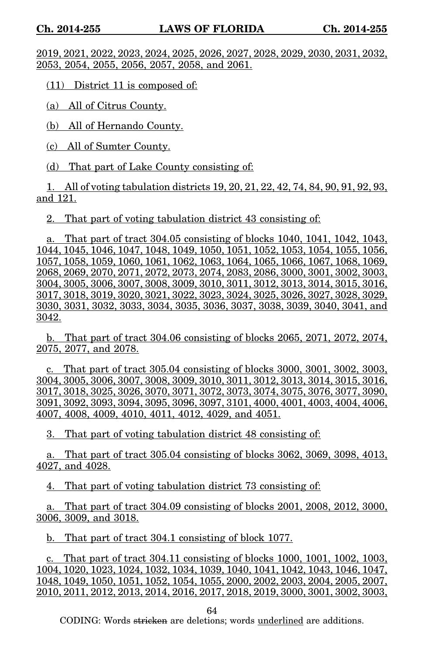2019, 2021, 2022, 2023, 2024, 2025, 2026, 2027, 2028, 2029, 2030, 2031, 2032, 2053, 2054, 2055, 2056, 2057, 2058, and 2061.

(11) District 11 is composed of:

(a) All of Citrus County.

(b) All of Hernando County.

(c) All of Sumter County.

(d) That part of Lake County consisting of:

1. All of voting tabulation districts 19, 20, 21, 22, 42, 74, 84, 90, 91, 92, 93, and 121.

2. That part of voting tabulation district 43 consisting of:

a. That part of tract 304.05 consisting of blocks 1040, 1041, 1042, 1043, 1044, 1045, 1046, 1047, 1048, 1049, 1050, 1051, 1052, 1053, 1054, 1055, 1056, 1057, 1058, 1059, 1060, 1061, 1062, 1063, 1064, 1065, 1066, 1067, 1068, 1069, 2068, 2069, 2070, 2071, 2072, 2073, 2074, 2083, 2086, 3000, 3001, 3002, 3003, 3004, 3005, 3006, 3007, 3008, 3009, 3010, 3011, 3012, 3013, 3014, 3015, 3016, 3017, 3018, 3019, 3020, 3021, 3022, 3023, 3024, 3025, 3026, 3027, 3028, 3029, 3030, 3031, 3032, 3033, 3034, 3035, 3036, 3037, 3038, 3039, 3040, 3041, and 3042.

b. That part of tract 304.06 consisting of blocks 2065, 2071, 2072, 2074, 2075, 2077, and 2078.

c. That part of tract 305.04 consisting of blocks 3000, 3001, 3002, 3003, 3004, 3005, 3006, 3007, 3008, 3009, 3010, 3011, 3012, 3013, 3014, 3015, 3016, 3017, 3018, 3025, 3026, 3070, 3071, 3072, 3073, 3074, 3075, 3076, 3077, 3090, 3091, 3092, 3093, 3094, 3095, 3096, 3097, 3101, 4000, 4001, 4003, 4004, 4006, 4007, 4008, 4009, 4010, 4011, 4012, 4029, and 4051.

3. That part of voting tabulation district 48 consisting of:

That part of tract 305.04 consisting of blocks 3062, 3069, 3098, 4013, 4027, and 4028.

4. That part of voting tabulation district 73 consisting of:

That part of tract 304.09 consisting of blocks 2001, 2008, 2012, 3000, 3006, 3009, and 3018.

b. That part of tract 304.1 consisting of block 1077.

c. That part of tract 304.11 consisting of blocks 1000, 1001, 1002, 1003, 1004, 1020, 1023, 1024, 1032, 1034, 1039, 1040, 1041, 1042, 1043, 1046, 1047, 1048, 1049, 1050, 1051, 1052, 1054, 1055, 2000, 2002, 2003, 2004, 2005, 2007, 2010, 2011, 2012, 2013, 2014, 2016, 2017, 2018, 2019, 3000, 3001, 3002, 3003,

64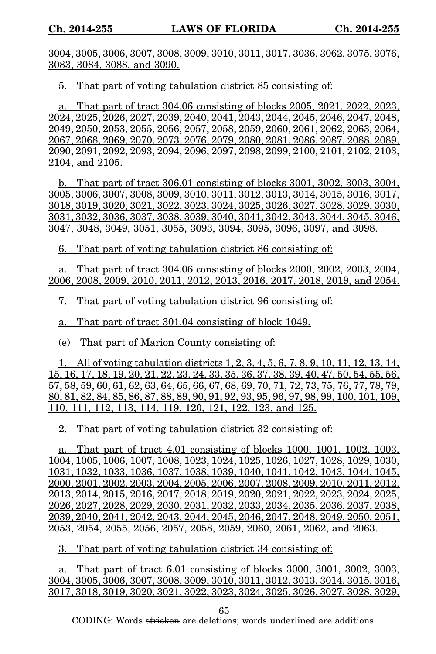3004, 3005, 3006, 3007, 3008, 3009, 3010, 3011, 3017, 3036, 3062, 3075, 3076, 3083, 3084, 3088, and 3090.

5. That part of voting tabulation district 85 consisting of:

a. That part of tract 304.06 consisting of blocks 2005, 2021, 2022, 2023, 2024, 2025, 2026, 2027, 2039, 2040, 2041, 2043, 2044, 2045, 2046, 2047, 2048, 2049, 2050, 2053, 2055, 2056, 2057, 2058, 2059, 2060, 2061, 2062, 2063, 2064, 2067, 2068, 2069, 2070, 2073, 2076, 2079, 2080, 2081, 2086, 2087, 2088, 2089, 2090, 2091, 2092, 2093, 2094, 2096, 2097, 2098, 2099, 2100, 2101, 2102, 2103, 2104, and 2105.

b. That part of tract 306.01 consisting of blocks 3001, 3002, 3003, 3004, 3005, 3006, 3007, 3008, 3009, 3010, 3011, 3012, 3013, 3014, 3015, 3016, 3017, 3018, 3019, 3020, 3021, 3022, 3023, 3024, 3025, 3026, 3027, 3028, 3029, 3030, 3031, 3032, 3036, 3037, 3038, 3039, 3040, 3041, 3042, 3043, 3044, 3045, 3046, 3047, 3048, 3049, 3051, 3055, 3093, 3094, 3095, 3096, 3097, and 3098.

6. That part of voting tabulation district 86 consisting of:

a. That part of tract 304.06 consisting of blocks 2000, 2002, 2003, 2004, 2006, 2008, 2009, 2010, 2011, 2012, 2013, 2016, 2017, 2018, 2019, and 2054.

7. That part of voting tabulation district 96 consisting of:

a. That part of tract 301.04 consisting of block 1049.

(e) That part of Marion County consisting of:

1. All of voting tabulation districts 1, 2, 3, 4, 5, 6, 7, 8, 9, 10, 11, 12, 13, 14, 15, 16, 17, 18, 19, 20, 21, 22, 23, 24, 33, 35, 36, 37, 38, 39, 40, 47, 50, 54, 55, 56, 57, 58, 59, 60, 61, 62, 63, 64, 65, 66, 67, 68, 69, 70, 71, 72, 73, 75, 76, 77, 78, 79, 80, 81, 82, 84, 85, 86, 87, 88, 89, 90, 91, 92, 93, 95, 96, 97, 98, 99, 100, 101, 109, 110, 111, 112, 113, 114, 119, 120, 121, 122, 123, and 125.

2. That part of voting tabulation district 32 consisting of:

a. That part of tract 4.01 consisting of blocks 1000, 1001, 1002, 1003, 1004, 1005, 1006, 1007, 1008, 1023, 1024, 1025, 1026, 1027, 1028, 1029, 1030, 1031, 1032, 1033, 1036, 1037, 1038, 1039, 1040, 1041, 1042, 1043, 1044, 1045, 2000, 2001, 2002, 2003, 2004, 2005, 2006, 2007, 2008, 2009, 2010, 2011, 2012, 2013, 2014, 2015, 2016, 2017, 2018, 2019, 2020, 2021, 2022, 2023, 2024, 2025, 2026, 2027, 2028, 2029, 2030, 2031, 2032, 2033, 2034, 2035, 2036, 2037, 2038, 2039, 2040, 2041, 2042, 2043, 2044, 2045, 2046, 2047, 2048, 2049, 2050, 2051, 2053, 2054, 2055, 2056, 2057, 2058, 2059, 2060, 2061, 2062, and 2063.

3. That part of voting tabulation district 34 consisting of:

a. That part of tract 6.01 consisting of blocks 3000, 3001, 3002, 3003, 3004, 3005, 3006, 3007, 3008, 3009, 3010, 3011, 3012, 3013, 3014, 3015, 3016, 3017, 3018, 3019, 3020, 3021, 3022, 3023, 3024, 3025, 3026, 3027, 3028, 3029,

65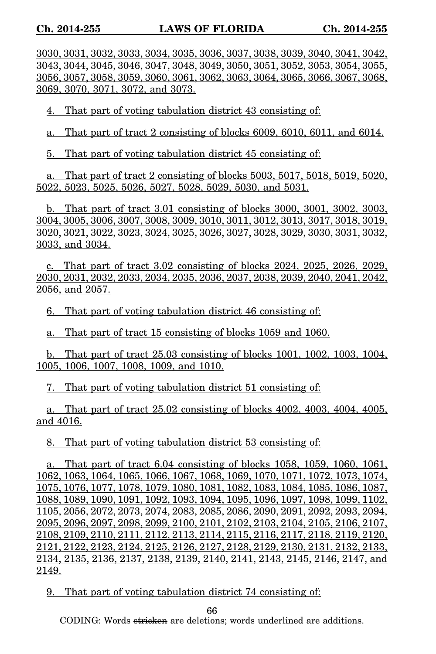3030, 3031, 3032, 3033, 3034, 3035, 3036, 3037, 3038, 3039, 3040, 3041, 3042, 3043, 3044, 3045, 3046, 3047, 3048, 3049, 3050, 3051, 3052, 3053, 3054, 3055, 3056, 3057, 3058, 3059, 3060, 3061, 3062, 3063, 3064, 3065, 3066, 3067, 3068, 3069, 3070, 3071, 3072, and 3073.

4. That part of voting tabulation district 43 consisting of:

a. That part of tract 2 consisting of blocks 6009, 6010, 6011, and 6014.

5. That part of voting tabulation district 45 consisting of:

a. That part of tract 2 consisting of blocks 5003, 5017, 5018, 5019, 5020, 5022, 5023, 5025, 5026, 5027, 5028, 5029, 5030, and 5031.

b. That part of tract 3.01 consisting of blocks 3000, 3001, 3002, 3003, 3004, 3005, 3006, 3007, 3008, 3009, 3010, 3011, 3012, 3013, 3017, 3018, 3019, 3020, 3021, 3022, 3023, 3024, 3025, 3026, 3027, 3028, 3029, 3030, 3031, 3032, 3033, and 3034.

c. That part of tract 3.02 consisting of blocks 2024, 2025, 2026, 2029, 2030, 2031, 2032, 2033, 2034, 2035, 2036, 2037, 2038, 2039, 2040, 2041, 2042, 2056, and 2057.

6. That part of voting tabulation district 46 consisting of:

a. That part of tract 15 consisting of blocks 1059 and 1060.

b. That part of tract 25.03 consisting of blocks 1001, 1002, 1003, 1004, 1005, 1006, 1007, 1008, 1009, and 1010.

7. That part of voting tabulation district 51 consisting of:

a. That part of tract 25.02 consisting of blocks 4002, 4003, 4004, 4005, and 4016.

8. That part of voting tabulation district 53 consisting of:

a. That part of tract 6.04 consisting of blocks 1058, 1059, 1060, 1061, 1062, 1063, 1064, 1065, 1066, 1067, 1068, 1069, 1070, 1071, 1072, 1073, 1074, 1075, 1076, 1077, 1078, 1079, 1080, 1081, 1082, 1083, 1084, 1085, 1086, 1087, 1088, 1089, 1090, 1091, 1092, 1093, 1094, 1095, 1096, 1097, 1098, 1099, 1102, 1105, 2056, 2072, 2073, 2074, 2083, 2085, 2086, 2090, 2091, 2092, 2093, 2094, 2095, 2096, 2097, 2098, 2099, 2100, 2101, 2102, 2103, 2104, 2105, 2106, 2107, 2108, 2109, 2110, 2111, 2112, 2113, 2114, 2115, 2116, 2117, 2118, 2119, 2120, 2121, 2122, 2123, 2124, 2125, 2126, 2127, 2128, 2129, 2130, 2131, 2132, 2133, 2134, 2135, 2136, 2137, 2138, 2139, 2140, 2141, 2143, 2145, 2146, 2147, and 2149.

9. That part of voting tabulation district 74 consisting of:

66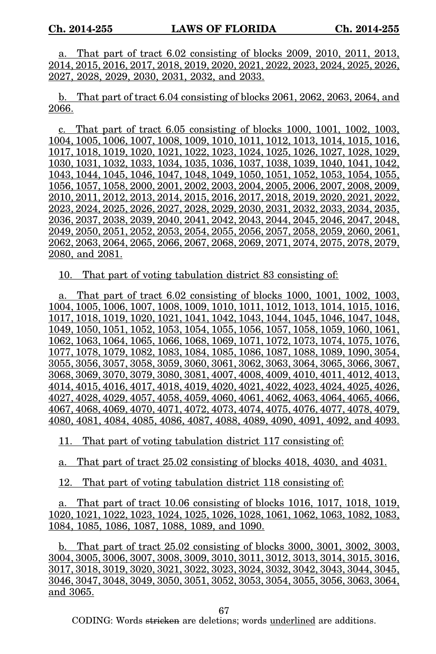That part of tract 6.02 consisting of blocks 2009, 2010, 2011, 2013, 2014, 2015, 2016, 2017, 2018, 2019, 2020, 2021, 2022, 2023, 2024, 2025, 2026, 2027, 2028, 2029, 2030, 2031, 2032, and 2033.

b. That part of tract 6.04 consisting of blocks 2061, 2062, 2063, 2064, and 2066.

c. That part of tract 6.05 consisting of blocks 1000, 1001, 1002, 1003, 1004, 1005, 1006, 1007, 1008, 1009, 1010, 1011, 1012, 1013, 1014, 1015, 1016, 1017, 1018, 1019, 1020, 1021, 1022, 1023, 1024, 1025, 1026, 1027, 1028, 1029, 1030, 1031, 1032, 1033, 1034, 1035, 1036, 1037, 1038, 1039, 1040, 1041, 1042, 1043, 1044, 1045, 1046, 1047, 1048, 1049, 1050, 1051, 1052, 1053, 1054, 1055, 1056, 1057, 1058, 2000, 2001, 2002, 2003, 2004, 2005, 2006, 2007, 2008, 2009, 2010, 2011, 2012, 2013, 2014, 2015, 2016, 2017, 2018, 2019, 2020, 2021, 2022, 2023, 2024, 2025, 2026, 2027, 2028, 2029, 2030, 2031, 2032, 2033, 2034, 2035, 2036, 2037, 2038, 2039, 2040, 2041, 2042, 2043, 2044, 2045, 2046, 2047, 2048, 2049, 2050, 2051, 2052, 2053, 2054, 2055, 2056, 2057, 2058, 2059, 2060, 2061, 2062, 2063, 2064, 2065, 2066, 2067, 2068, 2069, 2071, 2074, 2075, 2078, 2079, 2080, and 2081.

## 10. That part of voting tabulation district 83 consisting of:

a. That part of tract 6.02 consisting of blocks 1000, 1001, 1002, 1003, 1004, 1005, 1006, 1007, 1008, 1009, 1010, 1011, 1012, 1013, 1014, 1015, 1016, 1017, 1018, 1019, 1020, 1021, 1041, 1042, 1043, 1044, 1045, 1046, 1047, 1048, 1049, 1050, 1051, 1052, 1053, 1054, 1055, 1056, 1057, 1058, 1059, 1060, 1061, 1062, 1063, 1064, 1065, 1066, 1068, 1069, 1071, 1072, 1073, 1074, 1075, 1076, 1077, 1078, 1079, 1082, 1083, 1084, 1085, 1086, 1087, 1088, 1089, 1090, 3054, 3055, 3056, 3057, 3058, 3059, 3060, 3061, 3062, 3063, 3064, 3065, 3066, 3067, 3068, 3069, 3070, 3079, 3080, 3081, 4007, 4008, 4009, 4010, 4011, 4012, 4013, 4014, 4015, 4016, 4017, 4018, 4019, 4020, 4021, 4022, 4023, 4024, 4025, 4026, 4027, 4028, 4029, 4057, 4058, 4059, 4060, 4061, 4062, 4063, 4064, 4065, 4066, 4067, 4068, 4069, 4070, 4071, 4072, 4073, 4074, 4075, 4076, 4077, 4078, 4079, 4080, 4081, 4084, 4085, 4086, 4087, 4088, 4089, 4090, 4091, 4092, and 4093.

11. That part of voting tabulation district 117 consisting of:

a. That part of tract 25.02 consisting of blocks 4018, 4030, and 4031.

12. That part of voting tabulation district 118 consisting of:

a. That part of tract 10.06 consisting of blocks 1016, 1017, 1018, 1019, 1020, 1021, 1022, 1023, 1024, 1025, 1026, 1028, 1061, 1062, 1063, 1082, 1083, 1084, 1085, 1086, 1087, 1088, 1089, and 1090.

b. That part of tract 25.02 consisting of blocks 3000, 3001, 3002, 3003, 3004, 3005, 3006, 3007, 3008, 3009, 3010, 3011, 3012, 3013, 3014, 3015, 3016, 3017, 3018, 3019, 3020, 3021, 3022, 3023, 3024, 3032, 3042, 3043, 3044, 3045, 3046, 3047, 3048, 3049, 3050, 3051, 3052, 3053, 3054, 3055, 3056, 3063, 3064, and 3065.

67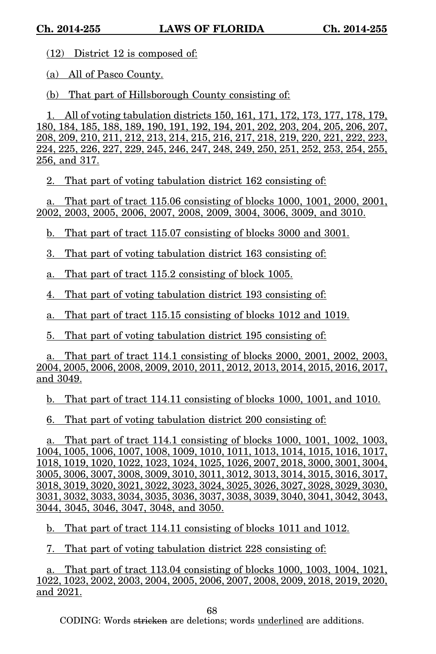(12) District 12 is composed of:

(a) All of Pasco County.

(b) That part of Hillsborough County consisting of:

1. All of voting tabulation districts 150, 161, 171, 172, 173, 177, 178, 179, 180, 184, 185, 188, 189, 190, 191, 192, 194, 201, 202, 203, 204, 205, 206, 207, 208, 209, 210, 211, 212, 213, 214, 215, 216, 217, 218, 219, 220, 221, 222, 223, 224, 225, 226, 227, 229, 245, 246, 247, 248, 249, 250, 251, 252, 253, 254, 255, 256, and 317.

2. That part of voting tabulation district 162 consisting of:

That part of tract 115.06 consisting of blocks 1000, 1001, 2000, 2001, 2002, 2003, 2005, 2006, 2007, 2008, 2009, 3004, 3006, 3009, and 3010.

b. That part of tract 115.07 consisting of blocks 3000 and 3001.

3. That part of voting tabulation district 163 consisting of:

a. That part of tract 115.2 consisting of block 1005.

4. That part of voting tabulation district 193 consisting of:

a. That part of tract 115.15 consisting of blocks 1012 and 1019.

5. That part of voting tabulation district 195 consisting of:

a. That part of tract 114.1 consisting of blocks 2000, 2001, 2002, 2003, 2004, 2005, 2006, 2008, 2009, 2010, 2011, 2012, 2013, 2014, 2015, 2016, 2017, and 3049.

b. That part of tract 114.11 consisting of blocks 1000, 1001, and 1010.

6. That part of voting tabulation district 200 consisting of:

a. That part of tract 114.1 consisting of blocks 1000, 1001, 1002, 1003, 1004, 1005, 1006, 1007, 1008, 1009, 1010, 1011, 1013, 1014, 1015, 1016, 1017, 1018, 1019, 1020, 1022, 1023, 1024, 1025, 1026, 2007, 2018, 3000, 3001, 3004, 3005, 3006, 3007, 3008, 3009, 3010, 3011, 3012, 3013, 3014, 3015, 3016, 3017, 3018, 3019, 3020, 3021, 3022, 3023, 3024, 3025, 3026, 3027, 3028, 3029, 3030, 3031, 3032, 3033, 3034, 3035, 3036, 3037, 3038, 3039, 3040, 3041, 3042, 3043, 3044, 3045, 3046, 3047, 3048, and 3050.

b. That part of tract 114.11 consisting of blocks 1011 and 1012.

7. That part of voting tabulation district 228 consisting of:

a. That part of tract 113.04 consisting of blocks 1000, 1003, 1004, 1021, 1022, 1023, 2002, 2003, 2004, 2005, 2006, 2007, 2008, 2009, 2018, 2019, 2020, and 2021.

68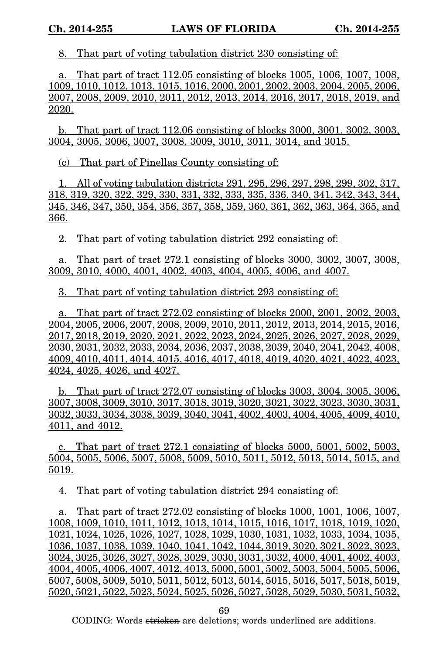8. That part of voting tabulation district 230 consisting of:

a. That part of tract 112.05 consisting of blocks 1005, 1006, 1007, 1008, 1009, 1010, 1012, 1013, 1015, 1016, 2000, 2001, 2002, 2003, 2004, 2005, 2006, 2007, 2008, 2009, 2010, 2011, 2012, 2013, 2014, 2016, 2017, 2018, 2019, and 2020.

b. That part of tract 112.06 consisting of blocks 3000, 3001, 3002, 3003, 3004, 3005, 3006, 3007, 3008, 3009, 3010, 3011, 3014, and 3015.

(c) That part of Pinellas County consisting of:

1. All of voting tabulation districts 291, 295, 296, 297, 298, 299, 302, 317, 318, 319, 320, 322, 329, 330, 331, 332, 333, 335, 336, 340, 341, 342, 343, 344, 345, 346, 347, 350, 354, 356, 357, 358, 359, 360, 361, 362, 363, 364, 365, and 366.

2. That part of voting tabulation district 292 consisting of:

That part of tract 272.1 consisting of blocks 3000, 3002, 3007, 3008, 3009, 3010, 4000, 4001, 4002, 4003, 4004, 4005, 4006, and 4007.

3. That part of voting tabulation district 293 consisting of:

a. That part of tract 272.02 consisting of blocks 2000, 2001, 2002, 2003, 2004, 2005, 2006, 2007, 2008, 2009, 2010, 2011, 2012, 2013, 2014, 2015, 2016, 2017, 2018, 2019, 2020, 2021, 2022, 2023, 2024, 2025, 2026, 2027, 2028, 2029, 2030, 2031, 2032, 2033, 2034, 2036, 2037, 2038, 2039, 2040, 2041, 2042, 4008, 4009, 4010, 4011, 4014, 4015, 4016, 4017, 4018, 4019, 4020, 4021, 4022, 4023, 4024, 4025, 4026, and 4027.

b. That part of tract 272.07 consisting of blocks 3003, 3004, 3005, 3006, 3007, 3008, 3009, 3010, 3017, 3018, 3019, 3020, 3021, 3022, 3023, 3030, 3031, 3032, 3033, 3034, 3038, 3039, 3040, 3041, 4002, 4003, 4004, 4005, 4009, 4010, 4011, and 4012.

c. That part of tract 272.1 consisting of blocks 5000, 5001, 5002, 5003, 5004, 5005, 5006, 5007, 5008, 5009, 5010, 5011, 5012, 5013, 5014, 5015, and 5019.

4. That part of voting tabulation district 294 consisting of:

a. That part of tract 272.02 consisting of blocks 1000, 1001, 1006, 1007, 1008, 1009, 1010, 1011, 1012, 1013, 1014, 1015, 1016, 1017, 1018, 1019, 1020, 1021, 1024, 1025, 1026, 1027, 1028, 1029, 1030, 1031, 1032, 1033, 1034, 1035, 1036, 1037, 1038, 1039, 1040, 1041, 1042, 1044, 3019, 3020, 3021, 3022, 3023, 3024, 3025, 3026, 3027, 3028, 3029, 3030, 3031, 3032, 4000, 4001, 4002, 4003, 4004, 4005, 4006, 4007, 4012, 4013, 5000, 5001, 5002, 5003, 5004, 5005, 5006, 5007, 5008, 5009, 5010, 5011, 5012, 5013, 5014, 5015, 5016, 5017, 5018, 5019, 5020, 5021, 5022, 5023, 5024, 5025, 5026, 5027, 5028, 5029, 5030, 5031, 5032,

69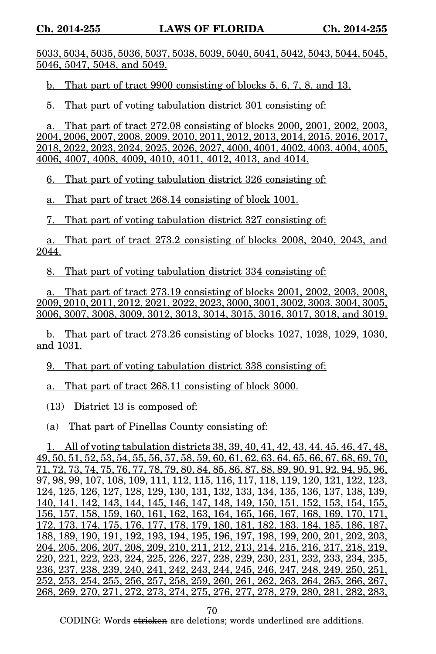5033, 5034, 5035, 5036, 5037, 5038, 5039, 5040, 5041, 5042, 5043, 5044, 5045, 5046, 5047, 5048, and 5049.

b. That part of tract 9900 consisting of blocks 5, 6, 7, 8, and 13.

5. That part of voting tabulation district 301 consisting of:

a. That part of tract 272.08 consisting of blocks 2000, 2001, 2002, 2003, 2004, 2006, 2007, 2008, 2009, 2010, 2011, 2012, 2013, 2014, 2015, 2016, 2017, 2018, 2022, 2023, 2024, 2025, 2026, 2027, 4000, 4001, 4002, 4003, 4004, 4005, 4006, 4007, 4008, 4009, 4010, 4011, 4012, 4013, and 4014.

6. That part of voting tabulation district 326 consisting of:

a. That part of tract 268.14 consisting of block 1001.

7. That part of voting tabulation district 327 consisting of:

a. That part of tract 273.2 consisting of blocks 2008, 2040, 2043, and 2044.

8. That part of voting tabulation district 334 consisting of:

a. That part of tract 273.19 consisting of blocks 2001, 2002, 2003, 2008, 2009, 2010, 2011, 2012, 2021, 2022, 2023, 3000, 3001, 3002, 3003, 3004, 3005, 3006, 3007, 3008, 3009, 3012, 3013, 3014, 3015, 3016, 3017, 3018, and 3019.

b. That part of tract 273.26 consisting of blocks 1027, 1028, 1029, 1030, and 1031.

9. That part of voting tabulation district 338 consisting of:

a. That part of tract 268.11 consisting of block 3000.

(13) District 13 is composed of:

(a) That part of Pinellas County consisting of:

1. All of voting tabulation districts 38, 39, 40, 41, 42, 43, 44, 45, 46, 47, 48, 49, 50, 51, 52, 53, 54, 55, 56, 57, 58, 59, 60, 61, 62, 63, 64, 65, 66, 67, 68, 69, 70, 71, 72, 73, 74, 75, 76, 77, 78, 79, 80, 84, 85, 86, 87, 88, 89, 90, 91, 92, 94, 95, 96, 97, 98, 99, 107, 108, 109, 111, 112, 115, 116, 117, 118, 119, 120, 121, 122, 123, 124, 125, 126, 127, 128, 129, 130, 131, 132, 133, 134, 135, 136, 137, 138, 139, 140, 141, 142, 143, 144, 145, 146, 147, 148, 149, 150, 151, 152, 153, 154, 155, 156, 157, 158, 159, 160, 161, 162, 163, 164, 165, 166, 167, 168, 169, 170, 171, 172, 173, 174, 175, 176, 177, 178, 179, 180, 181, 182, 183, 184, 185, 186, 187, 188, 189, 190, 191, 192, 193, 194, 195, 196, 197, 198, 199, 200, 201, 202, 203, 204, 205, 206, 207, 208, 209, 210, 211, 212, 213, 214, 215, 216, 217, 218, 219, 220, 221, 222, 223, 224, 225, 226, 227, 228, 229, 230, 231, 232, 233, 234, 235, 236, 237, 238, 239, 240, 241, 242, 243, 244, 245, 246, 247, 248, 249, 250, 251, 252, 253, 254, 255, 256, 257, 258, 259, 260, 261, 262, 263, 264, 265, 266, 267, 268, 269, 270, 271, 272, 273, 274, 275, 276, 277, 278, 279, 280, 281, 282, 283,

70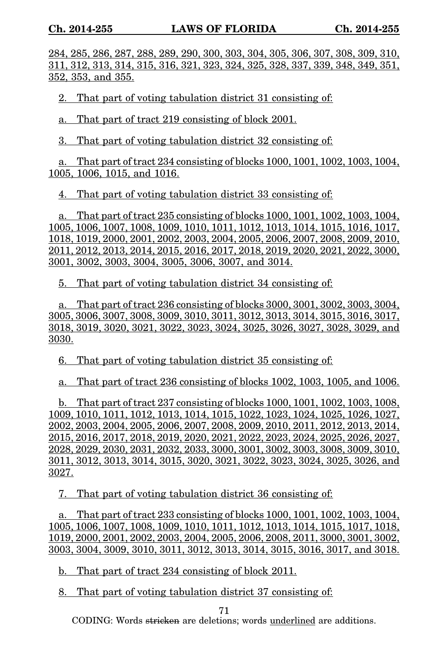284, 285, 286, 287, 288, 289, 290, 300, 303, 304, 305, 306, 307, 308, 309, 310, 311, 312, 313, 314, 315, 316, 321, 323, 324, 325, 328, 337, 339, 348, 349, 351, 352, 353, and 355.

2. That part of voting tabulation district 31 consisting of:

a. That part of tract 219 consisting of block 2001.

3. That part of voting tabulation district 32 consisting of:

a. That part of tract 234 consisting of blocks 1000, 1001, 1002, 1003, 1004, 1005, 1006, 1015, and 1016.

4. That part of voting tabulation district 33 consisting of:

a. That part of tract 235 consisting of blocks 1000, 1001, 1002, 1003, 1004, 1005, 1006, 1007, 1008, 1009, 1010, 1011, 1012, 1013, 1014, 1015, 1016, 1017, 1018, 1019, 2000, 2001, 2002, 2003, 2004, 2005, 2006, 2007, 2008, 2009, 2010, 2011, 2012, 2013, 2014, 2015, 2016, 2017, 2018, 2019, 2020, 2021, 2022, 3000, 3001, 3002, 3003, 3004, 3005, 3006, 3007, and 3014.

5. That part of voting tabulation district 34 consisting of:

a. That part of tract 236 consisting of blocks 3000, 3001, 3002, 3003, 3004, 3005, 3006, 3007, 3008, 3009, 3010, 3011, 3012, 3013, 3014, 3015, 3016, 3017, 3018, 3019, 3020, 3021, 3022, 3023, 3024, 3025, 3026, 3027, 3028, 3029, and 3030.

6. That part of voting tabulation district 35 consisting of:

a. That part of tract 236 consisting of blocks 1002, 1003, 1005, and 1006.

b. That part of tract 237 consisting of blocks 1000, 1001, 1002, 1003, 1008, 1009, 1010, 1011, 1012, 1013, 1014, 1015, 1022, 1023, 1024, 1025, 1026, 1027, 2002, 2003, 2004, 2005, 2006, 2007, 2008, 2009, 2010, 2011, 2012, 2013, 2014, 2015, 2016, 2017, 2018, 2019, 2020, 2021, 2022, 2023, 2024, 2025, 2026, 2027, 2028, 2029, 2030, 2031, 2032, 2033, 3000, 3001, 3002, 3003, 3008, 3009, 3010, 3011, 3012, 3013, 3014, 3015, 3020, 3021, 3022, 3023, 3024, 3025, 3026, and 3027.

7. That part of voting tabulation district 36 consisting of:

a. That part of tract 233 consisting of blocks 1000, 1001, 1002, 1003, 1004, 1005, 1006, 1007, 1008, 1009, 1010, 1011, 1012, 1013, 1014, 1015, 1017, 1018, 1019, 2000, 2001, 2002, 2003, 2004, 2005, 2006, 2008, 2011, 3000, 3001, 3002, 3003, 3004, 3009, 3010, 3011, 3012, 3013, 3014, 3015, 3016, 3017, and 3018.

b. That part of tract 234 consisting of block 2011.

8. That part of voting tabulation district 37 consisting of:

71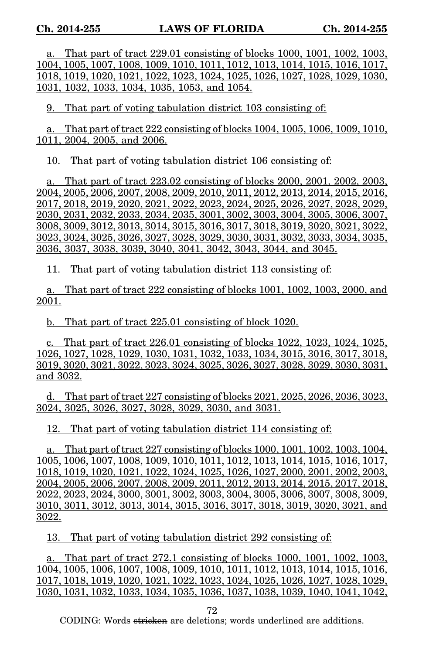That part of tract 229.01 consisting of blocks 1000, 1001, 1002, 1003, 1004, 1005, 1007, 1008, 1009, 1010, 1011, 1012, 1013, 1014, 1015, 1016, 1017, 1018, 1019, 1020, 1021, 1022, 1023, 1024, 1025, 1026, 1027, 1028, 1029, 1030, 1031, 1032, 1033, 1034, 1035, 1053, and 1054.

9. That part of voting tabulation district 103 consisting of:

a. That part of tract 222 consisting of blocks 1004, 1005, 1006, 1009, 1010, 1011, 2004, 2005, and 2006.

10. That part of voting tabulation district 106 consisting of:

a. That part of tract 223.02 consisting of blocks 2000, 2001, 2002, 2003, 2004, 2005, 2006, 2007, 2008, 2009, 2010, 2011, 2012, 2013, 2014, 2015, 2016, 2017, 2018, 2019, 2020, 2021, 2022, 2023, 2024, 2025, 2026, 2027, 2028, 2029, 2030, 2031, 2032, 2033, 2034, 2035, 3001, 3002, 3003, 3004, 3005, 3006, 3007, 3008, 3009, 3012, 3013, 3014, 3015, 3016, 3017, 3018, 3019, 3020, 3021, 3022, 3023, 3024, 3025, 3026, 3027, 3028, 3029, 3030, 3031, 3032, 3033, 3034, 3035, 3036, 3037, 3038, 3039, 3040, 3041, 3042, 3043, 3044, and 3045.

11. That part of voting tabulation district 113 consisting of:

a. That part of tract 222 consisting of blocks 1001, 1002, 1003, 2000, and 2001.

b. That part of tract 225.01 consisting of block 1020.

c. That part of tract 226.01 consisting of blocks 1022, 1023, 1024, 1025, 1026, 1027, 1028, 1029, 1030, 1031, 1032, 1033, 1034, 3015, 3016, 3017, 3018, 3019, 3020, 3021, 3022, 3023, 3024, 3025, 3026, 3027, 3028, 3029, 3030, 3031, and 3032.

d. That part of tract 227 consisting of blocks 2021, 2025, 2026, 2036, 3023, 3024, 3025, 3026, 3027, 3028, 3029, 3030, and 3031.

12. That part of voting tabulation district 114 consisting of:

a. That part of tract 227 consisting of blocks 1000, 1001, 1002, 1003, 1004, 1005, 1006, 1007, 1008, 1009, 1010, 1011, 1012, 1013, 1014, 1015, 1016, 1017, 1018, 1019, 1020, 1021, 1022, 1024, 1025, 1026, 1027, 2000, 2001, 2002, 2003, 2004, 2005, 2006, 2007, 2008, 2009, 2011, 2012, 2013, 2014, 2015, 2017, 2018, 2022, 2023, 2024, 3000, 3001, 3002, 3003, 3004, 3005, 3006, 3007, 3008, 3009, 3010, 3011, 3012, 3013, 3014, 3015, 3016, 3017, 3018, 3019, 3020, 3021, and 3022.

13. That part of voting tabulation district 292 consisting of:

a. That part of tract 272.1 consisting of blocks 1000, 1001, 1002, 1003, 1004, 1005, 1006, 1007, 1008, 1009, 1010, 1011, 1012, 1013, 1014, 1015, 1016, 1017, 1018, 1019, 1020, 1021, 1022, 1023, 1024, 1025, 1026, 1027, 1028, 1029, 1030, 1031, 1032, 1033, 1034, 1035, 1036, 1037, 1038, 1039, 1040, 1041, 1042,

72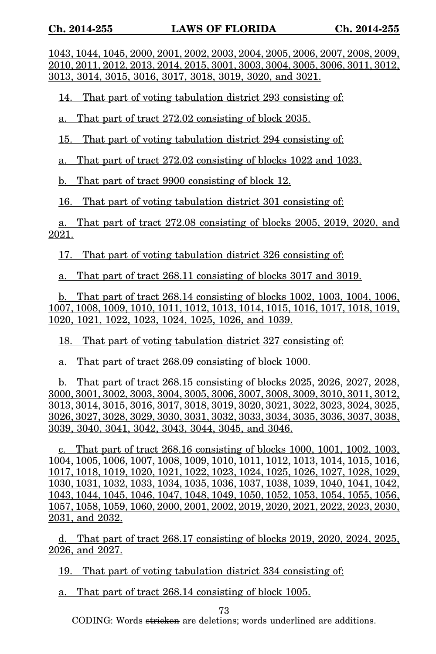1043, 1044, 1045, 2000, 2001, 2002, 2003, 2004, 2005, 2006, 2007, 2008, 2009, 2010, 2011, 2012, 2013, 2014, 2015, 3001, 3003, 3004, 3005, 3006, 3011, 3012, 3013, 3014, 3015, 3016, 3017, 3018, 3019, 3020, and 3021.

14. That part of voting tabulation district 293 consisting of:

a. That part of tract 272.02 consisting of block 2035.

15. That part of voting tabulation district 294 consisting of:

a. That part of tract 272.02 consisting of blocks 1022 and 1023.

b. That part of tract 9900 consisting of block 12.

16. That part of voting tabulation district 301 consisting of:

a. That part of tract 272.08 consisting of blocks 2005, 2019, 2020, and 2021.

17. That part of voting tabulation district 326 consisting of:

a. That part of tract 268.11 consisting of blocks 3017 and 3019.

b. That part of tract 268.14 consisting of blocks 1002, 1003, 1004, 1006, 1007, 1008, 1009, 1010, 1011, 1012, 1013, 1014, 1015, 1016, 1017, 1018, 1019, 1020, 1021, 1022, 1023, 1024, 1025, 1026, and 1039.

18. That part of voting tabulation district 327 consisting of:

a. That part of tract 268.09 consisting of block 1000.

b. That part of tract 268.15 consisting of blocks 2025, 2026, 2027, 2028, 3000, 3001, 3002, 3003, 3004, 3005, 3006, 3007, 3008, 3009, 3010, 3011, 3012, 3013, 3014, 3015, 3016, 3017, 3018, 3019, 3020, 3021, 3022, 3023, 3024, 3025, 3026, 3027, 3028, 3029, 3030, 3031, 3032, 3033, 3034, 3035, 3036, 3037, 3038, 3039, 3040, 3041, 3042, 3043, 3044, 3045, and 3046.

c. That part of tract 268.16 consisting of blocks 1000, 1001, 1002, 1003, 1004, 1005, 1006, 1007, 1008, 1009, 1010, 1011, 1012, 1013, 1014, 1015, 1016, 1017, 1018, 1019, 1020, 1021, 1022, 1023, 1024, 1025, 1026, 1027, 1028, 1029, 1030, 1031, 1032, 1033, 1034, 1035, 1036, 1037, 1038, 1039, 1040, 1041, 1042, 1043, 1044, 1045, 1046, 1047, 1048, 1049, 1050, 1052, 1053, 1054, 1055, 1056, 1057, 1058, 1059, 1060, 2000, 2001, 2002, 2019, 2020, 2021, 2022, 2023, 2030, 2031, and 2032.

d. That part of tract 268.17 consisting of blocks 2019, 2020, 2024, 2025, 2026, and 2027.

19. That part of voting tabulation district 334 consisting of:

a. That part of tract 268.14 consisting of block 1005.

73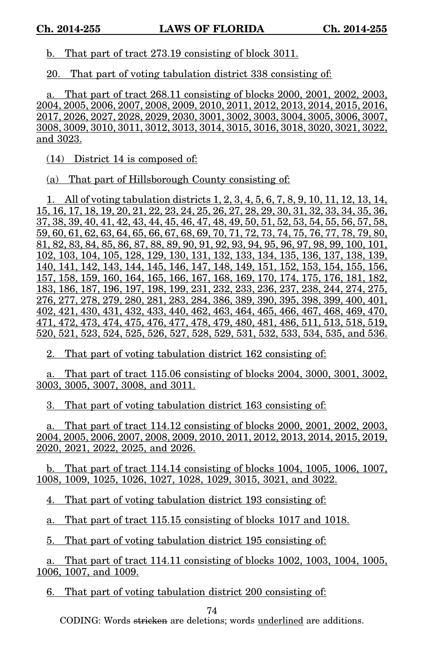b. That part of tract 273.19 consisting of block 3011.

20. That part of voting tabulation district 338 consisting of:

a. That part of tract 268.11 consisting of blocks 2000, 2001, 2002, 2003, 2004, 2005, 2006, 2007, 2008, 2009, 2010, 2011, 2012, 2013, 2014, 2015, 2016, 2017, 2026, 2027, 2028, 2029, 2030, 3001, 3002, 3003, 3004, 3005, 3006, 3007, 3008, 3009, 3010, 3011, 3012, 3013, 3014, 3015, 3016, 3018, 3020, 3021, 3022, and 3023.

(14) District 14 is composed of:

(a) That part of Hillsborough County consisting of:

1. All of voting tabulation districts 1, 2, 3, 4, 5, 6, 7, 8, 9, 10, 11, 12, 13, 14, 15, 16, 17, 18, 19, 20, 21, 22, 23, 24, 25, 26, 27, 28, 29, 30, 31, 32, 33, 34, 35, 36, 37, 38, 39, 40, 41, 42, 43, 44, 45, 46, 47, 48, 49, 50, 51, 52, 53, 54, 55, 56, 57, 58, 59, 60, 61, 62, 63, 64, 65, 66, 67, 68, 69, 70, 71, 72, 73, 74, 75, 76, 77, 78, 79, 80, 81, 82, 83, 84, 85, 86, 87, 88, 89, 90, 91, 92, 93, 94, 95, 96, 97, 98, 99, 100, 101, 102, 103, 104, 105, 128, 129, 130, 131, 132, 133, 134, 135, 136, 137, 138, 139, 140, 141, 142, 143, 144, 145, 146, 147, 148, 149, 151, 152, 153, 154, 155, 156, 157, 158, 159, 160, 164, 165, 166, 167, 168, 169, 170, 174, 175, 176, 181, 182, 183, 186, 187, 196, 197, 198, 199, 231, 232, 233, 236, 237, 238, 244, 274, 275, 276, 277, 278, 279, 280, 281, 283, 284, 386, 389, 390, 395, 398, 399, 400, 401, 402, 421, 430, 431, 432, 433, 440, 462, 463, 464, 465, 466, 467, 468, 469, 470, 471, 472, 473, 474, 475, 476, 477, 478, 479, 480, 481, 486, 511, 513, 518, 519, 520, 521, 523, 524, 525, 526, 527, 528, 529, 531, 532, 533, 534, 535, and 536.

2. That part of voting tabulation district 162 consisting of:

a. That part of tract 115.06 consisting of blocks 2004, 3000, 3001, 3002, 3003, 3005, 3007, 3008, and 3011.

3. That part of voting tabulation district 163 consisting of:

a. That part of tract 114.12 consisting of blocks 2000, 2001, 2002, 2003, 2004, 2005, 2006, 2007, 2008, 2009, 2010, 2011, 2012, 2013, 2014, 2015, 2019, 2020, 2021, 2022, 2025, and 2026.

b. That part of tract 114.14 consisting of blocks 1004, 1005, 1006, 1007, 1008, 1009, 1025, 1026, 1027, 1028, 1029, 3015, 3021, and 3022.

4. That part of voting tabulation district 193 consisting of:

a. That part of tract 115.15 consisting of blocks 1017 and 1018.

5. That part of voting tabulation district 195 consisting of:

a. That part of tract 114.11 consisting of blocks 1002, 1003, 1004, 1005, 1006, 1007, and 1009.

6. That part of voting tabulation district 200 consisting of:

74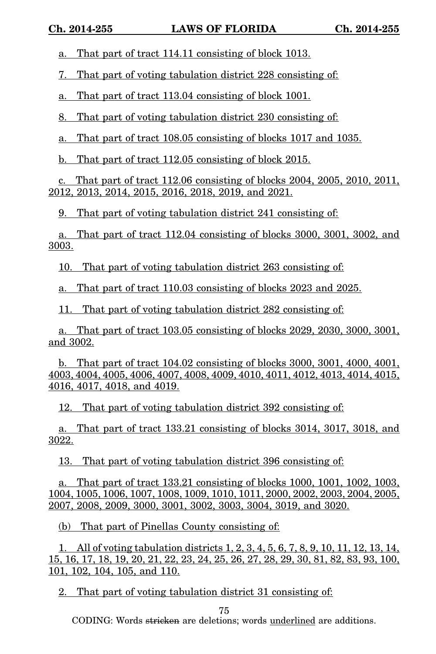a. That part of tract 114.11 consisting of block 1013.

7. That part of voting tabulation district 228 consisting of:

a. That part of tract 113.04 consisting of block 1001.

8. That part of voting tabulation district 230 consisting of:

a. That part of tract 108.05 consisting of blocks 1017 and 1035.

b. That part of tract 112.05 consisting of block 2015.

c. That part of tract 112.06 consisting of blocks 2004, 2005, 2010, 2011, 2012, 2013, 2014, 2015, 2016, 2018, 2019, and 2021.

9. That part of voting tabulation district 241 consisting of:

a. That part of tract 112.04 consisting of blocks 3000, 3001, 3002, and 3003.

10. That part of voting tabulation district 263 consisting of:

a. That part of tract 110.03 consisting of blocks 2023 and 2025.

11. That part of voting tabulation district 282 consisting of:

a. That part of tract 103.05 consisting of blocks 2029, 2030, 3000, 3001, and 3002.

b. That part of tract 104.02 consisting of blocks 3000, 3001, 4000, 4001, 4003, 4004, 4005, 4006, 4007, 4008, 4009, 4010, 4011, 4012, 4013, 4014, 4015, 4016, 4017, 4018, and 4019.

12. That part of voting tabulation district 392 consisting of:

a. That part of tract 133.21 consisting of blocks 3014, 3017, 3018, and 3022.

13. That part of voting tabulation district 396 consisting of:

a. That part of tract 133.21 consisting of blocks 1000, 1001, 1002, 1003, 1004, 1005, 1006, 1007, 1008, 1009, 1010, 1011, 2000, 2002, 2003, 2004, 2005, 2007, 2008, 2009, 3000, 3001, 3002, 3003, 3004, 3019, and 3020.

(b) That part of Pinellas County consisting of:

1. All of voting tabulation districts 1, 2, 3, 4, 5, 6, 7, 8, 9, 10, 11, 12, 13, 14, 15, 16, 17, 18, 19, 20, 21, 22, 23, 24, 25, 26, 27, 28, 29, 30, 81, 82, 83, 93, 100, 101, 102, 104, 105, and 110.

2. That part of voting tabulation district 31 consisting of:

75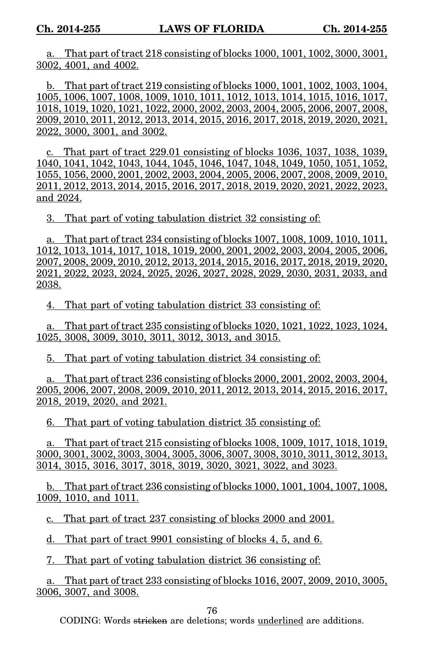That part of tract 218 consisting of blocks 1000, 1001, 1002, 3000, 3001, 3002, 4001, and 4002.

b. That part of tract 219 consisting of blocks 1000, 1001, 1002, 1003, 1004, 1005, 1006, 1007, 1008, 1009, 1010, 1011, 1012, 1013, 1014, 1015, 1016, 1017, 1018, 1019, 1020, 1021, 1022, 2000, 2002, 2003, 2004, 2005, 2006, 2007, 2008, 2009, 2010, 2011, 2012, 2013, 2014, 2015, 2016, 2017, 2018, 2019, 2020, 2021, 2022, 3000, 3001, and 3002.

c. That part of tract 229.01 consisting of blocks 1036, 1037, 1038, 1039, 1040, 1041, 1042, 1043, 1044, 1045, 1046, 1047, 1048, 1049, 1050, 1051, 1052, 1055, 1056, 2000, 2001, 2002, 2003, 2004, 2005, 2006, 2007, 2008, 2009, 2010, 2011, 2012, 2013, 2014, 2015, 2016, 2017, 2018, 2019, 2020, 2021, 2022, 2023, and 2024.

3. That part of voting tabulation district 32 consisting of:

a. That part of tract 234 consisting of blocks 1007, 1008, 1009, 1010, 1011, 1012, 1013, 1014, 1017, 1018, 1019, 2000, 2001, 2002, 2003, 2004, 2005, 2006, 2007, 2008, 2009, 2010, 2012, 2013, 2014, 2015, 2016, 2017, 2018, 2019, 2020, 2021, 2022, 2023, 2024, 2025, 2026, 2027, 2028, 2029, 2030, 2031, 2033, and 2038.

4. That part of voting tabulation district 33 consisting of:

a. That part of tract 235 consisting of blocks 1020, 1021, 1022, 1023, 1024, 1025, 3008, 3009, 3010, 3011, 3012, 3013, and 3015.

5. That part of voting tabulation district 34 consisting of:

a. That part of tract 236 consisting of blocks 2000, 2001, 2002, 2003, 2004, 2005, 2006, 2007, 2008, 2009, 2010, 2011, 2012, 2013, 2014, 2015, 2016, 2017, 2018, 2019, 2020, and 2021.

6. That part of voting tabulation district 35 consisting of:

a. That part of tract 215 consisting of blocks 1008, 1009, 1017, 1018, 1019, 3000, 3001, 3002, 3003, 3004, 3005, 3006, 3007, 3008, 3010, 3011, 3012, 3013, 3014, 3015, 3016, 3017, 3018, 3019, 3020, 3021, 3022, and 3023.

b. That part of tract 236 consisting of blocks 1000, 1001, 1004, 1007, 1008, 1009, 1010, and 1011.

c. That part of tract 237 consisting of blocks 2000 and 2001.

d. That part of tract 9901 consisting of blocks 4, 5, and 6.

7. That part of voting tabulation district 36 consisting of:

a. That part of tract 233 consisting of blocks 1016, 2007, 2009, 2010, 3005, 3006, 3007, and 3008.

76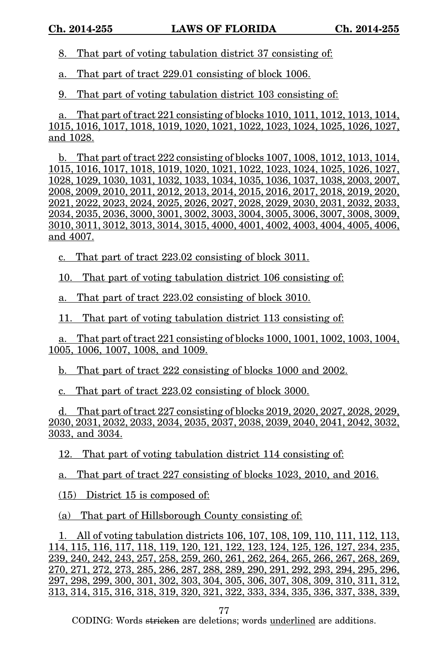8. That part of voting tabulation district 37 consisting of:

a. That part of tract 229.01 consisting of block 1006.

9. That part of voting tabulation district 103 consisting of:

a. That part of tract 221 consisting of blocks 1010, 1011, 1012, 1013, 1014, 1015, 1016, 1017, 1018, 1019, 1020, 1021, 1022, 1023, 1024, 1025, 1026, 1027, and 1028.

b. That part of tract 222 consisting of blocks 1007, 1008, 1012, 1013, 1014, 1015, 1016, 1017, 1018, 1019, 1020, 1021, 1022, 1023, 1024, 1025, 1026, 1027, 1028, 1029, 1030, 1031, 1032, 1033, 1034, 1035, 1036, 1037, 1038, 2003, 2007, 2008, 2009, 2010, 2011, 2012, 2013, 2014, 2015, 2016, 2017, 2018, 2019, 2020, 2021, 2022, 2023, 2024, 2025, 2026, 2027, 2028, 2029, 2030, 2031, 2032, 2033, 2034, 2035, 2036, 3000, 3001, 3002, 3003, 3004, 3005, 3006, 3007, 3008, 3009, 3010, 3011, 3012, 3013, 3014, 3015, 4000, 4001, 4002, 4003, 4004, 4005, 4006, and 4007.

c. That part of tract 223.02 consisting of block 3011.

10. That part of voting tabulation district 106 consisting of:

a. That part of tract 223.02 consisting of block 3010.

11. That part of voting tabulation district 113 consisting of:

a. That part of tract 221 consisting of blocks 1000, 1001, 1002, 1003, 1004, 1005, 1006, 1007, 1008, and 1009.

b. That part of tract 222 consisting of blocks 1000 and 2002.

c. That part of tract 223.02 consisting of block 3000.

d. That part of tract 227 consisting of blocks 2019, 2020, 2027, 2028, 2029, 2030, 2031, 2032, 2033, 2034, 2035, 2037, 2038, 2039, 2040, 2041, 2042, 3032, 3033, and 3034.

12. That part of voting tabulation district 114 consisting of:

a. That part of tract 227 consisting of blocks 1023, 2010, and 2016.

(15) District 15 is composed of:

(a) That part of Hillsborough County consisting of:

1. All of voting tabulation districts 106, 107, 108, 109, 110, 111, 112, 113, 114, 115, 116, 117, 118, 119, 120, 121, 122, 123, 124, 125, 126, 127, 234, 235, 239, 240, 242, 243, 257, 258, 259, 260, 261, 262, 264, 265, 266, 267, 268, 269, 270, 271, 272, 273, 285, 286, 287, 288, 289, 290, 291, 292, 293, 294, 295, 296, 297, 298, 299, 300, 301, 302, 303, 304, 305, 306, 307, 308, 309, 310, 311, 312, 313, 314, 315, 316, 318, 319, 320, 321, 322, 333, 334, 335, 336, 337, 338, 339,

77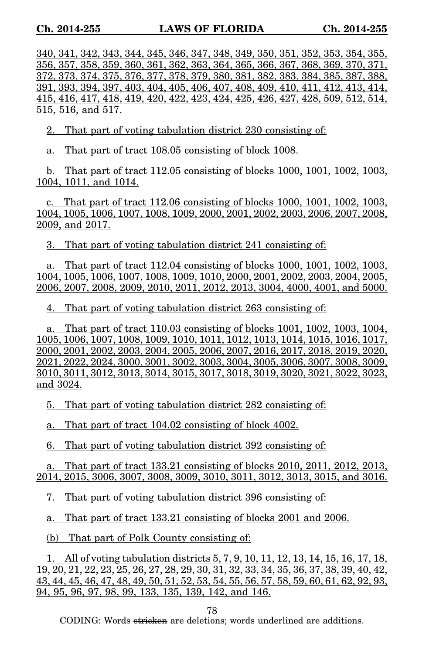340, 341, 342, 343, 344, 345, 346, 347, 348, 349, 350, 351, 352, 353, 354, 355, 356, 357, 358, 359, 360, 361, 362, 363, 364, 365, 366, 367, 368, 369, 370, 371, 372, 373, 374, 375, 376, 377, 378, 379, 380, 381, 382, 383, 384, 385, 387, 388, 391, 393, 394, 397, 403, 404, 405, 406, 407, 408, 409, 410, 411, 412, 413, 414, 415, 416, 417, 418, 419, 420, 422, 423, 424, 425, 426, 427, 428, 509, 512, 514, 515, 516, and 517.

2. That part of voting tabulation district 230 consisting of:

a. That part of tract 108.05 consisting of block 1008.

b. That part of tract 112.05 consisting of blocks 1000, 1001, 1002, 1003, 1004, 1011, and 1014.

c. That part of tract 112.06 consisting of blocks 1000, 1001, 1002, 1003, 1004, 1005, 1006, 1007, 1008, 1009, 2000, 2001, 2002, 2003, 2006, 2007, 2008, 2009, and 2017.

3. That part of voting tabulation district 241 consisting of:

a. That part of tract 112.04 consisting of blocks 1000, 1001, 1002, 1003, 1004, 1005, 1006, 1007, 1008, 1009, 1010, 2000, 2001, 2002, 2003, 2004, 2005, 2006, 2007, 2008, 2009, 2010, 2011, 2012, 2013, 3004, 4000, 4001, and 5000.

4. That part of voting tabulation district 263 consisting of:

a. That part of tract 110.03 consisting of blocks 1001, 1002, 1003, 1004, 1005, 1006, 1007, 1008, 1009, 1010, 1011, 1012, 1013, 1014, 1015, 1016, 1017, 2000, 2001, 2002, 2003, 2004, 2005, 2006, 2007, 2016, 2017, 2018, 2019, 2020, 2021, 2022, 2024, 3000, 3001, 3002, 3003, 3004, 3005, 3006, 3007, 3008, 3009, 3010, 3011, 3012, 3013, 3014, 3015, 3017, 3018, 3019, 3020, 3021, 3022, 3023, and 3024.

5. That part of voting tabulation district 282 consisting of:

a. That part of tract 104.02 consisting of block 4002.

6. That part of voting tabulation district 392 consisting of:

That part of tract 133.21 consisting of blocks 2010, 2011, 2012, 2013, 2014, 2015, 3006, 3007, 3008, 3009, 3010, 3011, 3012, 3013, 3015, and 3016.

7. That part of voting tabulation district 396 consisting of:

a. That part of tract 133.21 consisting of blocks 2001 and 2006.

(b) That part of Polk County consisting of:

1. All of voting tabulation districts 5, 7, 9, 10, 11, 12, 13, 14, 15, 16, 17, 18, 19, 20, 21, 22, 23, 25, 26, 27, 28, 29, 30, 31, 32, 33, 34, 35, 36, 37, 38, 39, 40, 42, 43, 44, 45, 46, 47, 48, 49, 50, 51, 52, 53, 54, 55, 56, 57, 58, 59, 60, 61, 62, 92, 93, 94, 95, 96, 97, 98, 99, 133, 135, 139, 142, and 146.

78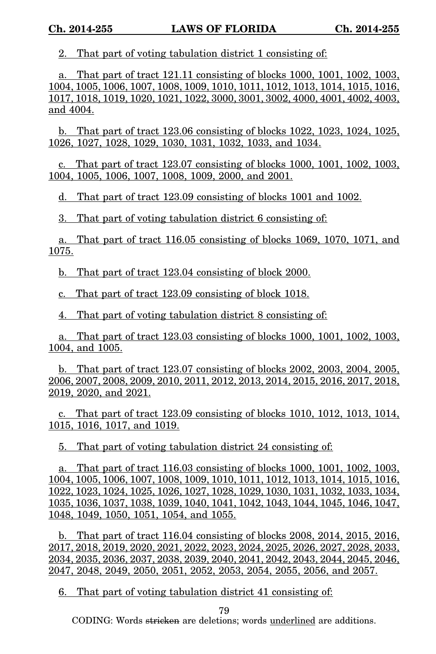2. That part of voting tabulation district 1 consisting of:

a. That part of tract 121.11 consisting of blocks 1000, 1001, 1002, 1003, 1004, 1005, 1006, 1007, 1008, 1009, 1010, 1011, 1012, 1013, 1014, 1015, 1016, 1017, 1018, 1019, 1020, 1021, 1022, 3000, 3001, 3002, 4000, 4001, 4002, 4003, and 4004.

b. That part of tract 123.06 consisting of blocks 1022, 1023, 1024, 1025, 1026, 1027, 1028, 1029, 1030, 1031, 1032, 1033, and 1034.

c. That part of tract 123.07 consisting of blocks 1000, 1001, 1002, 1003, 1004, 1005, 1006, 1007, 1008, 1009, 2000, and 2001.

d. That part of tract 123.09 consisting of blocks 1001 and 1002.

3. That part of voting tabulation district 6 consisting of:

a. That part of tract 116.05 consisting of blocks 1069, 1070, 1071, and 1075.

b. That part of tract 123.04 consisting of block 2000.

c. That part of tract 123.09 consisting of block 1018.

4. That part of voting tabulation district 8 consisting of:

a. That part of tract 123.03 consisting of blocks 1000, 1001, 1002, 1003, 1004, and 1005.

b. That part of tract 123.07 consisting of blocks 2002, 2003, 2004, 2005, 2006, 2007, 2008, 2009, 2010, 2011, 2012, 2013, 2014, 2015, 2016, 2017, 2018, 2019, 2020, and 2021.

c. That part of tract 123.09 consisting of blocks 1010, 1012, 1013, 1014, 1015, 1016, 1017, and 1019.

5. That part of voting tabulation district 24 consisting of:

a. That part of tract 116.03 consisting of blocks 1000, 1001, 1002, 1003, 1004, 1005, 1006, 1007, 1008, 1009, 1010, 1011, 1012, 1013, 1014, 1015, 1016, 1022, 1023, 1024, 1025, 1026, 1027, 1028, 1029, 1030, 1031, 1032, 1033, 1034, 1035, 1036, 1037, 1038, 1039, 1040, 1041, 1042, 1043, 1044, 1045, 1046, 1047, 1048, 1049, 1050, 1051, 1054, and 1055.

b. That part of tract 116.04 consisting of blocks 2008, 2014, 2015, 2016, 2017, 2018, 2019, 2020, 2021, 2022, 2023, 2024, 2025, 2026, 2027, 2028, 2033, 2034, 2035, 2036, 2037, 2038, 2039, 2040, 2041, 2042, 2043, 2044, 2045, 2046, 2047, 2048, 2049, 2050, 2051, 2052, 2053, 2054, 2055, 2056, and 2057.

6. That part of voting tabulation district 41 consisting of:

79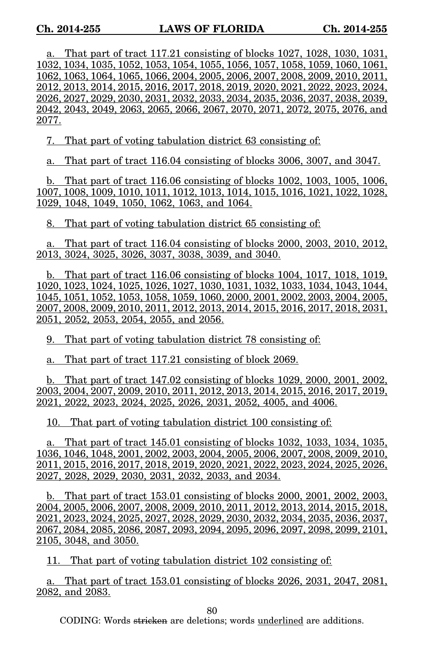That part of tract 117.21 consisting of blocks 1027, 1028, 1030, 1031, 1032, 1034, 1035, 1052, 1053, 1054, 1055, 1056, 1057, 1058, 1059, 1060, 1061, 1062, 1063, 1064, 1065, 1066, 2004, 2005, 2006, 2007, 2008, 2009, 2010, 2011, 2012, 2013, 2014, 2015, 2016, 2017, 2018, 2019, 2020, 2021, 2022, 2023, 2024, 2026, 2027, 2029, 2030, 2031, 2032, 2033, 2034, 2035, 2036, 2037, 2038, 2039, 2042, 2043, 2049, 2063, 2065, 2066, 2067, 2070, 2071, 2072, 2075, 2076, and 2077.

7. That part of voting tabulation district 63 consisting of:

a. That part of tract 116.04 consisting of blocks 3006, 3007, and 3047.

b. That part of tract 116.06 consisting of blocks 1002, 1003, 1005, 1006, 1007, 1008, 1009, 1010, 1011, 1012, 1013, 1014, 1015, 1016, 1021, 1022, 1028, 1029, 1048, 1049, 1050, 1062, 1063, and 1064.

8. That part of voting tabulation district 65 consisting of:

a. That part of tract 116.04 consisting of blocks 2000, 2003, 2010, 2012, 2013, 3024, 3025, 3026, 3037, 3038, 3039, and 3040.

b. That part of tract 116.06 consisting of blocks 1004, 1017, 1018, 1019, 1020, 1023, 1024, 1025, 1026, 1027, 1030, 1031, 1032, 1033, 1034, 1043, 1044, 1045, 1051, 1052, 1053, 1058, 1059, 1060, 2000, 2001, 2002, 2003, 2004, 2005, 2007, 2008, 2009, 2010, 2011, 2012, 2013, 2014, 2015, 2016, 2017, 2018, 2031, 2051, 2052, 2053, 2054, 2055, and 2056.

9. That part of voting tabulation district 78 consisting of:

a. That part of tract 117.21 consisting of block 2069.

b. That part of tract 147.02 consisting of blocks 1029, 2000, 2001, 2002, 2003, 2004, 2007, 2009, 2010, 2011, 2012, 2013, 2014, 2015, 2016, 2017, 2019, 2021, 2022, 2023, 2024, 2025, 2026, 2031, 2052, 4005, and 4006.

10. That part of voting tabulation district 100 consisting of:

a. That part of tract 145.01 consisting of blocks 1032, 1033, 1034, 1035, 1036, 1046, 1048, 2001, 2002, 2003, 2004, 2005, 2006, 2007, 2008, 2009, 2010, 2011, 2015, 2016, 2017, 2018, 2019, 2020, 2021, 2022, 2023, 2024, 2025, 2026, 2027, 2028, 2029, 2030, 2031, 2032, 2033, and 2034.

b. That part of tract 153.01 consisting of blocks 2000, 2001, 2002, 2003, 2004, 2005, 2006, 2007, 2008, 2009, 2010, 2011, 2012, 2013, 2014, 2015, 2018, 2021, 2023, 2024, 2025, 2027, 2028, 2029, 2030, 2032, 2034, 2035, 2036, 2037, 2067, 2084, 2085, 2086, 2087, 2093, 2094, 2095, 2096, 2097, 2098, 2099, 2101, 2105, 3048, and 3050.

11. That part of voting tabulation district 102 consisting of:

a. That part of tract 153.01 consisting of blocks 2026, 2031, 2047, 2081, 2082, and 2083.

80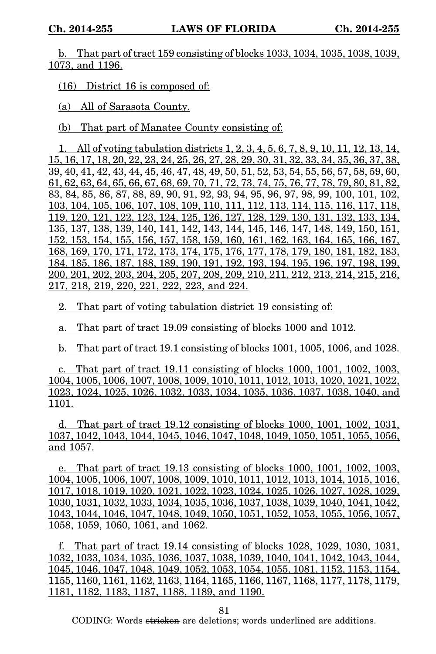b. That part of tract 159 consisting of blocks 1033, 1034, 1035, 1038, 1039, 1073, and 1196.

(16) District 16 is composed of:

(a) All of Sarasota County.

(b) That part of Manatee County consisting of:

1. All of voting tabulation districts 1, 2, 3, 4, 5, 6, 7, 8, 9, 10, 11, 12, 13, 14, 15, 16, 17, 18, 20, 22, 23, 24, 25, 26, 27, 28, 29, 30, 31, 32, 33, 34, 35, 36, 37, 38, 39, 40, 41, 42, 43, 44, 45, 46, 47, 48, 49, 50, 51, 52, 53, 54, 55, 56, 57, 58, 59, 60, 61, 62, 63, 64, 65, 66, 67, 68, 69, 70, 71, 72, 73, 74, 75, 76, 77, 78, 79, 80, 81, 82, 83, 84, 85, 86, 87, 88, 89, 90, 91, 92, 93, 94, 95, 96, 97, 98, 99, 100, 101, 102, 103, 104, 105, 106, 107, 108, 109, 110, 111, 112, 113, 114, 115, 116, 117, 118, 119, 120, 121, 122, 123, 124, 125, 126, 127, 128, 129, 130, 131, 132, 133, 134, 135, 137, 138, 139, 140, 141, 142, 143, 144, 145, 146, 147, 148, 149, 150, 151, 152, 153, 154, 155, 156, 157, 158, 159, 160, 161, 162, 163, 164, 165, 166, 167, 168, 169, 170, 171, 172, 173, 174, 175, 176, 177, 178, 179, 180, 181, 182, 183, 184, 185, 186, 187, 188, 189, 190, 191, 192, 193, 194, 195, 196, 197, 198, 199, 200, 201, 202, 203, 204, 205, 207, 208, 209, 210, 211, 212, 213, 214, 215, 216, 217, 218, 219, 220, 221, 222, 223, and 224.

2. That part of voting tabulation district 19 consisting of:

a. That part of tract 19.09 consisting of blocks 1000 and 1012.

b. That part of tract 19.1 consisting of blocks 1001, 1005, 1006, and 1028.

c. That part of tract 19.11 consisting of blocks 1000, 1001, 1002, 1003, 1004, 1005, 1006, 1007, 1008, 1009, 1010, 1011, 1012, 1013, 1020, 1021, 1022, 1023, 1024, 1025, 1026, 1032, 1033, 1034, 1035, 1036, 1037, 1038, 1040, and 1101.

d. That part of tract 19.12 consisting of blocks 1000, 1001, 1002, 1031, 1037, 1042, 1043, 1044, 1045, 1046, 1047, 1048, 1049, 1050, 1051, 1055, 1056, and 1057.

That part of tract 19.13 consisting of blocks 1000, 1001, 1002, 1003, 1004, 1005, 1006, 1007, 1008, 1009, 1010, 1011, 1012, 1013, 1014, 1015, 1016, 1017, 1018, 1019, 1020, 1021, 1022, 1023, 1024, 1025, 1026, 1027, 1028, 1029, 1030, 1031, 1032, 1033, 1034, 1035, 1036, 1037, 1038, 1039, 1040, 1041, 1042, 1043, 1044, 1046, 1047, 1048, 1049, 1050, 1051, 1052, 1053, 1055, 1056, 1057, 1058, 1059, 1060, 1061, and 1062.

f. That part of tract 19.14 consisting of blocks 1028, 1029, 1030, 1031, 1032, 1033, 1034, 1035, 1036, 1037, 1038, 1039, 1040, 1041, 1042, 1043, 1044, 1045, 1046, 1047, 1048, 1049, 1052, 1053, 1054, 1055, 1081, 1152, 1153, 1154, 1155, 1160, 1161, 1162, 1163, 1164, 1165, 1166, 1167, 1168, 1177, 1178, 1179, 1181, 1182, 1183, 1187, 1188, 1189, and 1190.

81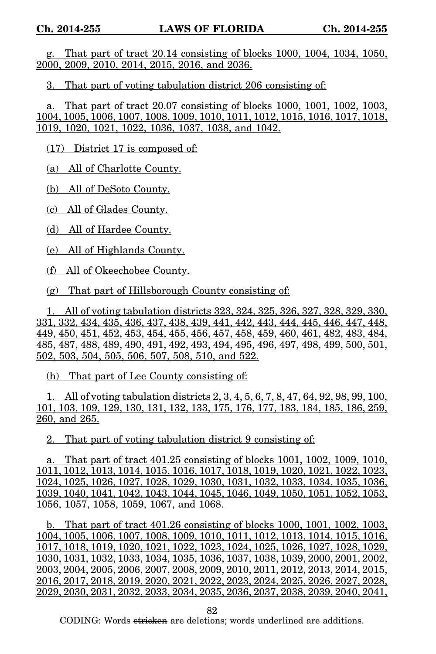That part of tract 20.14 consisting of blocks 1000, 1004, 1034, 1050, 2000, 2009, 2010, 2014, 2015, 2016, and 2036.

3. That part of voting tabulation district 206 consisting of:

That part of tract 20.07 consisting of blocks 1000, 1001, 1002, 1003, 1004, 1005, 1006, 1007, 1008, 1009, 1010, 1011, 1012, 1015, 1016, 1017, 1018, 1019, 1020, 1021, 1022, 1036, 1037, 1038, and 1042.

(17) District 17 is composed of:

(a) All of Charlotte County.

(b) All of DeSoto County.

(c) All of Glades County.

(d) All of Hardee County.

(e) All of Highlands County.

(f) All of Okeechobee County.

(g) That part of Hillsborough County consisting of:

1. All of voting tabulation districts 323, 324, 325, 326, 327, 328, 329, 330, 331, 332, 434, 435, 436, 437, 438, 439, 441, 442, 443, 444, 445, 446, 447, 448, 449, 450, 451, 452, 453, 454, 455, 456, 457, 458, 459, 460, 461, 482, 483, 484, 485, 487, 488, 489, 490, 491, 492, 493, 494, 495, 496, 497, 498, 499, 500, 501, 502, 503, 504, 505, 506, 507, 508, 510, and 522.

(h) That part of Lee County consisting of:

1. All of voting tabulation districts 2, 3, 4, 5, 6, 7, 8, 47, 64, 92, 98, 99, 100, 101, 103, 109, 129, 130, 131, 132, 133, 175, 176, 177, 183, 184, 185, 186, 259, 260, and 265.

That part of voting tabulation district 9 consisting of:

a. That part of tract 401.25 consisting of blocks 1001, 1002, 1009, 1010, 1011, 1012, 1013, 1014, 1015, 1016, 1017, 1018, 1019, 1020, 1021, 1022, 1023, 1024, 1025, 1026, 1027, 1028, 1029, 1030, 1031, 1032, 1033, 1034, 1035, 1036, 1039, 1040, 1041, 1042, 1043, 1044, 1045, 1046, 1049, 1050, 1051, 1052, 1053, 1056, 1057, 1058, 1059, 1067, and 1068.

b. That part of tract 401.26 consisting of blocks 1000, 1001, 1002, 1003, 1004, 1005, 1006, 1007, 1008, 1009, 1010, 1011, 1012, 1013, 1014, 1015, 1016, 1017, 1018, 1019, 1020, 1021, 1022, 1023, 1024, 1025, 1026, 1027, 1028, 1029, 1030, 1031, 1032, 1033, 1034, 1035, 1036, 1037, 1038, 1039, 2000, 2001, 2002, 2003, 2004, 2005, 2006, 2007, 2008, 2009, 2010, 2011, 2012, 2013, 2014, 2015, 2016, 2017, 2018, 2019, 2020, 2021, 2022, 2023, 2024, 2025, 2026, 2027, 2028, 2029, 2030, 2031, 2032, 2033, 2034, 2035, 2036, 2037, 2038, 2039, 2040, 2041,

82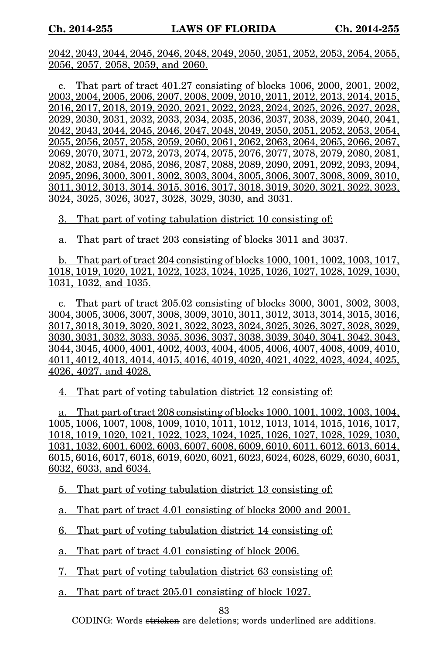2042, 2043, 2044, 2045, 2046, 2048, 2049, 2050, 2051, 2052, 2053, 2054, 2055, 2056, 2057, 2058, 2059, and 2060.

That part of tract 401.27 consisting of blocks 1006, 2000, 2001, 2002, 2003, 2004, 2005, 2006, 2007, 2008, 2009, 2010, 2011, 2012, 2013, 2014, 2015, 2016, 2017, 2018, 2019, 2020, 2021, 2022, 2023, 2024, 2025, 2026, 2027, 2028, 2029, 2030, 2031, 2032, 2033, 2034, 2035, 2036, 2037, 2038, 2039, 2040, 2041, 2042, 2043, 2044, 2045, 2046, 2047, 2048, 2049, 2050, 2051, 2052, 2053, 2054, 2055, 2056, 2057, 2058, 2059, 2060, 2061, 2062, 2063, 2064, 2065, 2066, 2067, 2069, 2070, 2071, 2072, 2073, 2074, 2075, 2076, 2077, 2078, 2079, 2080, 2081, 2082, 2083, 2084, 2085, 2086, 2087, 2088, 2089, 2090, 2091, 2092, 2093, 2094, 2095, 2096, 3000, 3001, 3002, 3003, 3004, 3005, 3006, 3007, 3008, 3009, 3010, 3011, 3012, 3013, 3014, 3015, 3016, 3017, 3018, 3019, 3020, 3021, 3022, 3023, 3024, 3025, 3026, 3027, 3028, 3029, 3030, and 3031.

3. That part of voting tabulation district 10 consisting of:

a. That part of tract 203 consisting of blocks 3011 and 3037.

b. That part of tract 204 consisting of blocks 1000, 1001, 1002, 1003, 1017, 1018, 1019, 1020, 1021, 1022, 1023, 1024, 1025, 1026, 1027, 1028, 1029, 1030, 1031, 1032, and 1035.

c. That part of tract 205.02 consisting of blocks 3000, 3001, 3002, 3003, 3004, 3005, 3006, 3007, 3008, 3009, 3010, 3011, 3012, 3013, 3014, 3015, 3016, 3017, 3018, 3019, 3020, 3021, 3022, 3023, 3024, 3025, 3026, 3027, 3028, 3029, 3030, 3031, 3032, 3033, 3035, 3036, 3037, 3038, 3039, 3040, 3041, 3042, 3043, 3044, 3045, 4000, 4001, 4002, 4003, 4004, 4005, 4006, 4007, 4008, 4009, 4010, 4011, 4012, 4013, 4014, 4015, 4016, 4019, 4020, 4021, 4022, 4023, 4024, 4025, 4026, 4027, and 4028.

4. That part of voting tabulation district 12 consisting of:

a. That part of tract 208 consisting of blocks 1000, 1001, 1002, 1003, 1004, 1005, 1006, 1007, 1008, 1009, 1010, 1011, 1012, 1013, 1014, 1015, 1016, 1017, 1018, 1019, 1020, 1021, 1022, 1023, 1024, 1025, 1026, 1027, 1028, 1029, 1030, 1031, 1032, 6001, 6002, 6003, 6007, 6008, 6009, 6010, 6011, 6012, 6013, 6014, 6015, 6016, 6017, 6018, 6019, 6020, 6021, 6023, 6024, 6028, 6029, 6030, 6031, 6032, 6033, and 6034.

5. That part of voting tabulation district 13 consisting of:

a. That part of tract 4.01 consisting of blocks 2000 and 2001.

6. That part of voting tabulation district 14 consisting of:

a. That part of tract 4.01 consisting of block 2006.

7. That part of voting tabulation district 63 consisting of:

a. That part of tract 205.01 consisting of block 1027.

83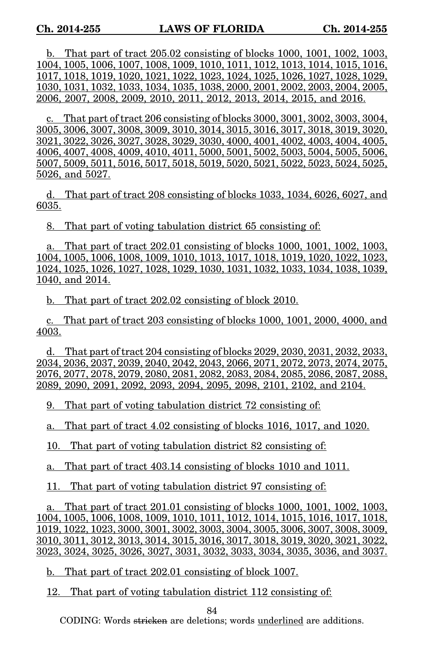b. That part of tract 205.02 consisting of blocks 1000, 1001, 1002, 1003, 1004, 1005, 1006, 1007, 1008, 1009, 1010, 1011, 1012, 1013, 1014, 1015, 1016, 1017, 1018, 1019, 1020, 1021, 1022, 1023, 1024, 1025, 1026, 1027, 1028, 1029, 1030, 1031, 1032, 1033, 1034, 1035, 1038, 2000, 2001, 2002, 2003, 2004, 2005, 2006, 2007, 2008, 2009, 2010, 2011, 2012, 2013, 2014, 2015, and 2016.

That part of tract 206 consisting of blocks 3000, 3001, 3002, 3003, 3004, 3005, 3006, 3007, 3008, 3009, 3010, 3014, 3015, 3016, 3017, 3018, 3019, 3020, 3021, 3022, 3026, 3027, 3028, 3029, 3030, 4000, 4001, 4002, 4003, 4004, 4005, 4006, 4007, 4008, 4009, 4010, 4011, 5000, 5001, 5002, 5003, 5004, 5005, 5006, 5007, 5009, 5011, 5016, 5017, 5018, 5019, 5020, 5021, 5022, 5023, 5024, 5025, 5026, and 5027.

That part of tract 208 consisting of blocks 1033, 1034, 6026, 6027, and 6035.

8. That part of voting tabulation district 65 consisting of:

a. That part of tract 202.01 consisting of blocks 1000, 1001, 1002, 1003, 1004, 1005, 1006, 1008, 1009, 1010, 1013, 1017, 1018, 1019, 1020, 1022, 1023, 1024, 1025, 1026, 1027, 1028, 1029, 1030, 1031, 1032, 1033, 1034, 1038, 1039, 1040, and 2014.

b. That part of tract 202.02 consisting of block 2010.

c. That part of tract 203 consisting of blocks 1000, 1001, 2000, 4000, and 4003.

d. That part of tract 204 consisting of blocks 2029, 2030, 2031, 2032, 2033, 2034, 2036, 2037, 2039, 2040, 2042, 2043, 2066, 2071, 2072, 2073, 2074, 2075, 2076, 2077, 2078, 2079, 2080, 2081, 2082, 2083, 2084, 2085, 2086, 2087, 2088, 2089, 2090, 2091, 2092, 2093, 2094, 2095, 2098, 2101, 2102, and 2104.

9. That part of voting tabulation district 72 consisting of:

a. That part of tract 4.02 consisting of blocks 1016, 1017, and 1020.

10. That part of voting tabulation district 82 consisting of:

a. That part of tract 403.14 consisting of blocks 1010 and 1011.

11. That part of voting tabulation district 97 consisting of:

That part of tract 201.01 consisting of blocks 1000, 1001, 1002, 1003, 1004, 1005, 1006, 1008, 1009, 1010, 1011, 1012, 1014, 1015, 1016, 1017, 1018, 1019, 1022, 1023, 3000, 3001, 3002, 3003, 3004, 3005, 3006, 3007, 3008, 3009, 3010, 3011, 3012, 3013, 3014, 3015, 3016, 3017, 3018, 3019, 3020, 3021, 3022, 3023, 3024, 3025, 3026, 3027, 3031, 3032, 3033, 3034, 3035, 3036, and 3037.

b. That part of tract 202.01 consisting of block 1007.

12. That part of voting tabulation district 112 consisting of:

84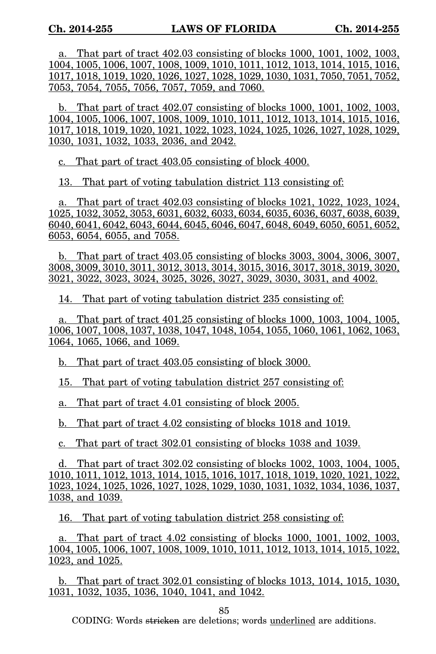That part of tract 402.03 consisting of blocks 1000, 1001, 1002, 1003, 1004, 1005, 1006, 1007, 1008, 1009, 1010, 1011, 1012, 1013, 1014, 1015, 1016, 1017, 1018, 1019, 1020, 1026, 1027, 1028, 1029, 1030, 1031, 7050, 7051, 7052, 7053, 7054, 7055, 7056, 7057, 7059, and 7060.

b. That part of tract 402.07 consisting of blocks 1000, 1001, 1002, 1003, 1004, 1005, 1006, 1007, 1008, 1009, 1010, 1011, 1012, 1013, 1014, 1015, 1016, 1017, 1018, 1019, 1020, 1021, 1022, 1023, 1024, 1025, 1026, 1027, 1028, 1029, 1030, 1031, 1032, 1033, 2036, and 2042.

c. That part of tract 403.05 consisting of block 4000.

13. That part of voting tabulation district 113 consisting of:

a. That part of tract 402.03 consisting of blocks 1021, 1022, 1023, 1024, 1025, 1032, 3052, 3053, 6031, 6032, 6033, 6034, 6035, 6036, 6037, 6038, 6039, 6040, 6041, 6042, 6043, 6044, 6045, 6046, 6047, 6048, 6049, 6050, 6051, 6052, 6053, 6054, 6055, and 7058.

b. That part of tract 403.05 consisting of blocks 3003, 3004, 3006, 3007, 3008, 3009, 3010, 3011, 3012, 3013, 3014, 3015, 3016, 3017, 3018, 3019, 3020, 3021, 3022, 3023, 3024, 3025, 3026, 3027, 3029, 3030, 3031, and 4002.

14. That part of voting tabulation district 235 consisting of:

a. That part of tract 401.25 consisting of blocks 1000, 1003, 1004, 1005, 1006, 1007, 1008, 1037, 1038, 1047, 1048, 1054, 1055, 1060, 1061, 1062, 1063, 1064, 1065, 1066, and 1069.

b. That part of tract 403.05 consisting of block 3000.

15. That part of voting tabulation district 257 consisting of:

a. That part of tract 4.01 consisting of block 2005.

b. That part of tract 4.02 consisting of blocks 1018 and 1019.

c. That part of tract 302.01 consisting of blocks 1038 and 1039.

d. That part of tract 302.02 consisting of blocks 1002, 1003, 1004, 1005, 1010, 1011, 1012, 1013, 1014, 1015, 1016, 1017, 1018, 1019, 1020, 1021, 1022, 1023, 1024, 1025, 1026, 1027, 1028, 1029, 1030, 1031, 1032, 1034, 1036, 1037, 1038, and 1039.

16. That part of voting tabulation district 258 consisting of:

a. That part of tract 4.02 consisting of blocks 1000, 1001, 1002, 1003, 1004, 1005, 1006, 1007, 1008, 1009, 1010, 1011, 1012, 1013, 1014, 1015, 1022, 1023, and 1025.

b. That part of tract 302.01 consisting of blocks 1013, 1014, 1015, 1030, 1031, 1032, 1035, 1036, 1040, 1041, and 1042.

85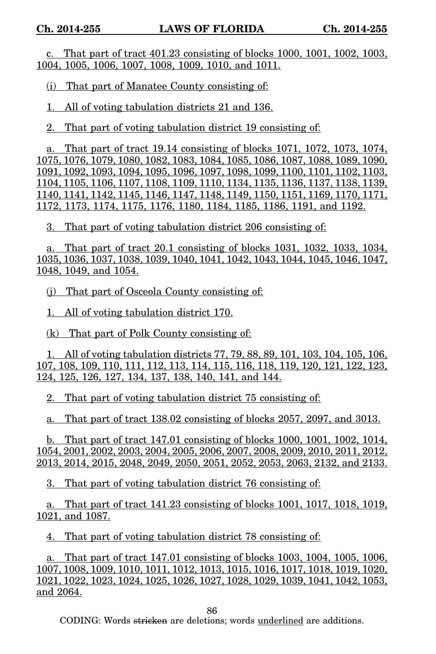c. That part of tract 401.23 consisting of blocks 1000, 1001, 1002, 1003, 1004, 1005, 1006, 1007, 1008, 1009, 1010, and 1011.

(i) That part of Manatee County consisting of:

1. All of voting tabulation districts 21 and 136.

2. That part of voting tabulation district 19 consisting of:

a. That part of tract 19.14 consisting of blocks 1071, 1072, 1073, 1074, 1075, 1076, 1079, 1080, 1082, 1083, 1084, 1085, 1086, 1087, 1088, 1089, 1090, 1091, 1092, 1093, 1094, 1095, 1096, 1097, 1098, 1099, 1100, 1101, 1102, 1103, 1104, 1105, 1106, 1107, 1108, 1109, 1110, 1134, 1135, 1136, 1137, 1138, 1139, 1140, 1141, 1142, 1145, 1146, 1147, 1148, 1149, 1150, 1151, 1169, 1170, 1171, 1172, 1173, 1174, 1175, 1176, 1180, 1184, 1185, 1186, 1191, and 1192.

3. That part of voting tabulation district 206 consisting of:

a. That part of tract 20.1 consisting of blocks 1031, 1032, 1033, 1034, 1035, 1036, 1037, 1038, 1039, 1040, 1041, 1042, 1043, 1044, 1045, 1046, 1047, 1048, 1049, and 1054.

(j) That part of Osceola County consisting of:

1. All of voting tabulation district 170.

(k) That part of Polk County consisting of:

1. All of voting tabulation districts 77, 79, 88, 89, 101, 103, 104, 105, 106, 107, 108, 109, 110, 111, 112, 113, 114, 115, 116, 118, 119, 120, 121, 122, 123, 124, 125, 126, 127, 134, 137, 138, 140, 141, and 144.

2. That part of voting tabulation district 75 consisting of:

a. That part of tract 138.02 consisting of blocks 2057, 2097, and 3013.

b. That part of tract 147.01 consisting of blocks 1000, 1001, 1002, 1014, 1054, 2001, 2002, 2003, 2004, 2005, 2006, 2007, 2008, 2009, 2010, 2011, 2012, 2013, 2014, 2015, 2048, 2049, 2050, 2051, 2052, 2053, 2063, 2132, and 2133.

3. That part of voting tabulation district 76 consisting of:

a. That part of tract 141.23 consisting of blocks 1001, 1017, 1018, 1019, 1021, and 1087.

4. That part of voting tabulation district 78 consisting of:

a. That part of tract 147.01 consisting of blocks 1003, 1004, 1005, 1006, 1007, 1008, 1009, 1010, 1011, 1012, 1013, 1015, 1016, 1017, 1018, 1019, 1020, 1021, 1022, 1023, 1024, 1025, 1026, 1027, 1028, 1029, 1039, 1041, 1042, 1053, and 2064.

86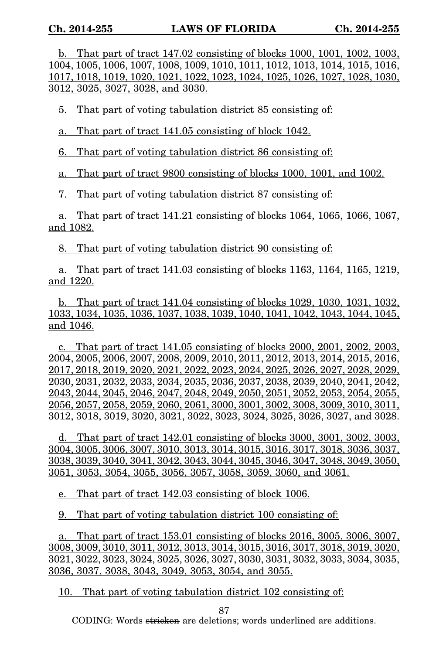b. That part of tract 147.02 consisting of blocks 1000, 1001, 1002, 1003, 1004, 1005, 1006, 1007, 1008, 1009, 1010, 1011, 1012, 1013, 1014, 1015, 1016, 1017, 1018, 1019, 1020, 1021, 1022, 1023, 1024, 1025, 1026, 1027, 1028, 1030, 3012, 3025, 3027, 3028, and 3030.

5. That part of voting tabulation district 85 consisting of:

a. That part of tract 141.05 consisting of block 1042.

6. That part of voting tabulation district 86 consisting of:

a. That part of tract 9800 consisting of blocks 1000, 1001, and 1002.

7. That part of voting tabulation district 87 consisting of:

a. That part of tract 141.21 consisting of blocks 1064, 1065, 1066, 1067, and 1082.

8. That part of voting tabulation district 90 consisting of:

a. That part of tract 141.03 consisting of blocks 1163, 1164, 1165, 1219, and 1220.

b. That part of tract 141.04 consisting of blocks 1029, 1030, 1031, 1032, 1033, 1034, 1035, 1036, 1037, 1038, 1039, 1040, 1041, 1042, 1043, 1044, 1045, and 1046.

c. That part of tract 141.05 consisting of blocks 2000, 2001, 2002, 2003, 2004, 2005, 2006, 2007, 2008, 2009, 2010, 2011, 2012, 2013, 2014, 2015, 2016, 2017, 2018, 2019, 2020, 2021, 2022, 2023, 2024, 2025, 2026, 2027, 2028, 2029, 2030, 2031, 2032, 2033, 2034, 2035, 2036, 2037, 2038, 2039, 2040, 2041, 2042, 2043, 2044, 2045, 2046, 2047, 2048, 2049, 2050, 2051, 2052, 2053, 2054, 2055, 2056, 2057, 2058, 2059, 2060, 2061, 3000, 3001, 3002, 3008, 3009, 3010, 3011, 3012, 3018, 3019, 3020, 3021, 3022, 3023, 3024, 3025, 3026, 3027, and 3028.

d. That part of tract 142.01 consisting of blocks 3000, 3001, 3002, 3003, 3004, 3005, 3006, 3007, 3010, 3013, 3014, 3015, 3016, 3017, 3018, 3036, 3037, 3038, 3039, 3040, 3041, 3042, 3043, 3044, 3045, 3046, 3047, 3048, 3049, 3050, 3051, 3053, 3054, 3055, 3056, 3057, 3058, 3059, 3060, and 3061.

e. That part of tract 142.03 consisting of block 1006.

9. That part of voting tabulation district 100 consisting of:

a. That part of tract 153.01 consisting of blocks 2016, 3005, 3006, 3007, 3008, 3009, 3010, 3011, 3012, 3013, 3014, 3015, 3016, 3017, 3018, 3019, 3020, 3021, 3022, 3023, 3024, 3025, 3026, 3027, 3030, 3031, 3032, 3033, 3034, 3035, 3036, 3037, 3038, 3043, 3049, 3053, 3054, and 3055.

10. That part of voting tabulation district 102 consisting of:

87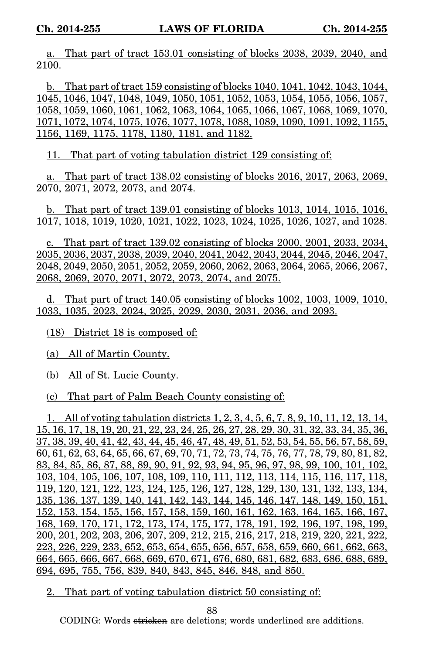a. That part of tract 153.01 consisting of blocks 2038, 2039, 2040, and 2100.

b. That part of tract 159 consisting of blocks 1040, 1041, 1042, 1043, 1044, 1045, 1046, 1047, 1048, 1049, 1050, 1051, 1052, 1053, 1054, 1055, 1056, 1057, 1058, 1059, 1060, 1061, 1062, 1063, 1064, 1065, 1066, 1067, 1068, 1069, 1070, 1071, 1072, 1074, 1075, 1076, 1077, 1078, 1088, 1089, 1090, 1091, 1092, 1155, 1156, 1169, 1175, 1178, 1180, 1181, and 1182.

11. That part of voting tabulation district 129 consisting of:

That part of tract 138.02 consisting of blocks 2016, 2017, 2063, 2069, 2070, 2071, 2072, 2073, and 2074.

b. That part of tract 139.01 consisting of blocks 1013, 1014, 1015, 1016, 1017, 1018, 1019, 1020, 1021, 1022, 1023, 1024, 1025, 1026, 1027, and 1028.

c. That part of tract 139.02 consisting of blocks 2000, 2001, 2033, 2034, 2035, 2036, 2037, 2038, 2039, 2040, 2041, 2042, 2043, 2044, 2045, 2046, 2047, 2048, 2049, 2050, 2051, 2052, 2059, 2060, 2062, 2063, 2064, 2065, 2066, 2067, 2068, 2069, 2070, 2071, 2072, 2073, 2074, and 2075.

d. That part of tract 140.05 consisting of blocks 1002, 1003, 1009, 1010, 1033, 1035, 2023, 2024, 2025, 2029, 2030, 2031, 2036, and 2093.

(18) District 18 is composed of:

(a) All of Martin County.

(b) All of St. Lucie County.

(c) That part of Palm Beach County consisting of:

1. All of voting tabulation districts 1, 2, 3, 4, 5, 6, 7, 8, 9, 10, 11, 12, 13, 14, 15, 16, 17, 18, 19, 20, 21, 22, 23, 24, 25, 26, 27, 28, 29, 30, 31, 32, 33, 34, 35, 36, 37, 38, 39, 40, 41, 42, 43, 44, 45, 46, 47, 48, 49, 51, 52, 53, 54, 55, 56, 57, 58, 59, 60, 61, 62, 63, 64, 65, 66, 67, 69, 70, 71, 72, 73, 74, 75, 76, 77, 78, 79, 80, 81, 82, 83, 84, 85, 86, 87, 88, 89, 90, 91, 92, 93, 94, 95, 96, 97, 98, 99, 100, 101, 102, 103, 104, 105, 106, 107, 108, 109, 110, 111, 112, 113, 114, 115, 116, 117, 118, 119, 120, 121, 122, 123, 124, 125, 126, 127, 128, 129, 130, 131, 132, 133, 134, 135, 136, 137, 139, 140, 141, 142, 143, 144, 145, 146, 147, 148, 149, 150, 151, 152, 153, 154, 155, 156, 157, 158, 159, 160, 161, 162, 163, 164, 165, 166, 167, 168, 169, 170, 171, 172, 173, 174, 175, 177, 178, 191, 192, 196, 197, 198, 199, 200, 201, 202, 203, 206, 207, 209, 212, 215, 216, 217, 218, 219, 220, 221, 222, 223, 226, 229, 233, 652, 653, 654, 655, 656, 657, 658, 659, 660, 661, 662, 663, 664, 665, 666, 667, 668, 669, 670, 671, 676, 680, 681, 682, 683, 686, 688, 689, 694, 695, 755, 756, 839, 840, 843, 845, 846, 848, and 850.

2. That part of voting tabulation district 50 consisting of:

88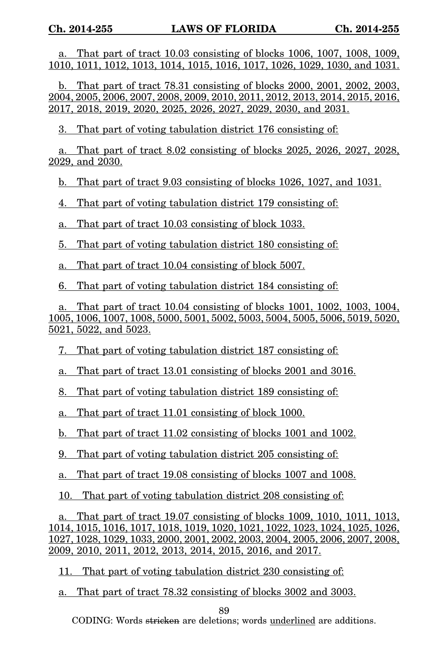That part of tract 10.03 consisting of blocks 1006, 1007, 1008, 1009, 1010, 1011, 1012, 1013, 1014, 1015, 1016, 1017, 1026, 1029, 1030, and 1031.

b. That part of tract 78.31 consisting of blocks 2000, 2001, 2002, 2003, 2004, 2005, 2006, 2007, 2008, 2009, 2010, 2011, 2012, 2013, 2014, 2015, 2016, 2017, 2018, 2019, 2020, 2025, 2026, 2027, 2029, 2030, and 2031.

3. That part of voting tabulation district 176 consisting of:

a. That part of tract 8.02 consisting of blocks 2025, 2026, 2027, 2028, 2029, and 2030.

b. That part of tract 9.03 consisting of blocks 1026, 1027, and 1031.

4. That part of voting tabulation district 179 consisting of:

a. That part of tract 10.03 consisting of block 1033.

5. That part of voting tabulation district 180 consisting of:

a. That part of tract 10.04 consisting of block 5007.

6. That part of voting tabulation district 184 consisting of:

a. That part of tract 10.04 consisting of blocks 1001, 1002, 1003, 1004, 1005, 1006, 1007, 1008, 5000, 5001, 5002, 5003, 5004, 5005, 5006, 5019, 5020, 5021, 5022, and 5023.

7. That part of voting tabulation district 187 consisting of:

a. That part of tract 13.01 consisting of blocks 2001 and 3016.

8. That part of voting tabulation district 189 consisting of:

a. That part of tract 11.01 consisting of block 1000.

b. That part of tract 11.02 consisting of blocks 1001 and 1002.

9. That part of voting tabulation district 205 consisting of:

a. That part of tract 19.08 consisting of blocks 1007 and 1008.

10. That part of voting tabulation district 208 consisting of:

a. That part of tract 19.07 consisting of blocks 1009, 1010, 1011, 1013, 1014, 1015, 1016, 1017, 1018, 1019, 1020, 1021, 1022, 1023, 1024, 1025, 1026, 1027, 1028, 1029, 1033, 2000, 2001, 2002, 2003, 2004, 2005, 2006, 2007, 2008, 2009, 2010, 2011, 2012, 2013, 2014, 2015, 2016, and 2017.

11. That part of voting tabulation district 230 consisting of:

a. That part of tract 78.32 consisting of blocks 3002 and 3003.

89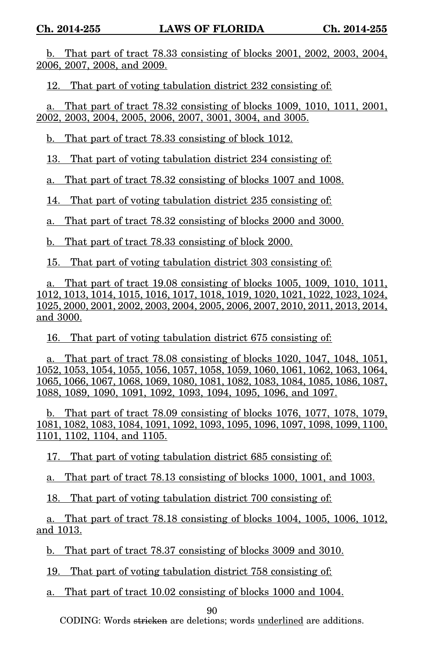b. That part of tract 78.33 consisting of blocks 2001, 2002, 2003, 2004, 2006, 2007, 2008, and 2009.

12. That part of voting tabulation district 232 consisting of:

a. That part of tract 78.32 consisting of blocks 1009, 1010, 1011, 2001, 2002, 2003, 2004, 2005, 2006, 2007, 3001, 3004, and 3005.

b. That part of tract 78.33 consisting of block 1012.

13. That part of voting tabulation district 234 consisting of:

a. That part of tract 78.32 consisting of blocks 1007 and 1008.

14. That part of voting tabulation district 235 consisting of:

a. That part of tract 78.32 consisting of blocks 2000 and 3000.

b. That part of tract 78.33 consisting of block 2000.

15. That part of voting tabulation district 303 consisting of:

a. That part of tract 19.08 consisting of blocks 1005, 1009, 1010, 1011, 1012, 1013, 1014, 1015, 1016, 1017, 1018, 1019, 1020, 1021, 1022, 1023, 1024, 1025, 2000, 2001, 2002, 2003, 2004, 2005, 2006, 2007, 2010, 2011, 2013, 2014, and 3000.

16. That part of voting tabulation district 675 consisting of:

a. That part of tract 78.08 consisting of blocks 1020, 1047, 1048, 1051, 1052, 1053, 1054, 1055, 1056, 1057, 1058, 1059, 1060, 1061, 1062, 1063, 1064, 1065, 1066, 1067, 1068, 1069, 1080, 1081, 1082, 1083, 1084, 1085, 1086, 1087, 1088, 1089, 1090, 1091, 1092, 1093, 1094, 1095, 1096, and 1097.

b. That part of tract 78.09 consisting of blocks 1076, 1077, 1078, 1079, 1081, 1082, 1083, 1084, 1091, 1092, 1093, 1095, 1096, 1097, 1098, 1099, 1100, 1101, 1102, 1104, and 1105.

17. That part of voting tabulation district 685 consisting of:

a. That part of tract 78.13 consisting of blocks 1000, 1001, and 1003.

18. That part of voting tabulation district 700 consisting of:

a. That part of tract 78.18 consisting of blocks 1004, 1005, 1006, 1012, and 1013.

b. That part of tract 78.37 consisting of blocks 3009 and 3010.

19. That part of voting tabulation district 758 consisting of:

a. That part of tract 10.02 consisting of blocks 1000 and 1004.

90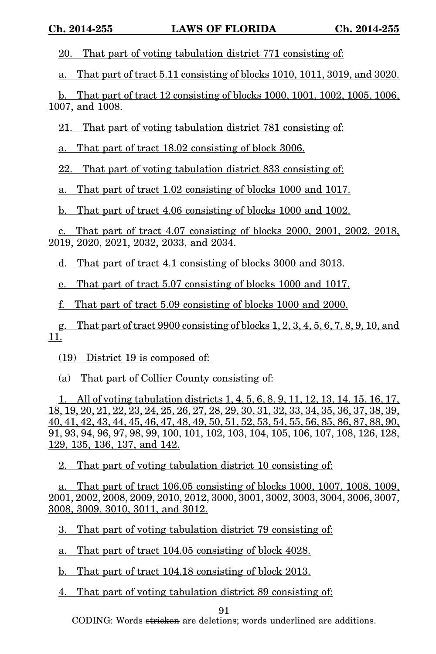20. That part of voting tabulation district 771 consisting of:

a. That part of tract 5.11 consisting of blocks 1010, 1011, 3019, and 3020.

b. That part of tract 12 consisting of blocks 1000, 1001, 1002, 1005, 1006, 1007, and 1008.

21. That part of voting tabulation district 781 consisting of:

a. That part of tract 18.02 consisting of block 3006.

22. That part of voting tabulation district 833 consisting of:

a. That part of tract 1.02 consisting of blocks 1000 and 1017.

b. That part of tract 4.06 consisting of blocks 1000 and 1002.

c. That part of tract 4.07 consisting of blocks 2000, 2001, 2002, 2018, 2019, 2020, 2021, 2032, 2033, and 2034.

d. That part of tract 4.1 consisting of blocks 3000 and 3013.

e. That part of tract 5.07 consisting of blocks 1000 and 1017.

f. That part of tract 5.09 consisting of blocks 1000 and 2000.

g. That part of tract 9900 consisting of blocks 1, 2, 3, 4, 5, 6, 7, 8, 9, 10, and 11.

(19) District 19 is composed of:

(a) That part of Collier County consisting of:

1. All of voting tabulation districts 1, 4, 5, 6, 8, 9, 11, 12, 13, 14, 15, 16, 17, 18, 19, 20, 21, 22, 23, 24, 25, 26, 27, 28, 29, 30, 31, 32, 33, 34, 35, 36, 37, 38, 39, 40, 41, 42, 43, 44, 45, 46, 47, 48, 49, 50, 51, 52, 53, 54, 55, 56, 85, 86, 87, 88, 90, 91, 93, 94, 96, 97, 98, 99, 100, 101, 102, 103, 104, 105, 106, 107, 108, 126, 128, 129, 135, 136, 137, and 142.

2. That part of voting tabulation district 10 consisting of:

a. That part of tract 106.05 consisting of blocks 1000, 1007, 1008, 1009, 2001, 2002, 2008, 2009, 2010, 2012, 3000, 3001, 3002, 3003, 3004, 3006, 3007, 3008, 3009, 3010, 3011, and 3012.

3. That part of voting tabulation district 79 consisting of:

a. That part of tract 104.05 consisting of block 4028.

b. That part of tract 104.18 consisting of block 2013.

4. That part of voting tabulation district 89 consisting of:

91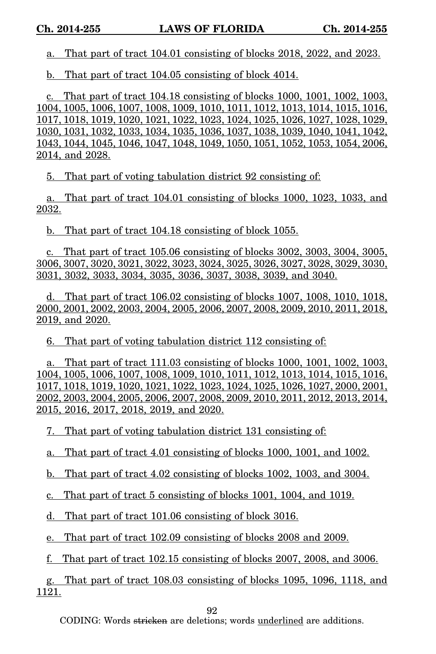a. That part of tract 104.01 consisting of blocks 2018, 2022, and 2023.

b. That part of tract 104.05 consisting of block 4014.

c. That part of tract 104.18 consisting of blocks 1000, 1001, 1002, 1003, 1004, 1005, 1006, 1007, 1008, 1009, 1010, 1011, 1012, 1013, 1014, 1015, 1016, 1017, 1018, 1019, 1020, 1021, 1022, 1023, 1024, 1025, 1026, 1027, 1028, 1029, 1030, 1031, 1032, 1033, 1034, 1035, 1036, 1037, 1038, 1039, 1040, 1041, 1042, 1043, 1044, 1045, 1046, 1047, 1048, 1049, 1050, 1051, 1052, 1053, 1054, 2006, 2014, and 2028.

5. That part of voting tabulation district 92 consisting of:

a. That part of tract 104.01 consisting of blocks 1000, 1023, 1033, and 2032.

b. That part of tract 104.18 consisting of block 1055.

c. That part of tract 105.06 consisting of blocks 3002, 3003, 3004, 3005, 3006, 3007, 3020, 3021, 3022, 3023, 3024, 3025, 3026, 3027, 3028, 3029, 3030, 3031, 3032, 3033, 3034, 3035, 3036, 3037, 3038, 3039, and 3040.

d. That part of tract 106.02 consisting of blocks 1007, 1008, 1010, 1018, 2000, 2001, 2002, 2003, 2004, 2005, 2006, 2007, 2008, 2009, 2010, 2011, 2018, 2019, and 2020.

6. That part of voting tabulation district 112 consisting of:

a. That part of tract 111.03 consisting of blocks 1000, 1001, 1002, 1003, 1004, 1005, 1006, 1007, 1008, 1009, 1010, 1011, 1012, 1013, 1014, 1015, 1016, 1017, 1018, 1019, 1020, 1021, 1022, 1023, 1024, 1025, 1026, 1027, 2000, 2001, 2002, 2003, 2004, 2005, 2006, 2007, 2008, 2009, 2010, 2011, 2012, 2013, 2014, 2015, 2016, 2017, 2018, 2019, and 2020.

7. That part of voting tabulation district 131 consisting of:

a. That part of tract 4.01 consisting of blocks 1000, 1001, and 1002.

b. That part of tract 4.02 consisting of blocks 1002, 1003, and 3004.

c. That part of tract 5 consisting of blocks 1001, 1004, and 1019.

d. That part of tract 101.06 consisting of block 3016.

e. That part of tract 102.09 consisting of blocks 2008 and 2009.

f. That part of tract 102.15 consisting of blocks 2007, 2008, and 3006.

g. That part of tract 108.03 consisting of blocks 1095, 1096, 1118, and 1121.

92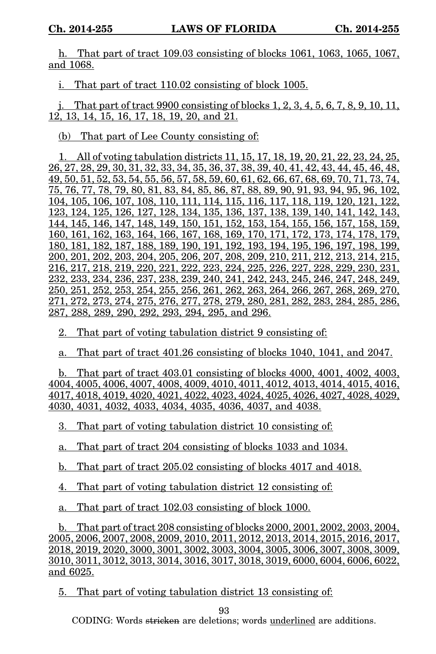h. That part of tract 109.03 consisting of blocks 1061, 1063, 1065, 1067, and 1068.

i. That part of tract 110.02 consisting of block 1005.

j. That part of tract 9900 consisting of blocks 1, 2, 3, 4, 5, 6, 7, 8, 9, 10, 11, 12, 13, 14, 15, 16, 17, 18, 19, 20, and 21.

(b) That part of Lee County consisting of:

1. All of voting tabulation districts 11, 15, 17, 18, 19, 20, 21, 22, 23, 24, 25, 26, 27, 28, 29, 30, 31, 32, 33, 34, 35, 36, 37, 38, 39, 40, 41, 42, 43, 44, 45, 46, 48, 49, 50, 51, 52, 53, 54, 55, 56, 57, 58, 59, 60, 61, 62, 66, 67, 68, 69, 70, 71, 73, 74, 75, 76, 77, 78, 79, 80, 81, 83, 84, 85, 86, 87, 88, 89, 90, 91, 93, 94, 95, 96, 102, 104, 105, 106, 107, 108, 110, 111, 114, 115, 116, 117, 118, 119, 120, 121, 122, 123, 124, 125, 126, 127, 128, 134, 135, 136, 137, 138, 139, 140, 141, 142, 143, 144, 145, 146, 147, 148, 149, 150, 151, 152, 153, 154, 155, 156, 157, 158, 159, 160, 161, 162, 163, 164, 166, 167, 168, 169, 170, 171, 172, 173, 174, 178, 179, 180, 181, 182, 187, 188, 189, 190, 191, 192, 193, 194, 195, 196, 197, 198, 199, 200, 201, 202, 203, 204, 205, 206, 207, 208, 209, 210, 211, 212, 213, 214, 215, 216, 217, 218, 219, 220, 221, 222, 223, 224, 225, 226, 227, 228, 229, 230, 231, 232, 233, 234, 236, 237, 238, 239, 240, 241, 242, 243, 245, 246, 247, 248, 249, 250, 251, 252, 253, 254, 255, 256, 261, 262, 263, 264, 266, 267, 268, 269, 270, 271, 272, 273, 274, 275, 276, 277, 278, 279, 280, 281, 282, 283, 284, 285, 286, 287, 288, 289, 290, 292, 293, 294, 295, and 296.

2. That part of voting tabulation district 9 consisting of:

a. That part of tract 401.26 consisting of blocks 1040, 1041, and 2047.

b. That part of tract 403.01 consisting of blocks 4000, 4001, 4002, 4003, 4004, 4005, 4006, 4007, 4008, 4009, 4010, 4011, 4012, 4013, 4014, 4015, 4016, 4017, 4018, 4019, 4020, 4021, 4022, 4023, 4024, 4025, 4026, 4027, 4028, 4029, 4030, 4031, 4032, 4033, 4034, 4035, 4036, 4037, and 4038.

3. That part of voting tabulation district 10 consisting of:

a. That part of tract 204 consisting of blocks 1033 and 1034.

b. That part of tract 205.02 consisting of blocks 4017 and 4018.

4. That part of voting tabulation district 12 consisting of:

a. That part of tract 102.03 consisting of block 1000.

b. That part of tract 208 consisting of blocks 2000, 2001, 2002, 2003, 2004, 2005, 2006, 2007, 2008, 2009, 2010, 2011, 2012, 2013, 2014, 2015, 2016, 2017, 2018, 2019, 2020, 3000, 3001, 3002, 3003, 3004, 3005, 3006, 3007, 3008, 3009, 3010, 3011, 3012, 3013, 3014, 3016, 3017, 3018, 3019, 6000, 6004, 6006, 6022, and 6025.

5. That part of voting tabulation district 13 consisting of:

93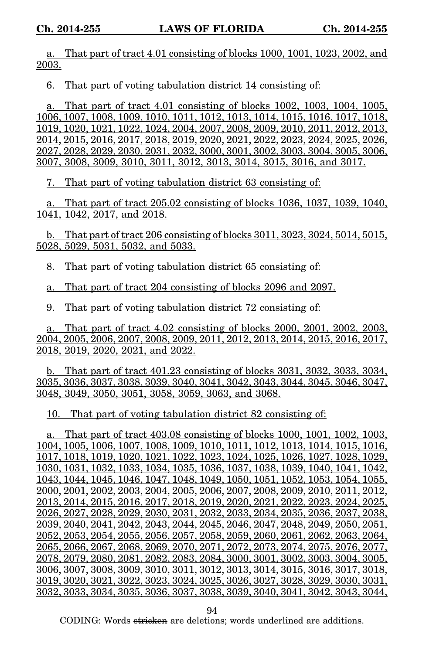That part of tract 4.01 consisting of blocks 1000, 1001, 1023, 2002, and 2003.

6. That part of voting tabulation district 14 consisting of:

That part of tract 4.01 consisting of blocks 1002, 1003, 1004, 1005, 1006, 1007, 1008, 1009, 1010, 1011, 1012, 1013, 1014, 1015, 1016, 1017, 1018, 1019, 1020, 1021, 1022, 1024, 2004, 2007, 2008, 2009, 2010, 2011, 2012, 2013, 2014, 2015, 2016, 2017, 2018, 2019, 2020, 2021, 2022, 2023, 2024, 2025, 2026, 2027, 2028, 2029, 2030, 2031, 2032, 3000, 3001, 3002, 3003, 3004, 3005, 3006, 3007, 3008, 3009, 3010, 3011, 3012, 3013, 3014, 3015, 3016, and 3017.

7. That part of voting tabulation district 63 consisting of:

a. That part of tract 205.02 consisting of blocks 1036, 1037, 1039, 1040, 1041, 1042, 2017, and 2018.

b. That part of tract 206 consisting of blocks 3011, 3023, 3024, 5014, 5015, 5028, 5029, 5031, 5032, and 5033.

8. That part of voting tabulation district 65 consisting of:

a. That part of tract 204 consisting of blocks 2096 and 2097.

9. That part of voting tabulation district 72 consisting of:

That part of tract 4.02 consisting of blocks 2000, 2001, 2002, 2003, 2004, 2005, 2006, 2007, 2008, 2009, 2011, 2012, 2013, 2014, 2015, 2016, 2017, 2018, 2019, 2020, 2021, and 2022.

b. That part of tract 401.23 consisting of blocks 3031, 3032, 3033, 3034, 3035, 3036, 3037, 3038, 3039, 3040, 3041, 3042, 3043, 3044, 3045, 3046, 3047, 3048, 3049, 3050, 3051, 3058, 3059, 3063, and 3068.

10. That part of voting tabulation district 82 consisting of:

a. That part of tract 403.08 consisting of blocks 1000, 1001, 1002, 1003, 1004, 1005, 1006, 1007, 1008, 1009, 1010, 1011, 1012, 1013, 1014, 1015, 1016, 1017, 1018, 1019, 1020, 1021, 1022, 1023, 1024, 1025, 1026, 1027, 1028, 1029, 1030, 1031, 1032, 1033, 1034, 1035, 1036, 1037, 1038, 1039, 1040, 1041, 1042, 1043, 1044, 1045, 1046, 1047, 1048, 1049, 1050, 1051, 1052, 1053, 1054, 1055, 2000, 2001, 2002, 2003, 2004, 2005, 2006, 2007, 2008, 2009, 2010, 2011, 2012, 2013, 2014, 2015, 2016, 2017, 2018, 2019, 2020, 2021, 2022, 2023, 2024, 2025, 2026, 2027, 2028, 2029, 2030, 2031, 2032, 2033, 2034, 2035, 2036, 2037, 2038, 2039, 2040, 2041, 2042, 2043, 2044, 2045, 2046, 2047, 2048, 2049, 2050, 2051, 2052, 2053, 2054, 2055, 2056, 2057, 2058, 2059, 2060, 2061, 2062, 2063, 2064, 2065, 2066, 2067, 2068, 2069, 2070, 2071, 2072, 2073, 2074, 2075, 2076, 2077, 2078, 2079, 2080, 2081, 2082, 2083, 2084, 3000, 3001, 3002, 3003, 3004, 3005, 3006, 3007, 3008, 3009, 3010, 3011, 3012, 3013, 3014, 3015, 3016, 3017, 3018, 3019, 3020, 3021, 3022, 3023, 3024, 3025, 3026, 3027, 3028, 3029, 3030, 3031, 3032, 3033, 3034, 3035, 3036, 3037, 3038, 3039, 3040, 3041, 3042, 3043, 3044,

94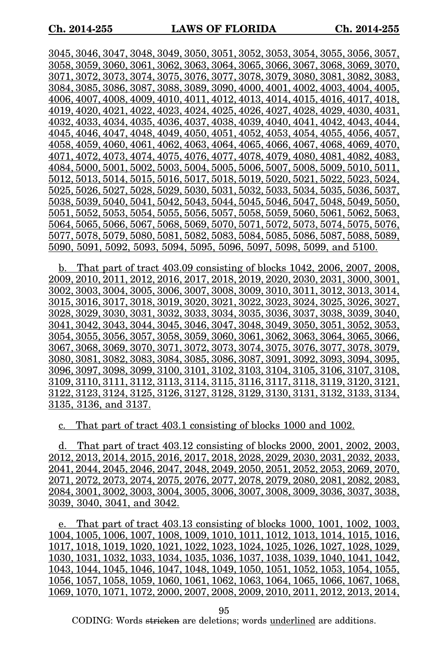3045, 3046, 3047, 3048, 3049, 3050, 3051, 3052, 3053, 3054, 3055, 3056, 3057, 3058, 3059, 3060, 3061, 3062, 3063, 3064, 3065, 3066, 3067, 3068, 3069, 3070, 3071, 3072, 3073, 3074, 3075, 3076, 3077, 3078, 3079, 3080, 3081, 3082, 3083, 3084, 3085, 3086, 3087, 3088, 3089, 3090, 4000, 4001, 4002, 4003, 4004, 4005, 4006, 4007, 4008, 4009, 4010, 4011, 4012, 4013, 4014, 4015, 4016, 4017, 4018, 4019, 4020, 4021, 4022, 4023, 4024, 4025, 4026, 4027, 4028, 4029, 4030, 4031, 4032, 4033, 4034, 4035, 4036, 4037, 4038, 4039, 4040, 4041, 4042, 4043, 4044, 4045, 4046, 4047, 4048, 4049, 4050, 4051, 4052, 4053, 4054, 4055, 4056, 4057, 4058, 4059, 4060, 4061, 4062, 4063, 4064, 4065, 4066, 4067, 4068, 4069, 4070, 4071, 4072, 4073, 4074, 4075, 4076, 4077, 4078, 4079, 4080, 4081, 4082, 4083, 4084, 5000, 5001, 5002, 5003, 5004, 5005, 5006, 5007, 5008, 5009, 5010, 5011, 5012, 5013, 5014, 5015, 5016, 5017, 5018, 5019, 5020, 5021, 5022, 5023, 5024, 5025, 5026, 5027, 5028, 5029, 5030, 5031, 5032, 5033, 5034, 5035, 5036, 5037, 5038, 5039, 5040, 5041, 5042, 5043, 5044, 5045, 5046, 5047, 5048, 5049, 5050, 5051, 5052, 5053, 5054, 5055, 5056, 5057, 5058, 5059, 5060, 5061, 5062, 5063, 5064, 5065, 5066, 5067, 5068, 5069, 5070, 5071, 5072, 5073, 5074, 5075, 5076, 5077, 5078, 5079, 5080, 5081, 5082, 5083, 5084, 5085, 5086, 5087, 5088, 5089, 5090, 5091, 5092, 5093, 5094, 5095, 5096, 5097, 5098, 5099, and 5100.

b. That part of tract 403.09 consisting of blocks 1042, 2006, 2007, 2008, 2009, 2010, 2011, 2012, 2016, 2017, 2018, 2019, 2020, 2030, 2031, 3000, 3001, 3002, 3003, 3004, 3005, 3006, 3007, 3008, 3009, 3010, 3011, 3012, 3013, 3014, 3015, 3016, 3017, 3018, 3019, 3020, 3021, 3022, 3023, 3024, 3025, 3026, 3027, 3028, 3029, 3030, 3031, 3032, 3033, 3034, 3035, 3036, 3037, 3038, 3039, 3040, 3041, 3042, 3043, 3044, 3045, 3046, 3047, 3048, 3049, 3050, 3051, 3052, 3053, 3054, 3055, 3056, 3057, 3058, 3059, 3060, 3061, 3062, 3063, 3064, 3065, 3066, 3067, 3068, 3069, 3070, 3071, 3072, 3073, 3074, 3075, 3076, 3077, 3078, 3079, 3080, 3081, 3082, 3083, 3084, 3085, 3086, 3087, 3091, 3092, 3093, 3094, 3095, 3096, 3097, 3098, 3099, 3100, 3101, 3102, 3103, 3104, 3105, 3106, 3107, 3108, 3109, 3110, 3111, 3112, 3113, 3114, 3115, 3116, 3117, 3118, 3119, 3120, 3121, 3122, 3123, 3124, 3125, 3126, 3127, 3128, 3129, 3130, 3131, 3132, 3133, 3134, 3135, 3136, and 3137.

c. That part of tract 403.1 consisting of blocks 1000 and 1002.

d. That part of tract 403.12 consisting of blocks 2000, 2001, 2002, 2003, 2012, 2013, 2014, 2015, 2016, 2017, 2018, 2028, 2029, 2030, 2031, 2032, 2033, 2041, 2044, 2045, 2046, 2047, 2048, 2049, 2050, 2051, 2052, 2053, 2069, 2070, 2071, 2072, 2073, 2074, 2075, 2076, 2077, 2078, 2079, 2080, 2081, 2082, 2083, 2084, 3001, 3002, 3003, 3004, 3005, 3006, 3007, 3008, 3009, 3036, 3037, 3038, 3039, 3040, 3041, and 3042.

That part of tract 403.13 consisting of blocks 1000, 1001, 1002, 1003, 1004, 1005, 1006, 1007, 1008, 1009, 1010, 1011, 1012, 1013, 1014, 1015, 1016, 1017, 1018, 1019, 1020, 1021, 1022, 1023, 1024, 1025, 1026, 1027, 1028, 1029, 1030, 1031, 1032, 1033, 1034, 1035, 1036, 1037, 1038, 1039, 1040, 1041, 1042, 1043, 1044, 1045, 1046, 1047, 1048, 1049, 1050, 1051, 1052, 1053, 1054, 1055, 1056, 1057, 1058, 1059, 1060, 1061, 1062, 1063, 1064, 1065, 1066, 1067, 1068, 1069, 1070, 1071, 1072, 2000, 2007, 2008, 2009, 2010, 2011, 2012, 2013, 2014,

95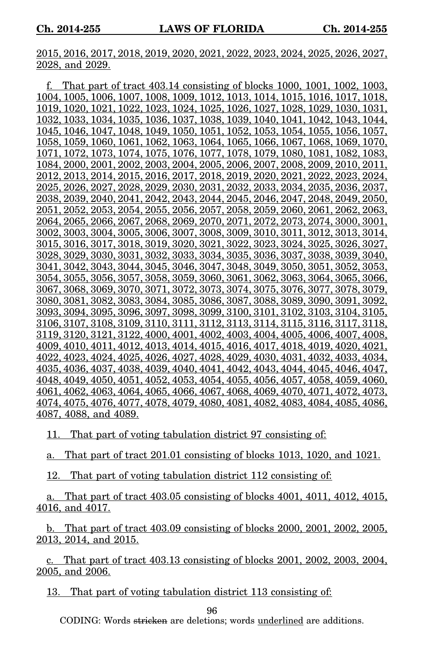2015, 2016, 2017, 2018, 2019, 2020, 2021, 2022, 2023, 2024, 2025, 2026, 2027, 2028, and 2029.

| f. That part of tract $403.14$ consisting of blocks 1000, 1001, 1002, 1003,           |
|---------------------------------------------------------------------------------------|
| 1004, 1005, 1006, 1007, 1008, 1009, 1012, 1013, 1014, 1015, 1016, 1017, 1018,         |
| 1019, 1020, 1021, 1022, 1023, 1024, 1025, 1026, 1027, 1028, 1029, 1030, 1031,         |
| <u>1032, 1033, 1034, 1035, 1036, 1037, 1038, 1039, 1040, 1041, 1042, 1043, 1044, </u> |
| 1045, 1046, 1047, 1048, 1049, 1050, 1051, 1052, 1053, 1054, 1055, 1056, 1057,         |
| 1058, 1059, 1060, 1061, 1062, 1063, 1064, 1065, 1066, 1067, 1068, 1069, 1070,         |
| <u>1071, 1072, 1073, 1074, 1075, 1076, 1077, 1078, 1079, 1080, 1081, 1082, 1083, </u> |
| <u>1084, 2000, 2001, 2002, 2003, 2004, 2005, 2006, 2007, 2008, 2009, 2010, 2011, </u> |
| 2012, 2013, 2014, 2015, 2016, 2017, 2018, 2019, 2020, 2021, 2022, 2023, 2024,         |
| 2025, 2026, 2027, 2028, 2029, 2030, 2031, 2032, 2033, 2034, 2035, 2036, 2037,         |
| 2038, 2039, 2040, 2041, 2042, 2043, 2044, 2045, 2046, 2047, 2048, 2049, 2050,         |
| 2051, 2052, 2053, 2054, 2055, 2056, 2057, 2058, 2059, 2060, 2061, 2062, 2063,         |
| 2064, 2065, 2066, 2067, 2068, 2069, 2070, 2071, 2072, 2073, 2074, 3000, 3001,         |
| <u>3002, 3003, 3004, 3005, 3006, 3007, 3008, 3009, 3010, 3011, 3012, 3013, 3014, </u> |
| <u>3015, 3016, 3017, 3018, 3019, 3020, 3021, 3022, 3023, 3024, 3025, 3026, 3027, </u> |
| <u>3028, 3029, 3030, 3031, 3032, 3033, 3034, 3035, 3036, 3037, 3038, 3039, 3040,</u>  |
| 3041, 3042, 3043, 3044, 3045, 3046, 3047, 3048, 3049, 3050, 3051, 3052, 3053,         |
| 3054, 3055, 3056, 3057, 3058, 3059, 3060, 3061, 3062, 3063, 3064, 3065, 3066,         |
| 3067, 3068, 3069, 3070, 3071, 3072, 3073, 3074, 3075, 3076, 3077, 3078, 3079,         |
| <u>3080, 3081, 3082, 3083, 3084, 3085, 3086, 3087, 3088, 3089, 3090, 3091, 3092, </u> |
| 3093, 3094, 3095, 3096, 3097, 3098, 3099, 3100, 3101, 3102, 3103, 3104, 3105,         |
| 3106, 3107, 3108, 3109, 3110, 3111, 3112, 3113, 3114, 3115, 3116, 3117, 3118,         |
| 3119, 3120, 3121, 3122, 4000, 4001, 4002, 4003, 4004, 4005, 4006, 4007, 4008,         |
| <u>4009, 4010, 4011, 4012, 4013, 4014, 4015, 4016, 4017, 4018, 4019, 4020, 4021,</u>  |
| 4022, 4023, 4024, 4025, 4026, 4027, 4028, 4029, 4030, 4031, 4032, 4033, 4034,         |
| 4035, 4036, 4037, 4038, 4039, 4040, 4041, 4042, 4043, 4044, 4045, 4046, 4047,         |
| 4048, 4049, 4050, 4051, 4052, 4053, 4054, 4055, 4056, 4057, 4058, 4059, 4060,         |
| 4061, 4062, 4063, 4064, 4065, 4066, 4067, 4068, 4069, 4070, 4071, 4072, 4073,         |
| 4074, 4075, 4076, 4077, 4078, 4079, 4080, 4081, 4082, 4083, 4084, 4085, 4086,         |
| 4087, 4088, and 4089.                                                                 |

11. That part of voting tabulation district 97 consisting of:

a. That part of tract 201.01 consisting of blocks 1013, 1020, and 1021.

12. That part of voting tabulation district 112 consisting of:

a. That part of tract 403.05 consisting of blocks 4001, 4011, 4012, 4015, 4016, and 4017.

b. That part of tract 403.09 consisting of blocks 2000, 2001, 2002, 2005, 2013, 2014, and 2015.

c. That part of tract 403.13 consisting of blocks 2001, 2002, 2003, 2004, 2005, and 2006.

13. That part of voting tabulation district 113 consisting of: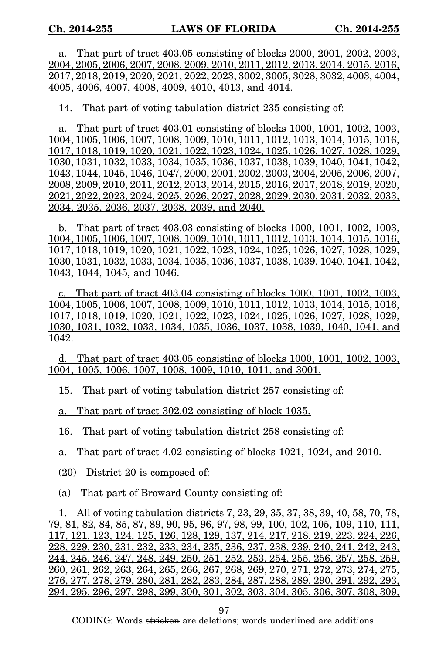That part of tract 403.05 consisting of blocks 2000, 2001, 2002, 2003, 2004, 2005, 2006, 2007, 2008, 2009, 2010, 2011, 2012, 2013, 2014, 2015, 2016, 2017, 2018, 2019, 2020, 2021, 2022, 2023, 3002, 3005, 3028, 3032, 4003, 4004, 4005, 4006, 4007, 4008, 4009, 4010, 4013, and 4014.

14. That part of voting tabulation district 235 consisting of:

a. That part of tract 403.01 consisting of blocks 1000, 1001, 1002, 1003, 1004, 1005, 1006, 1007, 1008, 1009, 1010, 1011, 1012, 1013, 1014, 1015, 1016, 1017, 1018, 1019, 1020, 1021, 1022, 1023, 1024, 1025, 1026, 1027, 1028, 1029, 1030, 1031, 1032, 1033, 1034, 1035, 1036, 1037, 1038, 1039, 1040, 1041, 1042, 1043, 1044, 1045, 1046, 1047, 2000, 2001, 2002, 2003, 2004, 2005, 2006, 2007, 2008, 2009, 2010, 2011, 2012, 2013, 2014, 2015, 2016, 2017, 2018, 2019, 2020, 2021, 2022, 2023, 2024, 2025, 2026, 2027, 2028, 2029, 2030, 2031, 2032, 2033, 2034, 2035, 2036, 2037, 2038, 2039, and 2040.

b. That part of tract 403.03 consisting of blocks 1000, 1001, 1002, 1003, 1004, 1005, 1006, 1007, 1008, 1009, 1010, 1011, 1012, 1013, 1014, 1015, 1016, 1017, 1018, 1019, 1020, 1021, 1022, 1023, 1024, 1025, 1026, 1027, 1028, 1029, 1030, 1031, 1032, 1033, 1034, 1035, 1036, 1037, 1038, 1039, 1040, 1041, 1042, 1043, 1044, 1045, and 1046.

c. That part of tract 403.04 consisting of blocks 1000, 1001, 1002, 1003, 1004, 1005, 1006, 1007, 1008, 1009, 1010, 1011, 1012, 1013, 1014, 1015, 1016, 1017, 1018, 1019, 1020, 1021, 1022, 1023, 1024, 1025, 1026, 1027, 1028, 1029, 1030, 1031, 1032, 1033, 1034, 1035, 1036, 1037, 1038, 1039, 1040, 1041, and 1042.

d. That part of tract 403.05 consisting of blocks 1000, 1001, 1002, 1003, 1004, 1005, 1006, 1007, 1008, 1009, 1010, 1011, and 3001.

15. That part of voting tabulation district 257 consisting of:

a. That part of tract 302.02 consisting of block 1035.

16. That part of voting tabulation district 258 consisting of:

a. That part of tract 4.02 consisting of blocks 1021, 1024, and 2010.

(20) District 20 is composed of:

(a) That part of Broward County consisting of:

1. All of voting tabulation districts 7, 23, 29, 35, 37, 38, 39, 40, 58, 70, 78, 79, 81, 82, 84, 85, 87, 89, 90, 95, 96, 97, 98, 99, 100, 102, 105, 109, 110, 111, 117, 121, 123, 124, 125, 126, 128, 129, 137, 214, 217, 218, 219, 223, 224, 226, 228, 229, 230, 231, 232, 233, 234, 235, 236, 237, 238, 239, 240, 241, 242, 243, 244, 245, 246, 247, 248, 249, 250, 251, 252, 253, 254, 255, 256, 257, 258, 259, 260, 261, 262, 263, 264, 265, 266, 267, 268, 269, 270, 271, 272, 273, 274, 275, 276, 277, 278, 279, 280, 281, 282, 283, 284, 287, 288, 289, 290, 291, 292, 293, 294, 295, 296, 297, 298, 299, 300, 301, 302, 303, 304, 305, 306, 307, 308, 309,

97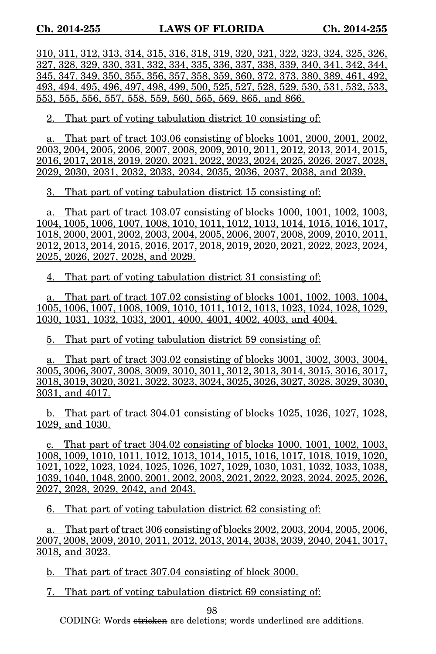310, 311, 312, 313, 314, 315, 316, 318, 319, 320, 321, 322, 323, 324, 325, 326, 327, 328, 329, 330, 331, 332, 334, 335, 336, 337, 338, 339, 340, 341, 342, 344, 345, 347, 349, 350, 355, 356, 357, 358, 359, 360, 372, 373, 380, 389, 461, 492, 493, 494, 495, 496, 497, 498, 499, 500, 525, 527, 528, 529, 530, 531, 532, 533, 553, 555, 556, 557, 558, 559, 560, 565, 569, 865, and 866.

2. That part of voting tabulation district 10 consisting of:

a. That part of tract 103.06 consisting of blocks 1001, 2000, 2001, 2002, 2003, 2004, 2005, 2006, 2007, 2008, 2009, 2010, 2011, 2012, 2013, 2014, 2015, 2016, 2017, 2018, 2019, 2020, 2021, 2022, 2023, 2024, 2025, 2026, 2027, 2028, 2029, 2030, 2031, 2032, 2033, 2034, 2035, 2036, 2037, 2038, and 2039.

3. That part of voting tabulation district 15 consisting of:

a. That part of tract 103.07 consisting of blocks 1000, 1001, 1002, 1003, 1004, 1005, 1006, 1007, 1008, 1010, 1011, 1012, 1013, 1014, 1015, 1016, 1017, 1018, 2000, 2001, 2002, 2003, 2004, 2005, 2006, 2007, 2008, 2009, 2010, 2011, 2012, 2013, 2014, 2015, 2016, 2017, 2018, 2019, 2020, 2021, 2022, 2023, 2024, 2025, 2026, 2027, 2028, and 2029.

4. That part of voting tabulation district 31 consisting of:

a. That part of tract 107.02 consisting of blocks 1001, 1002, 1003, 1004, 1005, 1006, 1007, 1008, 1009, 1010, 1011, 1012, 1013, 1023, 1024, 1028, 1029, 1030, 1031, 1032, 1033, 2001, 4000, 4001, 4002, 4003, and 4004.

5. That part of voting tabulation district 59 consisting of:

a. That part of tract 303.02 consisting of blocks 3001, 3002, 3003, 3004, 3005, 3006, 3007, 3008, 3009, 3010, 3011, 3012, 3013, 3014, 3015, 3016, 3017, 3018, 3019, 3020, 3021, 3022, 3023, 3024, 3025, 3026, 3027, 3028, 3029, 3030, 3031, and 4017.

b. That part of tract 304.01 consisting of blocks 1025, 1026, 1027, 1028, 1029, and 1030.

c. That part of tract 304.02 consisting of blocks 1000, 1001, 1002, 1003, 1008, 1009, 1010, 1011, 1012, 1013, 1014, 1015, 1016, 1017, 1018, 1019, 1020, 1021, 1022, 1023, 1024, 1025, 1026, 1027, 1029, 1030, 1031, 1032, 1033, 1038, 1039, 1040, 1048, 2000, 2001, 2002, 2003, 2021, 2022, 2023, 2024, 2025, 2026, 2027, 2028, 2029, 2042, and 2043.

6. That part of voting tabulation district 62 consisting of:

a. That part of tract 306 consisting of blocks 2002, 2003, 2004, 2005, 2006, 2007, 2008, 2009, 2010, 2011, 2012, 2013, 2014, 2038, 2039, 2040, 2041, 3017, 3018, and 3023.

b. That part of tract 307.04 consisting of block 3000.

7. That part of voting tabulation district 69 consisting of:

98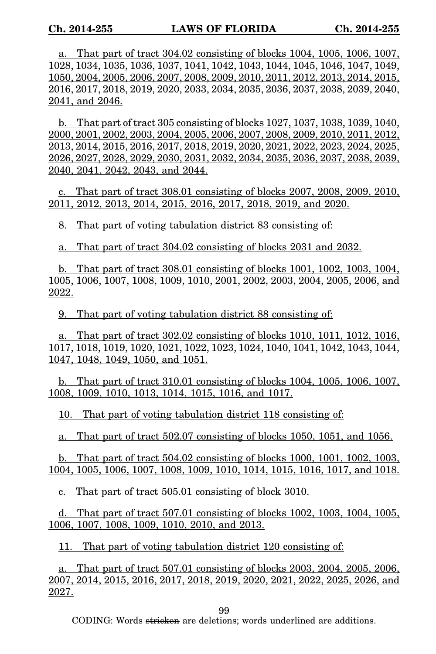That part of tract 304.02 consisting of blocks 1004, 1005, 1006, 1007, 1028, 1034, 1035, 1036, 1037, 1041, 1042, 1043, 1044, 1045, 1046, 1047, 1049, 1050, 2004, 2005, 2006, 2007, 2008, 2009, 2010, 2011, 2012, 2013, 2014, 2015, 2016, 2017, 2018, 2019, 2020, 2033, 2034, 2035, 2036, 2037, 2038, 2039, 2040, 2041, and 2046.

b. That part of tract 305 consisting of blocks 1027, 1037, 1038, 1039, 1040, 2000, 2001, 2002, 2003, 2004, 2005, 2006, 2007, 2008, 2009, 2010, 2011, 2012, 2013, 2014, 2015, 2016, 2017, 2018, 2019, 2020, 2021, 2022, 2023, 2024, 2025, 2026, 2027, 2028, 2029, 2030, 2031, 2032, 2034, 2035, 2036, 2037, 2038, 2039, 2040, 2041, 2042, 2043, and 2044.

c. That part of tract 308.01 consisting of blocks 2007, 2008, 2009, 2010, 2011, 2012, 2013, 2014, 2015, 2016, 2017, 2018, 2019, and 2020.

8. That part of voting tabulation district 83 consisting of:

a. That part of tract 304.02 consisting of blocks 2031 and 2032.

b. That part of tract 308.01 consisting of blocks 1001, 1002, 1003, 1004, 1005, 1006, 1007, 1008, 1009, 1010, 2001, 2002, 2003, 2004, 2005, 2006, and 2022.

9. That part of voting tabulation district 88 consisting of:

a. That part of tract 302.02 consisting of blocks 1010, 1011, 1012, 1016, 1017, 1018, 1019, 1020, 1021, 1022, 1023, 1024, 1040, 1041, 1042, 1043, 1044, 1047, 1048, 1049, 1050, and 1051.

b. That part of tract 310.01 consisting of blocks 1004, 1005, 1006, 1007, 1008, 1009, 1010, 1013, 1014, 1015, 1016, and 1017.

10. That part of voting tabulation district 118 consisting of:

a. That part of tract 502.07 consisting of blocks 1050, 1051, and 1056.

b. That part of tract 504.02 consisting of blocks 1000, 1001, 1002, 1003, 1004, 1005, 1006, 1007, 1008, 1009, 1010, 1014, 1015, 1016, 1017, and 1018.

c. That part of tract 505.01 consisting of block 3010.

d. That part of tract 507.01 consisting of blocks 1002, 1003, 1004, 1005, 1006, 1007, 1008, 1009, 1010, 2010, and 2013.

11. That part of voting tabulation district 120 consisting of:

a. That part of tract 507.01 consisting of blocks 2003, 2004, 2005, 2006, 2007, 2014, 2015, 2016, 2017, 2018, 2019, 2020, 2021, 2022, 2025, 2026, and 2027.

99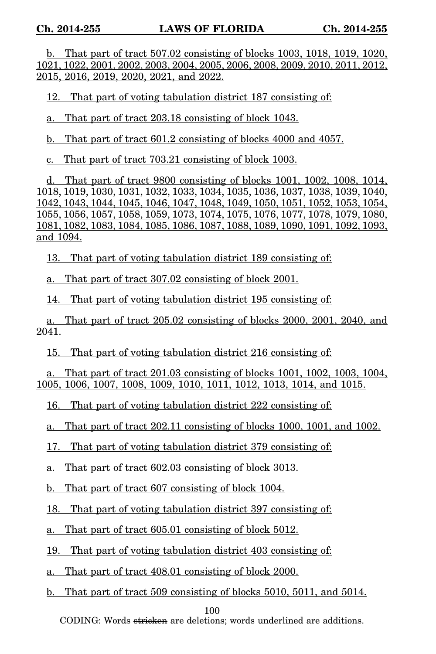b. That part of tract 507.02 consisting of blocks 1003, 1018, 1019, 1020, 1021, 1022, 2001, 2002, 2003, 2004, 2005, 2006, 2008, 2009, 2010, 2011, 2012, 2015, 2016, 2019, 2020, 2021, and 2022.

12. That part of voting tabulation district 187 consisting of:

a. That part of tract 203.18 consisting of block 1043.

b. That part of tract 601.2 consisting of blocks 4000 and 4057.

c. That part of tract 703.21 consisting of block 1003.

d. That part of tract 9800 consisting of blocks 1001, 1002, 1008, 1014, 1018, 1019, 1030, 1031, 1032, 1033, 1034, 1035, 1036, 1037, 1038, 1039, 1040, 1042, 1043, 1044, 1045, 1046, 1047, 1048, 1049, 1050, 1051, 1052, 1053, 1054, 1055, 1056, 1057, 1058, 1059, 1073, 1074, 1075, 1076, 1077, 1078, 1079, 1080, 1081, 1082, 1083, 1084, 1085, 1086, 1087, 1088, 1089, 1090, 1091, 1092, 1093, and 1094.

13. That part of voting tabulation district 189 consisting of:

a. That part of tract 307.02 consisting of block 2001.

14. That part of voting tabulation district 195 consisting of:

a. That part of tract 205.02 consisting of blocks 2000, 2001, 2040, and 2041.

15. That part of voting tabulation district 216 consisting of:

a. That part of tract 201.03 consisting of blocks 1001, 1002, 1003, 1004, 1005, 1006, 1007, 1008, 1009, 1010, 1011, 1012, 1013, 1014, and 1015.

16. That part of voting tabulation district 222 consisting of:

a. That part of tract 202.11 consisting of blocks 1000, 1001, and 1002.

17. That part of voting tabulation district 379 consisting of:

a. That part of tract 602.03 consisting of block 3013.

b. That part of tract 607 consisting of block 1004.

18. That part of voting tabulation district 397 consisting of:

a. That part of tract 605.01 consisting of block 5012.

19. That part of voting tabulation district 403 consisting of:

a. That part of tract 408.01 consisting of block 2000.

b. That part of tract 509 consisting of blocks 5010, 5011, and 5014.

100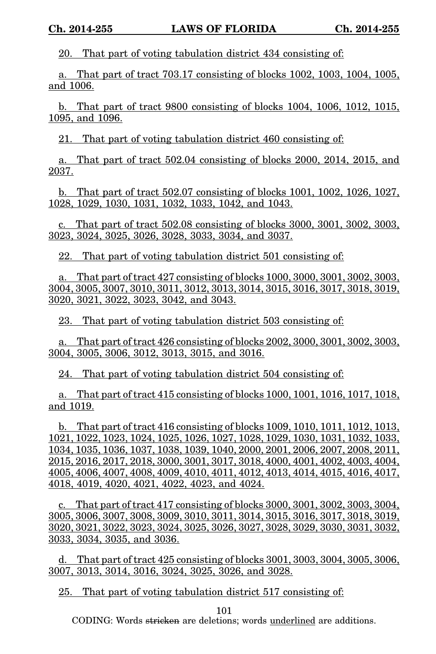20. That part of voting tabulation district 434 consisting of:

a. That part of tract 703.17 consisting of blocks 1002, 1003, 1004, 1005, and 1006.

b. That part of tract 9800 consisting of blocks 1004, 1006, 1012, 1015, 1095, and 1096.

21. That part of voting tabulation district 460 consisting of:

a. That part of tract 502.04 consisting of blocks 2000, 2014, 2015, and 2037.

b. That part of tract 502.07 consisting of blocks 1001, 1002, 1026, 1027, 1028, 1029, 1030, 1031, 1032, 1033, 1042, and 1043.

c. That part of tract 502.08 consisting of blocks 3000, 3001, 3002, 3003, 3023, 3024, 3025, 3026, 3028, 3033, 3034, and 3037.

22. That part of voting tabulation district 501 consisting of:

a. That part of tract 427 consisting of blocks 1000, 3000, 3001, 3002, 3003, 3004, 3005, 3007, 3010, 3011, 3012, 3013, 3014, 3015, 3016, 3017, 3018, 3019, 3020, 3021, 3022, 3023, 3042, and 3043.

23. That part of voting tabulation district 503 consisting of:

a. That part of tract 426 consisting of blocks 2002, 3000, 3001, 3002, 3003, 3004, 3005, 3006, 3012, 3013, 3015, and 3016.

24. That part of voting tabulation district 504 consisting of:

a. That part of tract 415 consisting of blocks 1000, 1001, 1016, 1017, 1018, and 1019.

b. That part of tract 416 consisting of blocks 1009, 1010, 1011, 1012, 1013, 1021, 1022, 1023, 1024, 1025, 1026, 1027, 1028, 1029, 1030, 1031, 1032, 1033, 1034, 1035, 1036, 1037, 1038, 1039, 1040, 2000, 2001, 2006, 2007, 2008, 2011, 2015, 2016, 2017, 2018, 3000, 3001, 3017, 3018, 4000, 4001, 4002, 4003, 4004, 4005, 4006, 4007, 4008, 4009, 4010, 4011, 4012, 4013, 4014, 4015, 4016, 4017, 4018, 4019, 4020, 4021, 4022, 4023, and 4024.

c. That part of tract 417 consisting of blocks 3000, 3001, 3002, 3003, 3004, 3005, 3006, 3007, 3008, 3009, 3010, 3011, 3014, 3015, 3016, 3017, 3018, 3019, 3020, 3021, 3022, 3023, 3024, 3025, 3026, 3027, 3028, 3029, 3030, 3031, 3032, 3033, 3034, 3035, and 3036.

d. That part of tract 425 consisting of blocks 3001, 3003, 3004, 3005, 3006, 3007, 3013, 3014, 3016, 3024, 3025, 3026, and 3028.

25. That part of voting tabulation district 517 consisting of:

101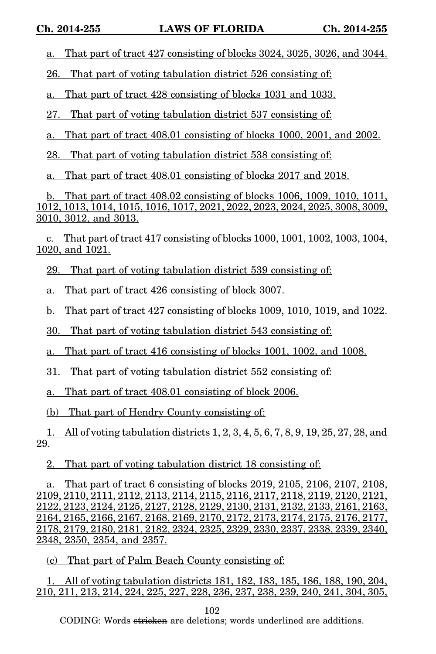a. That part of tract 427 consisting of blocks 3024, 3025, 3026, and 3044.

26. That part of voting tabulation district 526 consisting of:

a. That part of tract 428 consisting of blocks 1031 and 1033.

27. That part of voting tabulation district 537 consisting of:

a. That part of tract 408.01 consisting of blocks 1000, 2001, and 2002.

28. That part of voting tabulation district 538 consisting of:

a. That part of tract 408.01 consisting of blocks 2017 and 2018.

b. That part of tract 408.02 consisting of blocks 1006, 1009, 1010, 1011, 1012, 1013, 1014, 1015, 1016, 1017, 2021, 2022, 2023, 2024, 2025, 3008, 3009, 3010, 3012, and 3013.

c. That part of tract 417 consisting of blocks 1000, 1001, 1002, 1003, 1004, 1020, and 1021.

29. That part of voting tabulation district 539 consisting of:

a. That part of tract 426 consisting of block 3007.

b. That part of tract 427 consisting of blocks 1009, 1010, 1019, and 1022.

30. That part of voting tabulation district 543 consisting of:

a. That part of tract 416 consisting of blocks 1001, 1002, and 1008.

31. That part of voting tabulation district 552 consisting of:

a. That part of tract 408.01 consisting of block 2006.

(b) That part of Hendry County consisting of:

1. All of voting tabulation districts 1, 2, 3, 4, 5, 6, 7, 8, 9, 19, 25, 27, 28, and 29.

2. That part of voting tabulation district 18 consisting of:

a. That part of tract 6 consisting of blocks 2019, 2105, 2106, 2107, 2108, 2109, 2110, 2111, 2112, 2113, 2114, 2115, 2116, 2117, 2118, 2119, 2120, 2121, 2122, 2123, 2124, 2125, 2127, 2128, 2129, 2130, 2131, 2132, 2133, 2161, 2163, 2164, 2165, 2166, 2167, 2168, 2169, 2170, 2172, 2173, 2174, 2175, 2176, 2177, 2178, 2179, 2180, 2181, 2182, 2324, 2325, 2329, 2330, 2337, 2338, 2339, 2340, 2348, 2350, 2354, and 2357.

(c) That part of Palm Beach County consisting of:

1. All of voting tabulation districts 181, 182, 183, 185, 186, 188, 190, 204, 210, 211, 213, 214, 224, 225, 227, 228, 236, 237, 238, 239, 240, 241, 304, 305,

102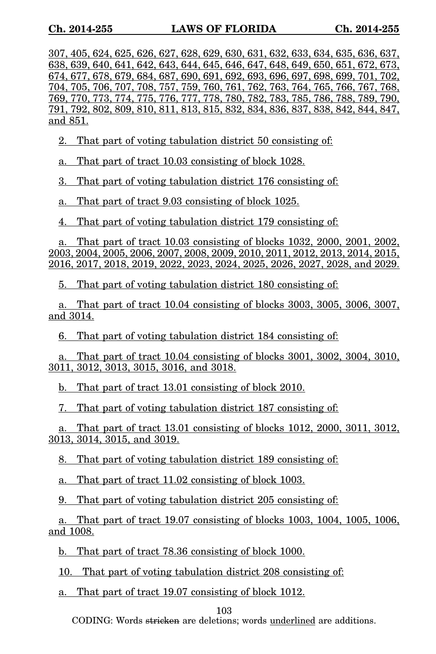307, 405, 624, 625, 626, 627, 628, 629, 630, 631, 632, 633, 634, 635, 636, 637, 638, 639, 640, 641, 642, 643, 644, 645, 646, 647, 648, 649, 650, 651, 672, 673, 674, 677, 678, 679, 684, 687, 690, 691, 692, 693, 696, 697, 698, 699, 701, 702, 704, 705, 706, 707, 708, 757, 759, 760, 761, 762, 763, 764, 765, 766, 767, 768, 769, 770, 773, 774, 775, 776, 777, 778, 780, 782, 783, 785, 786, 788, 789, 790, 791, 792, 802, 809, 810, 811, 813, 815, 832, 834, 836, 837, 838, 842, 844, 847, and 851.

2. That part of voting tabulation district 50 consisting of:

a. That part of tract 10.03 consisting of block 1028.

3. That part of voting tabulation district 176 consisting of:

a. That part of tract 9.03 consisting of block 1025.

4. That part of voting tabulation district 179 consisting of:

a. That part of tract 10.03 consisting of blocks 1032, 2000, 2001, 2002, 2003, 2004, 2005, 2006, 2007, 2008, 2009, 2010, 2011, 2012, 2013, 2014, 2015, 2016, 2017, 2018, 2019, 2022, 2023, 2024, 2025, 2026, 2027, 2028, and 2029.

5. That part of voting tabulation district 180 consisting of:

a. That part of tract 10.04 consisting of blocks 3003, 3005, 3006, 3007, and 3014.

6. That part of voting tabulation district 184 consisting of:

a. That part of tract 10.04 consisting of blocks 3001, 3002, 3004, 3010, 3011, 3012, 3013, 3015, 3016, and 3018.

b. That part of tract 13.01 consisting of block 2010.

7. That part of voting tabulation district 187 consisting of:

That part of tract 13.01 consisting of blocks 1012, 2000, 3011, 3012, 3013, 3014, 3015, and 3019.

8. That part of voting tabulation district 189 consisting of:

a. That part of tract 11.02 consisting of block 1003.

9. That part of voting tabulation district 205 consisting of:

a. That part of tract 19.07 consisting of blocks 1003, 1004, 1005, 1006, and 1008.

b. That part of tract 78.36 consisting of block 1000.

10. That part of voting tabulation district 208 consisting of:

a. That part of tract 19.07 consisting of block 1012.

103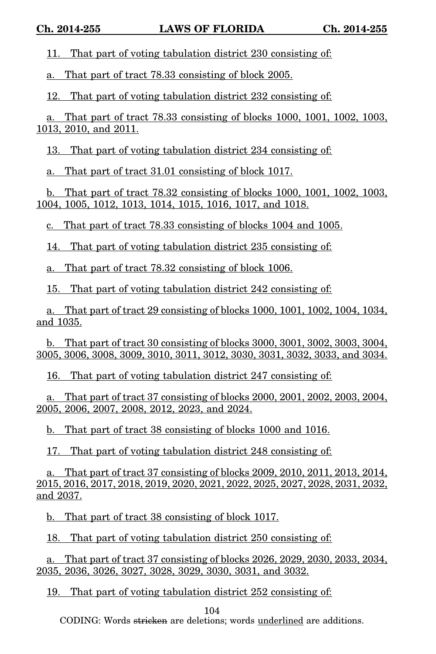11. That part of voting tabulation district 230 consisting of:

a. That part of tract 78.33 consisting of block 2005.

12. That part of voting tabulation district 232 consisting of:

a. That part of tract 78.33 consisting of blocks 1000, 1001, 1002, 1003, 1013, 2010, and 2011.

13. That part of voting tabulation district 234 consisting of:

a. That part of tract 31.01 consisting of block 1017.

b. That part of tract 78.32 consisting of blocks 1000, 1001, 1002, 1003, 1004, 1005, 1012, 1013, 1014, 1015, 1016, 1017, and 1018.

c. That part of tract 78.33 consisting of blocks 1004 and 1005.

14. That part of voting tabulation district 235 consisting of:

a. That part of tract 78.32 consisting of block 1006.

15. That part of voting tabulation district 242 consisting of:

a. That part of tract 29 consisting of blocks 1000, 1001, 1002, 1004, 1034, and 1035.

b. That part of tract 30 consisting of blocks 3000, 3001, 3002, 3003, 3004, 3005, 3006, 3008, 3009, 3010, 3011, 3012, 3030, 3031, 3032, 3033, and 3034.

16. That part of voting tabulation district 247 consisting of:

a. That part of tract 37 consisting of blocks 2000, 2001, 2002, 2003, 2004, 2005, 2006, 2007, 2008, 2012, 2023, and 2024.

b. That part of tract 38 consisting of blocks 1000 and 1016.

17. That part of voting tabulation district 248 consisting of:

That part of tract 37 consisting of blocks 2009, 2010, 2011, 2013, 2014, 2015, 2016, 2017, 2018, 2019, 2020, 2021, 2022, 2025, 2027, 2028, 2031, 2032, and 2037.

b. That part of tract 38 consisting of block 1017.

18. That part of voting tabulation district 250 consisting of:

That part of tract 37 consisting of blocks 2026, 2029, 2030, 2033, 2034, 2035, 2036, 3026, 3027, 3028, 3029, 3030, 3031, and 3032.

19. That part of voting tabulation district 252 consisting of:

104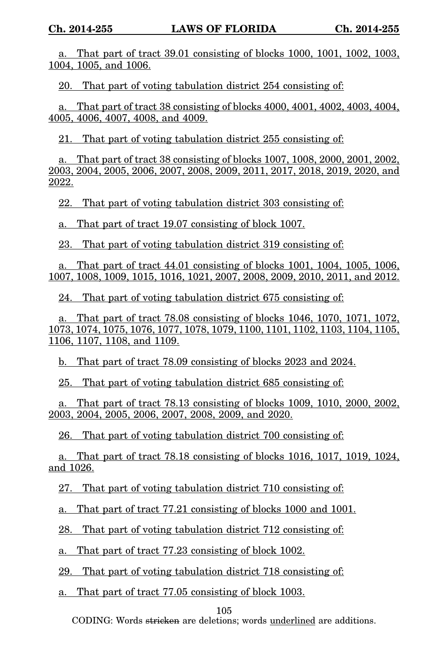That part of tract 39.01 consisting of blocks 1000, 1001, 1002, 1003, 1004, 1005, and 1006.

20. That part of voting tabulation district 254 consisting of:

That part of tract 38 consisting of blocks 4000, 4001, 4002, 4003, 4004, 4005, 4006, 4007, 4008, and 4009.

21. That part of voting tabulation district 255 consisting of:

That part of tract 38 consisting of blocks 1007, 1008, 2000, 2001, 2002, 2003, 2004, 2005, 2006, 2007, 2008, 2009, 2011, 2017, 2018, 2019, 2020, and 2022.

22. That part of voting tabulation district 303 consisting of:

a. That part of tract 19.07 consisting of block 1007.

23. That part of voting tabulation district 319 consisting of:

That part of tract 44.01 consisting of blocks 1001, 1004, 1005, 1006, 1007, 1008, 1009, 1015, 1016, 1021, 2007, 2008, 2009, 2010, 2011, and 2012.

24. That part of voting tabulation district 675 consisting of:

a. That part of tract 78.08 consisting of blocks 1046, 1070, 1071, 1072, 1073, 1074, 1075, 1076, 1077, 1078, 1079, 1100, 1101, 1102, 1103, 1104, 1105, 1106, 1107, 1108, and 1109.

b. That part of tract 78.09 consisting of blocks 2023 and 2024.

25. That part of voting tabulation district 685 consisting of:

That part of tract 78.13 consisting of blocks 1009, 1010, 2000, 2002. 2003, 2004, 2005, 2006, 2007, 2008, 2009, and 2020.

26. That part of voting tabulation district 700 consisting of:

a. That part of tract 78.18 consisting of blocks 1016, 1017, 1019, 1024, and 1026.

27. That part of voting tabulation district 710 consisting of:

a. That part of tract 77.21 consisting of blocks 1000 and 1001.

28. That part of voting tabulation district 712 consisting of:

a. That part of tract 77.23 consisting of block 1002.

29. That part of voting tabulation district 718 consisting of:

a. That part of tract 77.05 consisting of block 1003.

105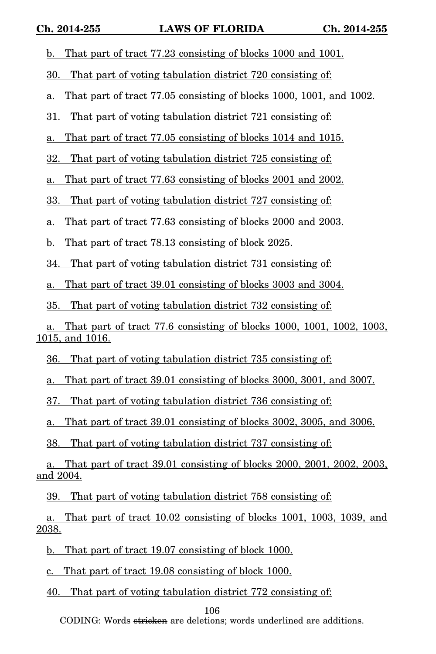b. That part of tract 77.23 consisting of blocks 1000 and 1001.

30. That part of voting tabulation district 720 consisting of:

a. That part of tract 77.05 consisting of blocks 1000, 1001, and 1002.

31. That part of voting tabulation district 721 consisting of:

a. That part of tract 77.05 consisting of blocks 1014 and 1015.

32. That part of voting tabulation district 725 consisting of:

a. That part of tract 77.63 consisting of blocks 2001 and 2002.

33. That part of voting tabulation district 727 consisting of:

a. That part of tract 77.63 consisting of blocks 2000 and 2003.

b. That part of tract 78.13 consisting of block 2025.

34. That part of voting tabulation district 731 consisting of:

a. That part of tract 39.01 consisting of blocks 3003 and 3004.

35. That part of voting tabulation district 732 consisting of:

a. That part of tract 77.6 consisting of blocks 1000, 1001, 1002, 1003, 1015, and 1016.

36. That part of voting tabulation district 735 consisting of:

a. That part of tract 39.01 consisting of blocks 3000, 3001, and 3007.

37. That part of voting tabulation district 736 consisting of:

a. That part of tract 39.01 consisting of blocks 3002, 3005, and 3006.

38. That part of voting tabulation district 737 consisting of:

a. That part of tract 39.01 consisting of blocks 2000, 2001, 2002, 2003, and 2004.

39. That part of voting tabulation district 758 consisting of:

a. That part of tract 10.02 consisting of blocks 1001, 1003, 1039, and 2038.

b. That part of tract 19.07 consisting of block 1000.

c. That part of tract 19.08 consisting of block 1000.

40. That part of voting tabulation district 772 consisting of:

106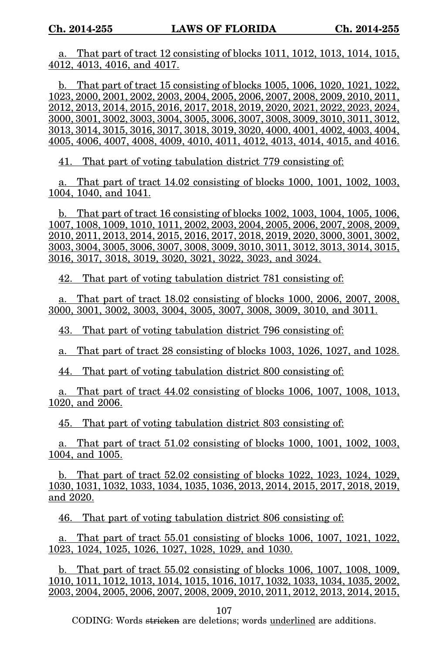That part of tract 12 consisting of blocks 1011, 1012, 1013, 1014, 1015. 4012, 4013, 4016, and 4017.

b. That part of tract 15 consisting of blocks 1005, 1006, 1020, 1021, 1022, 1023, 2000, 2001, 2002, 2003, 2004, 2005, 2006, 2007, 2008, 2009, 2010, 2011, 2012, 2013, 2014, 2015, 2016, 2017, 2018, 2019, 2020, 2021, 2022, 2023, 2024, 3000, 3001, 3002, 3003, 3004, 3005, 3006, 3007, 3008, 3009, 3010, 3011, 3012, 3013, 3014, 3015, 3016, 3017, 3018, 3019, 3020, 4000, 4001, 4002, 4003, 4004, 4005, 4006, 4007, 4008, 4009, 4010, 4011, 4012, 4013, 4014, 4015, and 4016.

41. That part of voting tabulation district 779 consisting of:

a. That part of tract 14.02 consisting of blocks 1000, 1001, 1002, 1003, 1004, 1040, and 1041.

b. That part of tract 16 consisting of blocks 1002, 1003, 1004, 1005, 1006, 1007, 1008, 1009, 1010, 1011, 2002, 2003, 2004, 2005, 2006, 2007, 2008, 2009, 2010, 2011, 2013, 2014, 2015, 2016, 2017, 2018, 2019, 2020, 3000, 3001, 3002, 3003, 3004, 3005, 3006, 3007, 3008, 3009, 3010, 3011, 3012, 3013, 3014, 3015, 3016, 3017, 3018, 3019, 3020, 3021, 3022, 3023, and 3024.

42. That part of voting tabulation district 781 consisting of:

a. That part of tract 18.02 consisting of blocks 1000, 2006, 2007, 2008, 3000, 3001, 3002, 3003, 3004, 3005, 3007, 3008, 3009, 3010, and 3011.

43. That part of voting tabulation district 796 consisting of:

a. That part of tract 28 consisting of blocks 1003, 1026, 1027, and 1028.

44. That part of voting tabulation district 800 consisting of:

a. That part of tract 44.02 consisting of blocks 1006, 1007, 1008, 1013, 1020, and 2006.

45. That part of voting tabulation district 803 consisting of:

a. That part of tract 51.02 consisting of blocks 1000, 1001, 1002, 1003, 1004, and 1005.

b. That part of tract 52.02 consisting of blocks 1022, 1023, 1024, 1029, 1030, 1031, 1032, 1033, 1034, 1035, 1036, 2013, 2014, 2015, 2017, 2018, 2019, and 2020.

46. That part of voting tabulation district 806 consisting of:

a. That part of tract 55.01 consisting of blocks 1006, 1007, 1021, 1022, 1023, 1024, 1025, 1026, 1027, 1028, 1029, and 1030.

b. That part of tract 55.02 consisting of blocks 1006, 1007, 1008, 1009, 1010, 1011, 1012, 1013, 1014, 1015, 1016, 1017, 1032, 1033, 1034, 1035, 2002, 2003, 2004, 2005, 2006, 2007, 2008, 2009, 2010, 2011, 2012, 2013, 2014, 2015,

107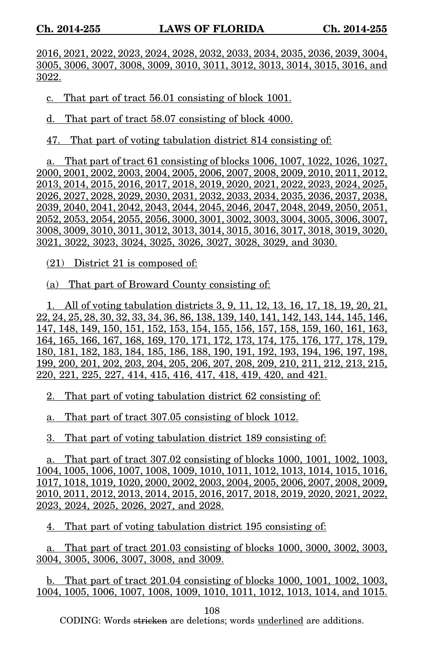2016, 2021, 2022, 2023, 2024, 2028, 2032, 2033, 2034, 2035, 2036, 2039, 3004, 3005, 3006, 3007, 3008, 3009, 3010, 3011, 3012, 3013, 3014, 3015, 3016, and 3022.

c. That part of tract 56.01 consisting of block 1001.

d. That part of tract 58.07 consisting of block 4000.

47. That part of voting tabulation district 814 consisting of:

a. That part of tract 61 consisting of blocks 1006, 1007, 1022, 1026, 1027, 2000, 2001, 2002, 2003, 2004, 2005, 2006, 2007, 2008, 2009, 2010, 2011, 2012, 2013, 2014, 2015, 2016, 2017, 2018, 2019, 2020, 2021, 2022, 2023, 2024, 2025, 2026, 2027, 2028, 2029, 2030, 2031, 2032, 2033, 2034, 2035, 2036, 2037, 2038, 2039, 2040, 2041, 2042, 2043, 2044, 2045, 2046, 2047, 2048, 2049, 2050, 2051, 2052, 2053, 2054, 2055, 2056, 3000, 3001, 3002, 3003, 3004, 3005, 3006, 3007, 3008, 3009, 3010, 3011, 3012, 3013, 3014, 3015, 3016, 3017, 3018, 3019, 3020, 3021, 3022, 3023, 3024, 3025, 3026, 3027, 3028, 3029, and 3030.

(21) District 21 is composed of:

(a) That part of Broward County consisting of:

1. All of voting tabulation districts 3, 9, 11, 12, 13, 16, 17, 18, 19, 20, 21, 22, 24, 25, 28, 30, 32, 33, 34, 36, 86, 138, 139, 140, 141, 142, 143, 144, 145, 146, 147, 148, 149, 150, 151, 152, 153, 154, 155, 156, 157, 158, 159, 160, 161, 163, 164, 165, 166, 167, 168, 169, 170, 171, 172, 173, 174, 175, 176, 177, 178, 179, 180, 181, 182, 183, 184, 185, 186, 188, 190, 191, 192, 193, 194, 196, 197, 198, 199, 200, 201, 202, 203, 204, 205, 206, 207, 208, 209, 210, 211, 212, 213, 215, 220, 221, 225, 227, 414, 415, 416, 417, 418, 419, 420, and 421.

2. That part of voting tabulation district 62 consisting of:

a. That part of tract 307.05 consisting of block 1012.

3. That part of voting tabulation district 189 consisting of:

a. That part of tract 307.02 consisting of blocks 1000, 1001, 1002, 1003, 1004, 1005, 1006, 1007, 1008, 1009, 1010, 1011, 1012, 1013, 1014, 1015, 1016, 1017, 1018, 1019, 1020, 2000, 2002, 2003, 2004, 2005, 2006, 2007, 2008, 2009, 2010, 2011, 2012, 2013, 2014, 2015, 2016, 2017, 2018, 2019, 2020, 2021, 2022, 2023, 2024, 2025, 2026, 2027, and 2028.

4. That part of voting tabulation district 195 consisting of:

a. That part of tract 201.03 consisting of blocks 1000, 3000, 3002, 3003, 3004, 3005, 3006, 3007, 3008, and 3009.

b. That part of tract 201.04 consisting of blocks 1000, 1001, 1002, 1003, 1004, 1005, 1006, 1007, 1008, 1009, 1010, 1011, 1012, 1013, 1014, and 1015.

108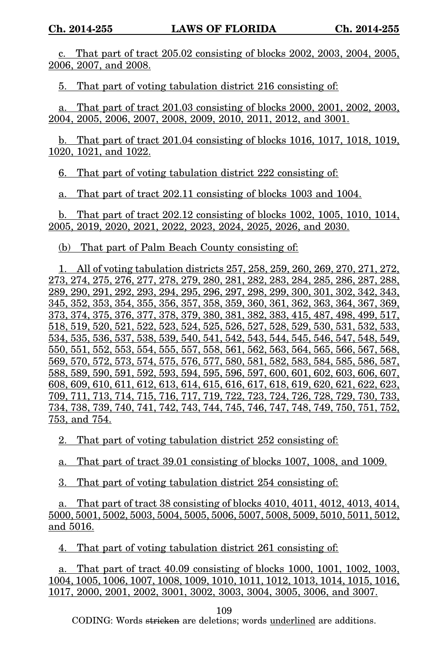That part of tract 205.02 consisting of blocks 2002, 2003, 2004, 2005, 2006, 2007, and 2008.

5. That part of voting tabulation district 216 consisting of:

a. That part of tract 201.03 consisting of blocks 2000, 2001, 2002, 2003, 2004, 2005, 2006, 2007, 2008, 2009, 2010, 2011, 2012, and 3001.

b. That part of tract 201.04 consisting of blocks 1016, 1017, 1018, 1019, 1020, 1021, and 1022.

6. That part of voting tabulation district 222 consisting of:

a. That part of tract 202.11 consisting of blocks 1003 and 1004.

b. That part of tract 202.12 consisting of blocks 1002, 1005, 1010, 1014, 2005, 2019, 2020, 2021, 2022, 2023, 2024, 2025, 2026, and 2030.

(b) That part of Palm Beach County consisting of:

1. All of voting tabulation districts 257, 258, 259, 260, 269, 270, 271, 272, 273, 274, 275, 276, 277, 278, 279, 280, 281, 282, 283, 284, 285, 286, 287, 288, 289, 290, 291, 292, 293, 294, 295, 296, 297, 298, 299, 300, 301, 302, 342, 343, 345, 352, 353, 354, 355, 356, 357, 358, 359, 360, 361, 362, 363, 364, 367, 369, 373, 374, 375, 376, 377, 378, 379, 380, 381, 382, 383, 415, 487, 498, 499, 517, 518, 519, 520, 521, 522, 523, 524, 525, 526, 527, 528, 529, 530, 531, 532, 533, 534, 535, 536, 537, 538, 539, 540, 541, 542, 543, 544, 545, 546, 547, 548, 549, 550, 551, 552, 553, 554, 555, 557, 558, 561, 562, 563, 564, 565, 566, 567, 568, 569, 570, 572, 573, 574, 575, 576, 577, 580, 581, 582, 583, 584, 585, 586, 587, 588, 589, 590, 591, 592, 593, 594, 595, 596, 597, 600, 601, 602, 603, 606, 607, 608, 609, 610, 611, 612, 613, 614, 615, 616, 617, 618, 619, 620, 621, 622, 623, 709, 711, 713, 714, 715, 716, 717, 719, 722, 723, 724, 726, 728, 729, 730, 733, 734, 738, 739, 740, 741, 742, 743, 744, 745, 746, 747, 748, 749, 750, 751, 752, 753, and 754.

2. That part of voting tabulation district 252 consisting of:

a. That part of tract 39.01 consisting of blocks 1007, 1008, and 1009.

3. That part of voting tabulation district 254 consisting of:

a. That part of tract 38 consisting of blocks 4010, 4011, 4012, 4013, 4014, 5000, 5001, 5002, 5003, 5004, 5005, 5006, 5007, 5008, 5009, 5010, 5011, 5012, and 5016.

4. That part of voting tabulation district 261 consisting of:

a. That part of tract 40.09 consisting of blocks 1000, 1001, 1002, 1003, 1004, 1005, 1006, 1007, 1008, 1009, 1010, 1011, 1012, 1013, 1014, 1015, 1016, 1017, 2000, 2001, 2002, 3001, 3002, 3003, 3004, 3005, 3006, and 3007.

109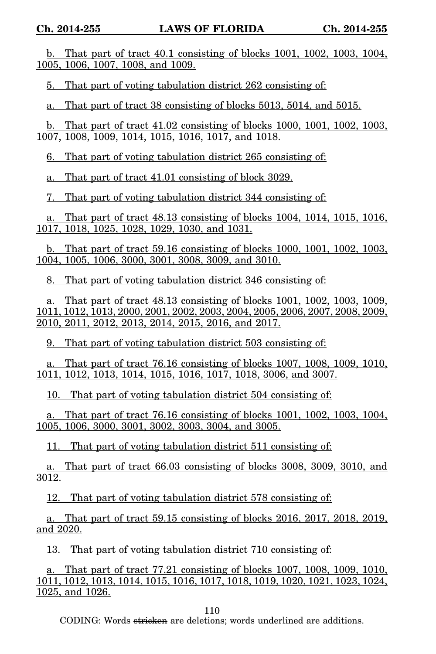b. That part of tract 40.1 consisting of blocks 1001, 1002, 1003, 1004, 1005, 1006, 1007, 1008, and 1009.

5. That part of voting tabulation district 262 consisting of:

a. That part of tract 38 consisting of blocks 5013, 5014, and 5015.

b. That part of tract 41.02 consisting of blocks 1000, 1001, 1002, 1003, 1007, 1008, 1009, 1014, 1015, 1016, 1017, and 1018.

6. That part of voting tabulation district 265 consisting of:

a. That part of tract 41.01 consisting of block 3029.

7. That part of voting tabulation district 344 consisting of:

a. That part of tract 48.13 consisting of blocks 1004, 1014, 1015, 1016, 1017, 1018, 1025, 1028, 1029, 1030, and 1031.

b. That part of tract 59.16 consisting of blocks 1000, 1001, 1002, 1003, 1004, 1005, 1006, 3000, 3001, 3008, 3009, and 3010.

8. That part of voting tabulation district 346 consisting of:

a. That part of tract 48.13 consisting of blocks 1001, 1002, 1003, 1009, 1011, 1012, 1013, 2000, 2001, 2002, 2003, 2004, 2005, 2006, 2007, 2008, 2009, 2010, 2011, 2012, 2013, 2014, 2015, 2016, and 2017.

9. That part of voting tabulation district 503 consisting of:

That part of tract 76.16 consisting of blocks 1007, 1008, 1009, 1010, 1011, 1012, 1013, 1014, 1015, 1016, 1017, 1018, 3006, and 3007.

10. That part of voting tabulation district 504 consisting of:

That part of tract 76.16 consisting of blocks 1001, 1002, 1003, 1004, 1005, 1006, 3000, 3001, 3002, 3003, 3004, and 3005.

11. That part of voting tabulation district 511 consisting of:

a. That part of tract 66.03 consisting of blocks 3008, 3009, 3010, and 3012.

12. That part of voting tabulation district 578 consisting of:

a. That part of tract 59.15 consisting of blocks 2016, 2017, 2018, 2019, and 2020.

13. That part of voting tabulation district 710 consisting of:

a. That part of tract 77.21 consisting of blocks 1007, 1008, 1009, 1010, 1011, 1012, 1013, 1014, 1015, 1016, 1017, 1018, 1019, 1020, 1021, 1023, 1024, 1025, and 1026.

110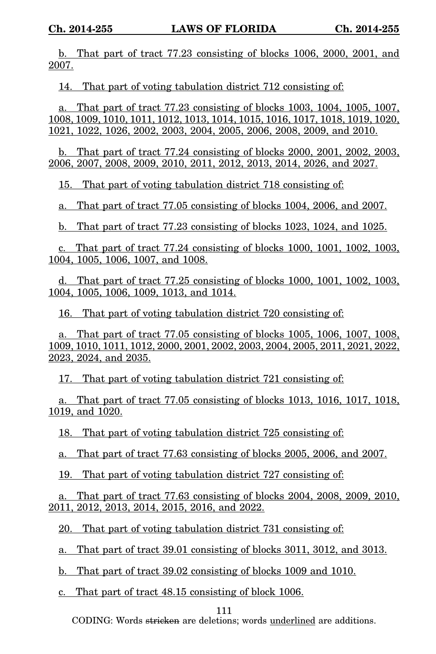b. That part of tract 77.23 consisting of blocks 1006, 2000, 2001, and 2007.

14. That part of voting tabulation district 712 consisting of:

a. That part of tract 77.23 consisting of blocks 1003, 1004, 1005, 1007, 1008, 1009, 1010, 1011, 1012, 1013, 1014, 1015, 1016, 1017, 1018, 1019, 1020, 1021, 1022, 1026, 2002, 2003, 2004, 2005, 2006, 2008, 2009, and 2010.

b. That part of tract 77.24 consisting of blocks 2000, 2001, 2002, 2003, 2006, 2007, 2008, 2009, 2010, 2011, 2012, 2013, 2014, 2026, and 2027.

15. That part of voting tabulation district 718 consisting of:

a. That part of tract 77.05 consisting of blocks 1004, 2006, and 2007.

b. That part of tract 77.23 consisting of blocks 1023, 1024, and 1025.

c. That part of tract 77.24 consisting of blocks 1000, 1001, 1002, 1003, 1004, 1005, 1006, 1007, and 1008.

d. That part of tract 77.25 consisting of blocks 1000, 1001, 1002, 1003, 1004, 1005, 1006, 1009, 1013, and 1014.

16. That part of voting tabulation district 720 consisting of:

a. That part of tract 77.05 consisting of blocks 1005, 1006, 1007, 1008, 1009, 1010, 1011, 1012, 2000, 2001, 2002, 2003, 2004, 2005, 2011, 2021, 2022, 2023, 2024, and 2035.

17. That part of voting tabulation district 721 consisting of:

a. That part of tract 77.05 consisting of blocks 1013, 1016, 1017, 1018, 1019, and 1020.

18. That part of voting tabulation district 725 consisting of:

a. That part of tract 77.63 consisting of blocks 2005, 2006, and 2007.

19. That part of voting tabulation district 727 consisting of:

a. That part of tract 77.63 consisting of blocks 2004, 2008, 2009, 2010, 2011, 2012, 2013, 2014, 2015, 2016, and 2022.

20. That part of voting tabulation district 731 consisting of:

a. That part of tract 39.01 consisting of blocks 3011, 3012, and 3013.

b. That part of tract 39.02 consisting of blocks 1009 and 1010.

c. That part of tract 48.15 consisting of block 1006.

111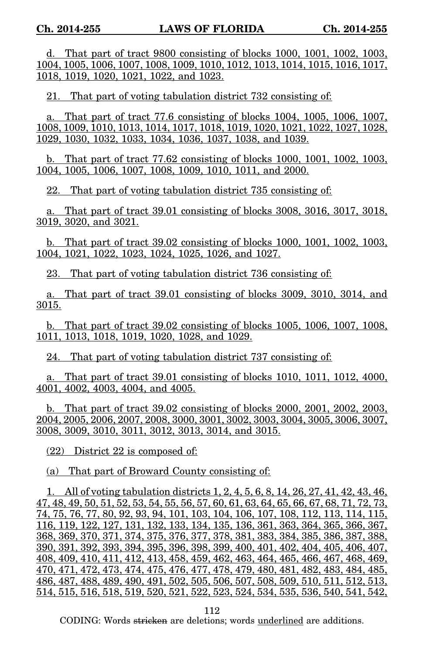That part of tract 9800 consisting of blocks 1000, 1001, 1002, 1003, 1004, 1005, 1006, 1007, 1008, 1009, 1010, 1012, 1013, 1014, 1015, 1016, 1017, 1018, 1019, 1020, 1021, 1022, and 1023.

21. That part of voting tabulation district 732 consisting of:

That part of tract 77.6 consisting of blocks  $1004$ ,  $1005$ ,  $1006$ ,  $1007$ , 1008, 1009, 1010, 1013, 1014, 1017, 1018, 1019, 1020, 1021, 1022, 1027, 1028, 1029, 1030, 1032, 1033, 1034, 1036, 1037, 1038, and 1039.

b. That part of tract 77.62 consisting of blocks 1000, 1001, 1002, 1003, 1004, 1005, 1006, 1007, 1008, 1009, 1010, 1011, and 2000.

22. That part of voting tabulation district 735 consisting of:

a. That part of tract 39.01 consisting of blocks 3008, 3016, 3017, 3018, 3019, 3020, and 3021.

b. That part of tract 39.02 consisting of blocks 1000, 1001, 1002, 1003, 1004, 1021, 1022, 1023, 1024, 1025, 1026, and 1027.

23. That part of voting tabulation district 736 consisting of:

a. That part of tract 39.01 consisting of blocks 3009, 3010, 3014, and 3015.

b. That part of tract 39.02 consisting of blocks 1005, 1006, 1007, 1008, 1011, 1013, 1018, 1019, 1020, 1028, and 1029.

24. That part of voting tabulation district 737 consisting of:

That part of tract 39.01 consisting of blocks 1010, 1011, 1012, 4000, 4001, 4002, 4003, 4004, and 4005.

b. That part of tract 39.02 consisting of blocks 2000, 2001, 2002, 2003, 2004, 2005, 2006, 2007, 2008, 3000, 3001, 3002, 3003, 3004, 3005, 3006, 3007, 3008, 3009, 3010, 3011, 3012, 3013, 3014, and 3015.

(22) District 22 is composed of:

(a) That part of Broward County consisting of:

1. All of voting tabulation districts 1, 2, 4, 5, 6, 8, 14, 26, 27, 41, 42, 43, 46, 47, 48, 49, 50, 51, 52, 53, 54, 55, 56, 57, 60, 61, 63, 64, 65, 66, 67, 68, 71, 72, 73, 74, 75, 76, 77, 80, 92, 93, 94, 101, 103, 104, 106, 107, 108, 112, 113, 114, 115, 116, 119, 122, 127, 131, 132, 133, 134, 135, 136, 361, 363, 364, 365, 366, 367, 368, 369, 370, 371, 374, 375, 376, 377, 378, 381, 383, 384, 385, 386, 387, 388, 390, 391, 392, 393, 394, 395, 396, 398, 399, 400, 401, 402, 404, 405, 406, 407, 408, 409, 410, 411, 412, 413, 458, 459, 462, 463, 464, 465, 466, 467, 468, 469, 470, 471, 472, 473, 474, 475, 476, 477, 478, 479, 480, 481, 482, 483, 484, 485, 486, 487, 488, 489, 490, 491, 502, 505, 506, 507, 508, 509, 510, 511, 512, 513, 514, 515, 516, 518, 519, 520, 521, 522, 523, 524, 534, 535, 536, 540, 541, 542,

112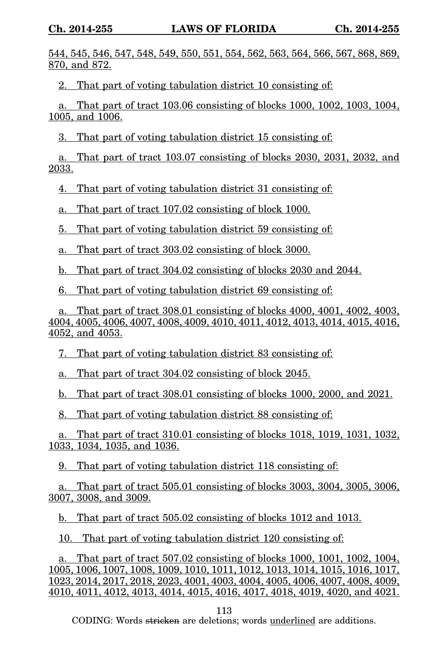544, 545, 546, 547, 548, 549, 550, 551, 554, 562, 563, 564, 566, 567, 868, 869, 870, and 872.

2. That part of voting tabulation district 10 consisting of:

That part of tract 103.06 consisting of blocks 1000, 1002, 1003, 1004, 1005, and 1006.

3. That part of voting tabulation district 15 consisting of:

a. That part of tract 103.07 consisting of blocks 2030, 2031, 2032, and 2033.

4. That part of voting tabulation district 31 consisting of:

a. That part of tract 107.02 consisting of block 1000.

5. That part of voting tabulation district 59 consisting of:

a. That part of tract 303.02 consisting of block 3000.

b. That part of tract 304.02 consisting of blocks 2030 and 2044.

6. That part of voting tabulation district 69 consisting of:

That part of tract 308.01 consisting of blocks 4000, 4001, 4002, 4003, 4004, 4005, 4006, 4007, 4008, 4009, 4010, 4011, 4012, 4013, 4014, 4015, 4016, 4052, and 4053.

7. That part of voting tabulation district 83 consisting of:

a. That part of tract 304.02 consisting of block 2045.

b. That part of tract 308.01 consisting of blocks 1000, 2000, and 2021.

8. That part of voting tabulation district 88 consisting of:

That part of tract 310.01 consisting of blocks 1018, 1019, 1031, 1032, 1033, 1034, 1035, and 1036.

9. That part of voting tabulation district 118 consisting of:

a. That part of tract 505.01 consisting of blocks 3003, 3004, 3005, 3006, 3007, 3008, and 3009.

b. That part of tract 505.02 consisting of blocks 1012 and 1013.

10. That part of voting tabulation district 120 consisting of:

a. That part of tract 507.02 consisting of blocks 1000, 1001, 1002, 1004, 1005, 1006, 1007, 1008, 1009, 1010, 1011, 1012, 1013, 1014, 1015, 1016, 1017, 1023, 2014, 2017, 2018, 2023, 4001, 4003, 4004, 4005, 4006, 4007, 4008, 4009, 4010, 4011, 4012, 4013, 4014, 4015, 4016, 4017, 4018, 4019, 4020, and 4021.

113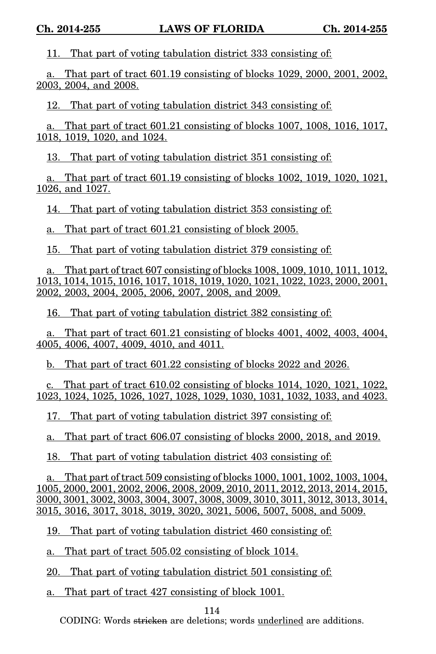11. That part of voting tabulation district 333 consisting of:

a. That part of tract 601.19 consisting of blocks 1029, 2000, 2001, 2002, 2003, 2004, and 2008.

12. That part of voting tabulation district 343 consisting of:

a. That part of tract 601.21 consisting of blocks 1007, 1008, 1016, 1017, 1018, 1019, 1020, and 1024.

13. That part of voting tabulation district 351 consisting of:

a. That part of tract 601.19 consisting of blocks 1002, 1019, 1020, 1021, 1026, and 1027.

14. That part of voting tabulation district 353 consisting of:

a. That part of tract 601.21 consisting of block 2005.

15. That part of voting tabulation district 379 consisting of:

a. That part of tract 607 consisting of blocks 1008, 1009, 1010, 1011, 1012, 1013, 1014, 1015, 1016, 1017, 1018, 1019, 1020, 1021, 1022, 1023, 2000, 2001, 2002, 2003, 2004, 2005, 2006, 2007, 2008, and 2009.

16. That part of voting tabulation district 382 consisting of:

That part of tract  $601.21$  consisting of blocks  $4001, 4002, 4003, 4004,$ 4005, 4006, 4007, 4009, 4010, and 4011.

b. That part of tract 601.22 consisting of blocks 2022 and 2026.

c. That part of tract 610.02 consisting of blocks 1014, 1020, 1021, 1022, 1023, 1024, 1025, 1026, 1027, 1028, 1029, 1030, 1031, 1032, 1033, and 4023.

17. That part of voting tabulation district 397 consisting of:

a. That part of tract 606.07 consisting of blocks 2000, 2018, and 2019.

18. That part of voting tabulation district 403 consisting of:

a. That part of tract 509 consisting of blocks 1000, 1001, 1002, 1003, 1004, 1005, 2000, 2001, 2002, 2006, 2008, 2009, 2010, 2011, 2012, 2013, 2014, 2015, 3000, 3001, 3002, 3003, 3004, 3007, 3008, 3009, 3010, 3011, 3012, 3013, 3014, 3015, 3016, 3017, 3018, 3019, 3020, 3021, 5006, 5007, 5008, and 5009.

19. That part of voting tabulation district 460 consisting of:

a. That part of tract 505.02 consisting of block 1014.

20. That part of voting tabulation district 501 consisting of:

a. That part of tract 427 consisting of block 1001.

114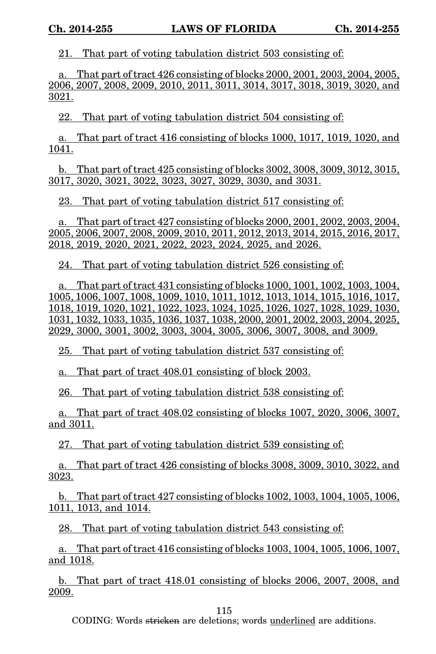21. That part of voting tabulation district 503 consisting of:

That part of tract 426 consisting of blocks 2000, 2001, 2003, 2004, 2005, 2006, 2007, 2008, 2009, 2010, 2011, 3011, 3014, 3017, 3018, 3019, 3020, and 3021.

22. That part of voting tabulation district 504 consisting of:

a. That part of tract 416 consisting of blocks 1000, 1017, 1019, 1020, and 1041.

b. That part of tract 425 consisting of blocks 3002, 3008, 3009, 3012, 3015, 3017, 3020, 3021, 3022, 3023, 3027, 3029, 3030, and 3031.

23. That part of voting tabulation district 517 consisting of:

a. That part of tract 427 consisting of blocks 2000, 2001, 2002, 2003, 2004, 2005, 2006, 2007, 2008, 2009, 2010, 2011, 2012, 2013, 2014, 2015, 2016, 2017, 2018, 2019, 2020, 2021, 2022, 2023, 2024, 2025, and 2026.

24. That part of voting tabulation district 526 consisting of:

a. That part of tract 431 consisting of blocks 1000, 1001, 1002, 1003, 1004, 1005, 1006, 1007, 1008, 1009, 1010, 1011, 1012, 1013, 1014, 1015, 1016, 1017, 1018, 1019, 1020, 1021, 1022, 1023, 1024, 1025, 1026, 1027, 1028, 1029, 1030, 1031, 1032, 1033, 1035, 1036, 1037, 1038, 2000, 2001, 2002, 2003, 2004, 2025, 2029, 3000, 3001, 3002, 3003, 3004, 3005, 3006, 3007, 3008, and 3009.

25. That part of voting tabulation district 537 consisting of:

a. That part of tract 408.01 consisting of block 2003.

26. That part of voting tabulation district 538 consisting of:

a. That part of tract 408.02 consisting of blocks 1007, 2020, 3006, 3007, and 3011.

27. That part of voting tabulation district 539 consisting of:

a. That part of tract 426 consisting of blocks 3008, 3009, 3010, 3022, and 3023.

b. That part of tract 427 consisting of blocks 1002, 1003, 1004, 1005, 1006, 1011, 1013, and 1014.

28. That part of voting tabulation district 543 consisting of:

a. That part of tract 416 consisting of blocks 1003, 1004, 1005, 1006, 1007, and 1018.

b. That part of tract 418.01 consisting of blocks 2006, 2007, 2008, and 2009.

115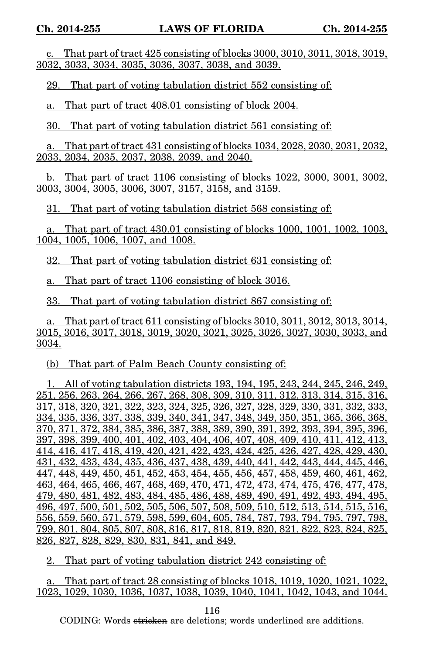That part of tract 425 consisting of blocks 3000, 3010, 3011, 3018, 3019, 3032, 3033, 3034, 3035, 3036, 3037, 3038, and 3039.

29. That part of voting tabulation district 552 consisting of:

a. That part of tract 408.01 consisting of block 2004.

30. That part of voting tabulation district 561 consisting of:

a. That part of tract 431 consisting of blocks 1034, 2028, 2030, 2031, 2032, 2033, 2034, 2035, 2037, 2038, 2039, and 2040.

b. That part of tract 1106 consisting of blocks 1022, 3000, 3001, 3002, 3003, 3004, 3005, 3006, 3007, 3157, 3158, and 3159.

31. That part of voting tabulation district 568 consisting of:

a. That part of tract 430.01 consisting of blocks 1000, 1001, 1002, 1003, 1004, 1005, 1006, 1007, and 1008.

32. That part of voting tabulation district 631 consisting of:

a. That part of tract 1106 consisting of block 3016.

33. That part of voting tabulation district 867 consisting of:

a. That part of tract 611 consisting of blocks 3010, 3011, 3012, 3013, 3014, 3015, 3016, 3017, 3018, 3019, 3020, 3021, 3025, 3026, 3027, 3030, 3033, and 3034.

(b) That part of Palm Beach County consisting of:

1. All of voting tabulation districts 193, 194, 195, 243, 244, 245, 246, 249, 251, 256, 263, 264, 266, 267, 268, 308, 309, 310, 311, 312, 313, 314, 315, 316, 317, 318, 320, 321, 322, 323, 324, 325, 326, 327, 328, 329, 330, 331, 332, 333, 334, 335, 336, 337, 338, 339, 340, 341, 347, 348, 349, 350, 351, 365, 366, 368, 370, 371, 372, 384, 385, 386, 387, 388, 389, 390, 391, 392, 393, 394, 395, 396, 397, 398, 399, 400, 401, 402, 403, 404, 406, 407, 408, 409, 410, 411, 412, 413, 414, 416, 417, 418, 419, 420, 421, 422, 423, 424, 425, 426, 427, 428, 429, 430, 431, 432, 433, 434, 435, 436, 437, 438, 439, 440, 441, 442, 443, 444, 445, 446, 447, 448, 449, 450, 451, 452, 453, 454, 455, 456, 457, 458, 459, 460, 461, 462, 463, 464, 465, 466, 467, 468, 469, 470, 471, 472, 473, 474, 475, 476, 477, 478, 479, 480, 481, 482, 483, 484, 485, 486, 488, 489, 490, 491, 492, 493, 494, 495, 496, 497, 500, 501, 502, 505, 506, 507, 508, 509, 510, 512, 513, 514, 515, 516, 556, 559, 560, 571, 579, 598, 599, 604, 605, 784, 787, 793, 794, 795, 797, 798, 799, 801, 804, 805, 807, 808, 816, 817, 818, 819, 820, 821, 822, 823, 824, 825, 826, 827, 828, 829, 830, 831, 841, and 849.

2. That part of voting tabulation district 242 consisting of:

a. That part of tract 28 consisting of blocks 1018, 1019, 1020, 1021, 1022, 1023, 1029, 1030, 1036, 1037, 1038, 1039, 1040, 1041, 1042, 1043, and 1044.

116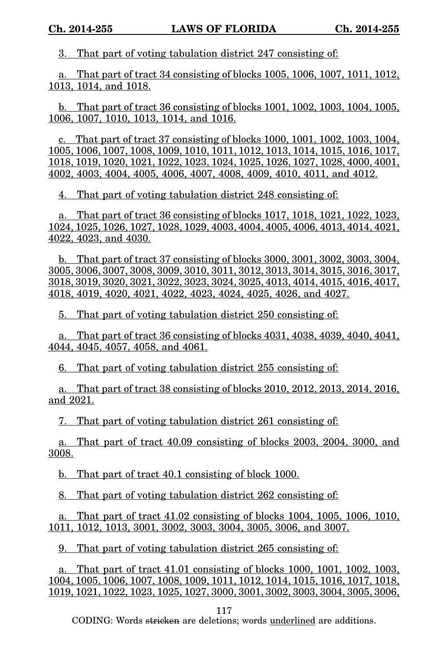3. That part of voting tabulation district 247 consisting of:

a. That part of tract 34 consisting of blocks 1005, 1006, 1007, 1011, 1012, 1013, 1014, and 1018.

b. That part of tract 36 consisting of blocks 1001, 1002, 1003, 1004, 1005, 1006, 1007, 1010, 1013, 1014, and 1016.

c. That part of tract 37 consisting of blocks 1000, 1001, 1002, 1003, 1004, 1005, 1006, 1007, 1008, 1009, 1010, 1011, 1012, 1013, 1014, 1015, 1016, 1017, 1018, 1019, 1020, 1021, 1022, 1023, 1024, 1025, 1026, 1027, 1028, 4000, 4001, 4002, 4003, 4004, 4005, 4006, 4007, 4008, 4009, 4010, 4011, and 4012.

4. That part of voting tabulation district 248 consisting of:

a. That part of tract 36 consisting of blocks 1017, 1018, 1021, 1022, 1023, 1024, 1025, 1026, 1027, 1028, 1029, 4003, 4004, 4005, 4006, 4013, 4014, 4021, 4022, 4023, and 4030.

b. That part of tract 37 consisting of blocks 3000, 3001, 3002, 3003, 3004, 3005, 3006, 3007, 3008, 3009, 3010, 3011, 3012, 3013, 3014, 3015, 3016, 3017, 3018, 3019, 3020, 3021, 3022, 3023, 3024, 3025, 4013, 4014, 4015, 4016, 4017, 4018, 4019, 4020, 4021, 4022, 4023, 4024, 4025, 4026, and 4027.

5. That part of voting tabulation district 250 consisting of:

a. That part of tract 36 consisting of blocks 4031, 4038, 4039, 4040, 4041, 4044, 4045, 4057, 4058, and 4061.

6. That part of voting tabulation district 255 consisting of:

a. That part of tract 38 consisting of blocks 2010, 2012, 2013, 2014, 2016, and 2021.

7. That part of voting tabulation district 261 consisting of:

a. That part of tract 40.09 consisting of blocks 2003, 2004, 3000, and 3008.

b. That part of tract 40.1 consisting of block 1000.

8. That part of voting tabulation district 262 consisting of:

That part of tract  $41.02$  consisting of blocks 1004, 1005, 1006, 1010, 1011, 1012, 1013, 3001, 3002, 3003, 3004, 3005, 3006, and 3007.

9. That part of voting tabulation district 265 consisting of:

a. That part of tract 41.01 consisting of blocks 1000, 1001, 1002, 1003, 1004, 1005, 1006, 1007, 1008, 1009, 1011, 1012, 1014, 1015, 1016, 1017, 1018, 1019, 1021, 1022, 1023, 1025, 1027, 3000, 3001, 3002, 3003, 3004, 3005, 3006,

117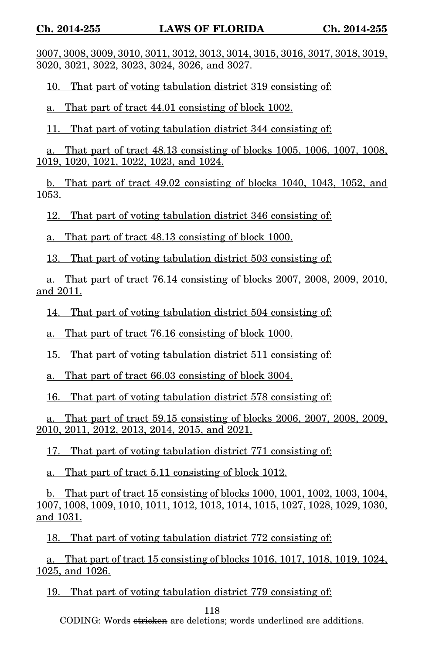3007, 3008, 3009, 3010, 3011, 3012, 3013, 3014, 3015, 3016, 3017, 3018, 3019, 3020, 3021, 3022, 3023, 3024, 3026, and 3027.

10. That part of voting tabulation district 319 consisting of:

a. That part of tract 44.01 consisting of block 1002.

11. That part of voting tabulation district 344 consisting of:

a. That part of tract 48.13 consisting of blocks 1005, 1006, 1007, 1008, 1019, 1020, 1021, 1022, 1023, and 1024.

b. That part of tract 49.02 consisting of blocks 1040, 1043, 1052, and 1053.

12. That part of voting tabulation district 346 consisting of:

a. That part of tract 48.13 consisting of block 1000.

13. That part of voting tabulation district 503 consisting of:

a. That part of tract 76.14 consisting of blocks 2007, 2008, 2009, 2010, and 2011.

14. That part of voting tabulation district 504 consisting of:

a. That part of tract 76.16 consisting of block 1000.

15. That part of voting tabulation district 511 consisting of:

a. That part of tract 66.03 consisting of block 3004.

16. That part of voting tabulation district 578 consisting of:

a. That part of tract 59.15 consisting of blocks 2006, 2007, 2008, 2009, 2010, 2011, 2012, 2013, 2014, 2015, and 2021.

17. That part of voting tabulation district 771 consisting of:

a. That part of tract 5.11 consisting of block 1012.

b. That part of tract 15 consisting of blocks 1000, 1001, 1002, 1003, 1004, 1007, 1008, 1009, 1010, 1011, 1012, 1013, 1014, 1015, 1027, 1028, 1029, 1030, and 1031.

18. That part of voting tabulation district 772 consisting of:

a. That part of tract 15 consisting of blocks 1016, 1017, 1018, 1019, 1024, 1025, and 1026.

19. That part of voting tabulation district 779 consisting of:

118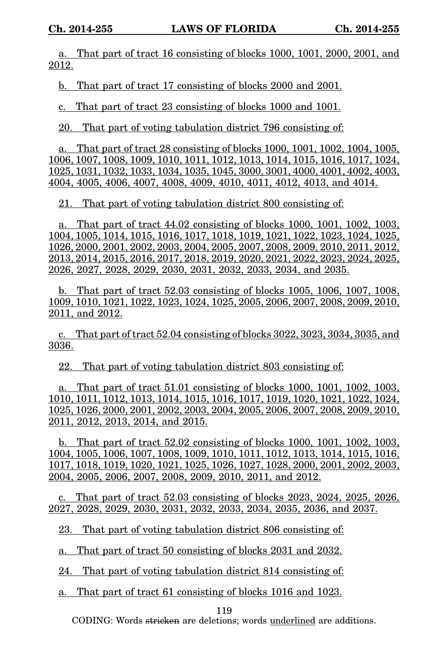That part of tract 16 consisting of blocks  $1000$ ,  $1001$ ,  $2000$ ,  $2001$ , and 2012.

b. That part of tract 17 consisting of blocks 2000 and 2001.

c. That part of tract 23 consisting of blocks 1000 and 1001.

20. That part of voting tabulation district 796 consisting of:

a. That part of tract 28 consisting of blocks 1000, 1001, 1002, 1004, 1005, 1006, 1007, 1008, 1009, 1010, 1011, 1012, 1013, 1014, 1015, 1016, 1017, 1024, 1025, 1031, 1032, 1033, 1034, 1035, 1045, 3000, 3001, 4000, 4001, 4002, 4003, 4004, 4005, 4006, 4007, 4008, 4009, 4010, 4011, 4012, 4013, and 4014.

21. That part of voting tabulation district 800 consisting of:

a. That part of tract 44.02 consisting of blocks 1000, 1001, 1002, 1003, 1004, 1005, 1014, 1015, 1016, 1017, 1018, 1019, 1021, 1022, 1023, 1024, 1025, 1026, 2000, 2001, 2002, 2003, 2004, 2005, 2007, 2008, 2009, 2010, 2011, 2012, 2013, 2014, 2015, 2016, 2017, 2018, 2019, 2020, 2021, 2022, 2023, 2024, 2025, 2026, 2027, 2028, 2029, 2030, 2031, 2032, 2033, 2034, and 2035.

b. That part of tract 52.03 consisting of blocks 1005, 1006, 1007, 1008, 1009, 1010, 1021, 1022, 1023, 1024, 1025, 2005, 2006, 2007, 2008, 2009, 2010, 2011, and 2012.

c. That part of tract 52.04 consisting of blocks 3022, 3023, 3034, 3035, and 3036.

22. That part of voting tabulation district 803 consisting of:

a. That part of tract 51.01 consisting of blocks 1000, 1001, 1002, 1003, 1010, 1011, 1012, 1013, 1014, 1015, 1016, 1017, 1019, 1020, 1021, 1022, 1024, 1025, 1026, 2000, 2001, 2002, 2003, 2004, 2005, 2006, 2007, 2008, 2009, 2010, 2011, 2012, 2013, 2014, and 2015.

b. That part of tract 52.02 consisting of blocks 1000, 1001, 1002, 1003, 1004, 1005, 1006, 1007, 1008, 1009, 1010, 1011, 1012, 1013, 1014, 1015, 1016, 1017, 1018, 1019, 1020, 1021, 1025, 1026, 1027, 1028, 2000, 2001, 2002, 2003, 2004, 2005, 2006, 2007, 2008, 2009, 2010, 2011, and 2012.

c. That part of tract 52.03 consisting of blocks 2023, 2024, 2025, 2026, 2027, 2028, 2029, 2030, 2031, 2032, 2033, 2034, 2035, 2036, and 2037.

23. That part of voting tabulation district 806 consisting of:

a. That part of tract 50 consisting of blocks 2031 and 2032.

24. That part of voting tabulation district 814 consisting of:

a. That part of tract 61 consisting of blocks 1016 and 1023.

119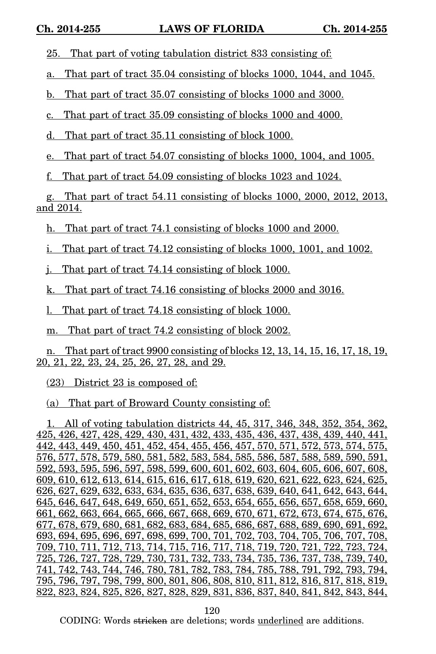25. That part of voting tabulation district 833 consisting of:

a. That part of tract 35.04 consisting of blocks 1000, 1044, and 1045.

b. That part of tract 35.07 consisting of blocks 1000 and 3000.

c. That part of tract 35.09 consisting of blocks 1000 and 4000.

d. That part of tract 35.11 consisting of block 1000.

e. That part of tract 54.07 consisting of blocks 1000, 1004, and 1005.

f. That part of tract 54.09 consisting of blocks 1023 and 1024.

g. That part of tract 54.11 consisting of blocks 1000, 2000, 2012, 2013, and 2014.

h. That part of tract 74.1 consisting of blocks 1000 and 2000.

i. That part of tract 74.12 consisting of blocks 1000, 1001, and 1002.

j. That part of tract 74.14 consisting of block 1000.

k. That part of tract 74.16 consisting of blocks 2000 and 3016.

l. That part of tract 74.18 consisting of block 1000.

m. That part of tract 74.2 consisting of block 2002.

n. That part of tract 9900 consisting of blocks 12, 13, 14, 15, 16, 17, 18, 19, 20, 21, 22, 23, 24, 25, 26, 27, 28, and 29.

(23) District 23 is composed of:

(a) That part of Broward County consisting of:

1. All of voting tabulation districts 44, 45, 317, 346, 348, 352, 354, 362, 425, 426, 427, 428, 429, 430, 431, 432, 433, 435, 436, 437, 438, 439, 440, 441, 442, 443, 449, 450, 451, 452, 454, 455, 456, 457, 570, 571, 572, 573, 574, 575, 576, 577, 578, 579, 580, 581, 582, 583, 584, 585, 586, 587, 588, 589, 590, 591, 592, 593, 595, 596, 597, 598, 599, 600, 601, 602, 603, 604, 605, 606, 607, 608, 609, 610, 612, 613, 614, 615, 616, 617, 618, 619, 620, 621, 622, 623, 624, 625, 626, 627, 629, 632, 633, 634, 635, 636, 637, 638, 639, 640, 641, 642, 643, 644, 645, 646, 647, 648, 649, 650, 651, 652, 653, 654, 655, 656, 657, 658, 659, 660, 661, 662, 663, 664, 665, 666, 667, 668, 669, 670, 671, 672, 673, 674, 675, 676, 677, 678, 679, 680, 681, 682, 683, 684, 685, 686, 687, 688, 689, 690, 691, 692, 693, 694, 695, 696, 697, 698, 699, 700, 701, 702, 703, 704, 705, 706, 707, 708, 709, 710, 711, 712, 713, 714, 715, 716, 717, 718, 719, 720, 721, 722, 723, 724, 725, 726, 727, 728, 729, 730, 731, 732, 733, 734, 735, 736, 737, 738, 739, 740, 741, 742, 743, 744, 746, 780, 781, 782, 783, 784, 785, 788, 791, 792, 793, 794, 795, 796, 797, 798, 799, 800, 801, 806, 808, 810, 811, 812, 816, 817, 818, 819, 822, 823, 824, 825, 826, 827, 828, 829, 831, 836, 837, 840, 841, 842, 843, 844,

120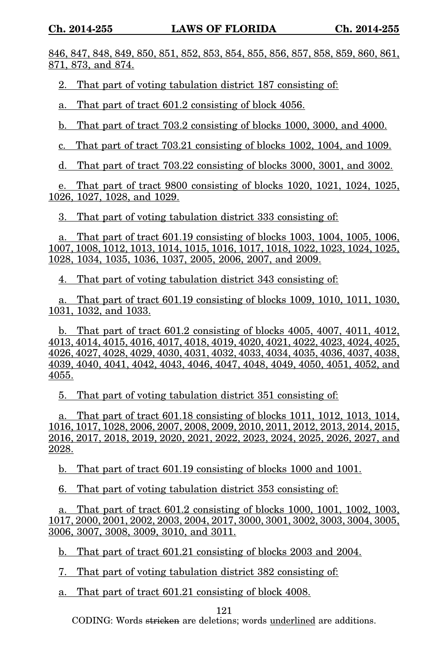846, 847, 848, 849, 850, 851, 852, 853, 854, 855, 856, 857, 858, 859, 860, 861, 871, 873, and 874.

2. That part of voting tabulation district 187 consisting of:

a. That part of tract 601.2 consisting of block 4056.

b. That part of tract 703.2 consisting of blocks 1000, 3000, and 4000.

c. That part of tract 703.21 consisting of blocks 1002, 1004, and 1009.

d. That part of tract 703.22 consisting of blocks 3000, 3001, and 3002.

e. That part of tract 9800 consisting of blocks 1020, 1021, 1024, 1025, 1026, 1027, 1028, and 1029.

3. That part of voting tabulation district 333 consisting of:

a. That part of tract 601.19 consisting of blocks 1003, 1004, 1005, 1006, 1007, 1008, 1012, 1013, 1014, 1015, 1016, 1017, 1018, 1022, 1023, 1024, 1025, 1028, 1034, 1035, 1036, 1037, 2005, 2006, 2007, and 2009.

4. That part of voting tabulation district 343 consisting of:

a. That part of tract 601.19 consisting of blocks 1009, 1010, 1011, 1030, 1031, 1032, and 1033.

b. That part of tract 601.2 consisting of blocks 4005, 4007, 4011, 4012, 4013, 4014, 4015, 4016, 4017, 4018, 4019, 4020, 4021, 4022, 4023, 4024, 4025, 4026, 4027, 4028, 4029, 4030, 4031, 4032, 4033, 4034, 4035, 4036, 4037, 4038, 4039, 4040, 4041, 4042, 4043, 4046, 4047, 4048, 4049, 4050, 4051, 4052, and 4055.

5. That part of voting tabulation district 351 consisting of:

a. That part of tract 601.18 consisting of blocks 1011, 1012, 1013, 1014, 1016, 1017, 1028, 2006, 2007, 2008, 2009, 2010, 2011, 2012, 2013, 2014, 2015, 2016, 2017, 2018, 2019, 2020, 2021, 2022, 2023, 2024, 2025, 2026, 2027, and 2028.

b. That part of tract 601.19 consisting of blocks 1000 and 1001.

6. That part of voting tabulation district 353 consisting of:

a. That part of tract 601.2 consisting of blocks 1000, 1001, 1002, 1003, 1017, 2000, 2001, 2002, 2003, 2004, 2017, 3000, 3001, 3002, 3003, 3004, 3005, 3006, 3007, 3008, 3009, 3010, and 3011.

b. That part of tract 601.21 consisting of blocks 2003 and 2004.

7. That part of voting tabulation district 382 consisting of:

a. That part of tract 601.21 consisting of block 4008.

121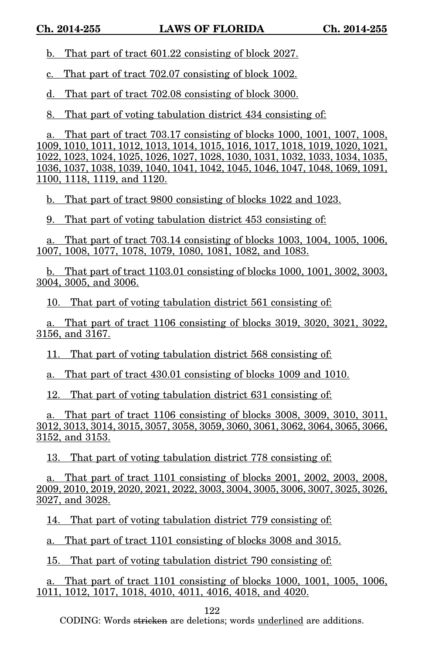b. That part of tract 601.22 consisting of block 2027.

c. That part of tract 702.07 consisting of block 1002.

d. That part of tract 702.08 consisting of block 3000.

8. That part of voting tabulation district 434 consisting of:

a. That part of tract 703.17 consisting of blocks 1000, 1001, 1007, 1008, 1009, 1010, 1011, 1012, 1013, 1014, 1015, 1016, 1017, 1018, 1019, 1020, 1021, 1022, 1023, 1024, 1025, 1026, 1027, 1028, 1030, 1031, 1032, 1033, 1034, 1035, 1036, 1037, 1038, 1039, 1040, 1041, 1042, 1045, 1046, 1047, 1048, 1069, 1091, 1100, 1118, 1119, and 1120.

b. That part of tract 9800 consisting of blocks 1022 and 1023.

9. That part of voting tabulation district 453 consisting of:

a. That part of tract 703.14 consisting of blocks 1003, 1004, 1005, 1006, 1007, 1008, 1077, 1078, 1079, 1080, 1081, 1082, and 1083.

b. That part of tract 1103.01 consisting of blocks 1000, 1001, 3002, 3003, 3004, 3005, and 3006.

10. That part of voting tabulation district 561 consisting of:

a. That part of tract 1106 consisting of blocks 3019, 3020, 3021, 3022, 3156, and 3167.

11. That part of voting tabulation district 568 consisting of:

a. That part of tract 430.01 consisting of blocks 1009 and 1010.

12. That part of voting tabulation district 631 consisting of:

That part of tract 1106 consisting of blocks 3008, 3009, 3010, 3011, 3012, 3013, 3014, 3015, 3057, 3058, 3059, 3060, 3061, 3062, 3064, 3065, 3066, 3152, and 3153.

13. That part of voting tabulation district 778 consisting of:

a. That part of tract 1101 consisting of blocks 2001, 2002, 2003, 2008, 2009, 2010, 2019, 2020, 2021, 2022, 3003, 3004, 3005, 3006, 3007, 3025, 3026, 3027, and 3028.

14. That part of voting tabulation district 779 consisting of:

a. That part of tract 1101 consisting of blocks 3008 and 3015.

15. That part of voting tabulation district 790 consisting of:

a. That part of tract 1101 consisting of blocks 1000, 1001, 1005, 1006, 1011, 1012, 1017, 1018, 4010, 4011, 4016, 4018, and 4020.

122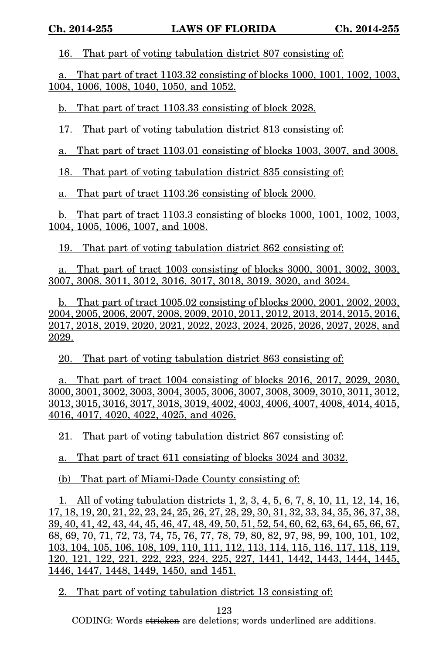16. That part of voting tabulation district 807 consisting of:

a. That part of tract 1103.32 consisting of blocks 1000, 1001, 1002, 1003, 1004, 1006, 1008, 1040, 1050, and 1052.

b. That part of tract 1103.33 consisting of block 2028.

17. That part of voting tabulation district 813 consisting of:

a. That part of tract 1103.01 consisting of blocks 1003, 3007, and 3008.

18. That part of voting tabulation district 835 consisting of:

a. That part of tract 1103.26 consisting of block 2000.

b. That part of tract 1103.3 consisting of blocks 1000, 1001, 1002, 1003, 1004, 1005, 1006, 1007, and 1008.

19. That part of voting tabulation district 862 consisting of:

a. That part of tract 1003 consisting of blocks 3000, 3001, 3002, 3003, 3007, 3008, 3011, 3012, 3016, 3017, 3018, 3019, 3020, and 3024.

b. That part of tract 1005.02 consisting of blocks 2000, 2001, 2002, 2003, 2004, 2005, 2006, 2007, 2008, 2009, 2010, 2011, 2012, 2013, 2014, 2015, 2016, 2017, 2018, 2019, 2020, 2021, 2022, 2023, 2024, 2025, 2026, 2027, 2028, and 2029.

20. That part of voting tabulation district 863 consisting of:

a. That part of tract 1004 consisting of blocks 2016, 2017, 2029, 2030, 3000, 3001, 3002, 3003, 3004, 3005, 3006, 3007, 3008, 3009, 3010, 3011, 3012, 3013, 3015, 3016, 3017, 3018, 3019, 4002, 4003, 4006, 4007, 4008, 4014, 4015, 4016, 4017, 4020, 4022, 4025, and 4026.

21. That part of voting tabulation district 867 consisting of:

a. That part of tract 611 consisting of blocks 3024 and 3032.

(b) That part of Miami-Dade County consisting of:

1. All of voting tabulation districts 1, 2, 3, 4, 5, 6, 7, 8, 10, 11, 12, 14, 16, 17, 18, 19, 20, 21, 22, 23, 24, 25, 26, 27, 28, 29, 30, 31, 32, 33, 34, 35, 36, 37, 38, 39, 40, 41, 42, 43, 44, 45, 46, 47, 48, 49, 50, 51, 52, 54, 60, 62, 63, 64, 65, 66, 67, 68, 69, 70, 71, 72, 73, 74, 75, 76, 77, 78, 79, 80, 82, 97, 98, 99, 100, 101, 102, 103, 104, 105, 106, 108, 109, 110, 111, 112, 113, 114, 115, 116, 117, 118, 119, 120, 121, 122, 221, 222, 223, 224, 225, 227, 1441, 1442, 1443, 1444, 1445, 1446, 1447, 1448, 1449, 1450, and 1451.

2. That part of voting tabulation district 13 consisting of:

123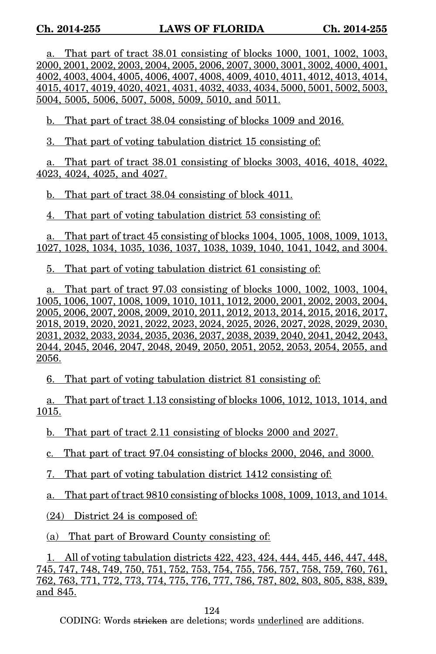That part of tract 38.01 consisting of blocks 1000, 1001, 1002, 1003, 2000, 2001, 2002, 2003, 2004, 2005, 2006, 2007, 3000, 3001, 3002, 4000, 4001, 4002, 4003, 4004, 4005, 4006, 4007, 4008, 4009, 4010, 4011, 4012, 4013, 4014, 4015, 4017, 4019, 4020, 4021, 4031, 4032, 4033, 4034, 5000, 5001, 5002, 5003, 5004, 5005, 5006, 5007, 5008, 5009, 5010, and 5011.

b. That part of tract 38.04 consisting of blocks 1009 and 2016.

3. That part of voting tabulation district 15 consisting of:

a. That part of tract 38.01 consisting of blocks 3003, 4016, 4018, 4022, 4023, 4024, 4025, and 4027.

b. That part of tract 38.04 consisting of block 4011.

4. That part of voting tabulation district 53 consisting of:

a. That part of tract 45 consisting of blocks 1004, 1005, 1008, 1009, 1013, 1027, 1028, 1034, 1035, 1036, 1037, 1038, 1039, 1040, 1041, 1042, and 3004.

5. That part of voting tabulation district 61 consisting of:

a. That part of tract 97.03 consisting of blocks 1000, 1002, 1003, 1004, 1005, 1006, 1007, 1008, 1009, 1010, 1011, 1012, 2000, 2001, 2002, 2003, 2004, 2005, 2006, 2007, 2008, 2009, 2010, 2011, 2012, 2013, 2014, 2015, 2016, 2017, 2018, 2019, 2020, 2021, 2022, 2023, 2024, 2025, 2026, 2027, 2028, 2029, 2030, 2031, 2032, 2033, 2034, 2035, 2036, 2037, 2038, 2039, 2040, 2041, 2042, 2043, 2044, 2045, 2046, 2047, 2048, 2049, 2050, 2051, 2052, 2053, 2054, 2055, and 2056.

6. That part of voting tabulation district 81 consisting of:

a. That part of tract 1.13 consisting of blocks 1006, 1012, 1013, 1014, and 1015.

b. That part of tract 2.11 consisting of blocks 2000 and 2027.

c. That part of tract 97.04 consisting of blocks 2000, 2046, and 3000.

7. That part of voting tabulation district 1412 consisting of:

a. That part of tract 9810 consisting of blocks 1008, 1009, 1013, and 1014.

(24) District 24 is composed of:

(a) That part of Broward County consisting of:

1. All of voting tabulation districts 422, 423, 424, 444, 445, 446, 447, 448, 745, 747, 748, 749, 750, 751, 752, 753, 754, 755, 756, 757, 758, 759, 760, 761, 762, 763, 771, 772, 773, 774, 775, 776, 777, 786, 787, 802, 803, 805, 838, 839, and 845.

124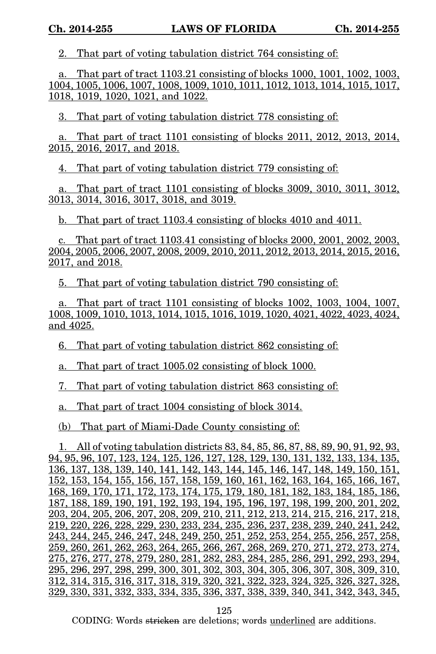2. That part of voting tabulation district 764 consisting of:

a. That part of tract 1103.21 consisting of blocks 1000, 1001, 1002, 1003, 1004, 1005, 1006, 1007, 1008, 1009, 1010, 1011, 1012, 1013, 1014, 1015, 1017, 1018, 1019, 1020, 1021, and 1022.

3. That part of voting tabulation district 778 consisting of:

That part of tract 1101 consisting of blocks 2011, 2012, 2013, 2014, 2015, 2016, 2017, and 2018.

4. That part of voting tabulation district 779 consisting of:

That part of tract 1101 consisting of blocks 3009, 3010, 3011, 3012, 3013, 3014, 3016, 3017, 3018, and 3019.

b. That part of tract 1103.4 consisting of blocks 4010 and 4011.

c. That part of tract 1103.41 consisting of blocks 2000, 2001, 2002, 2003, 2004, 2005, 2006, 2007, 2008, 2009, 2010, 2011, 2012, 2013, 2014, 2015, 2016, 2017, and 2018.

5. That part of voting tabulation district 790 consisting of:

a. That part of tract 1101 consisting of blocks 1002, 1003, 1004, 1007, 1008, 1009, 1010, 1013, 1014, 1015, 1016, 1019, 1020, 4021, 4022, 4023, 4024, and 4025.

6. That part of voting tabulation district 862 consisting of:

a. That part of tract 1005.02 consisting of block 1000.

7. That part of voting tabulation district 863 consisting of:

a. That part of tract 1004 consisting of block 3014.

(b) That part of Miami-Dade County consisting of:

1. All of voting tabulation districts 83, 84, 85, 86, 87, 88, 89, 90, 91, 92, 93, 94, 95, 96, 107, 123, 124, 125, 126, 127, 128, 129, 130, 131, 132, 133, 134, 135, 136, 137, 138, 139, 140, 141, 142, 143, 144, 145, 146, 147, 148, 149, 150, 151, 152, 153, 154, 155, 156, 157, 158, 159, 160, 161, 162, 163, 164, 165, 166, 167, 168, 169, 170, 171, 172, 173, 174, 175, 179, 180, 181, 182, 183, 184, 185, 186, 187, 188, 189, 190, 191, 192, 193, 194, 195, 196, 197, 198, 199, 200, 201, 202, 203, 204, 205, 206, 207, 208, 209, 210, 211, 212, 213, 214, 215, 216, 217, 218, 219, 220, 226, 228, 229, 230, 233, 234, 235, 236, 237, 238, 239, 240, 241, 242, 243, 244, 245, 246, 247, 248, 249, 250, 251, 252, 253, 254, 255, 256, 257, 258, 259, 260, 261, 262, 263, 264, 265, 266, 267, 268, 269, 270, 271, 272, 273, 274, 275, 276, 277, 278, 279, 280, 281, 282, 283, 284, 285, 286, 291, 292, 293, 294, 295, 296, 297, 298, 299, 300, 301, 302, 303, 304, 305, 306, 307, 308, 309, 310, 312, 314, 315, 316, 317, 318, 319, 320, 321, 322, 323, 324, 325, 326, 327, 328, 329, 330, 331, 332, 333, 334, 335, 336, 337, 338, 339, 340, 341, 342, 343, 345,

125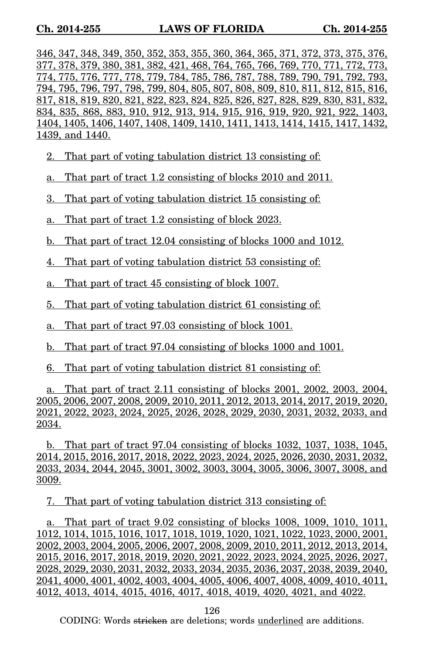346, 347, 348, 349, 350, 352, 353, 355, 360, 364, 365, 371, 372, 373, 375, 376, 377, 378, 379, 380, 381, 382, 421, 468, 764, 765, 766, 769, 770, 771, 772, 773, 774, 775, 776, 777, 778, 779, 784, 785, 786, 787, 788, 789, 790, 791, 792, 793, 794, 795, 796, 797, 798, 799, 804, 805, 807, 808, 809, 810, 811, 812, 815, 816, 817, 818, 819, 820, 821, 822, 823, 824, 825, 826, 827, 828, 829, 830, 831, 832, 834, 835, 868, 883, 910, 912, 913, 914, 915, 916, 919, 920, 921, 922, 1403, 1404, 1405, 1406, 1407, 1408, 1409, 1410, 1411, 1413, 1414, 1415, 1417, 1432, 1439, and 1440.

2. That part of voting tabulation district 13 consisting of:

a. That part of tract 1.2 consisting of blocks 2010 and 2011.

3. That part of voting tabulation district 15 consisting of:

a. That part of tract 1.2 consisting of block 2023.

b. That part of tract 12.04 consisting of blocks 1000 and 1012.

4. That part of voting tabulation district 53 consisting of:

a. That part of tract 45 consisting of block 1007.

5. That part of voting tabulation district 61 consisting of:

a. That part of tract 97.03 consisting of block 1001.

b. That part of tract 97.04 consisting of blocks 1000 and 1001.

6. That part of voting tabulation district 81 consisting of:

a. That part of tract 2.11 consisting of blocks 2001, 2002, 2003, 2004, 2005, 2006, 2007, 2008, 2009, 2010, 2011, 2012, 2013, 2014, 2017, 2019, 2020, 2021, 2022, 2023, 2024, 2025, 2026, 2028, 2029, 2030, 2031, 2032, 2033, and 2034.

b. That part of tract 97.04 consisting of blocks 1032, 1037, 1038, 1045, 2014, 2015, 2016, 2017, 2018, 2022, 2023, 2024, 2025, 2026, 2030, 2031, 2032, 2033, 2034, 2044, 2045, 3001, 3002, 3003, 3004, 3005, 3006, 3007, 3008, and 3009.

7. That part of voting tabulation district 313 consisting of:

a. That part of tract 9.02 consisting of blocks 1008, 1009, 1010, 1011, 1012, 1014, 1015, 1016, 1017, 1018, 1019, 1020, 1021, 1022, 1023, 2000, 2001, 2002, 2003, 2004, 2005, 2006, 2007, 2008, 2009, 2010, 2011, 2012, 2013, 2014, 2015, 2016, 2017, 2018, 2019, 2020, 2021, 2022, 2023, 2024, 2025, 2026, 2027, 2028, 2029, 2030, 2031, 2032, 2033, 2034, 2035, 2036, 2037, 2038, 2039, 2040, 2041, 4000, 4001, 4002, 4003, 4004, 4005, 4006, 4007, 4008, 4009, 4010, 4011, 4012, 4013, 4014, 4015, 4016, 4017, 4018, 4019, 4020, 4021, and 4022.

126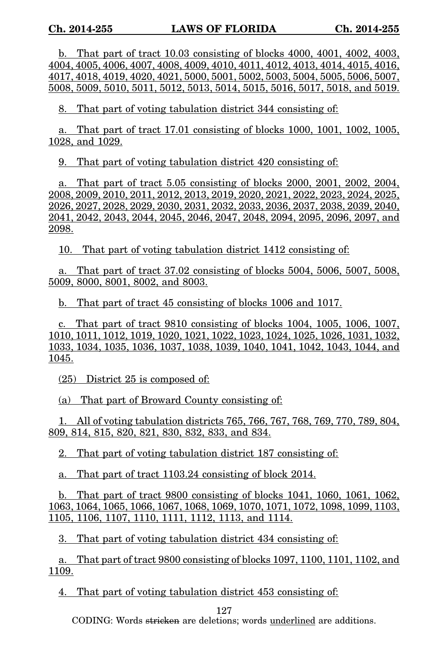b. That part of tract 10.03 consisting of blocks 4000, 4001, 4002, 4003, 4004, 4005, 4006, 4007, 4008, 4009, 4010, 4011, 4012, 4013, 4014, 4015, 4016, 4017, 4018, 4019, 4020, 4021, 5000, 5001, 5002, 5003, 5004, 5005, 5006, 5007, 5008, 5009, 5010, 5011, 5012, 5013, 5014, 5015, 5016, 5017, 5018, and 5019.

8. That part of voting tabulation district 344 consisting of:

a. That part of tract 17.01 consisting of blocks 1000, 1001, 1002, 1005, 1028, and 1029.

9. That part of voting tabulation district 420 consisting of:

a. That part of tract 5.05 consisting of blocks 2000, 2001, 2002, 2004, 2008, 2009, 2010, 2011, 2012, 2013, 2019, 2020, 2021, 2022, 2023, 2024, 2025, 2026, 2027, 2028, 2029, 2030, 2031, 2032, 2033, 2036, 2037, 2038, 2039, 2040, 2041, 2042, 2043, 2044, 2045, 2046, 2047, 2048, 2094, 2095, 2096, 2097, and 2098.

10. That part of voting tabulation district 1412 consisting of:

a. That part of tract 37.02 consisting of blocks 5004, 5006, 5007, 5008, 5009, 8000, 8001, 8002, and 8003.

b. That part of tract 45 consisting of blocks 1006 and 1017.

c. That part of tract 9810 consisting of blocks 1004, 1005, 1006, 1007, 1010, 1011, 1012, 1019, 1020, 1021, 1022, 1023, 1024, 1025, 1026, 1031, 1032, 1033, 1034, 1035, 1036, 1037, 1038, 1039, 1040, 1041, 1042, 1043, 1044, and 1045.

(25) District 25 is composed of:

(a) That part of Broward County consisting of:

1. All of voting tabulation districts 765, 766, 767, 768, 769, 770, 789, 804, 809, 814, 815, 820, 821, 830, 832, 833, and 834.

2. That part of voting tabulation district 187 consisting of:

a. That part of tract 1103.24 consisting of block 2014.

b. That part of tract 9800 consisting of blocks 1041, 1060, 1061, 1062, 1063, 1064, 1065, 1066, 1067, 1068, 1069, 1070, 1071, 1072, 1098, 1099, 1103, 1105, 1106, 1107, 1110, 1111, 1112, 1113, and 1114.

3. That part of voting tabulation district 434 consisting of:

a. That part of tract 9800 consisting of blocks 1097, 1100, 1101, 1102, and 1109.

4. That part of voting tabulation district 453 consisting of:

127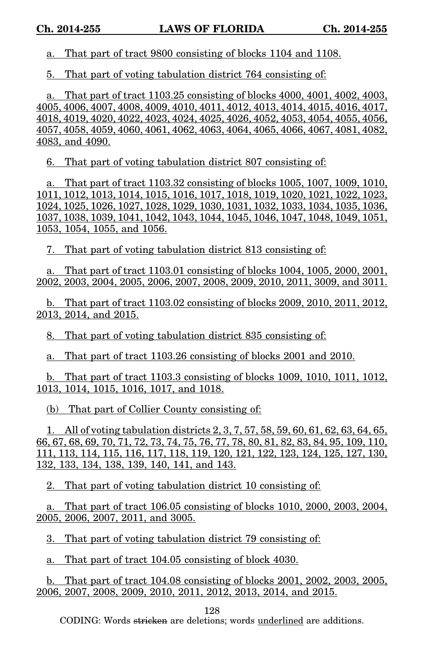a. That part of tract 9800 consisting of blocks 1104 and 1108.

5. That part of voting tabulation district 764 consisting of:

a. That part of tract 1103.25 consisting of blocks 4000, 4001, 4002, 4003, 4005, 4006, 4007, 4008, 4009, 4010, 4011, 4012, 4013, 4014, 4015, 4016, 4017, 4018, 4019, 4020, 4022, 4023, 4024, 4025, 4026, 4052, 4053, 4054, 4055, 4056, 4057, 4058, 4059, 4060, 4061, 4062, 4063, 4064, 4065, 4066, 4067, 4081, 4082, 4083, and 4090.

6. That part of voting tabulation district 807 consisting of:

a. That part of tract 1103.32 consisting of blocks 1005, 1007, 1009, 1010, 1011, 1012, 1013, 1014, 1015, 1016, 1017, 1018, 1019, 1020, 1021, 1022, 1023, 1024, 1025, 1026, 1027, 1028, 1029, 1030, 1031, 1032, 1033, 1034, 1035, 1036, 1037, 1038, 1039, 1041, 1042, 1043, 1044, 1045, 1046, 1047, 1048, 1049, 1051, 1053, 1054, 1055, and 1056.

7. That part of voting tabulation district 813 consisting of:

a. That part of tract 1103.01 consisting of blocks 1004, 1005, 2000, 2001, 2002, 2003, 2004, 2005, 2006, 2007, 2008, 2009, 2010, 2011, 3009, and 3011.

b. That part of tract 1103.02 consisting of blocks 2009, 2010, 2011, 2012, 2013, 2014, and 2015.

8. That part of voting tabulation district 835 consisting of:

a. That part of tract 1103.26 consisting of blocks 2001 and 2010.

b. That part of tract 1103.3 consisting of blocks 1009, 1010, 1011, 1012, 1013, 1014, 1015, 1016, 1017, and 1018.

(b) That part of Collier County consisting of:

1. All of voting tabulation districts 2, 3, 7, 57, 58, 59, 60, 61, 62, 63, 64, 65, 66, 67, 68, 69, 70, 71, 72, 73, 74, 75, 76, 77, 78, 80, 81, 82, 83, 84, 95, 109, 110, 111, 113, 114, 115, 116, 117, 118, 119, 120, 121, 122, 123, 124, 125, 127, 130, 132, 133, 134, 138, 139, 140, 141, and 143.

2. That part of voting tabulation district 10 consisting of:

a. That part of tract 106.05 consisting of blocks 1010, 2000, 2003, 2004, 2005, 2006, 2007, 2011, and 3005.

3. That part of voting tabulation district 79 consisting of:

a. That part of tract 104.05 consisting of block 4030.

b. That part of tract 104.08 consisting of blocks 2001, 2002, 2003, 2005, 2006, 2007, 2008, 2009, 2010, 2011, 2012, 2013, 2014, and 2015.

128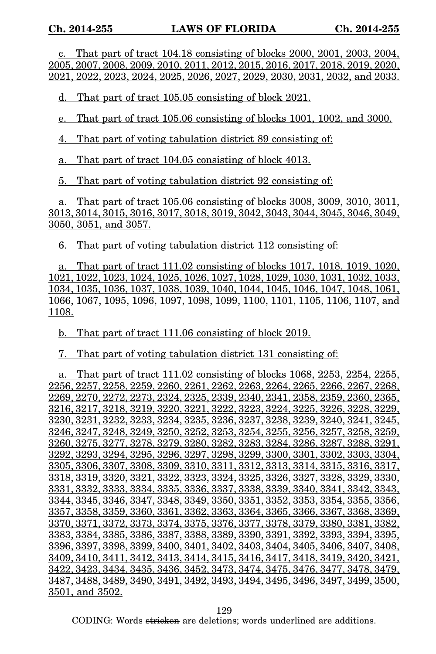That part of tract 104.18 consisting of blocks 2000, 2001, 2003, 2004, 2005, 2007, 2008, 2009, 2010, 2011, 2012, 2015, 2016, 2017, 2018, 2019, 2020, 2021, 2022, 2023, 2024, 2025, 2026, 2027, 2029, 2030, 2031, 2032, and 2033.

d. That part of tract 105.05 consisting of block 2021.

e. That part of tract 105.06 consisting of blocks 1001, 1002, and 3000.

4. That part of voting tabulation district 89 consisting of:

a. That part of tract 104.05 consisting of block 4013.

5. That part of voting tabulation district 92 consisting of:

That part of tract 105.06 consisting of blocks 3008, 3009, 3010, 3011, 3013, 3014, 3015, 3016, 3017, 3018, 3019, 3042, 3043, 3044, 3045, 3046, 3049, 3050, 3051, and 3057.

6. That part of voting tabulation district 112 consisting of:

a. That part of tract 111.02 consisting of blocks 1017, 1018, 1019, 1020, 1021, 1022, 1023, 1024, 1025, 1026, 1027, 1028, 1029, 1030, 1031, 1032, 1033, 1034, 1035, 1036, 1037, 1038, 1039, 1040, 1044, 1045, 1046, 1047, 1048, 1061, 1066, 1067, 1095, 1096, 1097, 1098, 1099, 1100, 1101, 1105, 1106, 1107, and 1108.

b. That part of tract 111.06 consisting of block 2019.

7. That part of voting tabulation district 131 consisting of:

a. That part of tract 111.02 consisting of blocks 1068, 2253, 2254, 2255, 2256, 2257, 2258, 2259, 2260, 2261, 2262, 2263, 2264, 2265, 2266, 2267, 2268, 2269, 2270, 2272, 2273, 2324, 2325, 2339, 2340, 2341, 2358, 2359, 2360, 2365, 3216, 3217, 3218, 3219, 3220, 3221, 3222, 3223, 3224, 3225, 3226, 3228, 3229, 3230, 3231, 3232, 3233, 3234, 3235, 3236, 3237, 3238, 3239, 3240, 3241, 3245, 3246, 3247, 3248, 3249, 3250, 3252, 3253, 3254, 3255, 3256, 3257, 3258, 3259, 3260, 3275, 3277, 3278, 3279, 3280, 3282, 3283, 3284, 3286, 3287, 3288, 3291, 3292, 3293, 3294, 3295, 3296, 3297, 3298, 3299, 3300, 3301, 3302, 3303, 3304, 3305, 3306, 3307, 3308, 3309, 3310, 3311, 3312, 3313, 3314, 3315, 3316, 3317, 3318, 3319, 3320, 3321, 3322, 3323, 3324, 3325, 3326, 3327, 3328, 3329, 3330, 3331, 3332, 3333, 3334, 3335, 3336, 3337, 3338, 3339, 3340, 3341, 3342, 3343, 3344, 3345, 3346, 3347, 3348, 3349, 3350, 3351, 3352, 3353, 3354, 3355, 3356, 3357, 3358, 3359, 3360, 3361, 3362, 3363, 3364, 3365, 3366, 3367, 3368, 3369, 3370, 3371, 3372, 3373, 3374, 3375, 3376, 3377, 3378, 3379, 3380, 3381, 3382, 3383, 3384, 3385, 3386, 3387, 3388, 3389, 3390, 3391, 3392, 3393, 3394, 3395, 3396, 3397, 3398, 3399, 3400, 3401, 3402, 3403, 3404, 3405, 3406, 3407, 3408, 3409, 3410, 3411, 3412, 3413, 3414, 3415, 3416, 3417, 3418, 3419, 3420, 3421, 3422, 3423, 3434, 3435, 3436, 3452, 3473, 3474, 3475, 3476, 3477, 3478, 3479, 3487, 3488, 3489, 3490, 3491, 3492, 3493, 3494, 3495, 3496, 3497, 3499, 3500, 3501, and 3502.

129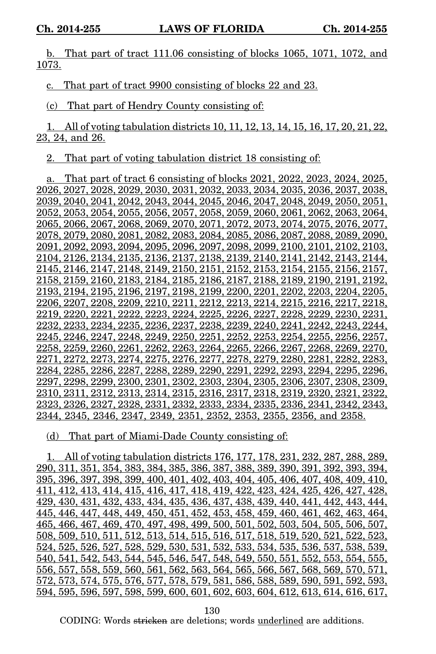b. That part of tract 111.06 consisting of blocks 1065, 1071, 1072, and 1073.

c. That part of tract 9900 consisting of blocks 22 and 23.

(c) That part of Hendry County consisting of:

1. All of voting tabulation districts 10, 11, 12, 13, 14, 15, 16, 17, 20, 21, 22, 23, 24, and 26.

2. That part of voting tabulation district 18 consisting of:

a. That part of tract 6 consisting of blocks 2021, 2022, 2023, 2024, 2025, 2026, 2027, 2028, 2029, 2030, 2031, 2032, 2033, 2034, 2035, 2036, 2037, 2038, 2039, 2040, 2041, 2042, 2043, 2044, 2045, 2046, 2047, 2048, 2049, 2050, 2051, 2052, 2053, 2054, 2055, 2056, 2057, 2058, 2059, 2060, 2061, 2062, 2063, 2064, 2065, 2066, 2067, 2068, 2069, 2070, 2071, 2072, 2073, 2074, 2075, 2076, 2077, 2078, 2079, 2080, 2081, 2082, 2083, 2084, 2085, 2086, 2087, 2088, 2089, 2090, 2091, 2092, 2093, 2094, 2095, 2096, 2097, 2098, 2099, 2100, 2101, 2102, 2103, 2104, 2126, 2134, 2135, 2136, 2137, 2138, 2139, 2140, 2141, 2142, 2143, 2144, 2145, 2146, 2147, 2148, 2149, 2150, 2151, 2152, 2153, 2154, 2155, 2156, 2157, 2158, 2159, 2160, 2183, 2184, 2185, 2186, 2187, 2188, 2189, 2190, 2191, 2192, 2193, 2194, 2195, 2196, 2197, 2198, 2199, 2200, 2201, 2202, 2203, 2204, 2205, 2206, 2207, 2208, 2209, 2210, 2211, 2212, 2213, 2214, 2215, 2216, 2217, 2218, 2219, 2220, 2221, 2222, 2223, 2224, 2225, 2226, 2227, 2228, 2229, 2230, 2231, 2232, 2233, 2234, 2235, 2236, 2237, 2238, 2239, 2240, 2241, 2242, 2243, 2244, 2245, 2246, 2247, 2248, 2249, 2250, 2251, 2252, 2253, 2254, 2255, 2256, 2257, 2258, 2259, 2260, 2261, 2262, 2263, 2264, 2265, 2266, 2267, 2268, 2269, 2270, 2271, 2272, 2273, 2274, 2275, 2276, 2277, 2278, 2279, 2280, 2281, 2282, 2283, 2284, 2285, 2286, 2287, 2288, 2289, 2290, 2291, 2292, 2293, 2294, 2295, 2296, 2297, 2298, 2299, 2300, 2301, 2302, 2303, 2304, 2305, 2306, 2307, 2308, 2309, 2310, 2311, 2312, 2313, 2314, 2315, 2316, 2317, 2318, 2319, 2320, 2321, 2322, 2323, 2326, 2327, 2328, 2331, 2332, 2333, 2334, 2335, 2336, 2341, 2342, 2343, 2344, 2345, 2346, 2347, 2349, 2351, 2352, 2353, 2355, 2356, and 2358.

(d) That part of Miami-Dade County consisting of:

1. All of voting tabulation districts 176, 177, 178, 231, 232, 287, 288, 289, 290, 311, 351, 354, 383, 384, 385, 386, 387, 388, 389, 390, 391, 392, 393, 394, 395, 396, 397, 398, 399, 400, 401, 402, 403, 404, 405, 406, 407, 408, 409, 410, 411, 412, 413, 414, 415, 416, 417, 418, 419, 422, 423, 424, 425, 426, 427, 428, 429, 430, 431, 432, 433, 434, 435, 436, 437, 438, 439, 440, 441, 442, 443, 444, 445, 446, 447, 448, 449, 450, 451, 452, 453, 458, 459, 460, 461, 462, 463, 464, 465, 466, 467, 469, 470, 497, 498, 499, 500, 501, 502, 503, 504, 505, 506, 507, 508, 509, 510, 511, 512, 513, 514, 515, 516, 517, 518, 519, 520, 521, 522, 523, 524, 525, 526, 527, 528, 529, 530, 531, 532, 533, 534, 535, 536, 537, 538, 539, 540, 541, 542, 543, 544, 545, 546, 547, 548, 549, 550, 551, 552, 553, 554, 555, 556, 557, 558, 559, 560, 561, 562, 563, 564, 565, 566, 567, 568, 569, 570, 571, 572, 573, 574, 575, 576, 577, 578, 579, 581, 586, 588, 589, 590, 591, 592, 593, 594, 595, 596, 597, 598, 599, 600, 601, 602, 603, 604, 612, 613, 614, 616, 617,

130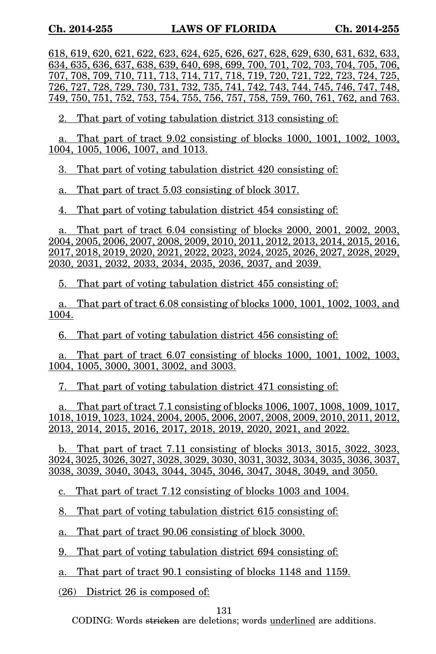618, 619, 620, 621, 622, 623, 624, 625, 626, 627, 628, 629, 630, 631, 632, 633, 634, 635, 636, 637, 638, 639, 640, 698, 699, 700, 701, 702, 703, 704, 705, 706, 707, 708, 709, 710, 711, 713, 714, 717, 718, 719, 720, 721, 722, 723, 724, 725, 726, 727, 728, 729, 730, 731, 732, 735, 741, 742, 743, 744, 745, 746, 747, 748, 749, 750, 751, 752, 753, 754, 755, 756, 757, 758, 759, 760, 761, 762, and 763.

2. That part of voting tabulation district 313 consisting of:

a. That part of tract 9.02 consisting of blocks 1000, 1001, 1002, 1003, 1004, 1005, 1006, 1007, and 1013.

3. That part of voting tabulation district 420 consisting of:

a. That part of tract 5.03 consisting of block 3017.

4. That part of voting tabulation district 454 consisting of:

a. That part of tract 6.04 consisting of blocks 2000, 2001, 2002, 2003, 2004, 2005, 2006, 2007, 2008, 2009, 2010, 2011, 2012, 2013, 2014, 2015, 2016, 2017, 2018, 2019, 2020, 2021, 2022, 2023, 2024, 2025, 2026, 2027, 2028, 2029, 2030, 2031, 2032, 2033, 2034, 2035, 2036, 2037, and 2039.

5. That part of voting tabulation district 455 consisting of:

a. That part of tract 6.08 consisting of blocks 1000, 1001, 1002, 1003, and 1004.

6. That part of voting tabulation district 456 consisting of:

a. That part of tract 6.07 consisting of blocks 1000, 1001, 1002, 1003, 1004, 1005, 3000, 3001, 3002, and 3003.

7. That part of voting tabulation district 471 consisting of:

a. That part of tract 7.1 consisting of blocks 1006, 1007, 1008, 1009, 1017, 1018, 1019, 1023, 1024, 2004, 2005, 2006, 2007, 2008, 2009, 2010, 2011, 2012, 2013, 2014, 2015, 2016, 2017, 2018, 2019, 2020, 2021, and 2022.

b. That part of tract 7.11 consisting of blocks 3013, 3015, 3022, 3023, 3024, 3025, 3026, 3027, 3028, 3029, 3030, 3031, 3032, 3034, 3035, 3036, 3037, 3038, 3039, 3040, 3043, 3044, 3045, 3046, 3047, 3048, 3049, and 3050.

c. That part of tract 7.12 consisting of blocks 1003 and 1004.

8. That part of voting tabulation district 615 consisting of:

a. That part of tract 90.06 consisting of block 3000.

9. That part of voting tabulation district 694 consisting of:

a. That part of tract 90.1 consisting of blocks 1148 and 1159.

(26) District 26 is composed of:

131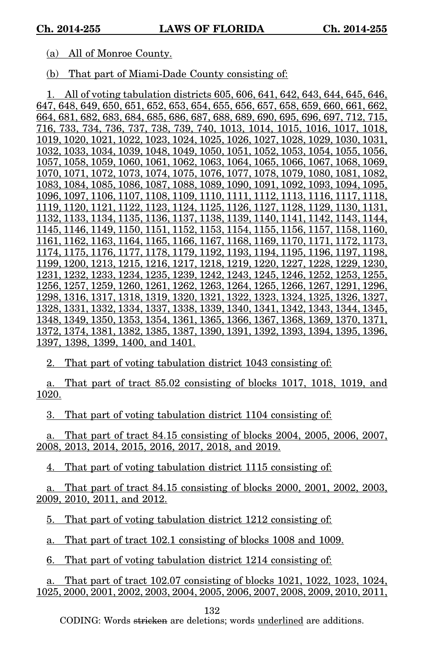(a) All of Monroe County.

(b) That part of Miami-Dade County consisting of:

1. All of voting tabulation districts 605, 606, 641, 642, 643, 644, 645, 646, 647, 648, 649, 650, 651, 652, 653, 654, 655, 656, 657, 658, 659, 660, 661, 662, 664, 681, 682, 683, 684, 685, 686, 687, 688, 689, 690, 695, 696, 697, 712, 715, 716, 733, 734, 736, 737, 738, 739, 740, 1013, 1014, 1015, 1016, 1017, 1018, 1019, 1020, 1021, 1022, 1023, 1024, 1025, 1026, 1027, 1028, 1029, 1030, 1031, 1032, 1033, 1034, 1039, 1048, 1049, 1050, 1051, 1052, 1053, 1054, 1055, 1056, 1057, 1058, 1059, 1060, 1061, 1062, 1063, 1064, 1065, 1066, 1067, 1068, 1069, 1070, 1071, 1072, 1073, 1074, 1075, 1076, 1077, 1078, 1079, 1080, 1081, 1082, 1083, 1084, 1085, 1086, 1087, 1088, 1089, 1090, 1091, 1092, 1093, 1094, 1095, 1096, 1097, 1106, 1107, 1108, 1109, 1110, 1111, 1112, 1113, 1116, 1117, 1118, 1119, 1120, 1121, 1122, 1123, 1124, 1125, 1126, 1127, 1128, 1129, 1130, 1131, 1132, 1133, 1134, 1135, 1136, 1137, 1138, 1139, 1140, 1141, 1142, 1143, 1144, 1145, 1146, 1149, 1150, 1151, 1152, 1153, 1154, 1155, 1156, 1157, 1158, 1160, 1161, 1162, 1163, 1164, 1165, 1166, 1167, 1168, 1169, 1170, 1171, 1172, 1173, 1174, 1175, 1176, 1177, 1178, 1179, 1192, 1193, 1194, 1195, 1196, 1197, 1198, 1199, 1200, 1213, 1215, 1216, 1217, 1218, 1219, 1220, 1227, 1228, 1229, 1230, 1231, 1232, 1233, 1234, 1235, 1239, 1242, 1243, 1245, 1246, 1252, 1253, 1255, 1256, 1257, 1259, 1260, 1261, 1262, 1263, 1264, 1265, 1266, 1267, 1291, 1296, 1298, 1316, 1317, 1318, 1319, 1320, 1321, 1322, 1323, 1324, 1325, 1326, 1327, 1328, 1331, 1332, 1334, 1337, 1338, 1339, 1340, 1341, 1342, 1343, 1344, 1345, 1348, 1349, 1350, 1353, 1354, 1361, 1365, 1366, 1367, 1368, 1369, 1370, 1371, 1372, 1374, 1381, 1382, 1385, 1387, 1390, 1391, 1392, 1393, 1394, 1395, 1396, 1397, 1398, 1399, 1400, and 1401.

2. That part of voting tabulation district 1043 consisting of:

a. That part of tract 85.02 consisting of blocks 1017, 1018, 1019, and 1020.

3. That part of voting tabulation district 1104 consisting of:

a. That part of tract 84.15 consisting of blocks 2004, 2005, 2006, 2007, 2008, 2013, 2014, 2015, 2016, 2017, 2018, and 2019.

4. That part of voting tabulation district 1115 consisting of:

a. That part of tract 84.15 consisting of blocks 2000, 2001, 2002, 2003, 2009, 2010, 2011, and 2012.

5. That part of voting tabulation district 1212 consisting of:

a. That part of tract 102.1 consisting of blocks 1008 and 1009.

6. That part of voting tabulation district 1214 consisting of:

That part of tract 102.07 consisting of blocks 1021, 1022, 1023, 1024, 1025, 2000, 2001, 2002, 2003, 2004, 2005, 2006, 2007, 2008, 2009, 2010, 2011,

132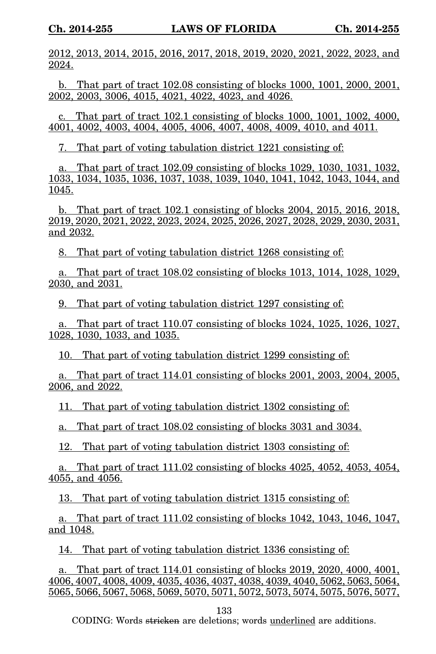2012, 2013, 2014, 2015, 2016, 2017, 2018, 2019, 2020, 2021, 2022, 2023, and 2024.

b. That part of tract 102.08 consisting of blocks 1000, 1001, 2000, 2001, 2002, 2003, 3006, 4015, 4021, 4022, 4023, and 4026.

c. That part of tract 102.1 consisting of blocks 1000, 1001, 1002, 4000, 4001, 4002, 4003, 4004, 4005, 4006, 4007, 4008, 4009, 4010, and 4011.

7. That part of voting tabulation district 1221 consisting of:

a. That part of tract 102.09 consisting of blocks 1029, 1030, 1031, 1032, 1033, 1034, 1035, 1036, 1037, 1038, 1039, 1040, 1041, 1042, 1043, 1044, and 1045.

b. That part of tract 102.1 consisting of blocks 2004, 2015, 2016, 2018, 2019, 2020, 2021, 2022, 2023, 2024, 2025, 2026, 2027, 2028, 2029, 2030, 2031, and 2032.

8. That part of voting tabulation district 1268 consisting of:

a. That part of tract 108.02 consisting of blocks 1013, 1014, 1028, 1029, 2030, and 2031.

9. That part of voting tabulation district 1297 consisting of:

a. That part of tract 110.07 consisting of blocks 1024, 1025, 1026, 1027, 1028, 1030, 1033, and 1035.

10. That part of voting tabulation district 1299 consisting of:

a. That part of tract 114.01 consisting of blocks 2001, 2003, 2004, 2005, 2006, and 2022.

11. That part of voting tabulation district 1302 consisting of:

a. That part of tract 108.02 consisting of blocks 3031 and 3034.

12. That part of voting tabulation district 1303 consisting of:

a. That part of tract 111.02 consisting of blocks 4025, 4052, 4053, 4054, 4055, and 4056.

13. That part of voting tabulation district 1315 consisting of:

a. That part of tract 111.02 consisting of blocks 1042, 1043, 1046, 1047, and 1048.

14. That part of voting tabulation district 1336 consisting of:

a. That part of tract 114.01 consisting of blocks 2019, 2020, 4000, 4001, 4006, 4007, 4008, 4009, 4035, 4036, 4037, 4038, 4039, 4040, 5062, 5063, 5064, 5065, 5066, 5067, 5068, 5069, 5070, 5071, 5072, 5073, 5074, 5075, 5076, 5077,

133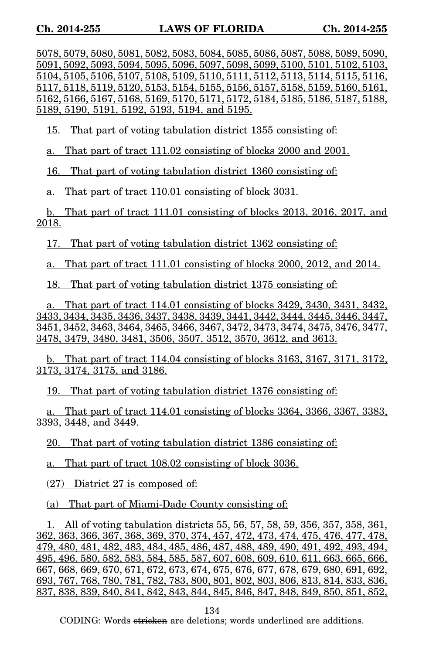5078, 5079, 5080, 5081, 5082, 5083, 5084, 5085, 5086, 5087, 5088, 5089, 5090, 5091, 5092, 5093, 5094, 5095, 5096, 5097, 5098, 5099, 5100, 5101, 5102, 5103, 5104, 5105, 5106, 5107, 5108, 5109, 5110, 5111, 5112, 5113, 5114, 5115, 5116, 5117, 5118, 5119, 5120, 5153, 5154, 5155, 5156, 5157, 5158, 5159, 5160, 5161, 5162, 5166, 5167, 5168, 5169, 5170, 5171, 5172, 5184, 5185, 5186, 5187, 5188, 5189, 5190, 5191, 5192, 5193, 5194, and 5195.

15. That part of voting tabulation district 1355 consisting of:

a. That part of tract 111.02 consisting of blocks 2000 and 2001.

16. That part of voting tabulation district 1360 consisting of:

a. That part of tract 110.01 consisting of block 3031.

b. That part of tract 111.01 consisting of blocks 2013, 2016, 2017, and 2018.

17. That part of voting tabulation district 1362 consisting of:

a. That part of tract 111.01 consisting of blocks 2000, 2012, and 2014.

18. That part of voting tabulation district 1375 consisting of:

a. That part of tract 114.01 consisting of blocks 3429, 3430, 3431, 3432, 3433, 3434, 3435, 3436, 3437, 3438, 3439, 3441, 3442, 3444, 3445, 3446, 3447, 3451, 3452, 3463, 3464, 3465, 3466, 3467, 3472, 3473, 3474, 3475, 3476, 3477, 3478, 3479, 3480, 3481, 3506, 3507, 3512, 3570, 3612, and 3613.

b. That part of tract 114.04 consisting of blocks 3163, 3167, 3171, 3172, 3173, 3174, 3175, and 3186.

19. That part of voting tabulation district 1376 consisting of:

a. That part of tract 114.01 consisting of blocks 3364, 3366, 3367, 3383, 3393, 3448, and 3449.

20. That part of voting tabulation district 1386 consisting of:

a. That part of tract 108.02 consisting of block 3036.

(27) District 27 is composed of:

(a) That part of Miami-Dade County consisting of:

1. All of voting tabulation districts 55, 56, 57, 58, 59, 356, 357, 358, 361, 362, 363, 366, 367, 368, 369, 370, 374, 457, 472, 473, 474, 475, 476, 477, 478, 479, 480, 481, 482, 483, 484, 485, 486, 487, 488, 489, 490, 491, 492, 493, 494, 495, 496, 580, 582, 583, 584, 585, 587, 607, 608, 609, 610, 611, 663, 665, 666, 667, 668, 669, 670, 671, 672, 673, 674, 675, 676, 677, 678, 679, 680, 691, 692, 693, 767, 768, 780, 781, 782, 783, 800, 801, 802, 803, 806, 813, 814, 833, 836, 837, 838, 839, 840, 841, 842, 843, 844, 845, 846, 847, 848, 849, 850, 851, 852,

134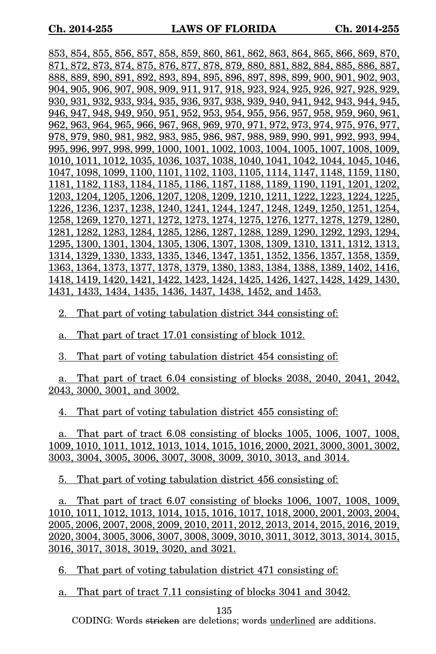853, 854, 855, 856, 857, 858, 859, 860, 861, 862, 863, 864, 865, 866, 869, 870, 871, 872, 873, 874, 875, 876, 877, 878, 879, 880, 881, 882, 884, 885, 886, 887, 888, 889, 890, 891, 892, 893, 894, 895, 896, 897, 898, 899, 900, 901, 902, 903, 904, 905, 906, 907, 908, 909, 911, 917, 918, 923, 924, 925, 926, 927, 928, 929, 930, 931, 932, 933, 934, 935, 936, 937, 938, 939, 940, 941, 942, 943, 944, 945, 946, 947, 948, 949, 950, 951, 952, 953, 954, 955, 956, 957, 958, 959, 960, 961, 962, 963, 964, 965, 966, 967, 968, 969, 970, 971, 972, 973, 974, 975, 976, 977, 978, 979, 980, 981, 982, 983, 985, 986, 987, 988, 989, 990, 991, 992, 993, 994, 995, 996, 997, 998, 999, 1000, 1001, 1002, 1003, 1004, 1005, 1007, 1008, 1009, 1010, 1011, 1012, 1035, 1036, 1037, 1038, 1040, 1041, 1042, 1044, 1045, 1046, 1047, 1098, 1099, 1100, 1101, 1102, 1103, 1105, 1114, 1147, 1148, 1159, 1180, 1181, 1182, 1183, 1184, 1185, 1186, 1187, 1188, 1189, 1190, 1191, 1201, 1202, 1203, 1204, 1205, 1206, 1207, 1208, 1209, 1210, 1211, 1222, 1223, 1224, 1225, 1226, 1236, 1237, 1238, 1240, 1241, 1244, 1247, 1248, 1249, 1250, 1251, 1254, 1258, 1269, 1270, 1271, 1272, 1273, 1274, 1275, 1276, 1277, 1278, 1279, 1280, 1281, 1282, 1283, 1284, 1285, 1286, 1287, 1288, 1289, 1290, 1292, 1293, 1294, 1295, 1300, 1301, 1304, 1305, 1306, 1307, 1308, 1309, 1310, 1311, 1312, 1313, 1314, 1329, 1330, 1333, 1335, 1346, 1347, 1351, 1352, 1356, 1357, 1358, 1359, 1363, 1364, 1373, 1377, 1378, 1379, 1380, 1383, 1384, 1388, 1389, 1402, 1416, 1418, 1419, 1420, 1421, 1422, 1423, 1424, 1425, 1426, 1427, 1428, 1429, 1430, 1431, 1433, 1434, 1435, 1436, 1437, 1438, 1452, and 1453.

2. That part of voting tabulation district 344 consisting of:

a. That part of tract 17.01 consisting of block 1012.

3. That part of voting tabulation district 454 consisting of:

a. That part of tract 6.04 consisting of blocks 2038, 2040, 2041, 2042, 2043, 3000, 3001, and 3002.

4. That part of voting tabulation district 455 consisting of:

a. That part of tract 6.08 consisting of blocks 1005, 1006, 1007, 1008, 1009, 1010, 1011, 1012, 1013, 1014, 1015, 1016, 2000, 2021, 3000, 3001, 3002, 3003, 3004, 3005, 3006, 3007, 3008, 3009, 3010, 3013, and 3014.

5. That part of voting tabulation district 456 consisting of:

a. That part of tract 6.07 consisting of blocks 1006, 1007, 1008, 1009, 1010, 1011, 1012, 1013, 1014, 1015, 1016, 1017, 1018, 2000, 2001, 2003, 2004, 2005, 2006, 2007, 2008, 2009, 2010, 2011, 2012, 2013, 2014, 2015, 2016, 2019, 2020, 3004, 3005, 3006, 3007, 3008, 3009, 3010, 3011, 3012, 3013, 3014, 3015, 3016, 3017, 3018, 3019, 3020, and 3021.

6. That part of voting tabulation district 471 consisting of:

a. That part of tract 7.11 consisting of blocks 3041 and 3042.

135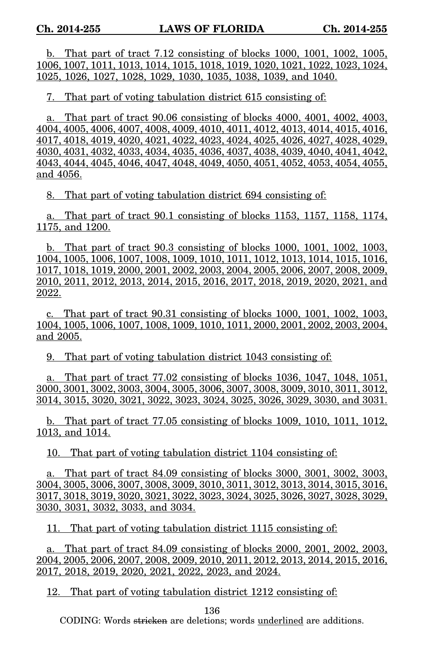b. That part of tract 7.12 consisting of blocks 1000, 1001, 1002, 1005, 1006, 1007, 1011, 1013, 1014, 1015, 1018, 1019, 1020, 1021, 1022, 1023, 1024, 1025, 1026, 1027, 1028, 1029, 1030, 1035, 1038, 1039, and 1040.

7. That part of voting tabulation district 615 consisting of:

a. That part of tract 90.06 consisting of blocks 4000, 4001, 4002, 4003, 4004, 4005, 4006, 4007, 4008, 4009, 4010, 4011, 4012, 4013, 4014, 4015, 4016, 4017, 4018, 4019, 4020, 4021, 4022, 4023, 4024, 4025, 4026, 4027, 4028, 4029, 4030, 4031, 4032, 4033, 4034, 4035, 4036, 4037, 4038, 4039, 4040, 4041, 4042, 4043, 4044, 4045, 4046, 4047, 4048, 4049, 4050, 4051, 4052, 4053, 4054, 4055, and 4056.

8. That part of voting tabulation district 694 consisting of:

a. That part of tract 90.1 consisting of blocks 1153, 1157, 1158, 1174, 1175, and 1200.

b. That part of tract 90.3 consisting of blocks 1000, 1001, 1002, 1003, 1004, 1005, 1006, 1007, 1008, 1009, 1010, 1011, 1012, 1013, 1014, 1015, 1016, 1017, 1018, 1019, 2000, 2001, 2002, 2003, 2004, 2005, 2006, 2007, 2008, 2009, 2010, 2011, 2012, 2013, 2014, 2015, 2016, 2017, 2018, 2019, 2020, 2021, and 2022.

c. That part of tract 90.31 consisting of blocks 1000, 1001, 1002, 1003, 1004, 1005, 1006, 1007, 1008, 1009, 1010, 1011, 2000, 2001, 2002, 2003, 2004, and 2005.

9. That part of voting tabulation district 1043 consisting of:

a. That part of tract 77.02 consisting of blocks 1036, 1047, 1048, 1051, 3000, 3001, 3002, 3003, 3004, 3005, 3006, 3007, 3008, 3009, 3010, 3011, 3012, 3014, 3015, 3020, 3021, 3022, 3023, 3024, 3025, 3026, 3029, 3030, and 3031.

b. That part of tract 77.05 consisting of blocks 1009, 1010, 1011, 1012, 1013, and 1014.

10. That part of voting tabulation district 1104 consisting of:

a. That part of tract 84.09 consisting of blocks 3000, 3001, 3002, 3003, 3004, 3005, 3006, 3007, 3008, 3009, 3010, 3011, 3012, 3013, 3014, 3015, 3016, 3017, 3018, 3019, 3020, 3021, 3022, 3023, 3024, 3025, 3026, 3027, 3028, 3029, 3030, 3031, 3032, 3033, and 3034.

11. That part of voting tabulation district 1115 consisting of:

a. That part of tract 84.09 consisting of blocks 2000, 2001, 2002, 2003, 2004, 2005, 2006, 2007, 2008, 2009, 2010, 2011, 2012, 2013, 2014, 2015, 2016, 2017, 2018, 2019, 2020, 2021, 2022, 2023, and 2024.

12. That part of voting tabulation district 1212 consisting of:

136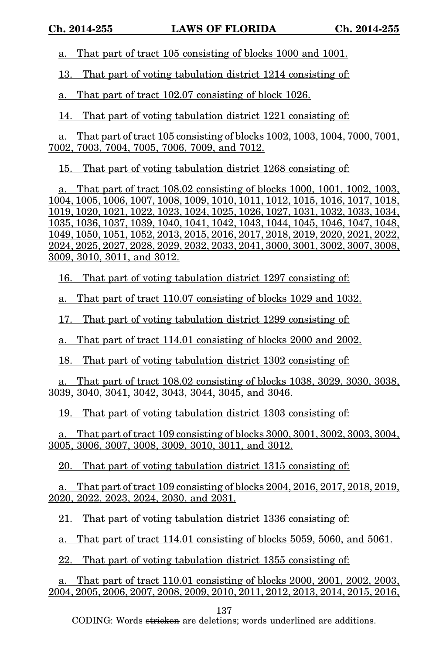a. That part of tract 105 consisting of blocks 1000 and 1001.

13. That part of voting tabulation district 1214 consisting of:

a. That part of tract 102.07 consisting of block 1026.

14. That part of voting tabulation district 1221 consisting of:

That part of tract 105 consisting of blocks 1002, 1003, 1004, 7000, 7001, 7002, 7003, 7004, 7005, 7006, 7009, and 7012.

15. That part of voting tabulation district 1268 consisting of:

a. That part of tract 108.02 consisting of blocks 1000, 1001, 1002, 1003, 1004, 1005, 1006, 1007, 1008, 1009, 1010, 1011, 1012, 1015, 1016, 1017, 1018, 1019, 1020, 1021, 1022, 1023, 1024, 1025, 1026, 1027, 1031, 1032, 1033, 1034, 1035, 1036, 1037, 1039, 1040, 1041, 1042, 1043, 1044, 1045, 1046, 1047, 1048, 1049, 1050, 1051, 1052, 2013, 2015, 2016, 2017, 2018, 2019, 2020, 2021, 2022, 2024, 2025, 2027, 2028, 2029, 2032, 2033, 2041, 3000, 3001, 3002, 3007, 3008, 3009, 3010, 3011, and 3012.

16. That part of voting tabulation district 1297 consisting of:

a. That part of tract 110.07 consisting of blocks 1029 and 1032.

17. That part of voting tabulation district 1299 consisting of:

a. That part of tract 114.01 consisting of blocks 2000 and 2002.

18. That part of voting tabulation district 1302 consisting of:

That part of tract 108.02 consisting of blocks 1038, 3029, 3030, 3038, 3039, 3040, 3041, 3042, 3043, 3044, 3045, and 3046.

19. That part of voting tabulation district 1303 consisting of:

a. That part of tract 109 consisting of blocks 3000, 3001, 3002, 3003, 3004, 3005, 3006, 3007, 3008, 3009, 3010, 3011, and 3012.

20. That part of voting tabulation district 1315 consisting of:

a. That part of tract 109 consisting of blocks 2004, 2016, 2017, 2018, 2019, 2020, 2022, 2023, 2024, 2030, and 2031.

21. That part of voting tabulation district 1336 consisting of:

a. That part of tract 114.01 consisting of blocks 5059, 5060, and 5061.

22. That part of voting tabulation district 1355 consisting of:

a. That part of tract 110.01 consisting of blocks 2000, 2001, 2002, 2003, 2004, 2005, 2006, 2007, 2008, 2009, 2010, 2011, 2012, 2013, 2014, 2015, 2016,

137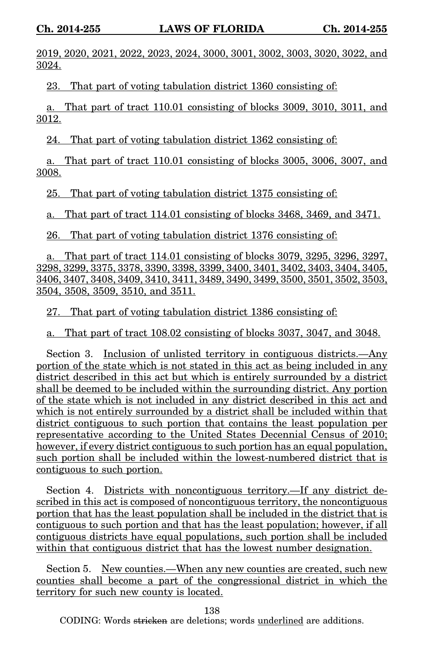2019, 2020, 2021, 2022, 2023, 2024, 3000, 3001, 3002, 3003, 3020, 3022, and 3024.

23. That part of voting tabulation district 1360 consisting of:

a. That part of tract 110.01 consisting of blocks 3009, 3010, 3011, and 3012.

24. That part of voting tabulation district 1362 consisting of:

a. That part of tract 110.01 consisting of blocks 3005, 3006, 3007, and 3008.

25. That part of voting tabulation district 1375 consisting of:

a. That part of tract 114.01 consisting of blocks 3468, 3469, and 3471.

26. That part of voting tabulation district 1376 consisting of:

a. That part of tract 114.01 consisting of blocks 3079, 3295, 3296, 3297, 3298, 3299, 3375, 3378, 3390, 3398, 3399, 3400, 3401, 3402, 3403, 3404, 3405, 3406, 3407, 3408, 3409, 3410, 3411, 3489, 3490, 3499, 3500, 3501, 3502, 3503, 3504, 3508, 3509, 3510, and 3511.

27. That part of voting tabulation district 1386 consisting of:

a. That part of tract 108.02 consisting of blocks 3037, 3047, and 3048.

Section 3. Inclusion of unlisted territory in contiguous districts.—Any portion of the state which is not stated in this act as being included in any district described in this act but which is entirely surrounded by a district shall be deemed to be included within the surrounding district. Any portion of the state which is not included in any district described in this act and which is not entirely surrounded by a district shall be included within that district contiguous to such portion that contains the least population per representative according to the United States Decennial Census of 2010; however, if every district contiguous to such portion has an equal population, such portion shall be included within the lowest-numbered district that is contiguous to such portion.

Section 4. Districts with noncontiguous territory.—If any district described in this act is composed of noncontiguous territory, the noncontiguous portion that has the least population shall be included in the district that is contiguous to such portion and that has the least population; however, if all contiguous districts have equal populations, such portion shall be included within that contiguous district that has the lowest number designation.

Section 5. New counties.—When any new counties are created, such new counties shall become a part of the congressional district in which the territory for such new county is located.

138